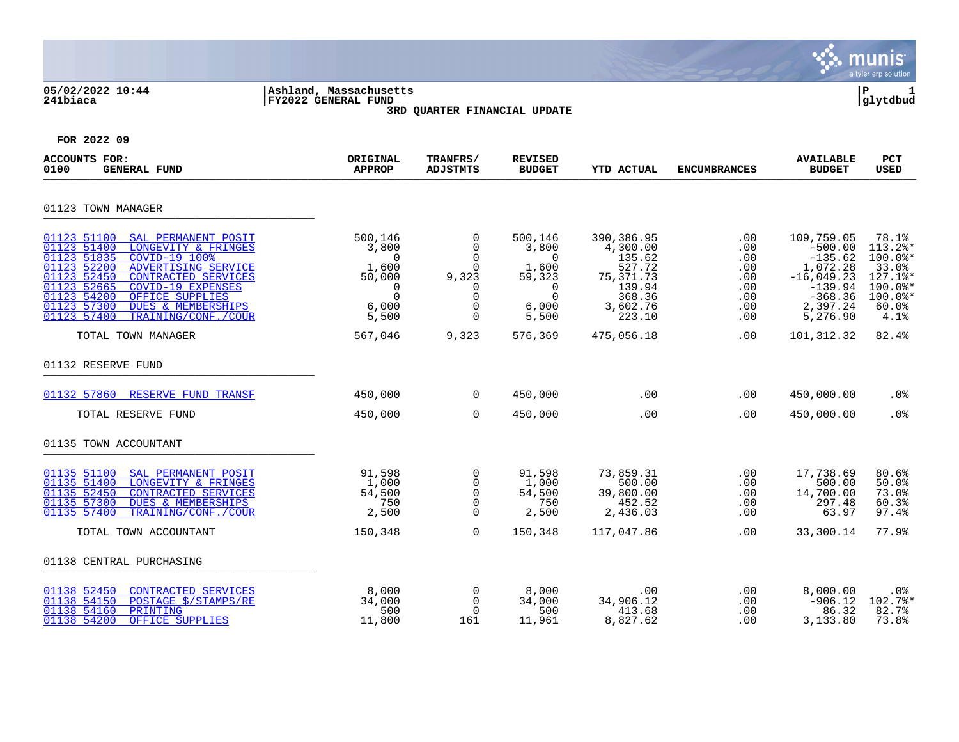|                                                                                                                                                                                                                                                                                                                                                         |                                                                                           |                                                                                                     |                                                                                                 |                                                                                                   |                                                                       |                                                                                                                    | munis<br>a tyler erp solution                                                                             |
|---------------------------------------------------------------------------------------------------------------------------------------------------------------------------------------------------------------------------------------------------------------------------------------------------------------------------------------------------------|-------------------------------------------------------------------------------------------|-----------------------------------------------------------------------------------------------------|-------------------------------------------------------------------------------------------------|---------------------------------------------------------------------------------------------------|-----------------------------------------------------------------------|--------------------------------------------------------------------------------------------------------------------|-----------------------------------------------------------------------------------------------------------|
| 05/02/2022 10:44<br>241biaca                                                                                                                                                                                                                                                                                                                            | Ashland, Massachusetts<br>FY2022 GENERAL FUND                                             | 3RD QUARTER FINANCIAL UPDATE                                                                        |                                                                                                 |                                                                                                   |                                                                       |                                                                                                                    | ΙP<br>1<br> glytdbud                                                                                      |
| FOR 2022 09                                                                                                                                                                                                                                                                                                                                             |                                                                                           |                                                                                                     |                                                                                                 |                                                                                                   |                                                                       |                                                                                                                    |                                                                                                           |
| <b>ACCOUNTS FOR:</b><br>0100<br><b>GENERAL FUND</b>                                                                                                                                                                                                                                                                                                     | ORIGINAL<br><b>APPROP</b>                                                                 | TRANFRS/<br><b>ADJSTMTS</b>                                                                         | <b>REVISED</b><br><b>BUDGET</b>                                                                 | <b>YTD ACTUAL</b>                                                                                 | <b>ENCUMBRANCES</b>                                                   | <b>AVAILABLE</b><br><b>BUDGET</b>                                                                                  | <b>PCT</b><br>USED                                                                                        |
| 01123 TOWN MANAGER                                                                                                                                                                                                                                                                                                                                      |                                                                                           |                                                                                                     |                                                                                                 |                                                                                                   |                                                                       |                                                                                                                    |                                                                                                           |
| SAL PERMANENT POSIT<br>01123 51100<br>01123 51400<br>LONGEVITY & FRINGES<br>01123 51835<br>COVID-19 100%<br>01123 52200<br>ADVERTISING SERVICE<br>01123 52450<br>CONTRACTED SERVICES<br>01123 52665<br><b>COVID-19 EXPENSES</b><br>01123 54200<br>OFFICE SUPPLIES<br>01123 57300<br><b>DUES &amp; MEMBERSHIPS</b><br>01123 57400<br>TRAINING/CONF./COUR | 500,146<br>3,800<br>$\Omega$<br>1,600<br>50,000<br>$\Omega$<br>$\Omega$<br>6,000<br>5,500 | 0<br>$\overline{0}$<br>$\Omega$<br>$\mathbf 0$<br>9,323<br>0<br>$\Omega$<br>$\mathbf 0$<br>$\Omega$ | 500,146<br>3,800<br>$\Omega$<br>1,600<br>59,323<br>$\overline{0}$<br>$\Omega$<br>6,000<br>5,500 | 390,386.95<br>4,300.00<br>135.62<br>527.72<br>75,371.73<br>139.94<br>368.36<br>3,602.76<br>223.10 | $.00 \,$<br>.00<br>.00<br>.00<br>$.00 \,$<br>.00<br>.00<br>.00<br>.00 | 109,759.05<br>$-500.00$<br>$-135.62$<br>1,072.28<br>$-16,049.23$<br>$-139.94$<br>$-368.36$<br>2,397.24<br>5,276.90 | 78.1%<br>$113.2$ *<br>$100.0$ *<br>33.0%<br>127.1%*<br>$100.0$ *<br>$100.0$ <sup>*</sup><br>60.0%<br>4.1% |
| TOTAL TOWN MANAGER                                                                                                                                                                                                                                                                                                                                      | 567,046                                                                                   | 9,323                                                                                               | 576,369                                                                                         | 475,056.18                                                                                        | .00                                                                   | 101,312.32                                                                                                         | 82.4%                                                                                                     |
| 01132 RESERVE FUND                                                                                                                                                                                                                                                                                                                                      |                                                                                           |                                                                                                     |                                                                                                 |                                                                                                   |                                                                       |                                                                                                                    |                                                                                                           |
| 01132 57860 RESERVE FUND TRANSF                                                                                                                                                                                                                                                                                                                         | 450,000                                                                                   | 0                                                                                                   | 450,000                                                                                         | .00                                                                                               | .00                                                                   | 450,000.00                                                                                                         | .0%                                                                                                       |
| TOTAL RESERVE FUND                                                                                                                                                                                                                                                                                                                                      | 450,000                                                                                   | $\Omega$                                                                                            | 450,000                                                                                         | $.00 \,$                                                                                          | .00                                                                   | 450,000.00                                                                                                         | .0 <sub>8</sub>                                                                                           |
| 01135 TOWN ACCOUNTANT                                                                                                                                                                                                                                                                                                                                   |                                                                                           |                                                                                                     |                                                                                                 |                                                                                                   |                                                                       |                                                                                                                    |                                                                                                           |
| 01135 51100<br>SAL PERMANENT POSIT<br>01135 51400<br>LONGEVITY & FRINGES<br>01135 52450<br>CONTRACTED SERVICES<br>01135 57300<br><b>DUES &amp; MEMBERSHIPS</b><br>01135 57400<br>TRAINING/CONF./COUR                                                                                                                                                    | 91,598<br>1,000<br>54,500<br>750<br>2,500                                                 | 0<br>$\mathsf{O}$<br>$\mathsf 0$<br>$\mathbf 0$<br>$\Omega$                                         | 91,598<br>1,000<br>54,500<br>750<br>2,500                                                       | 73,859.31<br>500.00<br>39,800.00<br>452.52<br>2,436.03                                            | .00<br>.00<br>.00<br>.00<br>.00                                       | 17,738.69<br>500.00<br>14,700.00<br>297.48<br>63.97                                                                | 80.6%<br>50.0%<br>73.0%<br>60.3%<br>97.4%                                                                 |
| TOTAL TOWN ACCOUNTANT                                                                                                                                                                                                                                                                                                                                   | 150,348                                                                                   | $\Omega$                                                                                            | 150,348                                                                                         | 117,047.86                                                                                        | .00                                                                   | 33,300.14                                                                                                          | 77.9%                                                                                                     |
| 01138 CENTRAL PURCHASING                                                                                                                                                                                                                                                                                                                                |                                                                                           |                                                                                                     |                                                                                                 |                                                                                                   |                                                                       |                                                                                                                    |                                                                                                           |
| 01138 52450<br>CONTRACTED SERVICES<br>01138 54150<br>POSTAGE \$/STAMPS/RE<br>01138 54160<br>PRINTING<br>01138 54200<br>OFFICE SUPPLIES                                                                                                                                                                                                                  | 8,000<br>34,000<br>500<br>11,800                                                          | 0<br>$\Omega$<br>$\Omega$<br>161                                                                    | 8,000<br>34,000<br>500<br>11,961                                                                | .00<br>34,906.12<br>413.68<br>8,827.62                                                            | .00<br>.00<br>$.00 \,$<br>.00                                         | 8,000.00<br>$-906.12$<br>86.32<br>3,133.80                                                                         | .0%<br>102.7%*<br>82.7%<br>73.8%                                                                          |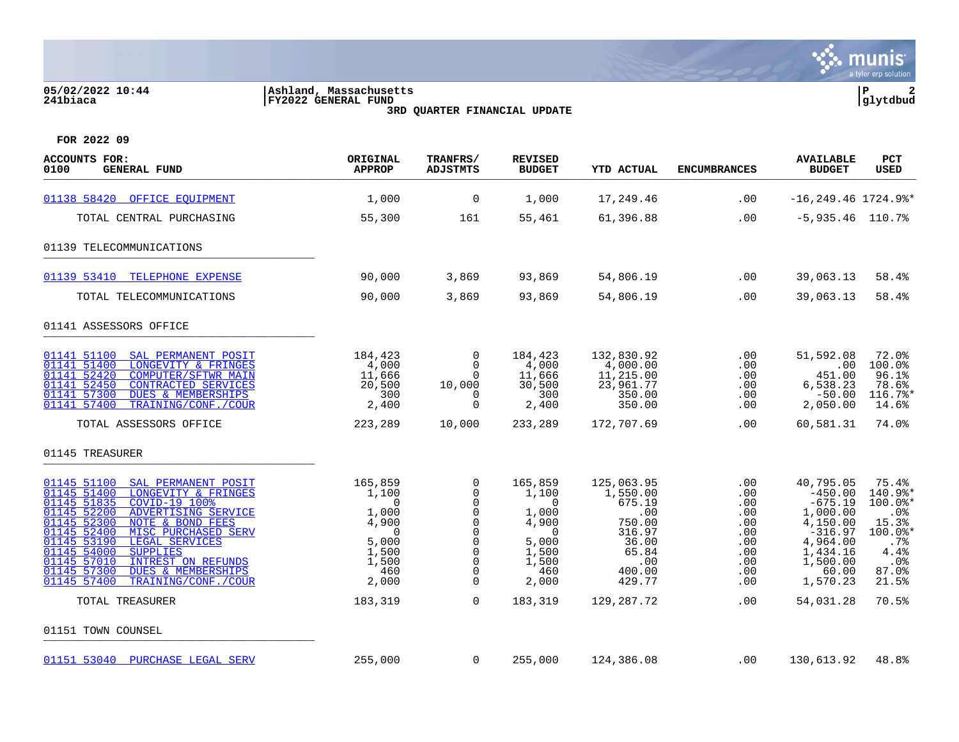### **05/02/2022 10:44 |Ashland, Massachusetts |P 2 241biaca |FY2022 GENERAL FUND |glytdbud**



**3RD QUARTER FINANCIAL UPDATE**

| <b>ACCOUNTS FOR:</b><br><b>GENERAL FUND</b><br>0100                                                                                                                                                                                                                                                                                                                                                                | ORIGINAL<br><b>APPROP</b>                                                                             | TRANFRS/<br><b>ADJSTMTS</b>                                                                                                    | <b>REVISED</b><br><b>BUDGET</b>                                                                          | YTD ACTUAL                                                                                               | <b>ENCUMBRANCES</b>                                                                                           | <b>AVAILABLE</b><br><b>BUDGET</b>                                                                                                 | <b>PCT</b><br>USED                                                                                        |
|--------------------------------------------------------------------------------------------------------------------------------------------------------------------------------------------------------------------------------------------------------------------------------------------------------------------------------------------------------------------------------------------------------------------|-------------------------------------------------------------------------------------------------------|--------------------------------------------------------------------------------------------------------------------------------|----------------------------------------------------------------------------------------------------------|----------------------------------------------------------------------------------------------------------|---------------------------------------------------------------------------------------------------------------|-----------------------------------------------------------------------------------------------------------------------------------|-----------------------------------------------------------------------------------------------------------|
| 01138 58420 OFFICE EOUIPMENT                                                                                                                                                                                                                                                                                                                                                                                       | 1,000                                                                                                 | $\overline{0}$                                                                                                                 | 1,000                                                                                                    | 17,249.46                                                                                                | .00                                                                                                           | $-16, 249.46$ 1724.9%*                                                                                                            |                                                                                                           |
| TOTAL CENTRAL PURCHASING                                                                                                                                                                                                                                                                                                                                                                                           | 55,300                                                                                                | 161                                                                                                                            | 55,461                                                                                                   | 61,396.88                                                                                                | .00                                                                                                           | $-5,935.46$ 110.7%                                                                                                                |                                                                                                           |
| 01139 TELECOMMUNICATIONS                                                                                                                                                                                                                                                                                                                                                                                           |                                                                                                       |                                                                                                                                |                                                                                                          |                                                                                                          |                                                                                                               |                                                                                                                                   |                                                                                                           |
| 01139 53410 TELEPHONE EXPENSE                                                                                                                                                                                                                                                                                                                                                                                      | 90,000                                                                                                | 3,869                                                                                                                          | 93,869                                                                                                   | 54,806.19                                                                                                | $.00 \,$                                                                                                      | 39,063.13                                                                                                                         | 58.4%                                                                                                     |
| TOTAL TELECOMMUNICATIONS                                                                                                                                                                                                                                                                                                                                                                                           | 90,000                                                                                                | 3,869                                                                                                                          | 93,869                                                                                                   | 54,806.19                                                                                                | .00                                                                                                           | 39,063.13                                                                                                                         | 58.4%                                                                                                     |
| 01141 ASSESSORS OFFICE                                                                                                                                                                                                                                                                                                                                                                                             |                                                                                                       |                                                                                                                                |                                                                                                          |                                                                                                          |                                                                                                               |                                                                                                                                   |                                                                                                           |
| 01141 51100<br>SAL PERMANENT POSIT<br>01141 51400<br>LONGEVITY & FRINGES<br>01141 52420<br><b>COMPUTER/SFTWR MAIN</b><br>01141 52450<br><b>CONTRACTED SERVICES</b><br>01141 57300<br><b>DUES &amp; MEMBERSHIPS</b><br>01141 57400<br>TRAINING/CONF./COUR                                                                                                                                                           | 184,423<br>4,000<br>11,666<br>20,500<br>300<br>2,400                                                  | $\overline{0}$<br>$\Omega$<br>$\Omega$<br>10,000<br>0<br>$\Omega$                                                              | 184,423<br>4,000<br>11,666<br>30,500<br>300<br>2,400                                                     | 132,830.92<br>4,000.00<br>11,215.00<br>23,961.77<br>350.00<br>350.00                                     | $.00 \,$<br>.00<br>.00<br>$.00 \ \rm$<br>.00<br>.00                                                           | 51,592.08<br>.00.<br>451.00<br>6,538.23<br>$-50.00$<br>2,050.00                                                                   | 72.0%<br>100.0%<br>96.1%<br>78.6%<br>116.7%*<br>14.6%                                                     |
| TOTAL ASSESSORS OFFICE                                                                                                                                                                                                                                                                                                                                                                                             | 223,289                                                                                               | 10,000                                                                                                                         | 233,289                                                                                                  | 172,707.69                                                                                               | $.00 \ \rm$                                                                                                   | 60,581.31                                                                                                                         | 74.0%                                                                                                     |
| 01145 TREASURER                                                                                                                                                                                                                                                                                                                                                                                                    |                                                                                                       |                                                                                                                                |                                                                                                          |                                                                                                          |                                                                                                               |                                                                                                                                   |                                                                                                           |
| 01145 51100 SAL PERMANENT POSIT<br>01145 51400<br>LONGEVITY & FRINGES<br>01145 51835<br>COVID-19 100%<br>01145 52200<br>ADVERTISING SERVICE<br>01145 52300<br>NOTE & BOND FEES<br>01145 52400<br>MISC PURCHASED SERV<br>01145 53190<br>LEGAL SERVICES<br>01145 54000<br><b>SUPPLIES</b><br>01145 57010<br>INTREST ON REFUNDS<br>01145 57300<br><b>DUES &amp; MEMBERSHIPS</b><br>01145 57400<br>TRAINING/CONF./COUR | 165,859<br>1,100<br>$\Omega$<br>1,000<br>4,900<br>$\Omega$<br>5,000<br>1,500<br>1,500<br>460<br>2,000 | $\mathbf 0$<br>$\mathbf 0$<br>$\Omega$<br>0<br>0<br>$\Omega$<br>$\mathbf 0$<br>$\Omega$<br>$\mathbf 0$<br>$\Omega$<br>$\Omega$ | 165,859<br>1,100<br>$\Omega$<br>1,000<br>4,900<br>$\mathbf 0$<br>5,000<br>1,500<br>1,500<br>460<br>2,000 | 125,063.95<br>1,550.00<br>675.19<br>.00<br>750.00<br>316.97<br>36.00<br>65.84<br>.00<br>400.00<br>429.77 | $.00 \,$<br>.00<br>$.00 \,$<br>.00<br>.00<br>.00<br>$.00 \ \rm$<br>$.00 \ \rm$<br>.00<br>$.00 \,$<br>$.00 \,$ | 40,795.05<br>$-450.00$<br>$-675.19$<br>1,000.00<br>4,150.00<br>$-316.97$<br>4,964.00<br>1,434.16<br>1,500.00<br>60.00<br>1,570.23 | 75.4%<br>140.9%*<br>100.0%*<br>$.0\%$<br>15.3%<br>100.0%*<br>.7%<br>4.4%<br>$.0\%$<br>$87.0$ $%$<br>21.5% |
| TOTAL TREASURER                                                                                                                                                                                                                                                                                                                                                                                                    | 183,319                                                                                               | $\mathbf 0$                                                                                                                    | 183,319                                                                                                  | 129,287.72                                                                                               | .00                                                                                                           | 54,031.28                                                                                                                         | 70.5%                                                                                                     |
| 01151 TOWN COUNSEL                                                                                                                                                                                                                                                                                                                                                                                                 |                                                                                                       |                                                                                                                                |                                                                                                          |                                                                                                          |                                                                                                               |                                                                                                                                   |                                                                                                           |
| 01151 53040 PURCHASE LEGAL SERV                                                                                                                                                                                                                                                                                                                                                                                    | 255,000                                                                                               | $\mathbf{0}$                                                                                                                   | 255,000                                                                                                  | 124,386.08                                                                                               | $.00 \,$                                                                                                      | 130,613.92                                                                                                                        | 48.8%                                                                                                     |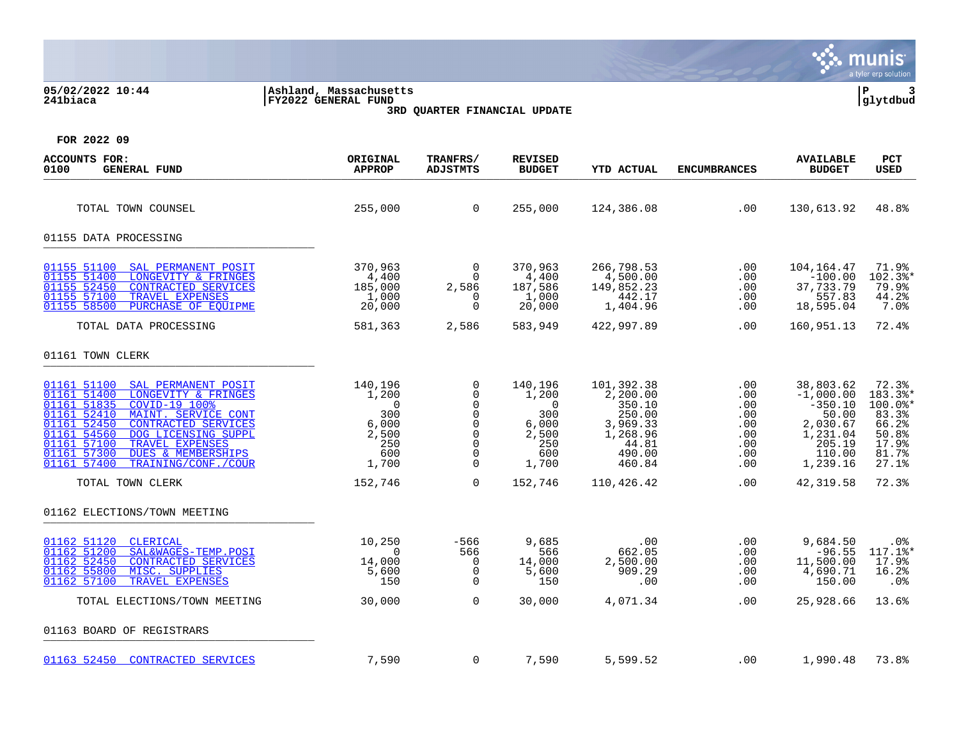|                                                                                                                                                                                                                                                                                                                                                         |                                                                                    |                                                                                                              |                                                                                              |                                                                                                 |                                                                  |                                                                                                        | munis<br>a tyler erp solution                                                                  |
|---------------------------------------------------------------------------------------------------------------------------------------------------------------------------------------------------------------------------------------------------------------------------------------------------------------------------------------------------------|------------------------------------------------------------------------------------|--------------------------------------------------------------------------------------------------------------|----------------------------------------------------------------------------------------------|-------------------------------------------------------------------------------------------------|------------------------------------------------------------------|--------------------------------------------------------------------------------------------------------|------------------------------------------------------------------------------------------------|
| 05/02/2022 10:44<br>241biaca                                                                                                                                                                                                                                                                                                                            | Ashland, Massachusetts<br><b>FY2022 GENERAL FUND</b>                               | 3RD QUARTER FINANCIAL UPDATE                                                                                 |                                                                                              |                                                                                                 |                                                                  |                                                                                                        | l P<br>3<br>glytdbud                                                                           |
| FOR 2022 09                                                                                                                                                                                                                                                                                                                                             |                                                                                    |                                                                                                              |                                                                                              |                                                                                                 |                                                                  |                                                                                                        |                                                                                                |
| <b>ACCOUNTS FOR:</b><br>0100<br><b>GENERAL FUND</b>                                                                                                                                                                                                                                                                                                     | ORIGINAL<br><b>APPROP</b>                                                          | TRANFRS/<br><b>ADJSTMTS</b>                                                                                  | <b>REVISED</b><br><b>BUDGET</b>                                                              | <b>YTD ACTUAL</b>                                                                               | <b>ENCUMBRANCES</b>                                              | <b>AVAILABLE</b><br><b>BUDGET</b>                                                                      | <b>PCT</b><br><b>USED</b>                                                                      |
| TOTAL TOWN COUNSEL                                                                                                                                                                                                                                                                                                                                      | 255,000                                                                            | $\overline{0}$                                                                                               | 255,000                                                                                      | 124,386.08                                                                                      | .00                                                              | 130,613.92                                                                                             | 48.8%                                                                                          |
| 01155 DATA PROCESSING                                                                                                                                                                                                                                                                                                                                   |                                                                                    |                                                                                                              |                                                                                              |                                                                                                 |                                                                  |                                                                                                        |                                                                                                |
| 01155 51100<br>SAL PERMANENT POSIT<br>01155 51400<br>LONGEVITY & FRINGES<br>01155 52450<br><b>CONTRACTED SERVICES</b><br>01155 57100<br>TRAVEL EXPENSES<br>01155 58500<br>PURCHASE OF EQUIPME                                                                                                                                                           | 370,963<br>4,400<br>185,000<br>1,000<br>20,000                                     | $\overline{0}$<br>$\begin{matrix}0\\0\end{matrix}$<br>2,586<br>$\overline{0}$<br>$\mathbf 0$                 | 370,963<br>4,400<br>187,586<br>1,000<br>20,000                                               | 266,798.53<br>4,500.00<br>149,852.23<br>442.17<br>1,404.96                                      | .00<br>.00<br>.00<br>.00<br>.00                                  | 104,164.47<br>$-100.00$<br>37,733.79<br>557.83<br>18,595.04                                            | 71.9%<br>102.3%*<br>79.9%<br>44.2%<br>$7.0$ $8$                                                |
| TOTAL DATA PROCESSING                                                                                                                                                                                                                                                                                                                                   | 581,363                                                                            | 2,586                                                                                                        | 583,949                                                                                      | 422,997.89                                                                                      | .00                                                              | 160,951.13                                                                                             | 72.4%                                                                                          |
| 01161 TOWN CLERK                                                                                                                                                                                                                                                                                                                                        |                                                                                    |                                                                                                              |                                                                                              |                                                                                                 |                                                                  |                                                                                                        |                                                                                                |
| 01161 51100<br>SAL PERMANENT POSIT<br>01161 51400<br>LONGEVITY & FRINGES<br>01161 51835<br>COVID-19 100%<br>01161 52410<br>MAINT. SERVICE CONT<br>$\frac{01161}{01161}$ 52450<br>CONTRACTED SERVICES<br>01161 54560<br>DOG LICENSING SUPPL<br>01161 57100<br>TRAVEL EXPENSES<br>01161 57300<br>DUES & MEMBERSHIPS<br>01161 57400<br>TRAINING/CONF./COUR | 140,196<br>1,200<br>$\overline{0}$<br>300<br>6,000<br>2,500<br>250<br>600<br>1,700 | 0<br>$\overline{0}$<br>$\mathsf{O}$<br>$\mathsf{O}$<br>$\mathsf{O}$<br>$\mathsf{O}$<br>0<br>0<br>$\mathbf 0$ | 140,196<br>1,200<br>$\overline{\phantom{0}}$<br>300<br>6,000<br>2,500<br>250<br>600<br>1,700 | 101,392.38<br>2,200.00<br>350.10<br>250.00<br>3,969.33<br>1,268.96<br>44.81<br>490.00<br>460.84 | .00<br>$.00 \,$<br>.00<br>.00<br>.00<br>.00<br>.00<br>.00<br>.00 | 38,803.62<br>$-1,000.00$<br>$-350.10$<br>50.00<br>2,030.67<br>1,231.04<br>205.19<br>110.00<br>1,239.16 | 72.3%<br>$183.3$ <sup>*</sup><br>100.0%*<br>83.3%<br>66.2%<br>50.8%<br>17.9%<br>81.7%<br>27.1% |
| TOTAL TOWN CLERK                                                                                                                                                                                                                                                                                                                                        | 152,746                                                                            | $\Omega$                                                                                                     | 152,746                                                                                      | 110,426.42                                                                                      | .00                                                              | 42,319.58                                                                                              | 72.3%                                                                                          |
| 01162 ELECTIONS/TOWN MEETING                                                                                                                                                                                                                                                                                                                            |                                                                                    |                                                                                                              |                                                                                              |                                                                                                 |                                                                  |                                                                                                        |                                                                                                |
| 01162 51120<br>CLERICAL<br>01162 51200<br>SAL&WAGES-TEMP.POSI<br>01162 52450<br><b>CONTRACTED SERVICES</b><br>01162 55800<br>MISC. SUPPLIES<br>01162 57100<br>TRAVEL EXPENSES                                                                                                                                                                           | 10,250<br>$\Omega$<br>14,000<br>5,600<br>150                                       | -566<br>566<br>$\overline{\mathbf{0}}$<br>$\overline{0}$<br>$\mathbf 0$                                      | 9,685<br>566<br>14,000<br>5,600<br>150                                                       | .00<br>662.05<br>2,500.00<br>909.29<br>.00                                                      | .00<br>.00<br>.00<br>$.00 \,$<br>.00                             | 9,684.50<br>$-96.55$<br>11,500.00<br>4,690.71<br>150.00                                                | .0%<br>$117.1$ %*<br>17.9%<br>16.2%<br>.0%                                                     |
| TOTAL ELECTIONS/TOWN MEETING                                                                                                                                                                                                                                                                                                                            | 30,000                                                                             | $\Omega$                                                                                                     | 30,000                                                                                       | 4,071.34                                                                                        | .00                                                              | 25,928.66                                                                                              | 13.6%                                                                                          |
| 01163 BOARD OF REGISTRARS                                                                                                                                                                                                                                                                                                                               |                                                                                    |                                                                                                              |                                                                                              |                                                                                                 |                                                                  |                                                                                                        |                                                                                                |
| 01163 52450 CONTRACTED SERVICES                                                                                                                                                                                                                                                                                                                         | 7,590                                                                              | $\mathbf 0$                                                                                                  | 7,590                                                                                        | 5,599.52                                                                                        | .00                                                              | 1,990.48                                                                                               | 73.8%                                                                                          |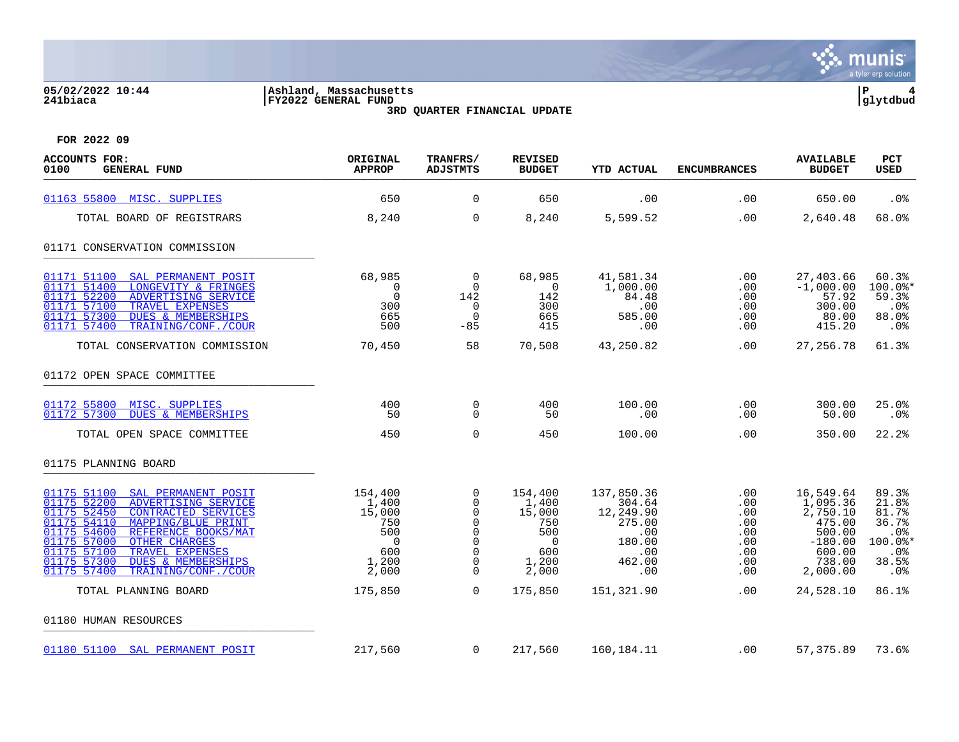### **05/02/2022 10:44 |Ashland, Massachusetts |P 4 241biaca |FY2022 GENERAL FUND |glytdbud**

**3RD QUARTER FINANCIAL UPDATE**



| <b>ACCOUNTS FOR:</b><br>0100<br><b>GENERAL FUND</b>                                                                                                                                                                                                                                                                                                      | ORIGINAL<br><b>APPROP</b>                                                           | TRANFRS/<br><b>ADJSTMTS</b>                                                                               | <b>REVISED</b><br><b>BUDGET</b>                                                     | <b>YTD ACTUAL</b>                                                                    | <b>ENCUMBRANCES</b>                                              | <b>AVAILABLE</b><br><b>BUDGET</b>                                                                  | PCT<br><b>USED</b>                                                          |
|----------------------------------------------------------------------------------------------------------------------------------------------------------------------------------------------------------------------------------------------------------------------------------------------------------------------------------------------------------|-------------------------------------------------------------------------------------|-----------------------------------------------------------------------------------------------------------|-------------------------------------------------------------------------------------|--------------------------------------------------------------------------------------|------------------------------------------------------------------|----------------------------------------------------------------------------------------------------|-----------------------------------------------------------------------------|
| 01163 55800 MISC. SUPPLIES                                                                                                                                                                                                                                                                                                                               | 650                                                                                 | 0                                                                                                         | 650                                                                                 | .00                                                                                  | .00                                                              | 650.00                                                                                             | .0 <sub>8</sub>                                                             |
| TOTAL BOARD OF REGISTRARS                                                                                                                                                                                                                                                                                                                                | 8,240                                                                               | $\Omega$                                                                                                  | 8,240                                                                               | 5,599.52                                                                             | .00                                                              | 2,640.48                                                                                           | 68.0%                                                                       |
| 01171 CONSERVATION COMMISSION                                                                                                                                                                                                                                                                                                                            |                                                                                     |                                                                                                           |                                                                                     |                                                                                      |                                                                  |                                                                                                    |                                                                             |
| 01171 51100<br>SAL PERMANENT POSIT<br>01171 51400<br>LONGEVITY & FRINGES<br>01171 52200<br>ADVERTISING SERVICE<br>01171 57100<br>TRAVEL EXPENSES<br>01171 57300<br><b>DUES &amp; MEMBERSHIPS</b><br>01171 57400<br>TRAINING/CONF./COUR                                                                                                                   | 68,985<br>$\mathbf 0$<br>$\Omega$<br>300<br>665<br>500                              | 0<br>$\mathbf 0$<br>142<br>$\mathbf 0$<br>$\mathbf 0$<br>$-85$                                            | 68,985<br>$\mathbf 0$<br>142<br>300<br>665<br>415                                   | 41,581.34<br>1,000.00<br>84.48<br>.00<br>585.00<br>.00                               | .00<br>.00<br>.00<br>.00<br>.00<br>.00                           | 27,403.66<br>$-1,000.00$<br>57.92<br>300.00<br>80.00<br>415.20                                     | 60.3%<br>$100.0$ *<br>59.3%<br>.0%<br>88.0%<br>.0%                          |
| TOTAL CONSERVATION COMMISSION                                                                                                                                                                                                                                                                                                                            | 70,450                                                                              | 58                                                                                                        | 70,508                                                                              | 43,250.82                                                                            | .00                                                              | 27, 256. 78                                                                                        | 61.3%                                                                       |
| 01172 OPEN SPACE COMMITTEE                                                                                                                                                                                                                                                                                                                               |                                                                                     |                                                                                                           |                                                                                     |                                                                                      |                                                                  |                                                                                                    |                                                                             |
| 01172 55800 MISC. SUPPLIES<br>01172 57300<br><b>DUES &amp; MEMBERSHIPS</b>                                                                                                                                                                                                                                                                               | 400<br>50                                                                           | $\mathbf 0$<br>$\mathbf 0$                                                                                | 400<br>50                                                                           | 100.00<br>.00                                                                        | .00<br>.00                                                       | 300.00<br>50.00                                                                                    | 25.0%<br>$.0\%$                                                             |
| TOTAL OPEN SPACE COMMITTEE                                                                                                                                                                                                                                                                                                                               | 450                                                                                 | $\mathbf 0$                                                                                               | 450                                                                                 | 100.00                                                                               | .00                                                              | 350.00                                                                                             | 22.2%                                                                       |
| 01175 PLANNING BOARD                                                                                                                                                                                                                                                                                                                                     |                                                                                     |                                                                                                           |                                                                                     |                                                                                      |                                                                  |                                                                                                    |                                                                             |
| 01175 51100<br>SAL PERMANENT POSIT<br>01175 52200<br>ADVERTISING SERVICE<br>01175 52450<br>CONTRACTED SERVICES<br>01175 54110<br>MAPPING/BLUE PRINT<br>01175 54600<br>REFERENCE BOOKS/MAT<br>01175 57000<br><b>OTHER CHARGES</b><br>01175 57100<br>TRAVEL EXPENSES<br>01175 57300<br><b>DUES &amp; MEMBERSHIPS</b><br>01175 57400<br>TRAINING/CONF./COUR | 154,400<br>1,400<br>15,000<br>750<br>500<br>$\overline{0}$<br>600<br>1,200<br>2,000 | 0<br>$\Omega$<br>$\Omega$<br>0<br>$\mathbf 0$<br>$\mathbf 0$<br>$\mathbf 0$<br>$\mathbf 0$<br>$\mathbf 0$ | 154,400<br>1,400<br>15,000<br>750<br>500<br>$\overline{0}$<br>600<br>1,200<br>2,000 | 137,850.36<br>304.64<br>12,249.90<br>275.00<br>.00<br>180.00<br>.00<br>462.00<br>.00 | .00<br>.00<br>.00<br>.00<br>.00<br>.00<br>.00<br>$.00 \,$<br>.00 | 16,549.64<br>1,095.36<br>2,750.10<br>475.00<br>500.00<br>$-180.00$<br>600.00<br>738.00<br>2,000.00 | 89.3%<br>21.8%<br>81.7%<br>36.7%<br>.0%<br>$100.0$ *<br>.0%<br>38.5%<br>.0% |
| TOTAL PLANNING BOARD                                                                                                                                                                                                                                                                                                                                     | 175,850                                                                             | $\Omega$                                                                                                  | 175,850                                                                             | 151,321.90                                                                           | .00                                                              | 24,528.10                                                                                          | 86.1%                                                                       |
| 01180 HUMAN RESOURCES                                                                                                                                                                                                                                                                                                                                    |                                                                                     |                                                                                                           |                                                                                     |                                                                                      |                                                                  |                                                                                                    |                                                                             |
| 01180 51100 SAL PERMANENT POSIT                                                                                                                                                                                                                                                                                                                          | 217,560                                                                             | $\overline{0}$                                                                                            | 217,560                                                                             | 160,184.11                                                                           | .00                                                              | 57,375.89                                                                                          | 73.6%                                                                       |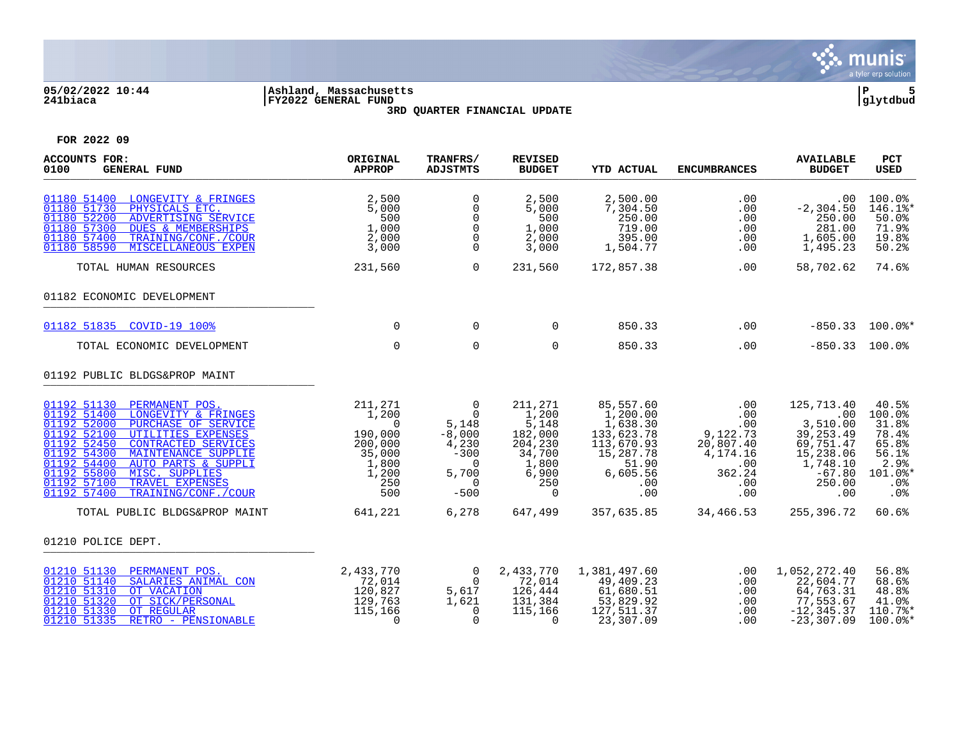

### **05/02/2022 10:44 |Ashland, Massachusetts |P 5 241biaca |FY2022 GENERAL FUND |glytdbud 3RD QUARTER FINANCIAL UPDATE**



| <b>ACCOUNTS FOR:</b><br>0100<br><b>GENERAL FUND</b>                                                                                                                                                                                                                                                                                                                                      | ORIGINAL<br><b>APPROP</b>                                                                    | TRANFRS/<br><b>ADJSTMTS</b>                                                                                         | <b>REVISED</b><br><b>BUDGET</b>                                                                                     | <b>YTD ACTUAL</b>                                                                                             | <b>ENCUMBRANCES</b>                                                                   | <b>AVAILABLE</b><br><b>BUDGET</b>                                                                              | <b>PCT</b><br><b>USED</b>                                                            |
|------------------------------------------------------------------------------------------------------------------------------------------------------------------------------------------------------------------------------------------------------------------------------------------------------------------------------------------------------------------------------------------|----------------------------------------------------------------------------------------------|---------------------------------------------------------------------------------------------------------------------|---------------------------------------------------------------------------------------------------------------------|---------------------------------------------------------------------------------------------------------------|---------------------------------------------------------------------------------------|----------------------------------------------------------------------------------------------------------------|--------------------------------------------------------------------------------------|
| 01180 51400 LONGEVITY & FRINGES<br>01180 51730<br>PHYSICALS ETC.<br>01180 52200<br>ADVERTISING SERVICE<br>01180 57300<br><b>DUES &amp; MEMBERSHIPS</b><br>01180 57400<br>TRAINING/CONF./COUR<br>01180 58590<br>MISCELLANEOUS EXPEN                                                                                                                                                       | 2,500<br>5,000<br>500<br>1,000<br>2,000<br>3,000                                             | 0<br>$\mathbf 0$<br>$\mathbf 0$<br>0<br>$\mathbf 0$<br>$\Omega$                                                     | 2,500<br>5,000<br>500<br>1,000<br>2,000<br>3,000                                                                    | 2,500.00<br>7,304.50<br>250.00<br>719.00<br>395.00<br>1,504.77                                                | .00<br>.00<br>.00<br>.00<br>.00<br>.00                                                | $.00 \,$<br>$-2, 304.50$<br>250.00<br>281.00<br>1,605.00<br>1,495.23                                           | 100.0%<br>146.1%*<br>50.0%<br>71.9%<br>19.8%<br>50.2%                                |
| TOTAL HUMAN RESOURCES                                                                                                                                                                                                                                                                                                                                                                    | 231,560                                                                                      | $\mathbf 0$                                                                                                         | 231,560                                                                                                             | 172,857.38                                                                                                    | .00                                                                                   | 58,702.62                                                                                                      | 74.6%                                                                                |
| 01182 ECONOMIC DEVELOPMENT                                                                                                                                                                                                                                                                                                                                                               |                                                                                              |                                                                                                                     |                                                                                                                     |                                                                                                               |                                                                                       |                                                                                                                |                                                                                      |
| 01182 51835 COVID-19 100%                                                                                                                                                                                                                                                                                                                                                                | $\Omega$                                                                                     | $\Omega$                                                                                                            | $\Omega$                                                                                                            | 850.33                                                                                                        | .00                                                                                   |                                                                                                                | $-850.33$ 100.0%*                                                                    |
| TOTAL ECONOMIC DEVELOPMENT                                                                                                                                                                                                                                                                                                                                                               | $\mathbf 0$                                                                                  | $\mathbf 0$                                                                                                         | $\Omega$                                                                                                            | 850.33                                                                                                        | .00                                                                                   | $-850.33$ 100.0%                                                                                               |                                                                                      |
| 01192 PUBLIC BLDGS&PROP MAINT                                                                                                                                                                                                                                                                                                                                                            |                                                                                              |                                                                                                                     |                                                                                                                     |                                                                                                               |                                                                                       |                                                                                                                |                                                                                      |
| 01192 51130 PERMANENT POS.<br>01192 51400<br>LONGEVITY & FRINGES<br>01192 52000<br>PURCHASE OF SERVICE<br>01192 52100<br>UTILITIES EXPENSES<br>01192 52450<br><b>CONTRACTED SERVICES</b><br>01192 54300<br>MAINTENANCE SUPPLIE<br>01192 54400<br><b>AUTO PARTS &amp; SUPPLI</b><br>01192 55800<br>MISC. SUPPLIES<br>01192 57100<br>TRAVEL EXPENSES<br>01192 57400<br>TRAINING/CONF./COUR | 211,271<br>1,200<br>$\Omega$<br>190,000<br>200,000<br>35,000<br>1,800<br>1,200<br>250<br>500 | $\overline{0}$<br>$\Omega$<br>5,148<br>$-8,000$<br>4,230<br>$-300$<br>$\Omega$<br>5,700<br>$\overline{0}$<br>$-500$ | 211,271<br>$\frac{1}{1}$ , 200<br>5, 148<br>182,000<br>204,230<br>34,700<br>1,800<br>6,900<br>250<br>$\overline{0}$ | 85,557.60<br>1,200.00<br>1,638.30<br>133,623.78<br>113,670.93<br>15,287.78<br>51.90<br>6,605.56<br>.00<br>.00 | .00<br>.00<br>.00<br>9,122.73<br>20,807.40<br>4,174.16<br>.00<br>362.24<br>.00<br>.00 | 125,713.40<br>.00<br>3,510.00<br>39, 253.49<br>69,751.47<br>15,238.06<br>1,748.10<br>$-67.80$<br>250.00<br>.00 | 40.5%<br>100.0%<br>31.8%<br>78.4%<br>65.8%<br>56.1%<br>2.9%<br>101.0%*<br>.0%<br>.0% |
| TOTAL PUBLIC BLDGS&PROP MAINT                                                                                                                                                                                                                                                                                                                                                            | 641,221                                                                                      | 6,278                                                                                                               | 647,499                                                                                                             | 357,635.85                                                                                                    | 34,466.53                                                                             | 255,396.72                                                                                                     | 60.6%                                                                                |
| 01210 POLICE DEPT.                                                                                                                                                                                                                                                                                                                                                                       |                                                                                              |                                                                                                                     |                                                                                                                     |                                                                                                               |                                                                                       |                                                                                                                |                                                                                      |
| 01210 51130<br>PERMANENT POS.<br>01210 51140<br>SALARIES ANIMAL CON<br>01210 51310<br>OT VACATION<br>01210 51320<br>OT SICK/PERSONAL<br>01210 51330<br>OT REGULAR<br>01210 51335<br>RETRO - PENSIONABLE                                                                                                                                                                                  | 2,433,770<br>72,014<br>120,827<br>129,763<br>115,166<br>$\mathbf 0$                          | $\overline{0}$<br>$\overline{0}$<br>5,617<br>1,621<br>$\Omega$<br>$\mathbf 0$                                       | 2,433,770<br>72,014<br>126,444<br>131,384<br>115,166<br>$\Omega$                                                    | 1,381,497.60<br>49,409.23<br>61,680.51<br>53,829.92<br>127,511.37<br>23,307.09                                | .00<br>.00<br>.00<br>.00<br>.00<br>.00                                                | 1,052,272.40<br>22,604.77<br>64,763.31<br>77,553.67<br>$-12, 345.37$<br>$-23, 307.09$                          | 56.8%<br>68.6%<br>48.8%<br>41.0%<br>110.7%*<br>$100.0$ *                             |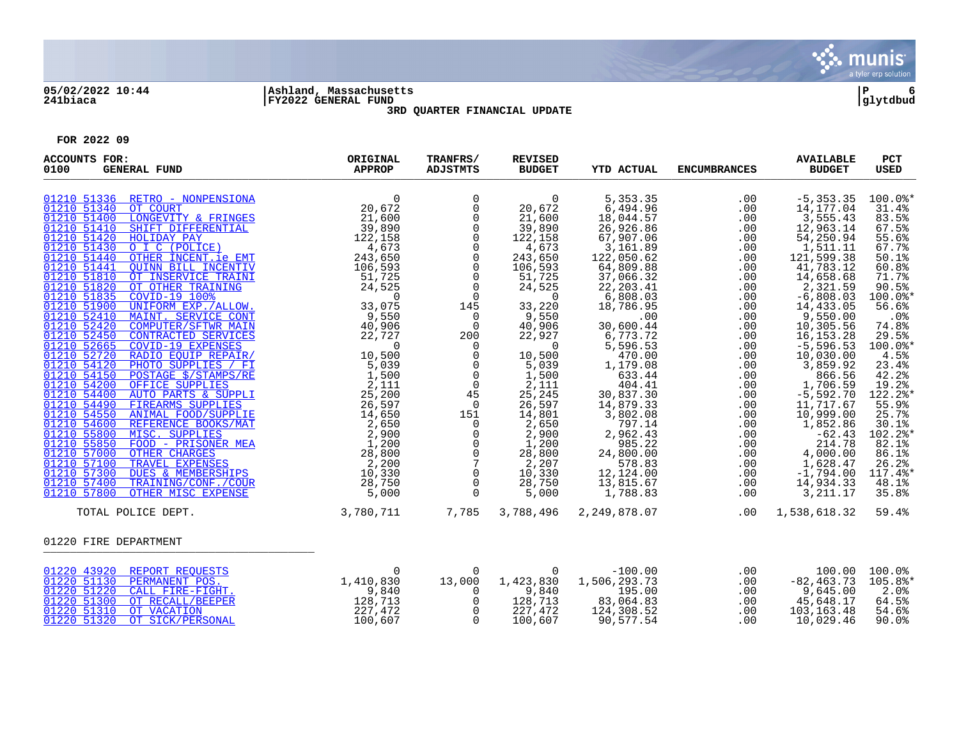

## **05/02/2022 10:44 |Ashland, Massachusetts |P 6 241biaca |FY2022 GENERAL FUND |glytdbud**



**3RD QUARTER FINANCIAL UPDATE**

| <b>ACCOUNTS FOR:</b><br>0100<br><b>GENERAL FUND</b>                                                                                                                                                                                               | ORIGINAL<br><b>APPROP</b>                                                          | TRANFRS/<br>ADJSTMTS                                                                                                                                                                                                                                                                                                                                                                                                                                      | <b>REVISED</b><br><b>BUDGET</b>                                                                                                                                                                                                                                                                                                         | <b>YTD ACTUAL</b>                                                                                                                                                                                                                                                                                                                                                                | <b>ENCUMBRANCES</b>                                                                                                                                                                                                   | <b>AVAILABLE</b><br><b>BUDGET</b>                                                                                                                                                                                                                                                                                                                                                                               | <b>PCT</b><br><b>USED</b>                                                                                                                                                                                                                                                                    |
|---------------------------------------------------------------------------------------------------------------------------------------------------------------------------------------------------------------------------------------------------|------------------------------------------------------------------------------------|-----------------------------------------------------------------------------------------------------------------------------------------------------------------------------------------------------------------------------------------------------------------------------------------------------------------------------------------------------------------------------------------------------------------------------------------------------------|-----------------------------------------------------------------------------------------------------------------------------------------------------------------------------------------------------------------------------------------------------------------------------------------------------------------------------------------|----------------------------------------------------------------------------------------------------------------------------------------------------------------------------------------------------------------------------------------------------------------------------------------------------------------------------------------------------------------------------------|-----------------------------------------------------------------------------------------------------------------------------------------------------------------------------------------------------------------------|-----------------------------------------------------------------------------------------------------------------------------------------------------------------------------------------------------------------------------------------------------------------------------------------------------------------------------------------------------------------------------------------------------------------|----------------------------------------------------------------------------------------------------------------------------------------------------------------------------------------------------------------------------------------------------------------------------------------------|
| 3 1430<br>0 151440<br>0 THER INCENT.ie EMT<br>106,593<br>10 151441 OUINN BILL INCENTIVE 106,593<br>10 161810 OT INSERVICE TRAINING<br>1051820 OT OTHER TRAINING<br>1051832 COVID-19 100\$<br>1051900 UNIFORM EXP. (ALLOW.<br>1052440 COMPUTER/SFT |                                                                                    | 0<br>$\mathsf{O}$<br>0<br>$\mathsf{O}$<br>$\mathsf{O}$<br>$\mathsf{O}$<br>$\mathsf 0$<br>$\overline{0}$<br>$\overline{0}$<br>$\mathbf 0$<br>145<br>$\overline{0}$<br>$\overline{0}$<br>$\begin{smallmatrix} 200 \\ 0 \\ 0 \end{smallmatrix}$<br>$\overline{0}$<br>$\mathsf{O}$<br>$\overline{0}$<br>45<br>$\overline{0}$<br>151<br>$\overline{0}$<br>0<br>$\mathsf{O}$<br>$\mathsf{O}$<br>$\overline{7}$<br>$\mathbf 0$<br>$\mathsf{O}$<br>$\overline{0}$ | $\overline{0}$<br>20,672<br>21,600<br>39,890<br>122,158<br>4,673<br>243,650<br>106,593<br>51,725<br>24,525<br>$\overline{0}$<br>33,220<br>9,550<br>40,906<br>22,927<br>$\overline{0}$<br>10,500<br>5,039<br>1,500<br>2,111<br>25,245<br>26,597<br>14,801<br>$2,650$<br>$2,900$<br>1,200<br>28,800<br>2,207<br>10,330<br>28,750<br>5,000 | 5, 353.35<br>6,494.96<br>18,044.57<br>26,926.86<br>67,907.06<br>3,161.89<br>122,050.62<br>64,809.88<br>37,066.32<br>22, 203.41<br>6,808.03<br>18,786.95<br>.00<br>30,600.44<br>6,773.72<br>5,596.53<br>470.00<br>1,179.08<br>633.44<br>404.41<br>30,837.30<br>14,879.33<br>3,802.08<br>797.14<br>2,962.43<br>985.22<br>24,800.00<br>578.83<br>12,124.00<br>13,815.67<br>1,788.83 | .00<br>.00<br>.00<br>.00<br>.00<br>.00<br>.00<br>.00<br>.00<br>.00<br>.00<br>.00<br>.00<br>.00<br>.00<br>.00<br>.00<br>.00<br>.00<br>.00<br>.00<br>.00<br>.00<br>.00<br>.00<br>.00<br>.00<br>.00<br>.00<br>.00<br>.00 | $-5, 353.35$<br>14,177.04<br>3,555.43<br>12,963.14<br>54,250.94<br>1,511.11<br>121,599.38<br>41,783.12<br>14,658.68<br>2,321.59<br>$-6,808.03$<br>14,433.05<br>9,550.00<br>10,305.56<br>16,153.28<br>$-5,596.53$<br>10,030.00<br>3,859.92<br>866.56<br>1,706.59<br>$-5,592.70$<br>11,717.67<br>10,999.00<br>1,852.86<br>$-62.43$<br>214.78<br>$4,000.00$<br>$1,628.47$<br>$-1,794.00$<br>14,934.33<br>3, 211.17 | 100.0%*<br>31.4%<br>83.5%<br>67.5%<br>55.6%<br>67.7%<br>50.1%<br>60.8%<br>71.7%<br>90.5%<br>100.0%*<br>56.6%<br>.0%<br>74.8%<br>29.5%<br>100.0%*<br>4.5%<br>23.4%<br>42.2%<br>19.2%<br>122.2%*<br>55.9%<br>25.7%<br>30.1%<br>102.2%*<br>82.1%<br>86.1%<br>26.2%<br>117.4%*<br>48.1%<br>35.8% |
| TOTAL POLICE DEPT.                                                                                                                                                                                                                                | 3,780,711                                                                          | 7,785                                                                                                                                                                                                                                                                                                                                                                                                                                                     | 3,788,496                                                                                                                                                                                                                                                                                                                               | 2,249,878.07                                                                                                                                                                                                                                                                                                                                                                     | .00                                                                                                                                                                                                                   | 1,538,618.32                                                                                                                                                                                                                                                                                                                                                                                                    | 59.4%                                                                                                                                                                                                                                                                                        |
| 01220 FIRE DEPARTMENT                                                                                                                                                                                                                             |                                                                                    |                                                                                                                                                                                                                                                                                                                                                                                                                                                           |                                                                                                                                                                                                                                                                                                                                         |                                                                                                                                                                                                                                                                                                                                                                                  |                                                                                                                                                                                                                       |                                                                                                                                                                                                                                                                                                                                                                                                                 |                                                                                                                                                                                                                                                                                              |
| 01220 43920 REPORT REQUESTS<br>01220 51130 PERMANENT POS.<br>01220 51220 CALL FIRE-FIGHT.<br>01220 51300 OT RECALL/BEEPER<br>01220 51310 OT VACATION<br>01220 51320 OT SICK/PERSONAL                                                              | $\begin{smallmatrix}&&&0\1,410,830\9,840\128,713\227,472\100,607\end{smallmatrix}$ | 13,000<br>0<br>0<br>0<br>$\Omega$                                                                                                                                                                                                                                                                                                                                                                                                                         | 1,423,830<br>9,840<br>128,713<br>227,472<br>100,607                                                                                                                                                                                                                                                                                     | $-100.00$<br>1,506,293.73<br>195.00<br>83,064.83<br>124,308.52<br>124,308.52<br>90,577.54                                                                                                                                                                                                                                                                                        | .00<br>.00<br>.00<br>.00<br>.00<br>.00                                                                                                                                                                                | $-82, 463.73$<br>9,645.00<br>45,648.17<br>103,163.48<br>10,029.46                                                                                                                                                                                                                                                                                                                                               | 100.00 100.0%<br>105.8%*<br>2.0%<br>64.5%<br>54.6%<br>90.0%                                                                                                                                                                                                                                  |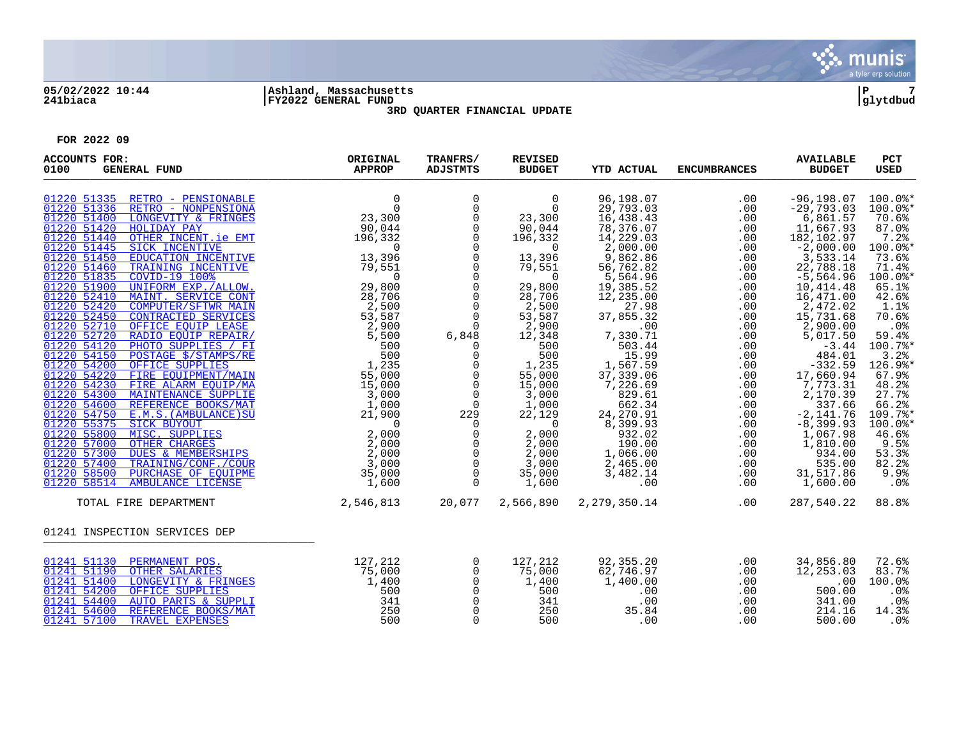

# **05/02/2022 10:44 |Ashland, Massachusetts |P 7 241biaca |FY2022 GENERAL FUND |glytdbud**



**3RD QUARTER FINANCIAL UPDATE**

| <b>ACCOUNTS FOR:</b><br>0100<br><b>GENERAL FUND</b>                                                                                                                                                                                                                                                                                                                                                                                                                                                                                                                                                                                                                                                                                                                                                                                                                                                                                                                                                                                                                                                                                                                                                                                      | ORIGINAL<br><b>APPROP</b>                                                                                                                                                                                                                                                                                                                                                                                                                                    | TRANFRS/<br><b>ADJSTMTS</b>                                                                                                                                                                                                                                                                                                                                                | <b>REVISED</b><br><b>BUDGET</b>                                                                                                                                                                                                                                                                                       | <b>YTD ACTUAL</b>                                                                                                                                                                                                                                                                                                                               | <b>ENCUMBRANCES</b>                                                                                                                                                                                     | <b>AVAILABLE</b><br><b>BUDGET</b>                                                                                                                                                                                                                                                                                                                                                | PCT<br><b>USED</b>                                                                                                                                                                                                                                                               |
|------------------------------------------------------------------------------------------------------------------------------------------------------------------------------------------------------------------------------------------------------------------------------------------------------------------------------------------------------------------------------------------------------------------------------------------------------------------------------------------------------------------------------------------------------------------------------------------------------------------------------------------------------------------------------------------------------------------------------------------------------------------------------------------------------------------------------------------------------------------------------------------------------------------------------------------------------------------------------------------------------------------------------------------------------------------------------------------------------------------------------------------------------------------------------------------------------------------------------------------|--------------------------------------------------------------------------------------------------------------------------------------------------------------------------------------------------------------------------------------------------------------------------------------------------------------------------------------------------------------------------------------------------------------------------------------------------------------|----------------------------------------------------------------------------------------------------------------------------------------------------------------------------------------------------------------------------------------------------------------------------------------------------------------------------------------------------------------------------|-----------------------------------------------------------------------------------------------------------------------------------------------------------------------------------------------------------------------------------------------------------------------------------------------------------------------|-------------------------------------------------------------------------------------------------------------------------------------------------------------------------------------------------------------------------------------------------------------------------------------------------------------------------------------------------|---------------------------------------------------------------------------------------------------------------------------------------------------------------------------------------------------------|----------------------------------------------------------------------------------------------------------------------------------------------------------------------------------------------------------------------------------------------------------------------------------------------------------------------------------------------------------------------------------|----------------------------------------------------------------------------------------------------------------------------------------------------------------------------------------------------------------------------------------------------------------------------------|
| 01220 51335 RETRO - PENSIONABLE<br>RETRO - NONPENSIONA<br>01220 51336<br>LONGEVITY & FRINGES<br>01220 51400<br>01220 51420<br>HOLIDAY PAY<br>01220 51440<br>OTHER INCENT. ie EMT<br>01220 51445<br>SICK INCENTIVE<br>01220 51450<br>EDUCATION INCENTIVE<br>01220 51460<br>TRAINING INCENTIVE<br>01220 51835<br><b>COVID-19 100%</b><br>01220 51900<br>UNIFORM EXP./ALLOW.<br>01220 52410<br>MAINT. SERVICE CONT<br>01220 52420<br><b>COMPUTER/SFTWR MAIN</b><br>01220 52450<br><b>CONTRACTED SERVICES</b><br>01220 52710<br>OFFICE EOUIP LEASE<br>01220 52720<br>RADIO EQUIP REPAIR/<br>01220 54120<br>PHOTO SUPPLIES / FI<br>01220 54150<br>POSTAGE \$/STAMPS/RE<br>01220 54200<br>OFFICE SUPPLIES<br>01220 54220<br>FIRE EOUIPMENT/MAIN<br>01220 54230<br>FIRE ALARM EOUIP/MA<br>01220 54300<br>MAINTENANCE SUPPLIE<br>01220 54600<br>REFERENCE BOOKS/MAT<br>01220 54750<br><b>EXAMPLE BOOKS/MAT AND AND REFERENCE BOOKS/MAT</b> 1,000<br><u>E.M.S. (AMBULANCE) SU</u><br><u>SICK BUYOUT</u> 21,900<br><u>NISC. SUPPLIES</u> 2,000<br>OTHER CHARGES 2,000<br>DUES & MEMBERSHIPS 2,000<br>TRAINING/CONF./COUR 3,000<br>PURCHASE OF EQUIPME 35<br>01220 55375<br>01220 55800<br>01220 57000<br>01220 57300<br>01220 57400<br>01220 58500 | $\begin{smallmatrix}0\23,300\90,044\end{smallmatrix}$<br>$90,044$<br>$196,332$<br>$13,396$<br>$79,551$<br>$29,800$<br>$28,706$<br>$28,700$<br>$\frac{2}{53}, \frac{500}{587}$<br>$\begin{array}{r} 28\, , 706\, \\ 2\, , 500\, \\ 5\, , 587\, \\ 2\, , 900\, \\ 5\, , 500\, \\ 5\, , 500\, \\ 1\, , 235\, \\ 5\, , 000\, \\ 1\, , 000\, \\ 3\, , 000\, \\ 1\, , 000\, \\ 1\, , 000\, \\ 1\, , 000\, \\ 2\, , 1\, , 900\, \\ \end{array}$<br>$2,900$<br>5.500 | $\mathsf 0$<br>0<br>$\mathbf 0$<br>$\mathsf{O}$<br>$\mathbf 0$<br>$\mathbf 0$<br>$\mathsf 0$<br>$\overline{0}$<br>$\overline{0}$<br>$\mathsf 0$<br>$\mathbf 0$<br>$\mathbf 0$<br>6,848<br>$\Omega$<br>$\mathbf 0$<br>0<br>$\overline{0}$<br>$\mathsf 0$<br>$\overline{0}$<br>229<br>$\overline{0}$<br>$\overline{0}$<br>$\overline{0}$<br>$\overline{0}$<br>$\overline{0}$ | $\mathbf 0$<br>$\overline{0}$<br>23,300<br>90,044<br>196,332<br>$\overline{0}$<br>13,396<br>79,551<br>$\overline{0}$<br>29,800<br>28,706<br>2,500<br>53,587<br>2,900<br>12,348<br>500<br>500<br>1,235<br>55,000<br>15,000<br>3,000<br>1,000<br>22,129<br>$\overline{0}$<br>2,000<br>2,000<br>2,000<br>3,000<br>35,000 | 96,198.07<br>29,793.03<br>16,438.43<br>78,376.07<br>14,229.03<br>2,000.00<br>9,862.86<br>56,762.82<br>5,564.96<br>19,385.52<br>12,235.00<br>27.98<br>37,855.32<br>.00<br>7,330.71<br>503.44<br>15.99<br>1,567.59<br>37,339.06<br>7,226.69<br>829.61<br>662.34<br>24, 270.91<br>8,399.93<br>932.02<br>190.00<br>1,066.00<br>2,465.00<br>3,482.14 | .00<br>.00<br>.00<br>.00<br>.00<br>.00<br>.00<br>.00<br>.00<br>.00<br>.00<br>.00<br>.00<br>.00<br>.00<br>.00<br>.00<br>.00<br>.00<br>.00<br>.00<br>.00<br>.00<br>.00<br>.00<br>.00<br>.00<br>.00<br>.00 | $-96, 198.07$<br>$-29,793.03$<br>6,861.57<br>11,667.93<br>182,102.97<br>$-2,000.00$<br>3,533.14<br>22,788.18<br>$-5,564.96$<br>10,414.48<br>16,471.00<br>2,472.02<br>15,731.68<br>2,900.00<br>5,017.50<br>$-3.44$<br>484.01<br>$-332.59$<br>17,660.94<br>7,773.31<br>2,170.39<br>337.66<br>$-2, 141.76$<br>$-8, 399.93$<br>1,067.98<br>1,810.00<br>934.00<br>535.00<br>31,517.86 | $100.0$ *<br>$100.0$ *<br>70.6%<br>87.0%<br>7.2%<br>100.0%*<br>73.6%<br>71.4%<br>100.0%*<br>65.1%<br>42.6%<br>1.1%<br>70.6%<br>.0%<br>59.4%<br>100.7%*<br>3.2%<br>126.9%*<br>67.9%<br>48.2%<br>27.7%<br>66.2%<br>109.7%*<br>$100.0$ *<br>46.6%<br>9.5%<br>53.3%<br>82.2%<br>9.9% |
| 01220 58514<br>TOTAL FIRE DEPARTMENT                                                                                                                                                                                                                                                                                                                                                                                                                                                                                                                                                                                                                                                                                                                                                                                                                                                                                                                                                                                                                                                                                                                                                                                                     | 2,546,813                                                                                                                                                                                                                                                                                                                                                                                                                                                    | $\mathbf 0$<br>20,077                                                                                                                                                                                                                                                                                                                                                      | 1,600<br>2,566,890                                                                                                                                                                                                                                                                                                    | .00<br>2,279,350.14                                                                                                                                                                                                                                                                                                                             | .00<br>.00                                                                                                                                                                                              | 1,600.00<br>287,540.22                                                                                                                                                                                                                                                                                                                                                           | .0%<br>88.8%                                                                                                                                                                                                                                                                     |
| 01241 INSPECTION SERVICES DEP                                                                                                                                                                                                                                                                                                                                                                                                                                                                                                                                                                                                                                                                                                                                                                                                                                                                                                                                                                                                                                                                                                                                                                                                            |                                                                                                                                                                                                                                                                                                                                                                                                                                                              |                                                                                                                                                                                                                                                                                                                                                                            |                                                                                                                                                                                                                                                                                                                       |                                                                                                                                                                                                                                                                                                                                                 |                                                                                                                                                                                                         |                                                                                                                                                                                                                                                                                                                                                                                  |                                                                                                                                                                                                                                                                                  |
| 01241 51130 PERMANENT POS.<br>01241 51190 OTHER SALARIES<br>01241 51400<br>LONGEVITY & FRINGES<br>01241 54200<br>OFFICE SUPPLIES<br>01241 54400<br>AUTO PARTS & SUPPLI<br>01241 54600<br>REFERENCE BOOKS/MAT<br>01241 57100<br>TRAVEL EXPENSES                                                                                                                                                                                                                                                                                                                                                                                                                                                                                                                                                                                                                                                                                                                                                                                                                                                                                                                                                                                           | 127,212<br>$\frac{35}{1,400}$<br>500<br>341<br>250<br>500                                                                                                                                                                                                                                                                                                                                                                                                    | $\mathbf 0$<br>$\mathsf{O}$<br>$\mathsf{O}$<br>$\mathsf 0$<br>$\mathbf 0$<br>$\mathsf{O}$<br>$\mathbf 0$                                                                                                                                                                                                                                                                   | 127,212<br>75,000<br>1,400<br>500<br>341<br>250<br>500                                                                                                                                                                                                                                                                | 92,355.20<br>62,746.97<br>1,400.00<br>.00<br>.00<br>35.84<br>.00                                                                                                                                                                                                                                                                                | .00<br>.00<br>.00<br>.00<br>.00<br>.00<br>.00                                                                                                                                                           | 34,856.80<br>12,253.03<br>.00<br>500.00<br>341.00<br>214.16<br>500.00                                                                                                                                                                                                                                                                                                            | 72.6%<br>83.7%<br>100.0%<br>.0%<br>.0%<br>14.3%<br>.0%                                                                                                                                                                                                                           |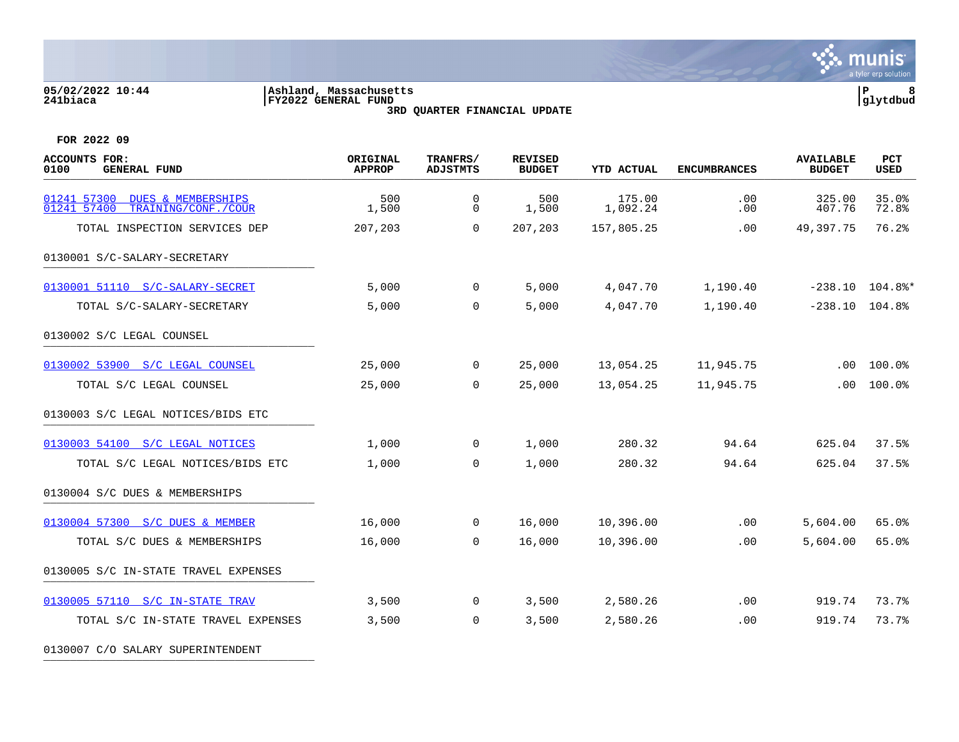#### **05/02/2022 10:44 |Ashland, Massachusetts |P 8 241biaca |FY2022 GENERAL FUND |glytdbud 3RD QUARTER FINANCIAL UPDATE**





**FOR 2022 09**

| <b>ACCOUNTS FOR:</b><br>0100<br><b>GENERAL FUND</b>                                | ORIGINAL<br><b>APPROP</b> | TRANFRS/<br><b>ADJSTMTS</b> | <b>REVISED</b><br><b>BUDGET</b> | <b>YTD ACTUAL</b>  | <b>ENCUMBRANCES</b> | <b>AVAILABLE</b><br><b>BUDGET</b> | PCT<br><b>USED</b>             |
|------------------------------------------------------------------------------------|---------------------------|-----------------------------|---------------------------------|--------------------|---------------------|-----------------------------------|--------------------------------|
| 01241 57300<br><b>DUES &amp; MEMBERSHIPS</b><br>01241 57400<br>TRAINING/CONF./COUR | 500<br>1,500              | $\mathbf 0$<br>0            | 500<br>1,500                    | 175.00<br>1,092.24 | .00<br>.00          | 325.00<br>407.76                  | 35.0%<br>72.8%                 |
| TOTAL INSPECTION SERVICES DEP                                                      | 207,203                   | $\Omega$                    | 207,203                         | 157,805.25         | .00                 | 49,397.75                         | 76.2%                          |
| 0130001 S/C-SALARY-SECRETARY                                                       |                           |                             |                                 |                    |                     |                                   |                                |
| 0130001 51110 S/C-SALARY-SECRET                                                    | 5,000                     | $\overline{0}$              | 5,000                           | 4,047.70           | 1,190.40            |                                   | $-238.10$ $104.8$ <sup>*</sup> |
| TOTAL S/C-SALARY-SECRETARY                                                         | 5,000                     | $\mathbf 0$                 | 5,000                           | 4,047.70           | 1,190.40            | $-238.10$ $104.8$ <sup>*</sup>    |                                |
| 0130002 S/C LEGAL COUNSEL                                                          |                           |                             |                                 |                    |                     |                                   |                                |
| 0130002 53900 S/C LEGAL COUNSEL                                                    | 25,000                    | $\overline{0}$              | 25,000                          | 13,054.25          | 11,945.75           | .00                               | 100.0%                         |
| TOTAL S/C LEGAL COUNSEL                                                            | 25,000                    | $\Omega$                    | 25,000                          | 13,054.25          | 11,945.75           | .00                               | 100.0%                         |
| 0130003 S/C LEGAL NOTICES/BIDS ETC                                                 |                           |                             |                                 |                    |                     |                                   |                                |
| 0130003 54100 S/C LEGAL NOTICES                                                    | 1,000                     | $\overline{0}$              | 1,000                           | 280.32             | 94.64               | 625.04                            | 37.5%                          |
| TOTAL S/C LEGAL NOTICES/BIDS ETC                                                   | 1,000                     | $\Omega$                    | 1,000                           | 280.32             | 94.64               | 625.04                            | 37.5%                          |
| 0130004 S/C DUES & MEMBERSHIPS                                                     |                           |                             |                                 |                    |                     |                                   |                                |
| 0130004 57300 S/C DUES & MEMBER                                                    | 16,000                    | $\overline{0}$              | 16,000                          | 10,396.00          | .00                 | 5,604.00                          | 65.0%                          |
| TOTAL S/C DUES & MEMBERSHIPS                                                       | 16,000                    | $\mathbf 0$                 | 16,000                          | 10,396.00          | .00                 | 5,604.00                          | 65.0%                          |
| 0130005 S/C IN-STATE TRAVEL EXPENSES                                               |                           |                             |                                 |                    |                     |                                   |                                |
| 0130005 57110 S/C IN-STATE TRAV                                                    | 3,500                     | $\overline{0}$              | 3,500                           | 2,580.26           | $.00 \,$            | 919.74                            | 73.7%                          |
| TOTAL S/C IN-STATE TRAVEL EXPENSES                                                 | 3,500                     | $\mathbf 0$                 | 3,500                           | 2,580.26           | .00                 | 919.74                            | 73.7%                          |

0130007 C/O SALARY SUPERINTENDENT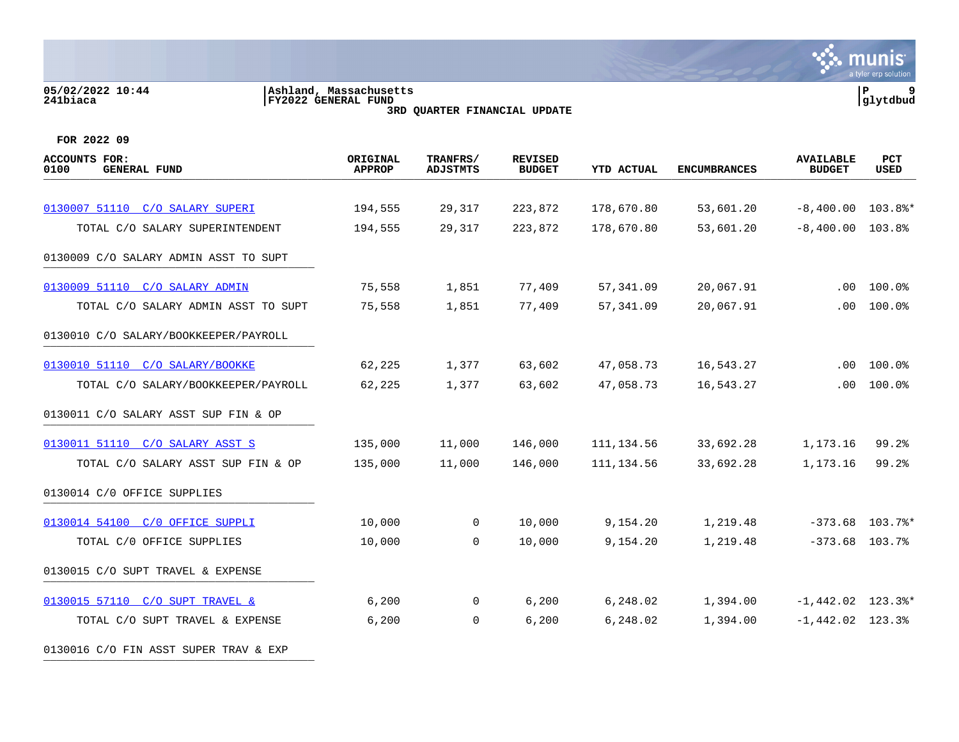#### **05/02/2022 10:44 |Ashland, Massachusetts |P 9 241biaca |FY2022 GENERAL FUND |glytdbud 3RD QUARTER FINANCIAL UPDATE**



| <b>ACCOUNTS FOR:</b><br>0100<br><b>GENERAL FUND</b> | ORIGINAL<br><b>APPROP</b> | TRANFRS/<br><b>ADJSTMTS</b> | <b>REVISED</b><br><b>BUDGET</b> | <b>YTD ACTUAL</b> | <b>ENCUMBRANCES</b> | <b>AVAILABLE</b><br><b>BUDGET</b> | PCT<br><b>USED</b> |
|-----------------------------------------------------|---------------------------|-----------------------------|---------------------------------|-------------------|---------------------|-----------------------------------|--------------------|
|                                                     |                           |                             |                                 |                   |                     |                                   |                    |
| 0130007 51110 C/O SALARY SUPERI                     | 194,555                   | 29,317                      | 223,872                         | 178,670.80        | 53,601.20           | $-8,400.00$                       | 103.8%*            |
| TOTAL C/O SALARY SUPERINTENDENT                     | 194,555                   | 29,317                      | 223,872                         | 178,670.80        | 53,601.20           | $-8,400.00$                       | 103.8%             |
| 0130009 C/O SALARY ADMIN ASST TO SUPT               |                           |                             |                                 |                   |                     |                                   |                    |
| 0130009 51110 C/O SALARY ADMIN                      | 75,558                    | 1,851                       | 77,409                          | 57, 341.09        | 20,067.91           | $.00 \,$                          | 100.0%             |
| TOTAL C/O SALARY ADMIN ASST TO SUPT                 | 75,558                    | 1,851                       | 77,409                          | 57,341.09         | 20,067.91           | .00                               | 100.0%             |
| 0130010 C/O SALARY/BOOKKEEPER/PAYROLL               |                           |                             |                                 |                   |                     |                                   |                    |
| 0130010 51110 C/O SALARY/BOOKKE                     | 62,225                    | 1,377                       | 63,602                          | 47,058.73         | 16,543.27           | .00                               | 100.0%             |
| TOTAL C/O SALARY/BOOKKEEPER/PAYROLL                 | 62,225                    | 1,377                       | 63,602                          | 47,058.73         | 16,543.27           | .00                               | 100.0%             |
| 0130011 C/O SALARY ASST SUP FIN & OP                |                           |                             |                                 |                   |                     |                                   |                    |
| 0130011 51110 C/O SALARY ASST S                     | 135,000                   | 11,000                      | 146,000                         | 111, 134.56       | 33,692.28           | 1,173.16                          | $99.2$ $%$         |
| TOTAL C/O SALARY ASST SUP FIN & OP                  | 135,000                   | 11,000                      | 146,000                         | 111,134.56        | 33,692.28           | 1,173.16                          | 99.2%              |
| 0130014 C/O OFFICE SUPPLIES                         |                           |                             |                                 |                   |                     |                                   |                    |
| 0130014 54100 C/O OFFICE SUPPLI                     | 10,000                    | $\mathbf 0$                 | 10,000                          | 9,154.20          | 1,219.48            | $-373.68$                         | 103.7%*            |
| TOTAL C/0 OFFICE SUPPLIES                           | 10,000                    | 0                           | 10,000                          | 9,154.20          | 1,219.48            | $-373.68$ 103.7%                  |                    |
| 0130015 C/O SUPT TRAVEL & EXPENSE                   |                           |                             |                                 |                   |                     |                                   |                    |
| 0130015 57110 C/O SUPT TRAVEL &                     | 6,200                     | 0                           | 6,200                           | 6,248.02          | 1,394.00            | $-1,442.02$ 123.3%*               |                    |
| TOTAL C/O SUPT TRAVEL & EXPENSE                     | 6,200                     | 0                           | 6,200                           | 6,248.02          | 1,394.00            | $-1,442.02$ 123.3%                |                    |
| 0130016 C/O FIN ASST SUPER TRAV & EXP               |                           |                             |                                 |                   |                     |                                   |                    |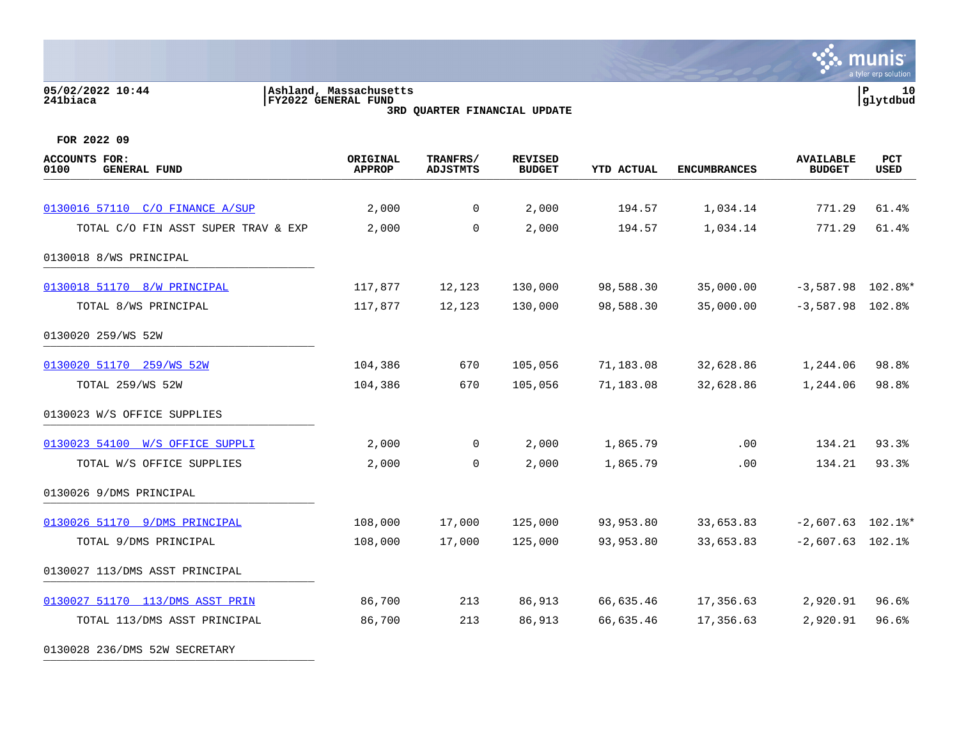0130028 236/DMS 52W SECRETARY

### **05/02/2022 10:44 |Ashland, Massachusetts |P 10 241biaca |FY2022 GENERAL FUND |glytdbud 3RD QUARTER FINANCIAL UPDATE**



| <b>ACCOUNTS FOR:</b><br>0100<br><b>GENERAL FUND</b> | ORIGINAL<br><b>APPROP</b> | TRANFRS/<br><b>ADJSTMTS</b> | <b>REVISED</b><br><b>BUDGET</b> | <b>YTD ACTUAL</b> | <b>ENCUMBRANCES</b> | <b>AVAILABLE</b><br><b>BUDGET</b> | PCT<br>USED |
|-----------------------------------------------------|---------------------------|-----------------------------|---------------------------------|-------------------|---------------------|-----------------------------------|-------------|
| 0130016 57110 C/O FINANCE A/SUP                     | 2,000                     | $\overline{0}$              | 2,000                           | 194.57            | 1,034.14            | 771.29                            | 61.4%       |
| TOTAL C/O FIN ASST SUPER TRAV & EXP                 | 2,000                     | $\mathbf 0$                 | 2,000                           | 194.57            | 1,034.14            | 771.29                            | 61.4%       |
| 0130018 8/WS PRINCIPAL                              |                           |                             |                                 |                   |                     |                                   |             |
| 0130018 51170 8/W PRINCIPAL                         | 117,877                   | 12,123                      | 130,000                         | 98,588.30         | 35,000.00           | $-3,587.98$ 102.8%*               |             |
| TOTAL 8/WS PRINCIPAL                                | 117,877                   | 12,123                      | 130,000                         | 98,588.30         | 35,000.00           | $-3,587.98$ 102.8%                |             |
| 0130020 259/WS 52W                                  |                           |                             |                                 |                   |                     |                                   |             |
| 0130020 51170 259/WS 52W                            | 104,386                   | 670                         | 105,056                         | 71,183.08         | 32,628.86           | 1,244.06                          | 98.8%       |
| TOTAL 259/WS 52W                                    | 104,386                   | 670                         | 105,056                         | 71,183.08         | 32,628.86           | 1,244.06                          | 98.8%       |
| 0130023 W/S OFFICE SUPPLIES                         |                           |                             |                                 |                   |                     |                                   |             |
| 0130023 54100 W/S OFFICE SUPPLI                     | 2,000                     | $\overline{0}$              | 2,000                           | 1,865.79          | $.00 \,$            | 134.21                            | 93.3%       |
| TOTAL W/S OFFICE SUPPLIES                           | 2,000                     | $\overline{0}$              | 2,000                           | 1,865.79          | .00                 | 134.21                            | 93.3%       |
| 0130026 9/DMS PRINCIPAL                             |                           |                             |                                 |                   |                     |                                   |             |
| 0130026 51170 9/DMS PRINCIPAL                       | 108,000                   | 17,000                      | 125,000                         | 93,953.80         | 33,653.83           | $-2,607.63$ 102.1%*               |             |
| TOTAL 9/DMS PRINCIPAL                               | 108,000                   | 17,000                      | 125,000                         | 93,953.80         | 33,653.83           | $-2,607.63$ 102.1%                |             |
| 0130027 113/DMS ASST PRINCIPAL                      |                           |                             |                                 |                   |                     |                                   |             |
| 0130027 51170 113/DMS ASST PRIN                     | 86,700                    | 213                         | 86,913                          | 66,635.46         | 17,356.63           | 2,920.91                          | 96.6%       |
| TOTAL 113/DMS ASST PRINCIPAL                        | 86,700                    | 213                         | 86,913                          | 66,635.46         | 17,356.63           | 2,920.91                          | 96.6%       |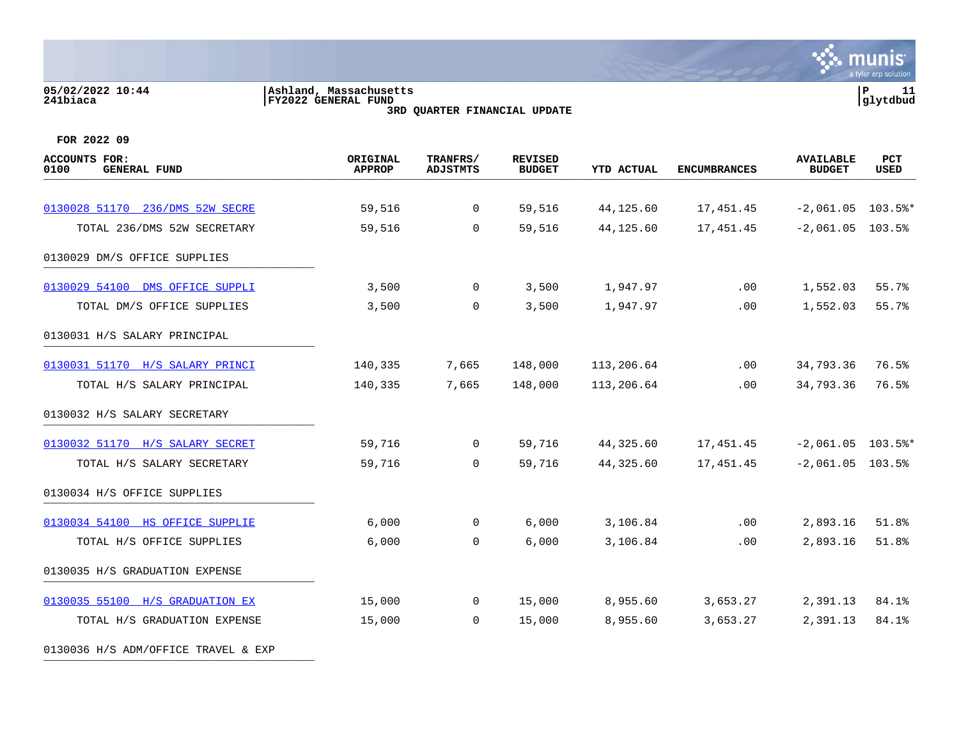#### **05/02/2022 10:44 |Ashland, Massachusetts |P 11 241biaca |FY2022 GENERAL FUND |glytdbud 3RD QUARTER FINANCIAL UPDATE**

**\*** munis a tyler erp solution

| <b>ACCOUNTS FOR:</b><br>0100<br><b>GENERAL FUND</b> | ORIGINAL<br><b>APPROP</b> | TRANFRS/<br><b>ADJSTMTS</b> | <b>REVISED</b><br><b>BUDGET</b> | <b>YTD ACTUAL</b> | <b>ENCUMBRANCES</b> | <b>AVAILABLE</b><br><b>BUDGET</b> | PCT<br>USED |
|-----------------------------------------------------|---------------------------|-----------------------------|---------------------------------|-------------------|---------------------|-----------------------------------|-------------|
| 0130028 51170 236/DMS 52W SECRE                     | 59,516                    | $\overline{0}$              | 59,516                          | 44,125.60         | 17,451.45           | $-2,061.05$ 103.5%*               |             |
| TOTAL 236/DMS 52W SECRETARY                         | 59,516                    | $\mathbf 0$                 | 59,516                          | 44,125.60         | 17,451.45           | $-2,061.05$ 103.5%                |             |
|                                                     |                           |                             |                                 |                   |                     |                                   |             |
| 0130029 DM/S OFFICE SUPPLIES                        |                           |                             |                                 |                   |                     |                                   |             |
| 0130029 54100 DMS OFFICE SUPPLI                     | 3,500                     | 0                           | 3,500                           | 1,947.97          | $.00 \,$            | 1,552.03                          | 55.7%       |
| TOTAL DM/S OFFICE SUPPLIES                          | 3,500                     | $\mathbf 0$                 | 3,500                           | 1,947.97          | .00                 | 1,552.03                          | 55.7%       |
| 0130031 H/S SALARY PRINCIPAL                        |                           |                             |                                 |                   |                     |                                   |             |
| 0130031 51170 H/S SALARY PRINCI                     | 140,335                   | 7,665                       | 148,000                         | 113,206.64        | $.00 \,$            | 34,793.36                         | 76.5%       |
| TOTAL H/S SALARY PRINCIPAL                          | 140,335                   | 7,665                       | 148,000                         | 113,206.64        | .00                 | 34,793.36                         | 76.5%       |
| 0130032 H/S SALARY SECRETARY                        |                           |                             |                                 |                   |                     |                                   |             |
| 0130032 51170 H/S SALARY SECRET                     | 59,716                    | $\overline{0}$              | 59,716                          | 44,325.60         | 17,451.45           | $-2,061.05$ 103.5%*               |             |
| TOTAL H/S SALARY SECRETARY                          | 59,716                    | 0                           | 59,716                          | 44,325.60         | 17,451.45           | $-2,061.05$ 103.5%                |             |
| 0130034 H/S OFFICE SUPPLIES                         |                           |                             |                                 |                   |                     |                                   |             |
| 0130034 54100 HS OFFICE SUPPLIE                     | 6,000                     | $\overline{0}$              | 6,000                           | 3,106.84          | .00                 | 2,893.16                          | 51.8%       |
| TOTAL H/S OFFICE SUPPLIES                           | 6,000                     | 0                           | 6,000                           | 3,106.84          | .00                 | 2,893.16                          | 51.8%       |
| 0130035 H/S GRADUATION EXPENSE                      |                           |                             |                                 |                   |                     |                                   |             |
| 0130035 55100 H/S GRADUATION EX                     | 15,000                    | $\overline{0}$              | 15,000                          | 8,955.60          | 3,653.27            | 2,391.13                          | 84.1%       |
| TOTAL H/S GRADUATION EXPENSE                        | 15,000                    | 0                           | 15,000                          | 8,955.60          | 3,653.27            | 2,391.13                          | 84.1%       |
| 0130036 H/S ADM/OFFICE TRAVEL & EXP                 |                           |                             |                                 |                   |                     |                                   |             |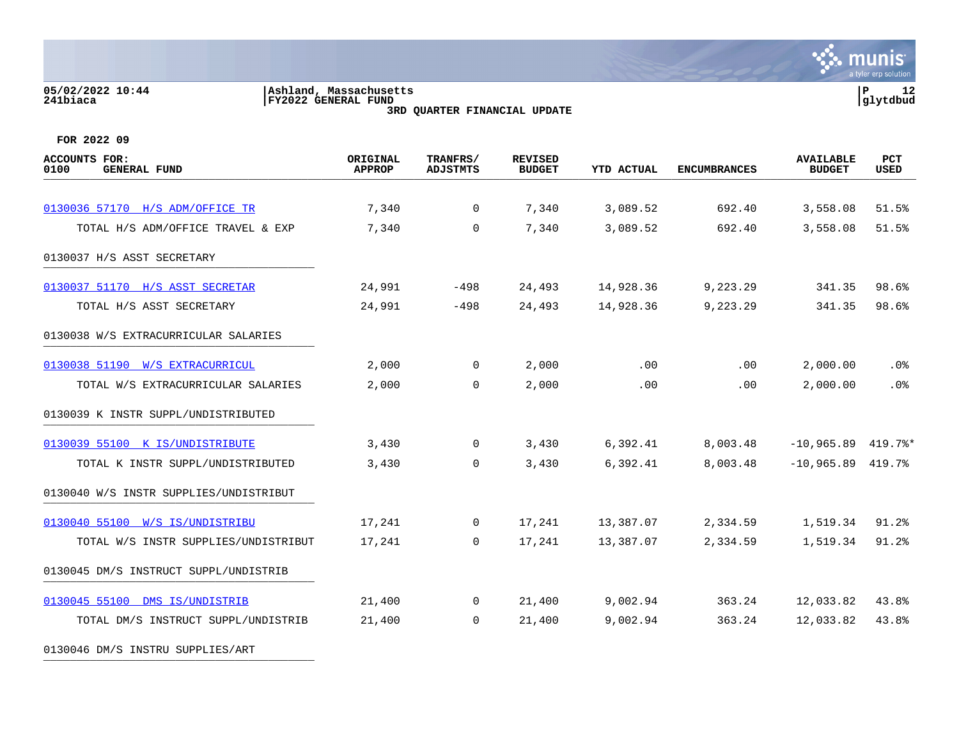# **05/02/2022 10:44 |Ashland, Massachusetts |P 12 241biaca |FY2022 GENERAL FUND |glytdbud**



**3RD QUARTER FINANCIAL UPDATE**

**FOR 2022 09**

| <b>ACCOUNTS FOR:</b><br>0100<br><b>GENERAL FUND</b> | ORIGINAL<br><b>APPROP</b> | TRANFRS/<br><b>ADJSTMTS</b> | <b>REVISED</b><br><b>BUDGET</b> | <b>YTD ACTUAL</b> | <b>ENCUMBRANCES</b> | <b>AVAILABLE</b><br><b>BUDGET</b> | PCT<br>USED |
|-----------------------------------------------------|---------------------------|-----------------------------|---------------------------------|-------------------|---------------------|-----------------------------------|-------------|
|                                                     |                           |                             |                                 |                   |                     |                                   |             |
| 0130036 57170 H/S ADM/OFFICE TR                     | 7,340                     | $\overline{0}$              | 7,340                           | 3,089.52          | 692.40              | 3,558.08                          | 51.5%       |
| TOTAL H/S ADM/OFFICE TRAVEL & EXP                   | 7,340                     | $\mathbf 0$                 | 7,340                           | 3,089.52          | 692.40              | 3,558.08                          | 51.5%       |
| 0130037 H/S ASST SECRETARY                          |                           |                             |                                 |                   |                     |                                   |             |
| 0130037 51170 H/S ASST SECRETAR                     | 24,991                    | -498                        | 24,493                          | 14,928.36         | 9,223.29            | 341.35                            | 98.6%       |
| TOTAL H/S ASST SECRETARY                            | 24,991                    | $-498$                      | 24,493                          | 14,928.36         | 9,223.29            | 341.35                            | 98.6%       |
| 0130038 W/S EXTRACURRICULAR SALARIES                |                           |                             |                                 |                   |                     |                                   |             |
| 0130038 51190 W/S EXTRACURRICUL                     | 2,000                     | $\mathbf 0$                 | 2,000                           | .00               | .00                 | 2,000.00                          | $.0\%$      |
| TOTAL W/S EXTRACURRICULAR SALARIES                  | 2,000                     | $\mathbf 0$                 | 2,000                           | .00               | .00                 | 2,000.00                          | .0%         |
| 0130039 K INSTR SUPPL/UNDISTRIBUTED                 |                           |                             |                                 |                   |                     |                                   |             |
| 0130039 55100 K IS/UNDISTRIBUTE                     | 3,430                     | $\mathbf 0$                 | 3,430                           | 6,392.41          | 8,003.48            | $-10,965.89$ 419.7%*              |             |
| TOTAL K INSTR SUPPL/UNDISTRIBUTED                   | 3,430                     | $\mathbf 0$                 | 3,430                           | 6,392.41          | 8,003.48            | $-10,965.89$ 419.7%               |             |
| 0130040 W/S INSTR SUPPLIES/UNDISTRIBUT              |                           |                             |                                 |                   |                     |                                   |             |
| 0130040 55100 W/S IS/UNDISTRIBU                     | 17,241                    | 0                           | 17,241                          | 13,387.07         | 2,334.59            | 1,519.34                          | 91.2%       |
| TOTAL W/S INSTR SUPPLIES/UNDISTRIBUT                | 17,241                    | $\Omega$                    | 17,241                          | 13,387.07         | 2,334.59            | 1,519.34                          | 91.2%       |
| 0130045 DM/S INSTRUCT SUPPL/UNDISTRIB               |                           |                             |                                 |                   |                     |                                   |             |
| 0130045 55100 DMS IS/UNDISTRIB                      | 21,400                    | 0                           | 21,400                          | 9,002.94          | 363.24              | 12,033.82                         | 43.8%       |
| TOTAL DM/S INSTRUCT SUPPL/UNDISTRIB                 | 21,400                    | $\Omega$                    | 21,400                          | 9,002.94          | 363.24              | 12,033.82                         | 43.8%       |
|                                                     |                           |                             |                                 |                   |                     |                                   |             |

0130046 DM/S INSTRU SUPPLIES/ART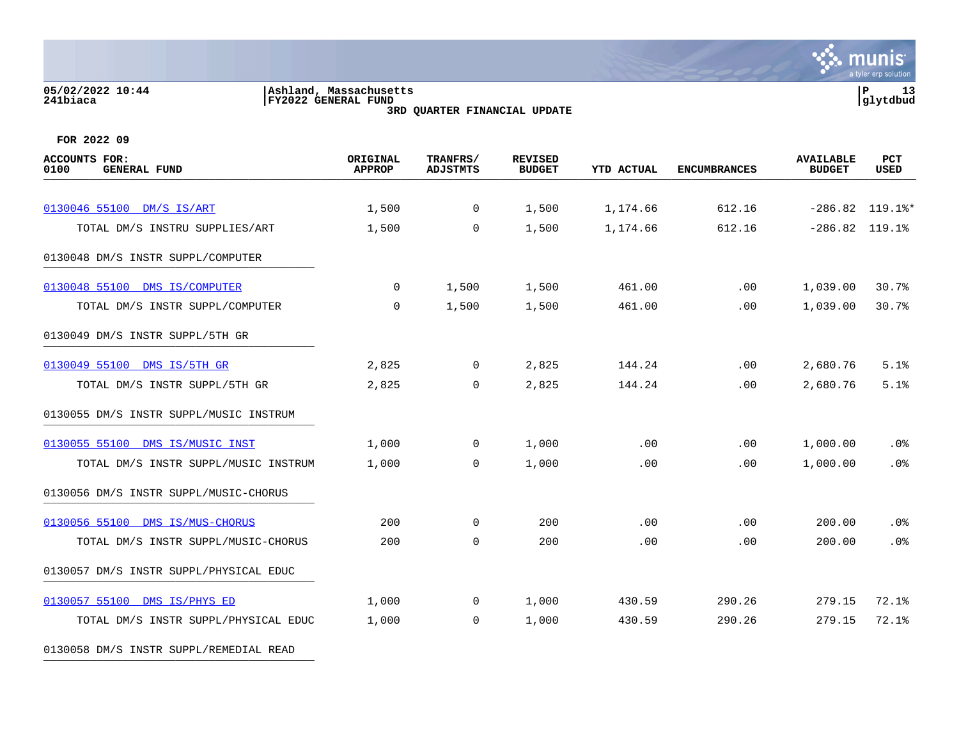#### **05/02/2022 10:44 |Ashland, Massachusetts |P 13 241biaca |FY2022 GENERAL FUND |glytdbud 3RD QUARTER FINANCIAL UPDATE**



**FOR 2022 09**

| <b>ACCOUNTS FOR:</b><br>0100<br><b>GENERAL FUND</b> | ORIGINAL<br><b>APPROP</b> | TRANFRS/<br><b>ADJSTMTS</b> | <b>REVISED</b><br><b>BUDGET</b> | <b>YTD ACTUAL</b> | <b>ENCUMBRANCES</b> | <b>AVAILABLE</b><br><b>BUDGET</b> | <b>PCT</b><br><b>USED</b> |
|-----------------------------------------------------|---------------------------|-----------------------------|---------------------------------|-------------------|---------------------|-----------------------------------|---------------------------|
|                                                     |                           |                             |                                 |                   |                     |                                   |                           |
| 0130046 55100 DM/S IS/ART                           | 1,500                     | $\overline{0}$              | 1,500                           | 1,174.66          | 612.16              |                                   | $-286.82$ 119.1%*         |
| TOTAL DM/S INSTRU SUPPLIES/ART                      | 1,500                     | $\mathbf 0$                 | 1,500                           | 1,174.66          | 612.16              | $-286.82$ 119.1%                  |                           |
| 0130048 DM/S INSTR SUPPL/COMPUTER                   |                           |                             |                                 |                   |                     |                                   |                           |
| 0130048 55100 DMS IS/COMPUTER                       | 0                         | 1,500                       | 1,500                           | 461.00            | .00                 | 1,039.00                          | 30.7%                     |
| TOTAL DM/S INSTR SUPPL/COMPUTER                     | $\mathbf 0$               | 1,500                       | 1,500                           | 461.00            | .00                 | 1,039.00                          | 30.7%                     |
| 0130049 DM/S INSTR SUPPL/5TH GR                     |                           |                             |                                 |                   |                     |                                   |                           |
| 0130049 55100 DMS IS/5TH GR                         | 2,825                     | $\overline{0}$              | 2,825                           | 144.24            | .00                 | 2,680.76                          | 5.1%                      |
| TOTAL DM/S INSTR SUPPL/5TH GR                       | 2,825                     | $\Omega$                    | 2,825                           | 144.24            | .00                 | 2,680.76                          | 5.1%                      |
| 0130055 DM/S INSTR SUPPL/MUSIC INSTRUM              |                           |                             |                                 |                   |                     |                                   |                           |
| 0130055 55100 DMS IS/MUSIC INST                     | 1,000                     | $\overline{0}$              | 1,000                           | $.00 \,$          | $.00 \,$            | 1,000.00                          | $.0\%$                    |
| TOTAL DM/S INSTR SUPPL/MUSIC INSTRUM                | 1,000                     | $\Omega$                    | 1,000                           | .00               | .00                 | 1,000.00                          | .0%                       |
| 0130056 DM/S INSTR SUPPL/MUSIC-CHORUS               |                           |                             |                                 |                   |                     |                                   |                           |
| 0130056 55100 DMS IS/MUS-CHORUS                     | 200                       | $\Omega$                    | 200                             | .00               | .00                 | 200.00                            | .0%                       |
| TOTAL DM/S INSTR SUPPL/MUSIC-CHORUS                 | 200                       | $\Omega$                    | 200                             | .00               | .00                 | 200.00                            | .0%                       |
| 0130057 DM/S INSTR SUPPL/PHYSICAL EDUC              |                           |                             |                                 |                   |                     |                                   |                           |
| 0130057 55100 DMS IS/PHYS ED                        | 1,000                     | $\overline{0}$              | 1,000                           | 430.59            | 290.26              | 279.15                            | 72.1%                     |
| TOTAL DM/S INSTR SUPPL/PHYSICAL EDUC                | 1,000                     | $\overline{0}$              | 1,000                           | 430.59            | 290.26              | 279.15                            | 72.1%                     |
|                                                     |                           |                             |                                 |                   |                     |                                   |                           |

0130058 DM/S INSTR SUPPL/REMEDIAL READ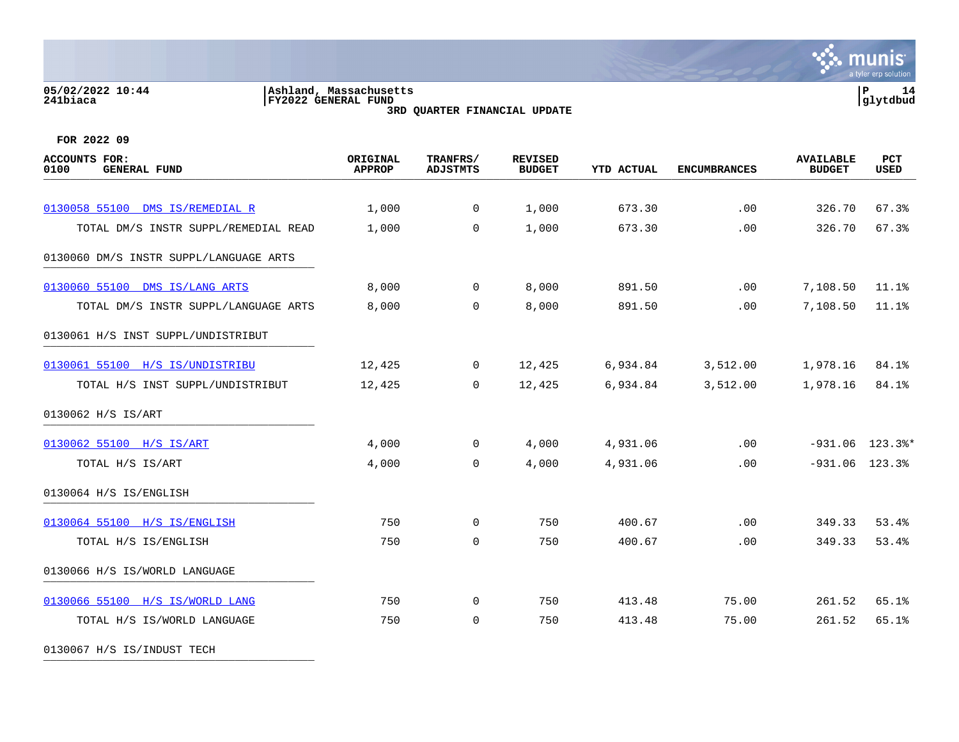## **05/02/2022 10:44 |Ashland, Massachusetts |P 14 241biaca |FY2022 GENERAL FUND |glytdbud**



**3RD QUARTER FINANCIAL UPDATE**

**FOR 2022 09**

| <b>ACCOUNTS FOR:</b><br>0100<br><b>GENERAL FUND</b> | ORIGINAL<br><b>APPROP</b> | TRANFRS/<br><b>ADJSTMTS</b> | <b>REVISED</b><br><b>BUDGET</b> | <b>YTD ACTUAL</b> | <b>ENCUMBRANCES</b> | <b>AVAILABLE</b><br><b>BUDGET</b> | PCT<br><b>USED</b> |
|-----------------------------------------------------|---------------------------|-----------------------------|---------------------------------|-------------------|---------------------|-----------------------------------|--------------------|
|                                                     |                           |                             |                                 |                   |                     |                                   |                    |
| 0130058 55100 DMS IS/REMEDIAL R                     | 1,000                     | $\overline{0}$              | 1,000                           | 673.30            | .00                 | 326.70                            | 67.3%              |
| TOTAL DM/S INSTR SUPPL/REMEDIAL READ                | 1,000                     | $\mathbf 0$                 | 1,000                           | 673.30            | .00                 | 326.70                            | 67.3%              |
| 0130060 DM/S INSTR SUPPL/LANGUAGE ARTS              |                           |                             |                                 |                   |                     |                                   |                    |
| 0130060 55100 DMS IS/LANG ARTS                      | 8,000                     | $\overline{0}$              | 8,000                           | 891.50            | .00                 | 7,108.50                          | 11.1%              |
| TOTAL DM/S INSTR SUPPL/LANGUAGE ARTS                | 8,000                     | $\Omega$                    | 8,000                           | 891.50            | .00                 | 7,108.50                          | 11.1%              |
| 0130061 H/S INST SUPPL/UNDISTRIBUT                  |                           |                             |                                 |                   |                     |                                   |                    |
| 0130061 55100 H/S IS/UNDISTRIBU                     | 12,425                    | $\mathsf{O}$                | 12,425                          | 6,934.84          | 3,512.00            | 1,978.16                          | 84.1%              |
| TOTAL H/S INST SUPPL/UNDISTRIBUT                    | 12,425                    | $\Omega$                    | 12,425                          | 6,934.84          | 3,512.00            | 1,978.16                          | 84.1%              |
| 0130062 H/S IS/ART                                  |                           |                             |                                 |                   |                     |                                   |                    |
| 0130062 55100 H/S IS/ART                            | 4,000                     | $\overline{0}$              | 4,000                           | 4,931.06          | .00                 |                                   | $-931.06$ 123.3%*  |
| TOTAL H/S IS/ART                                    | 4,000                     | $\mathbf 0$                 | 4,000                           | 4,931.06          | .00                 | $-931.06$ 123.3%                  |                    |
| 0130064 H/S IS/ENGLISH                              |                           |                             |                                 |                   |                     |                                   |                    |
| 0130064 55100 H/S IS/ENGLISH                        | 750                       | $\mathbf 0$                 | 750                             | 400.67            | .00                 | 349.33                            | 53.4%              |
| TOTAL H/S IS/ENGLISH                                | 750                       | $\mathbf 0$                 | 750                             | 400.67            | .00                 | 349.33                            | 53.4%              |
| 0130066 H/S IS/WORLD LANGUAGE                       |                           |                             |                                 |                   |                     |                                   |                    |
| 0130066 55100 H/S IS/WORLD LANG                     | 750                       | 0                           | 750                             | 413.48            | 75.00               | 261.52                            | 65.1%              |
| TOTAL H/S IS/WORLD LANGUAGE                         | 750                       | 0                           | 750                             | 413.48            | 75.00               | 261.52                            | 65.1%              |
|                                                     |                           |                             |                                 |                   |                     |                                   |                    |

0130067 H/S IS/INDUST TECH \_\_\_\_\_\_\_\_\_\_\_\_\_\_\_\_\_\_\_\_\_\_\_\_\_\_\_\_\_\_\_\_\_\_\_\_\_\_\_\_\_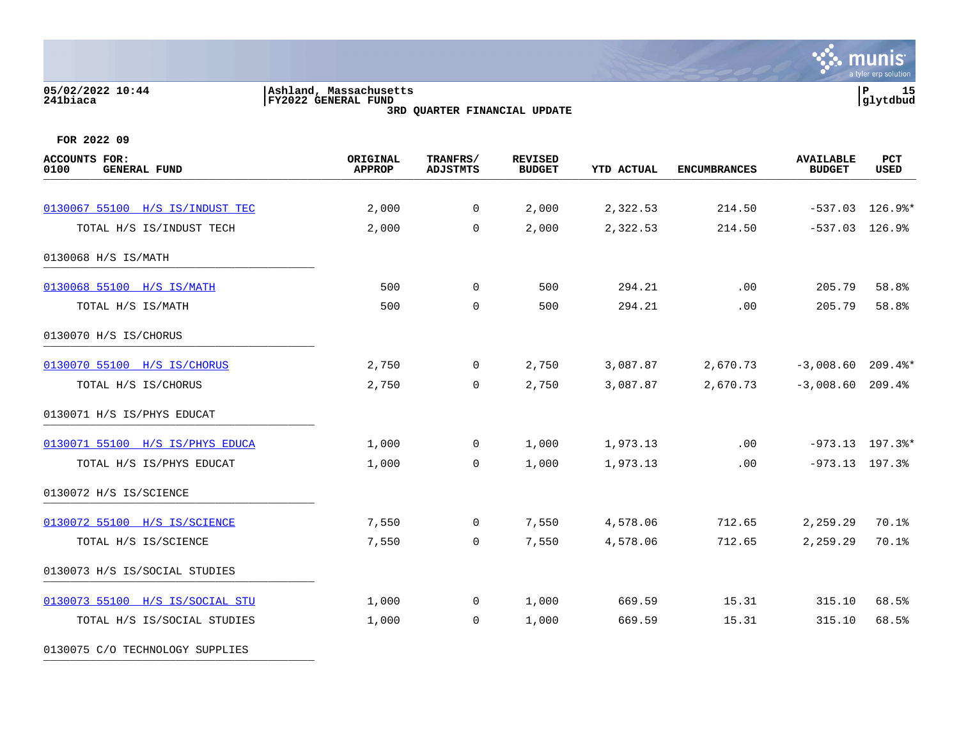#### **05/02/2022 10:44 |Ashland, Massachusetts |P 15 241biaca |FY2022 GENERAL FUND |glytdbud 3RD QUARTER FINANCIAL UPDATE**



| ACCOUNTS FOR:<br>0100<br><b>GENERAL FUND</b> | ORIGINAL<br><b>APPROP</b> | TRANFRS/<br><b>ADJSTMTS</b> | <b>REVISED</b><br><b>BUDGET</b> | <b>YTD ACTUAL</b> | <b>ENCUMBRANCES</b> | <b>AVAILABLE</b><br><b>BUDGET</b> | PCT<br><b>USED</b> |
|----------------------------------------------|---------------------------|-----------------------------|---------------------------------|-------------------|---------------------|-----------------------------------|--------------------|
|                                              |                           |                             |                                 |                   |                     |                                   |                    |
| 0130067 55100 H/S IS/INDUST TEC              | 2,000                     | $\mathbf 0$                 | 2,000                           | 2,322.53          | 214.50              |                                   | $-537.03$ 126.9%*  |
| TOTAL H/S IS/INDUST TECH                     | 2,000                     | $\mathbf 0$                 | 2,000                           | 2,322.53          | 214.50              | $-537.03$ 126.9%                  |                    |
| 0130068 H/S IS/MATH                          |                           |                             |                                 |                   |                     |                                   |                    |
| 0130068 55100 H/S IS/MATH                    | 500                       | $\mathbf 0$                 | 500                             | 294.21            | .00                 | 205.79                            | 58.8%              |
| TOTAL H/S IS/MATH                            | 500                       | $\mathbf 0$                 | 500                             | 294.21            | .00                 | 205.79                            | 58.8%              |
| 0130070 H/S IS/CHORUS                        |                           |                             |                                 |                   |                     |                                   |                    |
| 0130070 55100 H/S IS/CHORUS                  | 2,750                     | $\overline{0}$              | 2,750                           | 3,087.87          | 2,670.73            | $-3,008.60$ 209.4%*               |                    |
| TOTAL H/S IS/CHORUS                          | 2,750                     | 0                           | 2,750                           | 3,087.87          | 2,670.73            | $-3,008.60$ 209.4%                |                    |
| 0130071 H/S IS/PHYS EDUCAT                   |                           |                             |                                 |                   |                     |                                   |                    |
| 0130071 55100 H/S IS/PHYS EDUCA              | 1,000                     | $\overline{0}$              | 1,000                           | 1,973.13          | .00                 |                                   | $-973.13$ 197.3%*  |
| TOTAL H/S IS/PHYS EDUCAT                     | 1,000                     | $\mathbf 0$                 | 1,000                           | 1,973.13          | .00                 | $-973.13$ 197.3%                  |                    |
| 0130072 H/S IS/SCIENCE                       |                           |                             |                                 |                   |                     |                                   |                    |
| 0130072 55100 H/S IS/SCIENCE                 | 7,550                     | $\mathbf 0$                 | 7,550                           | 4,578.06          | 712.65              | 2,259.29                          | 70.1%              |
| TOTAL H/S IS/SCIENCE                         | 7,550                     | $\mathbf 0$                 | 7,550                           | 4,578.06          | 712.65              | 2,259.29                          | 70.1%              |
| 0130073 H/S IS/SOCIAL STUDIES                |                           |                             |                                 |                   |                     |                                   |                    |
| 0130073 55100 H/S IS/SOCIAL STU              | 1,000                     | $\overline{0}$              | 1,000                           | 669.59            | 15.31               | 315.10                            | 68.5%              |
| TOTAL H/S IS/SOCIAL STUDIES                  | 1,000                     | $\mathbf 0$                 | 1,000                           | 669.59            | 15.31               | 315.10                            | 68.5%              |
| 0130075 C/O TECHNOLOGY SUPPLIES              |                           |                             |                                 |                   |                     |                                   |                    |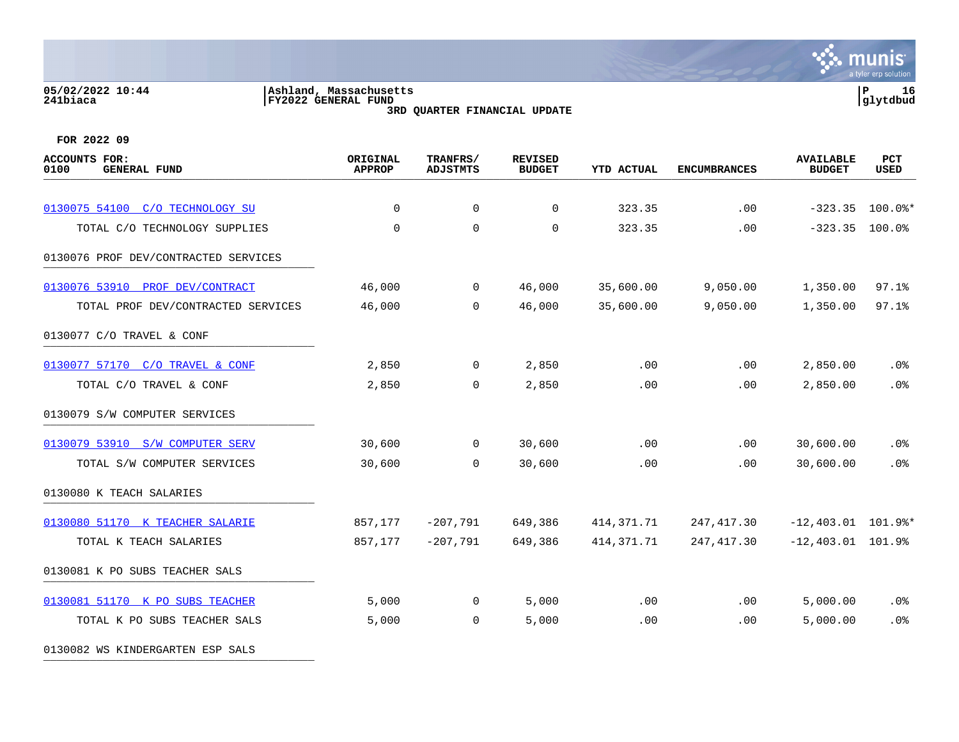## **05/02/2022 10:44 |Ashland, Massachusetts |P 16 241biaca |FY2022 GENERAL FUND |glytdbud**



**3RD QUARTER FINANCIAL UPDATE**

| <b>ACCOUNTS FOR:</b><br>0100<br><b>GENERAL FUND</b> | ORIGINAL<br><b>APPROP</b> | TRANFRS/<br><b>ADJSTMTS</b> | <b>REVISED</b><br><b>BUDGET</b> | <b>YTD ACTUAL</b> | <b>ENCUMBRANCES</b> | <b>AVAILABLE</b><br><b>BUDGET</b> | PCT<br><b>USED</b> |
|-----------------------------------------------------|---------------------------|-----------------------------|---------------------------------|-------------------|---------------------|-----------------------------------|--------------------|
|                                                     |                           |                             |                                 |                   |                     |                                   |                    |
| 0130075 54100 C/O TECHNOLOGY SU                     | $\mathbf 0$               | $\mathbf 0$                 | 0                               | 323.35            | .00                 | $-323.35$                         | $100.0$ $\ast$     |
| TOTAL C/O TECHNOLOGY SUPPLIES                       | 0                         | $\mathbf 0$                 | $\mathbf 0$                     | 323.35            | .00                 | $-323.35$ 100.0%                  |                    |
| 0130076 PROF DEV/CONTRACTED SERVICES                |                           |                             |                                 |                   |                     |                                   |                    |
| 0130076 53910 PROF DEV/CONTRACT                     | 46,000                    | $\mathbf 0$                 | 46,000                          | 35,600.00         | 9,050.00            | 1,350.00                          | 97.1%              |
| TOTAL PROF DEV/CONTRACTED SERVICES                  | 46,000                    | $\Omega$                    | 46,000                          | 35,600.00         | 9,050.00            | 1,350.00                          | 97.1%              |
| 0130077 C/O TRAVEL & CONF                           |                           |                             |                                 |                   |                     |                                   |                    |
| 0130077 57170 C/O TRAVEL & CONF                     | 2,850                     | $\mathbf 0$                 | 2,850                           | .00               | .00                 | 2,850.00                          | .0 <sub>8</sub>    |
| TOTAL C/O TRAVEL & CONF                             | 2,850                     | 0                           | 2,850                           | .00               | .00                 | 2,850.00                          | .0%                |
| 0130079 S/W COMPUTER SERVICES                       |                           |                             |                                 |                   |                     |                                   |                    |
| 0130079 53910 S/W COMPUTER SERV                     | 30,600                    | $\mathbf 0$                 | 30,600                          | .00               | .00                 | 30,600.00                         | .0%                |
| TOTAL S/W COMPUTER SERVICES                         | 30,600                    | $\Omega$                    | 30,600                          | .00               | .00                 | 30,600.00                         | .0%                |
| 0130080 K TEACH SALARIES                            |                           |                             |                                 |                   |                     |                                   |                    |
| 0130080 51170 K TEACHER SALARIE                     | 857,177                   | $-207,791$                  | 649,386                         | 414,371.71        | 247, 417.30         | $-12,403.01$ 101.9%*              |                    |
| TOTAL K TEACH SALARIES                              | 857,177                   | $-207,791$                  | 649,386                         | 414, 371. 71      | 247,417.30          | $-12,403.01$ 101.9%               |                    |
| 0130081 K PO SUBS TEACHER SALS                      |                           |                             |                                 |                   |                     |                                   |                    |
| 0130081 51170 K PO SUBS TEACHER                     | 5,000                     | 0                           | 5,000                           | .00               | .00                 | 5,000.00                          | .0%                |
| TOTAL K PO SUBS TEACHER SALS                        | 5,000                     | $\mathbf 0$                 | 5,000                           | .00               | .00.                | 5,000.00                          | .0 <sub>8</sub>    |
| 0130082 WS KINDERGARTEN ESP SALS                    |                           |                             |                                 |                   |                     |                                   |                    |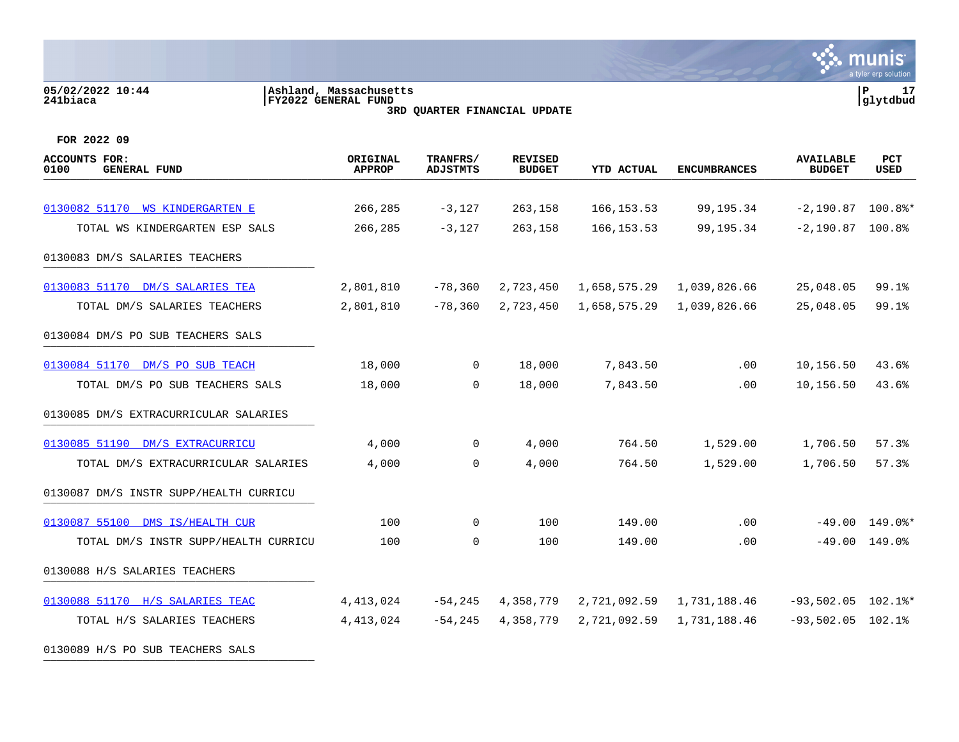**05/02/2022 10:44 |Ashland, Massachusetts |P 17 241biaca |FY2022 GENERAL FUND |glytdbud 3RD QUARTER FINANCIAL UPDATE FOR 2022 09 ACCOUNTS FOR: ORIGINAL TRANFRS/ REVISED AVAILABLE PCT 0100 GENERAL FUND APPROP ADJSTMTS BUDGET YTD ACTUAL ENCUMBRANCES BUDGET USED** arrive demension code and the second code of the condition of the code of the condition of the code of the code of the code of the code of the code of the code of the code of the code of the code of the code of the code of [0130082 51170 WS KINDERGARTEN E](https://yvwlndash063.tylertech.com/sites/mu0241/LIVE/_layouts/15/DashboardMunisV6.3/PassThru.aspx?-E=EkorLCA6oh7A2lP2B1AZxAcoakEWTeQwRyc6F8xQUtSKcdHfJFYT6GdW8x2HlZ8S&) 266,285 -3,127 263,158 166,153.53 99,195.34 -2,190.87 100.8%\* TOTAL WS KINDERGARTEN ESP SALS 266,285 -3,127 263,158 166,153.53 99,195.34 -2,190.87 100.8% 0130083 DM/S SALARIES TEACHERS [0130083 51170 DM/S SALARIES TEA](https://yvwlndash063.tylertech.com/sites/mu0241/LIVE/_layouts/15/DashboardMunisV6.3/PassThru.aspx?-E=oW3T6pgOt6z9h2NCvpdlKQJdwyddQB3nqIzulnn1VncOWZ53JKYRCabp02qEcuAa&) 2,801,810 -78,360 2,723,450 1,658,575.29 1,039,826.66 25,048.05 99.1% TOTAL DM/S SALARIES TEACHERS 2,801,810 -78,360 2,723,450 1,658,575.29 1,039,826.66 25,048.05 99.1% 0130084 DM/S PO SUB TEACHERS SALS [0130084 51170 DM/S PO SUB TEACH](https://yvwlndash063.tylertech.com/sites/mu0241/LIVE/_layouts/15/DashboardMunisV6.3/PassThru.aspx?-E=c0oG3PPfd6J2MG04ja3CFf4z2fa6kDcINF%2BdP5Lc0Goqg2GHyJdeDnEatOqm9NV4&) 18,000 0 18,000 7,843.50 .00 10,156.50 43.6% TOTAL DM/S PO SUB TEACHERS SALS 18,000 0 18,000 7,843.50 .00 10,156.50 43.6% 0130085 DM/S EXTRACURRICULAR SALARIES [0130085 51190 DM/S EXTRACURRICU](https://yvwlndash063.tylertech.com/sites/mu0241/LIVE/_layouts/15/DashboardMunisV6.3/PassThru.aspx?-E=/NtJ9l4VK2Wb4pDGSLWpOI2ShyMAnZLGsW/Kli86GyHOW5fGFnT69DmLW9ujnV13&) 4,000 0 4,000 764.50 1,529.00 1,706.50 57.3% TOTAL DM/S EXTRACURRICULAR SALARIES 4,000 0 4,000 764.50 1,529.00 1,706.50 57.3%

munis a tyler erp solutior

0130087 DM/S INSTR SUPP/HEALTH CURRICU

[0130087 55100 DMS IS/HEALTH CUR](https://yvwlndash063.tylertech.com/sites/mu0241/LIVE/_layouts/15/DashboardMunisV6.3/PassThru.aspx?-E=ZY7k1I3RpBzRDF0tNycCtzpzO3/t%2BbvcobxmbFl99RBcrvqDxEklbVE%2B4HrfG7/v&) 100 0 100 149.00 .00 -49.00 149.0%\* TOTAL DM/S INSTR SUPP/HEALTH CURRICU 100 0 100 149.00 .00 -49.00 149.0% 0130088 H/S SALARIES TEACHERS [0130088 51170 H/S SALARIES TEAC](https://yvwlndash063.tylertech.com/sites/mu0241/LIVE/_layouts/15/DashboardMunisV6.3/PassThru.aspx?-E=eCxtAc2vi%2B8ZbmQhXBiarAWsMzLLjKUtIk6hI0eF7Y3L7m6ovZOiQTQuiJHqMuYM&) 4,413,024 -54,245 4,358,779 2,721,092.59 1,731,188,46 -93,502.05 102.1<sup>\*</sup>\* TOTAL H/S SALARIES TEACHERS 4,413,024 -54,245 4,358,779 2,721,092.59 1,731,188.46 -93,502.05 102.1% 0130089 H/S PO SUB TEACHERS SALS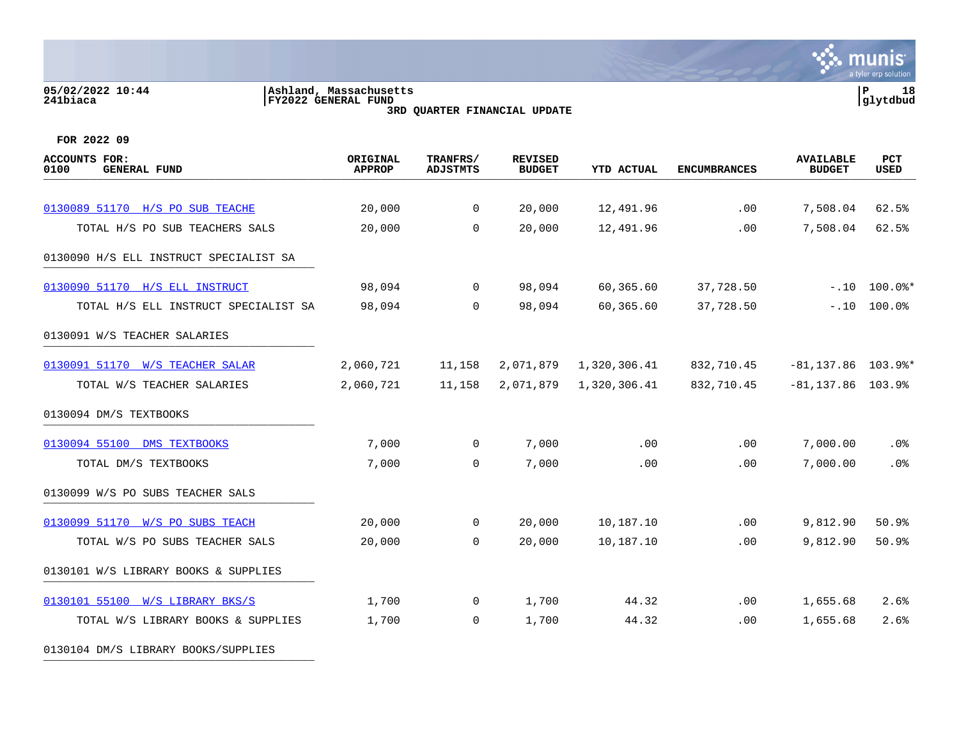#### **05/02/2022 10:44 |Ashland, Massachusetts |P 18 241biaca |FY2022 GENERAL FUND |glytdbud 3RD QUARTER FINANCIAL UPDATE**



**FOR 2022 09**

0130104 DM/S LIBRARY BOOKS/SUPPLIES

| <b>ACCOUNTS FOR:</b><br>0100<br><b>GENERAL FUND</b> | ORIGINAL<br><b>APPROP</b> | TRANFRS/<br><b>ADJSTMTS</b> | <b>REVISED</b><br><b>BUDGET</b> | <b>YTD ACTUAL</b> | <b>ENCUMBRANCES</b> | <b>AVAILABLE</b><br><b>BUDGET</b> | <b>PCT</b><br><b>USED</b>   |
|-----------------------------------------------------|---------------------------|-----------------------------|---------------------------------|-------------------|---------------------|-----------------------------------|-----------------------------|
|                                                     |                           |                             |                                 |                   |                     |                                   |                             |
| 0130089 51170 H/S PO SUB TEACHE                     | 20,000                    | $\overline{0}$              | 20,000                          | 12,491.96         | .00                 | 7,508.04                          | 62.5%                       |
| TOTAL H/S PO SUB TEACHERS SALS                      | 20,000                    | $\Omega$                    | 20,000                          | 12,491.96         | .00                 | 7,508.04                          | 62.5%                       |
| 0130090 H/S ELL INSTRUCT SPECIALIST SA              |                           |                             |                                 |                   |                     |                                   |                             |
| 0130090 51170 H/S ELL INSTRUCT                      | 98,094                    | $\overline{0}$              | 98,094                          | 60,365.60         | 37,728.50           |                                   | $-.10$ $100.0$ <sup>*</sup> |
| TOTAL H/S ELL INSTRUCT SPECIALIST SA                | 98,094                    | $\Omega$                    | 98,094                          | 60,365.60         | 37,728.50           | $-.10$                            | 100.0%                      |
| 0130091 W/S TEACHER SALARIES                        |                           |                             |                                 |                   |                     |                                   |                             |
| 0130091 51170 W/S TEACHER SALAR                     | 2,060,721                 | 11,158                      | 2,071,879                       | 1,320,306.41      | 832,710.45          | $-81, 137.86$ 103.9%*             |                             |
| TOTAL W/S TEACHER SALARIES                          | 2,060,721                 | 11,158                      | 2,071,879                       | 1,320,306.41      | 832,710.45          | $-81, 137.86$ 103.9%              |                             |
| 0130094 DM/S TEXTBOOKS                              |                           |                             |                                 |                   |                     |                                   |                             |
| 0130094 55100 DMS TEXTBOOKS                         | 7,000                     | $\overline{0}$              | 7,000                           | .00               | .00                 | 7,000.00                          | .0%                         |
| TOTAL DM/S TEXTBOOKS                                | 7,000                     | $\overline{0}$              | 7,000                           | .00               | .00                 | 7,000.00                          | .0%                         |
| 0130099 W/S PO SUBS TEACHER SALS                    |                           |                             |                                 |                   |                     |                                   |                             |
| 0130099 51170 W/S PO SUBS TEACH                     | 20,000                    | $\overline{0}$              | 20,000                          | 10,187.10         | .00                 | 9,812.90                          | 50.9%                       |
| TOTAL W/S PO SUBS TEACHER SALS                      | 20,000                    | $\mathbf 0$                 | 20,000                          | 10,187.10         | .00                 | 9,812.90                          | 50.9%                       |
| 0130101 W/S LIBRARY BOOKS & SUPPLIES                |                           |                             |                                 |                   |                     |                                   |                             |
| 0130101 55100 W/S LIBRARY BKS/S                     | 1,700                     | $\overline{0}$              | 1,700                           | 44.32             | $.00 \,$            | 1,655.68                          | 2.6%                        |
| TOTAL W/S LIBRARY BOOKS & SUPPLIES                  | 1,700                     | $\overline{0}$              | 1,700                           | 44.32             | .00                 | 1,655.68                          | 2.6%                        |
|                                                     |                           |                             |                                 |                   |                     |                                   |                             |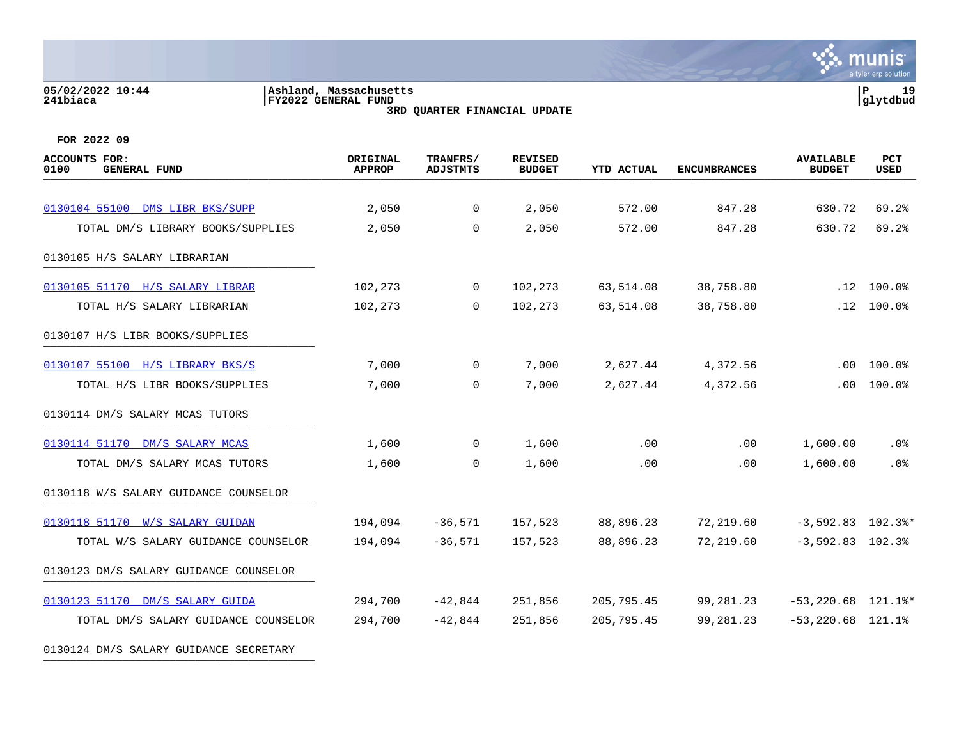#### **05/02/2022 10:44 |Ashland, Massachusetts |P 19 241biaca |FY2022 GENERAL FUND |glytdbud 3RD QUARTER FINANCIAL UPDATE**



| ACCOUNTS FOR:<br>0100<br><b>GENERAL FUND</b> | ORIGINAL<br><b>APPROP</b> | TRANFRS/<br><b>ADJSTMTS</b> | <b>REVISED</b><br><b>BUDGET</b> | <b>YTD ACTUAL</b> | <b>ENCUMBRANCES</b> | <b>AVAILABLE</b><br><b>BUDGET</b> | PCT<br><b>USED</b>         |
|----------------------------------------------|---------------------------|-----------------------------|---------------------------------|-------------------|---------------------|-----------------------------------|----------------------------|
|                                              |                           |                             |                                 |                   |                     |                                   |                            |
| 0130104 55100 DMS LIBR BKS/SUPP              | 2,050                     | $\mathbf{0}$                | 2,050                           | 572.00            | 847.28              | 630.72                            | 69.2%                      |
| TOTAL DM/S LIBRARY BOOKS/SUPPLIES            | 2,050                     | $\overline{0}$              | 2,050                           | 572.00            | 847.28              | 630.72                            | 69.2%                      |
| 0130105 H/S SALARY LIBRARIAN                 |                           |                             |                                 |                   |                     |                                   |                            |
| 0130105 51170 H/S SALARY LIBRAR              | 102,273                   | $\overline{0}$              | 102,273                         | 63,514.08         | 38,758.80           |                                   | $.12$ $100.0$ <sup>2</sup> |
| TOTAL H/S SALARY LIBRARIAN                   | 102,273                   | $\Omega$                    | 102,273                         | 63,514.08         | 38,758.80           |                                   | $.12 \quad 100.0$ %        |
| 0130107 H/S LIBR BOOKS/SUPPLIES              |                           |                             |                                 |                   |                     |                                   |                            |
| 0130107 55100 H/S LIBRARY BKS/S              | 7,000                     | $\overline{0}$              | 7,000                           | 2,627.44          | 4,372.56            | $.00 \,$                          | 100.0%                     |
| TOTAL H/S LIBR BOOKS/SUPPLIES                | 7,000                     | $\mathbf 0$                 | 7,000                           | 2,627.44          | 4,372.56            | .00                               | 100.0%                     |
| 0130114 DM/S SALARY MCAS TUTORS              |                           |                             |                                 |                   |                     |                                   |                            |
| 0130114 51170 DM/S SALARY MCAS               | 1,600                     | $\overline{0}$              | 1,600                           | .00               | .00                 | 1,600.00                          | $.0\%$                     |
| TOTAL DM/S SALARY MCAS TUTORS                | 1,600                     | $\overline{0}$              | 1,600                           | .00               | .00                 | 1,600.00                          | . 0%                       |
| 0130118 W/S SALARY GUIDANCE COUNSELOR        |                           |                             |                                 |                   |                     |                                   |                            |
| 0130118 51170 W/S SALARY GUIDAN              | 194,094                   | $-36,571$                   | 157,523                         | 88,896.23         | 72,219.60           | $-3,592.83$ 102.3%*               |                            |
| TOTAL W/S SALARY GUIDANCE COUNSELOR          | 194,094                   | $-36,571$                   | 157,523                         | 88,896.23         | 72,219.60           | $-3,592.83$ 102.3%                |                            |
| 0130123 DM/S SALARY GUIDANCE COUNSELOR       |                           |                             |                                 |                   |                     |                                   |                            |
| 0130123 51170 DM/S SALARY GUIDA              | 294,700                   | -42,844                     | 251,856                         | 205,795.45        | 99,281.23           | $-53, 220.68$ 121.1%*             |                            |
| TOTAL DM/S SALARY GUIDANCE COUNSELOR         | 294,700                   | $-42,844$                   | 251,856                         | 205,795.45        | 99,281.23           | $-53,220.68$ 121.1%               |                            |
| 0130124 DM/S SALARY GUIDANCE SECRETARY       |                           |                             |                                 |                   |                     |                                   |                            |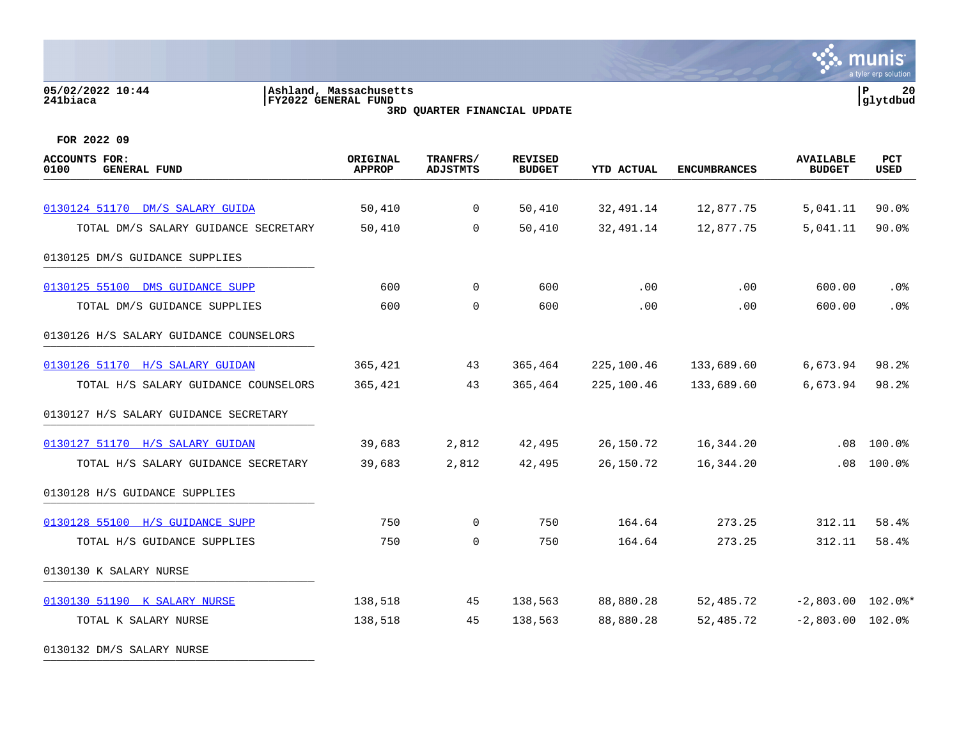#### **05/02/2022 10:44 |Ashland, Massachusetts |P 20 241biaca |FY2022 GENERAL FUND |glytdbud 3RD QUARTER FINANCIAL UPDATE**



| ACCOUNTS FOR:<br>0100<br><b>GENERAL FUND</b> | ORIGINAL<br><b>APPROP</b> | TRANFRS/<br><b>ADJSTMTS</b> | <b>REVISED</b><br><b>BUDGET</b> | <b>YTD ACTUAL</b> | <b>ENCUMBRANCES</b> | <b>AVAILABLE</b><br><b>BUDGET</b> | PCT<br><b>USED</b>  |
|----------------------------------------------|---------------------------|-----------------------------|---------------------------------|-------------------|---------------------|-----------------------------------|---------------------|
|                                              |                           |                             |                                 |                   |                     |                                   |                     |
| 0130124 51170 DM/S SALARY GUIDA              | 50,410                    | $\overline{0}$              | 50,410                          | 32,491.14         | 12,877.75           | 5,041.11                          | $90.0$ <sup>8</sup> |
| TOTAL DM/S SALARY GUIDANCE SECRETARY         | 50,410                    | 0                           | 50,410                          | 32,491.14         | 12,877.75           | 5,041.11                          | $90.0$ <sup>8</sup> |
| 0130125 DM/S GUIDANCE SUPPLIES               |                           |                             |                                 |                   |                     |                                   |                     |
| 0130125 55100 DMS GUIDANCE SUPP              | 600                       | $\overline{0}$              | 600                             | .00               | .00                 | 600.00                            | $.0\%$              |
| TOTAL DM/S GUIDANCE SUPPLIES                 | 600                       | $\mathbf 0$                 | 600                             | .00               | .00                 | 600.00                            | .0%                 |
| 0130126 H/S SALARY GUIDANCE COUNSELORS       |                           |                             |                                 |                   |                     |                                   |                     |
| 0130126 51170 H/S SALARY GUIDAN              | 365,421                   | 43                          | 365,464                         | 225,100.46        | 133,689.60          | 6,673.94                          | 98.2%               |
| TOTAL H/S SALARY GUIDANCE COUNSELORS         | 365,421                   | 43                          | 365,464                         | 225,100.46        | 133,689.60          | 6,673.94                          | 98.2%               |
| 0130127 H/S SALARY GUIDANCE SECRETARY        |                           |                             |                                 |                   |                     |                                   |                     |
| 0130127 51170 H/S SALARY GUIDAN              | 39,683                    | 2,812                       | 42,495                          | 26,150.72         | 16,344.20           | .08                               | 100.0%              |
| TOTAL H/S SALARY GUIDANCE SECRETARY          | 39,683                    | 2,812                       | 42,495                          | 26,150.72         | 16,344.20           | .08                               | 100.0%              |
| 0130128 H/S GUIDANCE SUPPLIES                |                           |                             |                                 |                   |                     |                                   |                     |
| 0130128 55100 H/S GUIDANCE SUPP              | 750                       | 0                           | 750                             | 164.64            | 273.25              | 312.11                            | 58.4%               |
| TOTAL H/S GUIDANCE SUPPLIES                  | 750                       | $\mathbf 0$                 | 750                             | 164.64            | 273.25              | 312.11                            | 58.4%               |
| 0130130 K SALARY NURSE                       |                           |                             |                                 |                   |                     |                                   |                     |
| 0130130 51190 K SALARY NURSE                 | 138,518                   | 45                          | 138,563                         | 88,880.28         | 52,485.72           | $-2,803.00$ 102.0%*               |                     |
| TOTAL K SALARY NURSE                         | 138,518                   | 45                          | 138,563                         | 88,880.28         | 52,485.72           | $-2,803.00$ 102.0%                |                     |
| 0130132 DM/S SALARY NURSE                    |                           |                             |                                 |                   |                     |                                   |                     |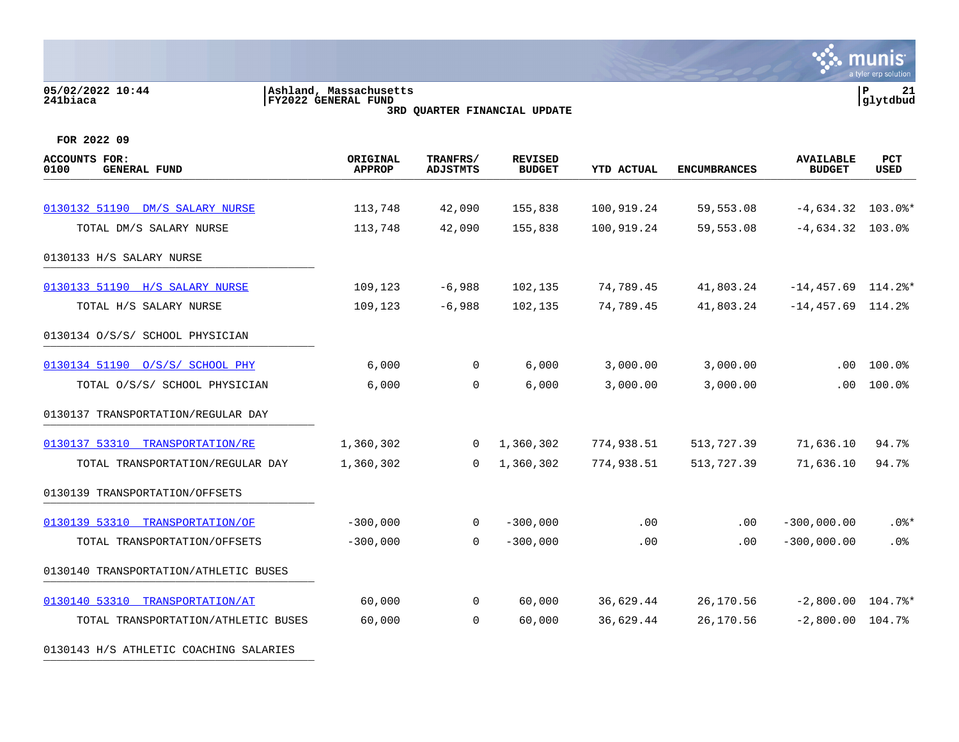#### **05/02/2022 10:44 |Ashland, Massachusetts |P 21 241biaca |FY2022 GENERAL FUND |glytdbud 3RD QUARTER FINANCIAL UPDATE**



**FOR 2022 09**

| <b>ACCOUNTS FOR:</b><br><b>GENERAL FUND</b><br>0100 | ORIGINAL<br><b>APPROP</b> | TRANFRS/<br><b>ADJSTMTS</b> | <b>REVISED</b><br><b>BUDGET</b> | <b>YTD ACTUAL</b> | <b>ENCUMBRANCES</b> | <b>AVAILABLE</b><br><b>BUDGET</b> | <b>PCT</b><br><b>USED</b> |
|-----------------------------------------------------|---------------------------|-----------------------------|---------------------------------|-------------------|---------------------|-----------------------------------|---------------------------|
|                                                     |                           |                             |                                 |                   |                     |                                   |                           |
| 0130132 51190 DM/S SALARY NURSE                     | 113,748                   | 42,090                      | 155,838                         | 100,919.24        | 59,553.08           | $-4,634.32$ 103.0%*               |                           |
| TOTAL DM/S SALARY NURSE                             | 113,748                   | 42,090                      | 155,838                         | 100,919.24        | 59,553.08           | $-4,634.32$ 103.0%                |                           |
| 0130133 H/S SALARY NURSE                            |                           |                             |                                 |                   |                     |                                   |                           |
| 0130133 51190 H/S SALARY NURSE                      | 109,123                   | $-6,988$                    | 102,135                         | 74,789.45         | 41,803.24           | $-14,457.69$ 114.2%*              |                           |
| TOTAL H/S SALARY NURSE                              | 109,123                   | $-6,988$                    | 102,135                         | 74,789.45         | 41,803.24           | $-14,457.69$ 114.2%               |                           |
| 0130134 O/S/S/ SCHOOL PHYSICIAN                     |                           |                             |                                 |                   |                     |                                   |                           |
| 0130134 51190 0/S/S/ SCHOOL PHY                     | 6,000                     | $\mathbf{0}$                | 6,000                           | 3,000.00          | 3,000.00            | .00                               | 100.0%                    |
| TOTAL 0/S/S/ SCHOOL PHYSICIAN                       | 6,000                     | $\overline{0}$              | 6,000                           | 3,000.00          | 3,000.00            | .00                               | 100.0%                    |
| 0130137 TRANSPORTATION/REGULAR DAY                  |                           |                             |                                 |                   |                     |                                   |                           |
| 0130137 53310 TRANSPORTATION/RE                     | 1,360,302                 | 0                           | 1,360,302                       | 774,938.51        | 513,727.39          | 71,636.10                         | 94.7%                     |
| TOTAL TRANSPORTATION/REGULAR DAY                    | 1,360,302                 | $\Omega$                    | 1,360,302                       | 774,938.51        | 513,727.39          | 71,636.10                         | 94.7%                     |
| 0130139 TRANSPORTATION/OFFSETS                      |                           |                             |                                 |                   |                     |                                   |                           |
| 0130139 53310 TRANSPORTATION/OF                     | $-300,000$                | $\mathbf{0}$                | $-300,000$                      | .00               | $.00 \,$            | $-300,000.00$                     | $.0$ %*                   |
| TOTAL TRANSPORTATION/OFFSETS                        | $-300,000$                | $\overline{0}$              | $-300,000$                      | .00               | .00                 | $-300,000.00$                     | .0%                       |
| 0130140 TRANSPORTATION/ATHLETIC BUSES               |                           |                             |                                 |                   |                     |                                   |                           |
| 0130140 53310<br>TRANSPORTATION/AT                  | 60,000                    | $\mathbf 0$                 | 60,000                          | 36,629.44         | 26,170.56           | $-2,800.00$ 104.7%*               |                           |
| TOTAL TRANSPORTATION/ATHLETIC BUSES                 | 60,000                    | $\overline{0}$              | 60,000                          | 36,629.44         | 26,170.56           | $-2,800.00$ 104.7%                |                           |
|                                                     |                           |                             |                                 |                   |                     |                                   |                           |

0130143 H/S ATHLETIC COACHING SALARIES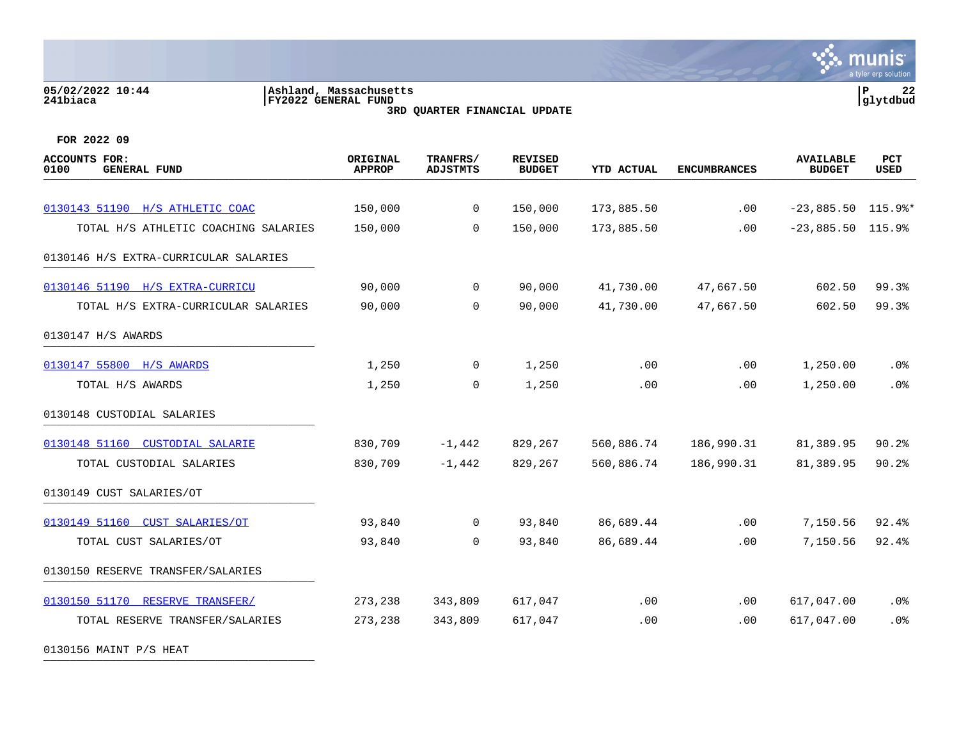#### **05/02/2022 10:44 |Ashland, Massachusetts |P 22 241biaca |FY2022 GENERAL FUND |glytdbud 3RD QUARTER FINANCIAL UPDATE**



**FOR 2022 09**

| <b>ACCOUNTS FOR:</b><br>0100<br><b>GENERAL FUND</b> | ORIGINAL<br><b>APPROP</b> | TRANFRS/<br><b>ADJSTMTS</b> | <b>REVISED</b><br><b>BUDGET</b> | <b>YTD ACTUAL</b> | <b>ENCUMBRANCES</b> | <b>AVAILABLE</b><br><b>BUDGET</b> | PCT<br><b>USED</b> |
|-----------------------------------------------------|---------------------------|-----------------------------|---------------------------------|-------------------|---------------------|-----------------------------------|--------------------|
|                                                     |                           |                             |                                 |                   |                     |                                   |                    |
| 0130143 51190 H/S ATHLETIC COAC                     | 150,000                   | $\overline{0}$              | 150,000                         | 173,885.50        | .00                 | $-23,885.50$ 115.9%*              |                    |
| TOTAL H/S ATHLETIC COACHING SALARIES                | 150,000                   | 0                           | 150,000                         | 173,885.50        | .00                 | $-23,885.50$                      | 115.9%             |
| 0130146 H/S EXTRA-CURRICULAR SALARIES               |                           |                             |                                 |                   |                     |                                   |                    |
| 0130146 51190 H/S EXTRA-CURRICU                     | 90,000                    | $\overline{0}$              | 90,000                          | 41,730.00         | 47,667.50           | 602.50                            | 99.3%              |
| TOTAL H/S EXTRA-CURRICULAR SALARIES                 | 90,000                    | $\mathbf 0$                 | 90,000                          | 41,730.00         | 47,667.50           | 602.50                            | 99.3%              |
| 0130147 H/S AWARDS                                  |                           |                             |                                 |                   |                     |                                   |                    |
| 0130147 55800 H/S AWARDS                            | 1,250                     | $\overline{0}$              | 1,250                           | .00               | .00                 | 1,250.00                          | $.0\%$             |
| TOTAL H/S AWARDS                                    | 1,250                     | 0                           | 1,250                           | .00               | .00                 | 1,250.00                          | .0%                |
| 0130148 CUSTODIAL SALARIES                          |                           |                             |                                 |                   |                     |                                   |                    |
| 0130148 51160 CUSTODIAL SALARIE                     | 830,709                   | $-1,442$                    | 829,267                         | 560,886.74        | 186,990.31          | 81,389.95                         | 90.2%              |
| TOTAL CUSTODIAL SALARIES                            | 830,709                   | $-1,442$                    | 829,267                         | 560,886.74        | 186,990.31          | 81,389.95                         | 90.2%              |
| 0130149 CUST SALARIES/OT                            |                           |                             |                                 |                   |                     |                                   |                    |
| 0130149 51160 CUST SALARIES/OT                      | 93,840                    | $\Omega$                    | 93,840                          | 86,689.44         | .00                 | 7,150.56                          | 92.4%              |
| TOTAL CUST SALARIES/OT                              | 93,840                    | $\overline{0}$              | 93,840                          | 86,689.44         | .00                 | 7,150.56                          | 92.4%              |
| 0130150 RESERVE TRANSFER/SALARIES                   |                           |                             |                                 |                   |                     |                                   |                    |
| 0130150 51170 RESERVE TRANSFER/                     | 273,238                   | 343,809                     | 617,047                         | .00               | .00.                | 617,047.00                        | .0%                |
| TOTAL RESERVE TRANSFER/SALARIES                     | 273,238                   | 343,809                     | 617,047                         | .00               | .00                 | 617,047.00                        | .0%                |

0130156 MAINT P/S HEAT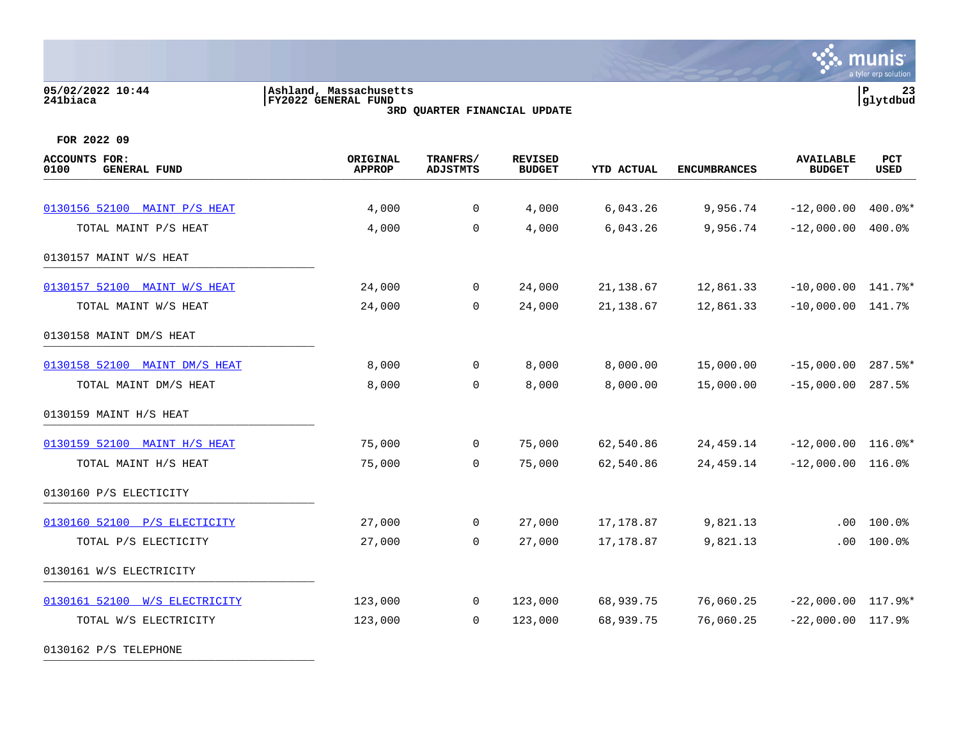## **05/02/2022 10:44 |Ashland, Massachusetts |P 23 241biaca |FY2022 GENERAL FUND |glytdbud**

**3RD QUARTER FINANCIAL UPDATE**



| ACCOUNTS FOR:<br><b>GENERAL FUND</b><br>0100 | ORIGINAL<br><b>APPROP</b> | TRANFRS/<br><b>ADJSTMTS</b> | <b>REVISED</b><br><b>BUDGET</b> | <b>YTD ACTUAL</b> | <b>ENCUMBRANCES</b> | <b>AVAILABLE</b><br><b>BUDGET</b> | PCT<br>USED |
|----------------------------------------------|---------------------------|-----------------------------|---------------------------------|-------------------|---------------------|-----------------------------------|-------------|
|                                              |                           |                             |                                 |                   |                     |                                   |             |
| 0130156 52100 MAINT P/S HEAT                 | 4,000                     | 0                           | 4,000                           | 6,043.26          | 9,956.74            | $-12,000.00$                      | $400.0$ *   |
| TOTAL MAINT P/S HEAT                         | 4,000                     | $\mathbf 0$                 | 4,000                           | 6,043.26          | 9,956.74            | $-12,000.00$                      | 400.0%      |
| 0130157 MAINT W/S HEAT                       |                           |                             |                                 |                   |                     |                                   |             |
| 0130157 52100 MAINT W/S HEAT                 | 24,000                    | 0                           | 24,000                          | 21, 138.67        | 12,861.33           | $-10,000.00$ $141.7$ %*           |             |
| TOTAL MAINT W/S HEAT                         | 24,000                    | $\mathbf 0$                 | 24,000                          | 21,138.67         | 12,861.33           | $-10,000.00$ $141.7%$             |             |
| 0130158 MAINT DM/S HEAT                      |                           |                             |                                 |                   |                     |                                   |             |
| 0130158 52100 MAINT DM/S HEAT                | 8,000                     | $\mathbf 0$                 | 8,000                           | 8,000.00          | 15,000.00           | $-15,000.00$                      | $287.5$ *   |
| TOTAL MAINT DM/S HEAT                        | 8,000                     | 0                           | 8,000                           | 8,000.00          | 15,000.00           | $-15,000.00$                      | 287.5%      |
| 0130159 MAINT H/S HEAT                       |                           |                             |                                 |                   |                     |                                   |             |
| 0130159 52100 MAINT H/S HEAT                 | 75,000                    | 0                           | 75,000                          | 62,540.86         | 24, 459. 14         | $-12,000.00$ 116.0%*              |             |
| TOTAL MAINT H/S HEAT                         | 75,000                    | $\mathbf 0$                 | 75,000                          | 62,540.86         | 24, 459. 14         | $-12,000.00$                      | 116.0%      |
| 0130160 P/S ELECTICITY                       |                           |                             |                                 |                   |                     |                                   |             |
| 0130160 52100 P/S ELECTICITY                 | 27,000                    | $\mathbf 0$                 | 27,000                          | 17,178.87         | 9,821.13            | .00                               | 100.0%      |
| TOTAL P/S ELECTICITY                         | 27,000                    | 0                           | 27,000                          | 17,178.87         | 9,821.13            | .00                               | 100.0%      |
| 0130161 W/S ELECTRICITY                      |                           |                             |                                 |                   |                     |                                   |             |
| 0130161 52100 W/S ELECTRICITY                | 123,000                   | $\overline{0}$              | 123,000                         | 68,939.75         | 76,060.25           | $-22,000.00$                      | 117.9%*     |
| TOTAL W/S ELECTRICITY                        | 123,000                   | 0                           | 123,000                         | 68,939.75         | 76,060.25           | $-22,000.00$ 117.9%               |             |
| 0130162 P/S TELEPHONE                        |                           |                             |                                 |                   |                     |                                   |             |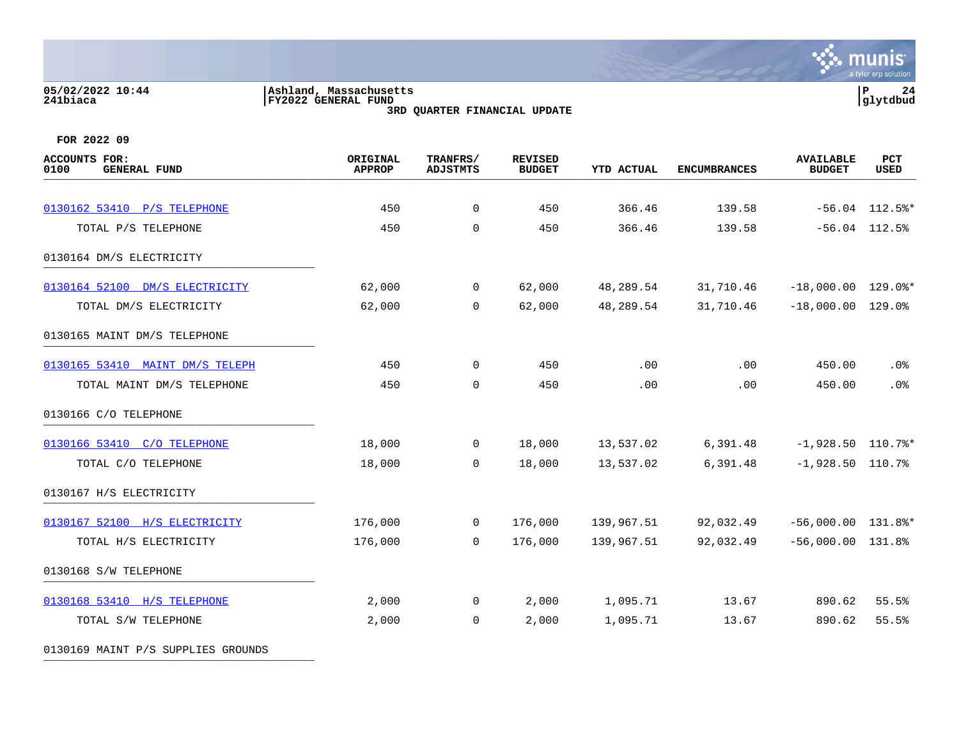#### **05/02/2022 10:44 |Ashland, Massachusetts |P 24 241biaca |FY2022 GENERAL FUND |glytdbud 3RD QUARTER FINANCIAL UPDATE**



**FOR 2022 09**

| <b>ACCOUNTS FOR:</b><br>0100<br><b>GENERAL FUND</b> | <b>ORIGINAL</b><br><b>APPROP</b> | TRANFRS/<br><b>ADJSTMTS</b> | <b>REVISED</b><br><b>BUDGET</b> | <b>YTD ACTUAL</b> | <b>ENCUMBRANCES</b> | <b>AVAILABLE</b><br><b>BUDGET</b> | PCT<br>USED      |
|-----------------------------------------------------|----------------------------------|-----------------------------|---------------------------------|-------------------|---------------------|-----------------------------------|------------------|
|                                                     |                                  |                             |                                 |                   |                     |                                   |                  |
| 0130162 53410 P/S TELEPHONE                         | 450                              | $\mathbf 0$                 | 450                             | 366.46            | 139.58              |                                   | $-56.04$ 112.5%* |
| TOTAL P/S TELEPHONE                                 | 450                              | $\mathbf 0$                 | 450                             | 366.46            | 139.58              |                                   | $-56.04$ 112.5%  |
| 0130164 DM/S ELECTRICITY                            |                                  |                             |                                 |                   |                     |                                   |                  |
| 0130164 52100 DM/S ELECTRICITY                      | 62,000                           | $\overline{0}$              | 62,000                          | 48,289.54         | 31,710.46           | $-18,000.00$ $129.0$ *            |                  |
| TOTAL DM/S ELECTRICITY                              | 62,000                           | $\mathbf 0$                 | 62,000                          | 48,289.54         | 31,710.46           | $-18,000.00$ $129.0$              |                  |
| 0130165 MAINT DM/S TELEPHONE                        |                                  |                             |                                 |                   |                     |                                   |                  |
| 0130165 53410 MAINT DM/S TELEPH                     | 450                              | 0                           | 450                             | .00               | .00                 | 450.00                            | .0%              |
| TOTAL MAINT DM/S TELEPHONE                          | 450                              | $\mathbf 0$                 | 450                             | .00               | .00                 | 450.00                            | .0%              |
| 0130166 C/O TELEPHONE                               |                                  |                             |                                 |                   |                     |                                   |                  |
| 0130166 53410 C/O TELEPHONE                         | 18,000                           | $\overline{0}$              | 18,000                          | 13,537.02         | 6,391.48            | $-1,928.50$ 110.7%*               |                  |
| TOTAL C/O TELEPHONE                                 | 18,000                           | $\overline{0}$              | 18,000                          | 13,537.02         | 6,391.48            | $-1,928.50$ 110.7%                |                  |
| 0130167 H/S ELECTRICITY                             |                                  |                             |                                 |                   |                     |                                   |                  |
| 0130167 52100 H/S ELECTRICITY                       | 176,000                          | $\overline{0}$              | 176,000                         | 139,967.51        | 92,032.49           | $-56,000.00$ 131.8%*              |                  |
| TOTAL H/S ELECTRICITY                               | 176,000                          | $\mathbf 0$                 | 176,000                         | 139,967.51        | 92,032.49           | $-56,000.00$ 131.8%               |                  |
| 0130168 S/W TELEPHONE                               |                                  |                             |                                 |                   |                     |                                   |                  |
| 0130168 53410 H/S TELEPHONE                         | 2,000                            | $\overline{0}$              | 2,000                           | 1,095.71          | 13.67               | 890.62                            | 55.5%            |
| TOTAL S/W TELEPHONE                                 | 2,000                            | $\overline{0}$              | 2,000                           | 1,095.71          | 13.67               | 890.62                            | 55.5%            |
|                                                     |                                  |                             |                                 |                   |                     |                                   |                  |

0130169 MAINT P/S SUPPLIES GROUNDS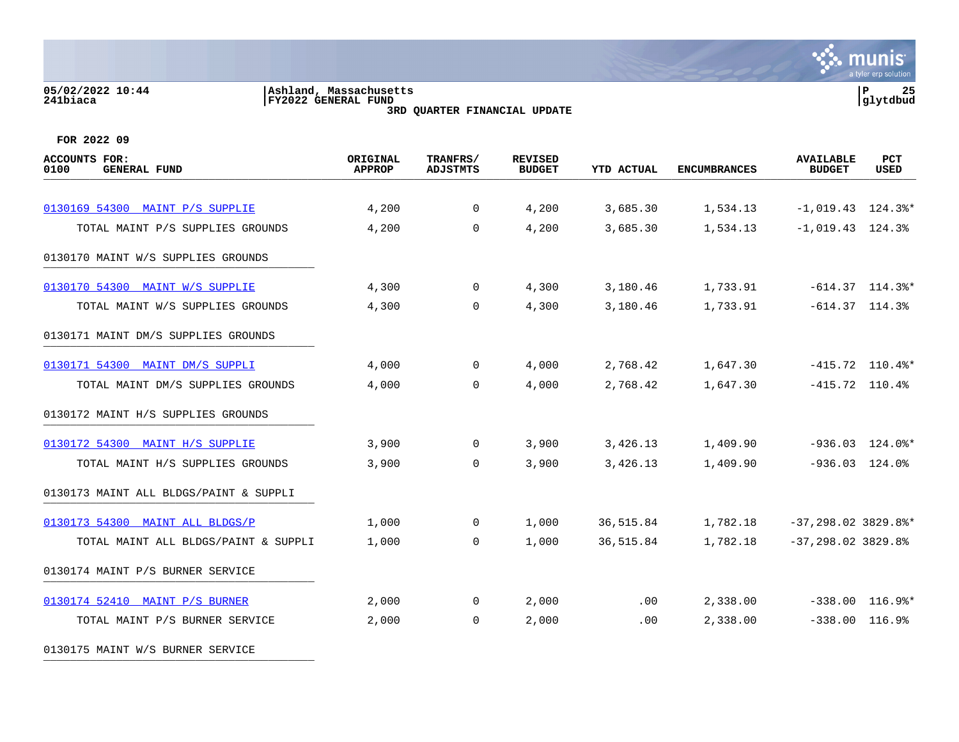## **05/02/2022 10:44 |Ashland, Massachusetts |P 25 241biaca |FY2022 GENERAL FUND |glytdbud**

**3RD QUARTER FINANCIAL UPDATE**



**FOR 2022 09**

| <b>ACCOUNTS FOR:</b><br>0100<br><b>GENERAL FUND</b> | ORIGINAL<br><b>APPROP</b> | TRANFRS/<br><b>ADJSTMTS</b> | <b>REVISED</b><br><b>BUDGET</b> | <b>YTD ACTUAL</b> | <b>ENCUMBRANCES</b> | <b>AVAILABLE</b><br><b>BUDGET</b> | PCT<br>USED                    |
|-----------------------------------------------------|---------------------------|-----------------------------|---------------------------------|-------------------|---------------------|-----------------------------------|--------------------------------|
|                                                     |                           |                             |                                 |                   |                     |                                   |                                |
| 0130169 54300 MAINT P/S SUPPLIE                     | 4,200                     | $\mathbf 0$                 | 4,200                           | 3,685.30          | 1,534.13            | $-1,019.43$ 124.3%*               |                                |
| TOTAL MAINT P/S SUPPLIES GROUNDS                    | 4,200                     | $\Omega$                    | 4,200                           | 3,685.30          | 1,534.13            | $-1,019.43$ 124.3%                |                                |
| 0130170 MAINT W/S SUPPLIES GROUNDS                  |                           |                             |                                 |                   |                     |                                   |                                |
| 0130170 54300 MAINT W/S SUPPLIE                     | 4,300                     | $\mathbf 0$                 | 4,300                           | 3,180.46          | 1,733.91            |                                   | $-614.37$ 114.3%*              |
| TOTAL MAINT W/S SUPPLIES GROUNDS                    | 4,300                     | $\Omega$                    | 4,300                           | 3,180.46          | 1,733.91            |                                   | $-614.37$ $114.3%$             |
| 0130171 MAINT DM/S SUPPLIES GROUNDS                 |                           |                             |                                 |                   |                     |                                   |                                |
| 0130171 54300 MAINT DM/S SUPPLI                     | 4,000                     | $\mathbf 0$                 | 4,000                           | 2,768.42          | 1,647.30            |                                   | $-415.72$ 110.4%*              |
| TOTAL MAINT DM/S SUPPLIES GROUNDS                   | 4,000                     | $\overline{0}$              | 4,000                           | 2,768.42          | 1,647.30            |                                   | $-415.72$ 110.4%               |
| 0130172 MAINT H/S SUPPLIES GROUNDS                  |                           |                             |                                 |                   |                     |                                   |                                |
| 0130172 54300 MAINT H/S SUPPLIE                     | 3,900                     | $\mathbf 0$                 | 3,900                           | 3,426.13          | 1,409.90            |                                   | $-936.03$ $124.0$ <sup>*</sup> |
| TOTAL MAINT H/S SUPPLIES GROUNDS                    | 3,900                     | $\overline{0}$              | 3,900                           | 3,426.13          | 1,409.90            |                                   | $-936.03$ 124.0%               |
| 0130173 MAINT ALL BLDGS/PAINT & SUPPLI              |                           |                             |                                 |                   |                     |                                   |                                |
| 0130173 54300 MAINT ALL BLDGS/P                     | 1,000                     | $\mathbf{0}$                | 1,000                           | 36,515.84         | 1,782.18            | $-37, 298.02$ 3829.8%*            |                                |
| TOTAL MAINT ALL BLDGS/PAINT & SUPPLI                | 1,000                     | $\Omega$                    | 1,000                           | 36,515.84         | 1,782.18            | $-37, 298.02$ 3829.8%             |                                |
| 0130174 MAINT P/S BURNER SERVICE                    |                           |                             |                                 |                   |                     |                                   |                                |
| 0130174 52410 MAINT P/S BURNER                      | 2,000                     | 0                           | 2,000                           | .00               | 2,338.00            |                                   | $-338.00$ 116.9%*              |
| TOTAL MAINT P/S BURNER SERVICE                      | 2,000                     | $\mathbf 0$                 | 2,000                           | .00               | 2,338.00            |                                   | $-338.00$ 116.9%               |
|                                                     |                           |                             |                                 |                   |                     |                                   |                                |

0130175 MAINT W/S BURNER SERVICE \_\_\_\_\_\_\_\_\_\_\_\_\_\_\_\_\_\_\_\_\_\_\_\_\_\_\_\_\_\_\_\_\_\_\_\_\_\_\_\_\_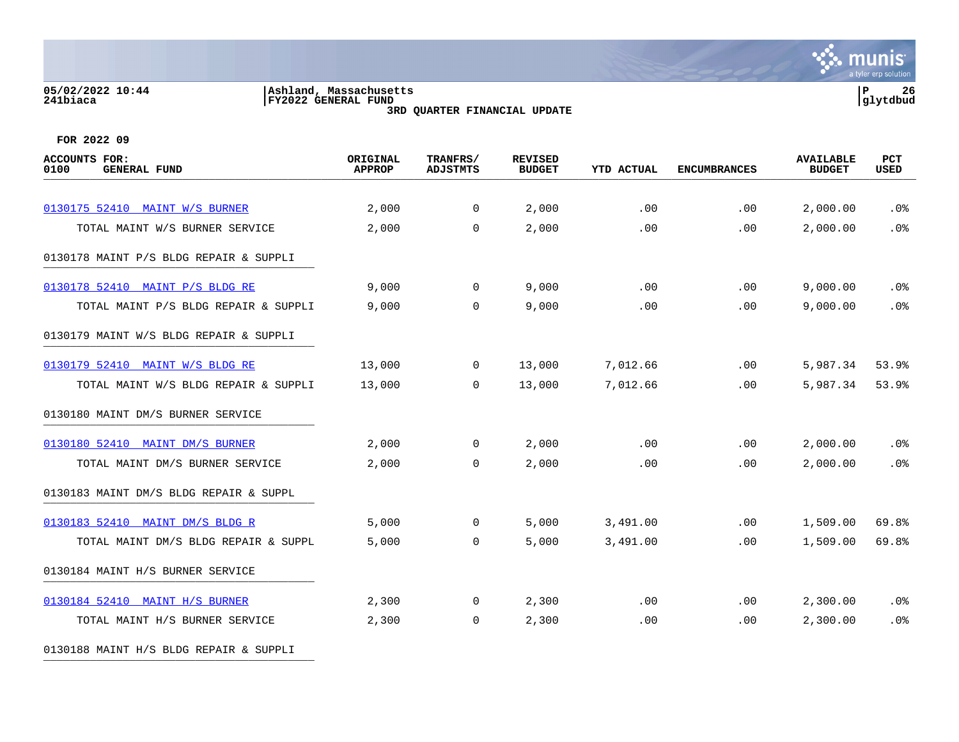## **05/02/2022 10:44 |Ashland, Massachusetts |P 26 241biaca |FY2022 GENERAL FUND |glytdbud**

**3RD QUARTER FINANCIAL UPDATE**



**FOR 2022 09**

| <b>ACCOUNTS FOR:</b><br>0100<br><b>GENERAL FUND</b> | ORIGINAL<br><b>APPROP</b> | TRANFRS/<br><b>ADJSTMTS</b> | <b>REVISED</b><br><b>BUDGET</b> | <b>YTD ACTUAL</b> | <b>ENCUMBRANCES</b> | <b>AVAILABLE</b><br><b>BUDGET</b> | PCT<br><b>USED</b> |
|-----------------------------------------------------|---------------------------|-----------------------------|---------------------------------|-------------------|---------------------|-----------------------------------|--------------------|
|                                                     |                           |                             |                                 |                   |                     |                                   |                    |
| 0130175 52410 MAINT W/S BURNER                      | 2,000                     | $\overline{0}$              | 2,000                           | .00               | .00                 | 2,000.00                          | .0%                |
| TOTAL MAINT W/S BURNER SERVICE                      | 2,000                     | $\overline{0}$              | 2,000                           | .00               | .00                 | 2,000.00                          | .0%                |
| 0130178 MAINT P/S BLDG REPAIR & SUPPLI              |                           |                             |                                 |                   |                     |                                   |                    |
| 0130178 52410 MAINT P/S BLDG RE                     | 9,000                     | $\overline{0}$              | 9,000                           | .00               | .00                 | 9,000.00                          | .0%                |
| TOTAL MAINT P/S BLDG REPAIR & SUPPLI                | 9,000                     | $\Omega$                    | 9,000                           | .00               | .00                 | 9,000.00                          | .0%                |
| 0130179 MAINT W/S BLDG REPAIR & SUPPLI              |                           |                             |                                 |                   |                     |                                   |                    |
| 0130179 52410 MAINT W/S BLDG RE                     | 13,000                    | $\overline{0}$              | 13,000                          | 7,012.66          | .00                 | 5,987.34                          | 53.9%              |
| TOTAL MAINT W/S BLDG REPAIR & SUPPLI                | 13,000                    | $\Omega$                    | 13,000                          | 7,012.66          | .00                 | 5,987.34                          | 53.9%              |
| 0130180 MAINT DM/S BURNER SERVICE                   |                           |                             |                                 |                   |                     |                                   |                    |
| 0130180 52410 MAINT DM/S BURNER                     | 2,000                     | $\mathbf 0$                 | 2,000                           | .00               | .00                 | 2,000.00                          | $.0\%$             |
| TOTAL MAINT DM/S BURNER SERVICE                     | 2,000                     | $\mathbf 0$                 | 2,000                           | .00               | .00                 | 2,000.00                          | .0%                |
| 0130183 MAINT DM/S BLDG REPAIR & SUPPL              |                           |                             |                                 |                   |                     |                                   |                    |
| 0130183 52410 MAINT DM/S BLDG R                     | 5,000                     | $\mathbf{0}$                | 5,000                           | 3,491.00          | .00                 | 1,509.00                          | 69.8%              |
| TOTAL MAINT DM/S BLDG REPAIR & SUPPL                | 5,000                     | $\overline{0}$              | 5,000                           | 3,491.00          | .00                 | 1,509.00                          | 69.8%              |
| 0130184 MAINT H/S BURNER SERVICE                    |                           |                             |                                 |                   |                     |                                   |                    |
| 0130184 52410 MAINT H/S BURNER                      | 2,300                     | $\mathbf 0$                 | 2,300                           | .00               | .00                 | 2,300.00                          | .0%                |
| TOTAL MAINT H/S BURNER SERVICE                      | 2,300                     | $\mathbf 0$                 | 2,300                           | .00               | .00                 | 2,300.00                          | .0%                |
|                                                     |                           |                             |                                 |                   |                     |                                   |                    |

0130188 MAINT H/S BLDG REPAIR & SUPPLI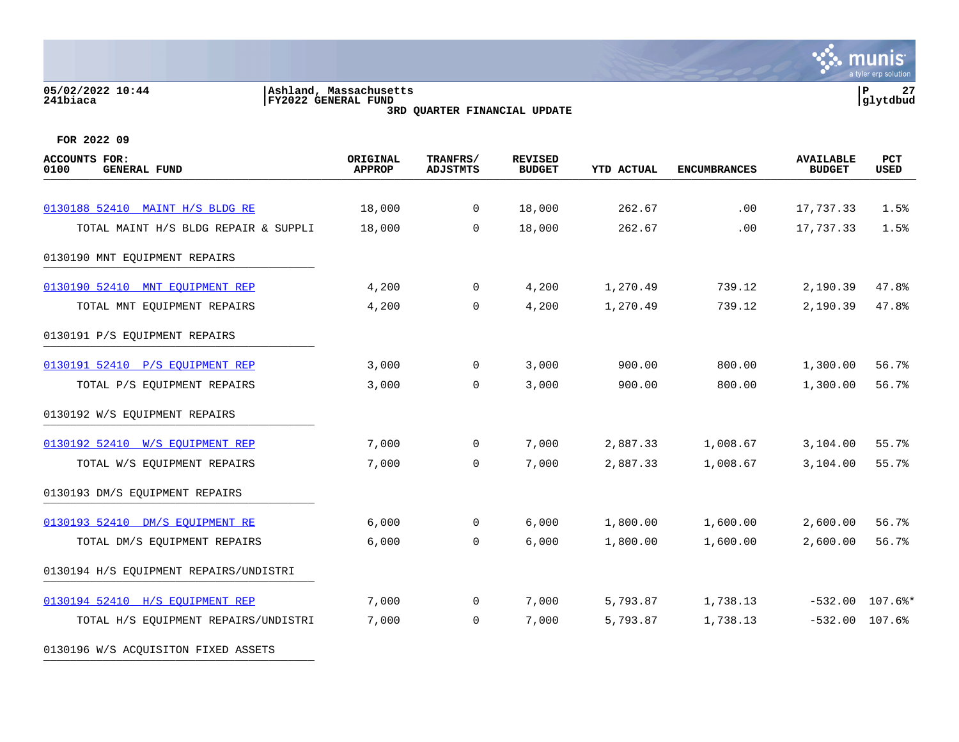#### **05/02/2022 10:44 |Ashland, Massachusetts |P 27 241biaca |FY2022 GENERAL FUND |glytdbud 3RD QUARTER FINANCIAL UPDATE**



**FOR 2022 09**

| ORIGINAL<br><b>APPROP</b> | TRANFRS/<br><b>ADJSTMTS</b> | <b>REVISED</b><br><b>BUDGET</b> | YTD ACTUAL | <b>ENCUMBRANCES</b> | <b>AVAILABLE</b><br><b>BUDGET</b> | PCT<br>USED |
|---------------------------|-----------------------------|---------------------------------|------------|---------------------|-----------------------------------|-------------|
|                           |                             |                                 |            |                     |                                   |             |
| 18,000                    | $\overline{0}$              | 18,000                          | 262.67     | .00                 | 17,737.33                         | 1.5%        |
| 18,000                    | $\Omega$                    | 18,000                          | 262.67     | .00                 | 17,737.33                         | 1.5%        |
|                           |                             |                                 |            |                     |                                   |             |
| 4,200                     | $\mathsf{O}$                | 4,200                           | 1,270.49   | 739.12              | 2,190.39                          | 47.8%       |
| 4,200                     | $\mathbf{0}$                | 4,200                           | 1,270.49   | 739.12              | 2,190.39                          | 47.8%       |
|                           |                             |                                 |            |                     |                                   |             |
| 3,000                     | $\overline{0}$              | 3,000                           | 900.00     | 800.00              | 1,300.00                          | 56.7%       |
| 3,000                     | $\mathbf 0$                 | 3,000                           | 900.00     | 800.00              | 1,300.00                          | 56.7%       |
|                           |                             |                                 |            |                     |                                   |             |
| 7,000                     | 0                           | 7,000                           | 2,887.33   | 1,008.67            | 3,104.00                          | 55.7%       |
| 7,000                     | $\mathbf 0$                 | 7,000                           | 2,887.33   | 1,008.67            | 3,104.00                          | 55.7%       |
|                           |                             |                                 |            |                     |                                   |             |
| 6,000                     | 0                           | 6,000                           | 1,800.00   | 1,600.00            | 2,600.00                          | 56.7%       |
| 6,000                     | $\mathbf 0$                 | 6,000                           | 1,800.00   | 1,600.00            | 2,600.00                          | 56.7%       |
|                           |                             |                                 |            |                     |                                   |             |
| 7,000                     | $\overline{0}$              | 7,000                           | 5,793.87   | 1,738.13            | $-532.00$                         | $107.6$ $*$ |
| 7,000                     | 0                           | 7,000                           | 5,793.87   | 1,738.13            | $-532.00$                         | 107.6%      |
|                           |                             |                                 |            |                     |                                   |             |

0130196 W/S ACQUISITON FIXED ASSETS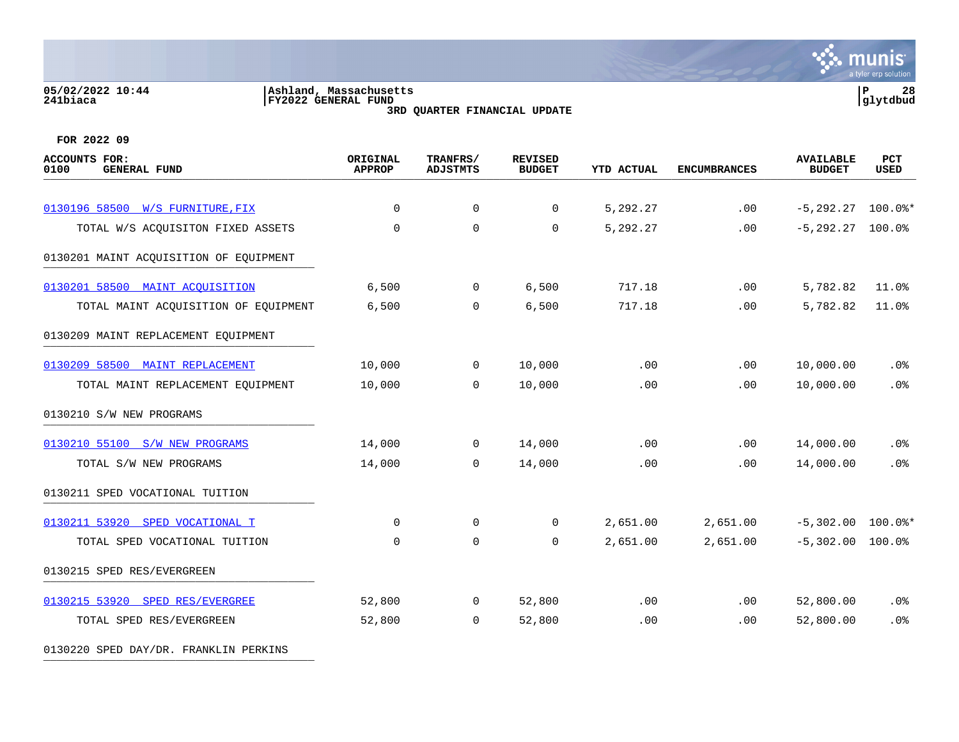#### **05/02/2022 10:44 |Ashland, Massachusetts |P 28 241biaca |FY2022 GENERAL FUND |glytdbud 3RD QUARTER FINANCIAL UPDATE**



**FOR 2022 09**

| <b>ACCOUNTS FOR:</b><br>0100<br><b>GENERAL FUND</b> | ORIGINAL<br><b>APPROP</b> | TRANFRS/<br><b>ADJSTMTS</b> | <b>REVISED</b><br><b>BUDGET</b> | <b>YTD ACTUAL</b> | <b>ENCUMBRANCES</b> | <b>AVAILABLE</b><br><b>BUDGET</b> | PCT<br><b>USED</b> |
|-----------------------------------------------------|---------------------------|-----------------------------|---------------------------------|-------------------|---------------------|-----------------------------------|--------------------|
| 0130196 58500 W/S FURNITURE, FIX                    | $\mathbf 0$               | $\mathsf{O}$                | 0                               | 5,292.27          | .00                 | $-5, 292.27$                      | $100.0$ $*$        |
| TOTAL W/S ACQUISITON FIXED ASSETS                   | $\mathbf 0$               | $\mathbf 0$                 | 0                               | 5,292.27          | .00                 | $-5, 292, 27$                     | 100.0%             |
| 0130201 MAINT ACQUISITION OF EQUIPMENT              |                           |                             |                                 |                   |                     |                                   |                    |
| 0130201 58500 MAINT ACOUISITION                     | 6,500                     | 0                           | 6,500                           | 717.18            | .00                 | 5,782.82                          | 11.0%              |
| TOTAL MAINT ACQUISITION OF EQUIPMENT                | 6,500                     | $\mathbf 0$                 | 6,500                           | 717.18            | .00                 | 5,782.82                          | 11.0%              |
| 0130209 MAINT REPLACEMENT EQUIPMENT                 |                           |                             |                                 |                   |                     |                                   |                    |
| 0130209 58500 MAINT REPLACEMENT                     | 10,000                    | $\mathbf 0$                 | 10,000                          | .00               | .00                 | 10,000.00                         | .0%                |
| TOTAL MAINT REPLACEMENT EQUIPMENT                   | 10,000                    | $\mathbf 0$                 | 10,000                          | .00               | .00                 | 10,000.00                         | .0%                |
| 0130210 S/W NEW PROGRAMS                            |                           |                             |                                 |                   |                     |                                   |                    |
| 0130210 55100 S/W NEW PROGRAMS                      | 14,000                    | $\mathbf 0$                 | 14,000                          | .00               | .00                 | 14,000.00                         | .0%                |
| TOTAL S/W NEW PROGRAMS                              | 14,000                    | $\Omega$                    | 14,000                          | .00               | .00                 | 14,000.00                         | .0%                |
| 0130211 SPED VOCATIONAL TUITION                     |                           |                             |                                 |                   |                     |                                   |                    |
| 0130211 53920 SPED VOCATIONAL T                     | $\Omega$                  | $\mathbf 0$                 | $\Omega$                        | 2,651.00          | 2,651.00            | $-5,302.00$                       | $100.0$ $*$        |
| TOTAL SPED VOCATIONAL TUITION                       | $\mathbf 0$               | $\mathbf 0$                 | 0                               | 2,651.00          | 2,651.00            | $-5,302.00$                       | 100.0%             |
| 0130215 SPED RES/EVERGREEN                          |                           |                             |                                 |                   |                     |                                   |                    |
| 0130215 53920 SPED RES/EVERGREE                     | 52,800                    | $\mathbf 0$                 | 52,800                          | .00               | .00                 | 52,800.00                         | .0%                |
| TOTAL SPED RES/EVERGREEN                            | 52,800                    | $\mathbf 0$                 | 52,800                          | .00               | .00                 | 52,800.00                         | .0%                |

0130220 SPED DAY/DR. FRANKLIN PERKINS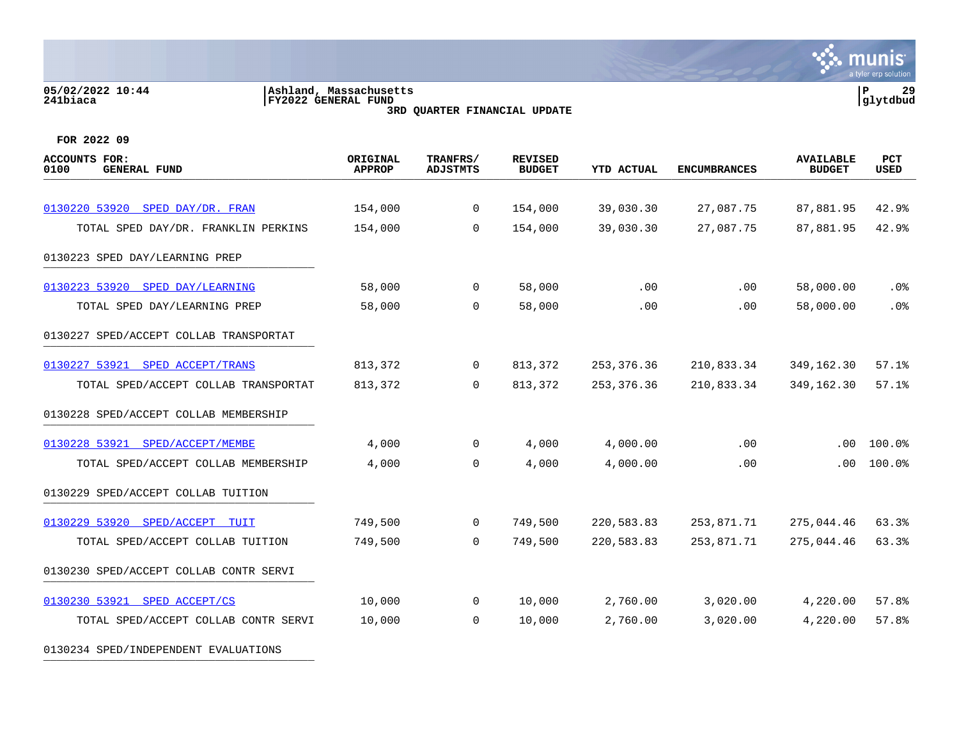## **05/02/2022 10:44 |Ashland, Massachusetts |P 29 241biaca |FY2022 GENERAL FUND |glytdbud**

 $\ddot{\ddot{\mathbf{u}}}$  munis a tyler erp solution

**3RD QUARTER FINANCIAL UPDATE**

| <b>ACCOUNTS FOR:</b><br>0100<br><b>GENERAL FUND</b> | ORIGINAL<br><b>APPROP</b> | TRANFRS/<br><b>ADJSTMTS</b> | <b>REVISED</b><br><b>BUDGET</b> | <b>YTD ACTUAL</b> | <b>ENCUMBRANCES</b> | <b>AVAILABLE</b><br><b>BUDGET</b> | PCT<br><b>USED</b> |
|-----------------------------------------------------|---------------------------|-----------------------------|---------------------------------|-------------------|---------------------|-----------------------------------|--------------------|
|                                                     |                           |                             |                                 |                   |                     |                                   |                    |
| 0130220 53920 SPED DAY/DR. FRAN                     | 154,000                   | $\mathbf{0}$                | 154,000                         | 39,030.30         | 27,087.75           | 87,881.95                         | 42.9%              |
| TOTAL SPED DAY/DR. FRANKLIN PERKINS                 | 154,000                   | $\Omega$                    | 154,000                         | 39,030.30         | 27,087.75           | 87,881.95                         | 42.9%              |
| 0130223 SPED DAY/LEARNING PREP                      |                           |                             |                                 |                   |                     |                                   |                    |
| 0130223 53920 SPED DAY/LEARNING                     | 58,000                    | 0                           | 58,000                          | .00               | .00                 | 58,000.00                         | $.0\%$             |
| TOTAL SPED DAY/LEARNING PREP                        | 58,000                    | $\Omega$                    | 58,000                          | .00               | .00                 | 58,000.00                         | .0%                |
| 0130227 SPED/ACCEPT COLLAB TRANSPORTAT              |                           |                             |                                 |                   |                     |                                   |                    |
| 0130227 53921 SPED ACCEPT/TRANS                     | 813,372                   | $\mathbf{0}$                | 813,372                         | 253, 376.36       | 210,833.34          | 349,162.30                        | 57.1%              |
| TOTAL SPED/ACCEPT COLLAB TRANSPORTAT                | 813,372                   | $\mathbf 0$                 | 813,372                         | 253, 376. 36      | 210,833.34          | 349,162.30                        | 57.1%              |
| 0130228 SPED/ACCEPT COLLAB MEMBERSHIP               |                           |                             |                                 |                   |                     |                                   |                    |
| 0130228 53921 SPED/ACCEPT/MEMBE                     | 4,000                     | 0                           | 4,000                           | 4,000.00          | .00                 | .00                               | 100.0%             |
| TOTAL SPED/ACCEPT COLLAB MEMBERSHIP                 | 4,000                     | $\mathbf 0$                 | 4,000                           | 4,000.00          | .00                 | .00.                              | 100.0%             |
| 0130229 SPED/ACCEPT COLLAB TUITION                  |                           |                             |                                 |                   |                     |                                   |                    |
| 0130229 53920 SPED/ACCEPT TUIT                      | 749,500                   | $\mathbf 0$                 | 749,500                         | 220,583.83        | 253,871.71          | 275,044.46                        | 63.3%              |
| TOTAL SPED/ACCEPT COLLAB TUITION                    | 749,500                   | $\overline{0}$              | 749,500                         | 220,583.83        | 253,871.71          | 275,044.46                        | 63.3%              |
| 0130230 SPED/ACCEPT COLLAB CONTR SERVI              |                           |                             |                                 |                   |                     |                                   |                    |
| 0130230 53921 SPED ACCEPT/CS                        | 10,000                    | 0                           | 10,000                          | 2,760.00          | 3,020.00            | 4,220.00                          | 57.8%              |
| TOTAL SPED/ACCEPT COLLAB CONTR SERVI                | 10,000                    | $\overline{0}$              | 10,000                          | 2,760.00          | 3,020.00            | 4,220.00                          | 57.8%              |
| 0130234 SPED/INDEPENDENT EVALUATIONS                |                           |                             |                                 |                   |                     |                                   |                    |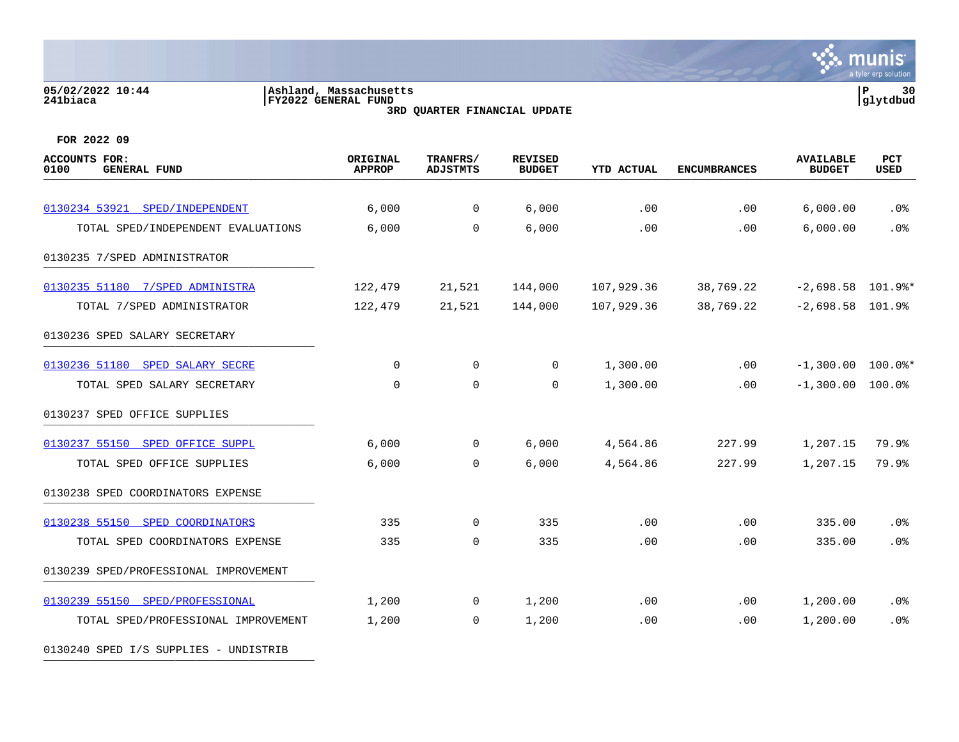#### **05/02/2022 10:44 |Ashland, Massachusetts |P 30 241biaca |FY2022 GENERAL FUND |glytdbud 3RD QUARTER FINANCIAL UPDATE**



**FOR 2022 09**

| <b>ACCOUNTS FOR:</b><br><b>GENERAL FUND</b><br>0100 | ORIGINAL<br><b>APPROP</b> | TRANFRS/<br><b>ADJSTMTS</b> | <b>REVISED</b><br><b>BUDGET</b> | <b>YTD ACTUAL</b> | <b>ENCUMBRANCES</b> | <b>AVAILABLE</b><br><b>BUDGET</b> | <b>PCT</b><br>USED |
|-----------------------------------------------------|---------------------------|-----------------------------|---------------------------------|-------------------|---------------------|-----------------------------------|--------------------|
| 0130234 53921 SPED/INDEPENDENT                      | 6,000                     | 0                           | 6,000                           | .00               | .00                 | 6,000.00                          | .0 <sub>8</sub>    |
| TOTAL SPED/INDEPENDENT EVALUATIONS                  | 6,000                     | $\mathbf 0$                 | 6,000                           | .00               | .00                 | 6,000.00                          | .0%                |
| 0130235 7/SPED ADMINISTRATOR                        |                           |                             |                                 |                   |                     |                                   |                    |
| 0130235 51180 7/SPED ADMINISTRA                     | 122,479                   | 21,521                      | 144,000                         | 107,929.36        | 38,769.22           | $-2,698.58$ 101.9%*               |                    |
| TOTAL 7/SPED ADMINISTRATOR                          | 122,479                   | 21,521                      | 144,000                         | 107,929.36        | 38,769.22           | $-2,698.58$ 101.9%                |                    |
| 0130236 SPED SALARY SECRETARY                       |                           |                             |                                 |                   |                     |                                   |                    |
| 0130236 51180 SPED SALARY SECRE                     | 0                         | $\mathbf 0$                 | 0                               | 1,300.00          | .00                 | $-1,300.00$ $100.0$ *             |                    |
| TOTAL SPED SALARY SECRETARY                         | $\mathbf 0$               | $\mathbf 0$                 | 0                               | 1,300.00          | .00                 | $-1,300.00$                       | 100.0%             |
| 0130237 SPED OFFICE SUPPLIES                        |                           |                             |                                 |                   |                     |                                   |                    |
| 0130237 55150 SPED OFFICE SUPPL                     | 6,000                     | $\mathbf 0$                 | 6,000                           | 4,564.86          | 227.99              | 1,207.15                          | 79.9%              |
| TOTAL SPED OFFICE SUPPLIES                          | 6,000                     | $\mathbf 0$                 | 6,000                           | 4,564.86          | 227.99              | 1,207.15                          | 79.9%              |
| 0130238 SPED COORDINATORS EXPENSE                   |                           |                             |                                 |                   |                     |                                   |                    |
| 0130238 55150 SPED COORDINATORS                     | 335                       | $\mathbf 0$                 | 335                             | .00               | .00                 | 335.00                            | .0%                |
| TOTAL SPED COORDINATORS EXPENSE                     | 335                       | $\mathbf 0$                 | 335                             | .00               | .00                 | 335.00                            | .0%                |
| 0130239 SPED/PROFESSIONAL IMPROVEMENT               |                           |                             |                                 |                   |                     |                                   |                    |
| 0130239 55150 SPED/PROFESSIONAL                     | 1,200                     | 0                           | 1,200                           | .00               | .00                 | 1,200.00                          | .0%                |
| TOTAL SPED/PROFESSIONAL IMPROVEMENT                 | 1,200                     | $\mathbf 0$                 | 1,200                           | .00               | .00                 | 1,200.00                          | .0%                |

0130240 SPED I/S SUPPLIES - UNDISTRIB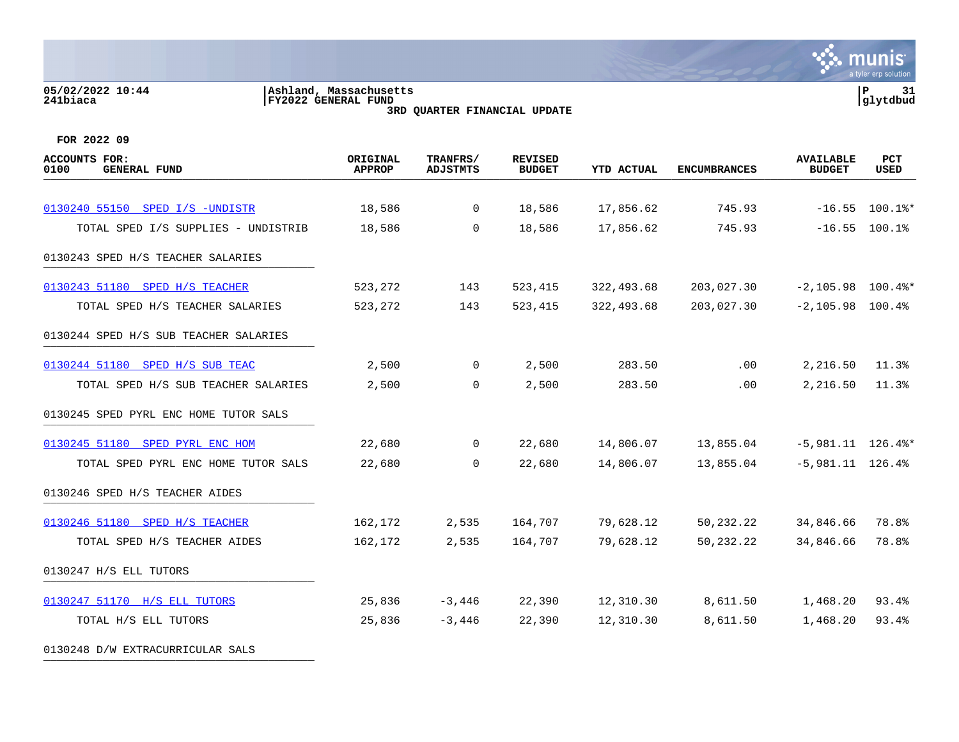#### **05/02/2022 10:44 |Ashland, Massachusetts |P 31 241biaca |FY2022 GENERAL FUND |glytdbud 3RD QUARTER FINANCIAL UPDATE**



**FOR 2022 09**

| <b>ACCOUNTS FOR:</b><br><b>GENERAL FUND</b><br>0100 | ORIGINAL<br><b>APPROP</b> | TRANFRS/<br><b>ADJSTMTS</b> | <b>REVISED</b><br><b>BUDGET</b> | <b>YTD ACTUAL</b> | <b>ENCUMBRANCES</b> | <b>AVAILABLE</b><br><b>BUDGET</b> | <b>PCT</b><br>USED |
|-----------------------------------------------------|---------------------------|-----------------------------|---------------------------------|-------------------|---------------------|-----------------------------------|--------------------|
|                                                     |                           |                             |                                 |                   |                     |                                   |                    |
| 0130240 55150 SPED I/S -UNDISTR                     | 18,586                    | $\overline{0}$              | 18,586                          | 17,856.62         | 745.93              |                                   | $-16.55$ 100.1%*   |
| TOTAL SPED I/S SUPPLIES - UNDISTRIB                 | 18,586                    | $\Omega$                    | 18,586                          | 17,856.62         | 745.93              |                                   | $-16.55$ 100.1%    |
| 0130243 SPED H/S TEACHER SALARIES                   |                           |                             |                                 |                   |                     |                                   |                    |
| 0130243 51180 SPED H/S TEACHER                      | 523,272                   | 143                         | 523,415                         | 322,493.68        | 203,027.30          | $-2,105.98$ 100.4%*               |                    |
| TOTAL SPED H/S TEACHER SALARIES                     | 523,272                   | 143                         | 523,415                         | 322,493.68        | 203,027.30          | $-2,105.98$ 100.4%                |                    |
| 0130244 SPED H/S SUB TEACHER SALARIES               |                           |                             |                                 |                   |                     |                                   |                    |
| 0130244 51180 SPED H/S SUB TEAC                     | 2,500                     | $\overline{0}$              | 2,500                           | 283.50            | .00                 | 2,216.50                          | 11.3%              |
| TOTAL SPED H/S SUB TEACHER SALARIES                 | 2,500                     | $\overline{0}$              | 2,500                           | 283.50            | .00                 | 2,216.50                          | 11.3%              |
| 0130245 SPED PYRL ENC HOME TUTOR SALS               |                           |                             |                                 |                   |                     |                                   |                    |
| 0130245 51180 SPED PYRL ENC HOM                     | 22,680                    | $\overline{0}$              | 22,680                          | 14,806.07         | 13,855.04           | $-5,981.11$ 126.4%*               |                    |
| TOTAL SPED PYRL ENC HOME TUTOR SALS                 | 22,680                    | $\Omega$                    | 22,680                          | 14,806.07         | 13,855.04           | $-5,981.11$ 126.4%                |                    |
| 0130246 SPED H/S TEACHER AIDES                      |                           |                             |                                 |                   |                     |                                   |                    |
| 0130246 51180 SPED H/S TEACHER                      | 162,172                   | 2,535                       | 164,707                         | 79,628.12         | 50,232.22           | 34,846.66                         | 78.8%              |
| TOTAL SPED H/S TEACHER AIDES                        | 162,172                   | 2,535                       | 164,707                         | 79,628.12         | 50, 232. 22         | 34,846.66                         | 78.8%              |
| 0130247 H/S ELL TUTORS                              |                           |                             |                                 |                   |                     |                                   |                    |
| 0130247 51170 H/S ELL TUTORS                        | 25,836                    | $-3,446$                    | 22,390                          | 12,310.30         | 8,611.50            | 1,468.20                          | 93.4%              |
| TOTAL H/S ELL TUTORS                                | 25,836                    | $-3,446$                    | 22,390                          | 12,310.30         | 8,611.50            | 1,468.20                          | 93.4%              |
|                                                     |                           |                             |                                 |                   |                     |                                   |                    |

0130248 D/W EXTRACURRICULAR SALS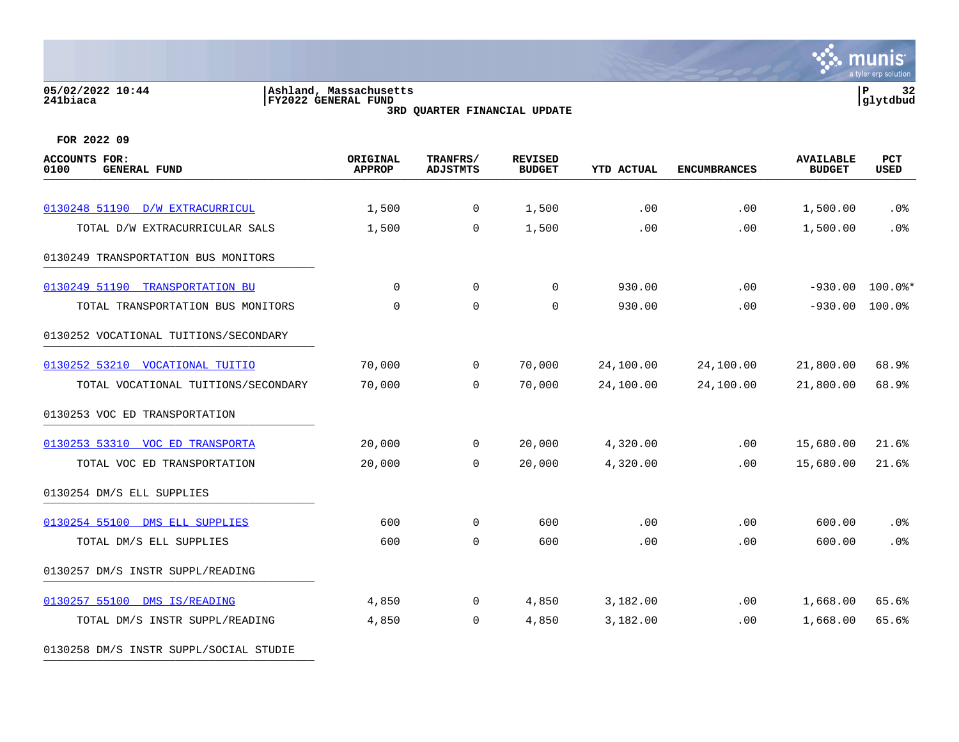#### **05/02/2022 10:44 |Ashland, Massachusetts |P 32 241biaca |FY2022 GENERAL FUND |glytdbud 3RD QUARTER FINANCIAL UPDATE**



**FOR 2022 09**

| <b>ACCOUNTS FOR:</b><br><b>GENERAL FUND</b><br>0100 | ORIGINAL<br><b>APPROP</b> | TRANFRS/<br><b>ADJSTMTS</b> | <b>REVISED</b><br><b>BUDGET</b> | <b>YTD ACTUAL</b> | <b>ENCUMBRANCES</b> | <b>AVAILABLE</b><br><b>BUDGET</b> | PCT<br><b>USED</b> |
|-----------------------------------------------------|---------------------------|-----------------------------|---------------------------------|-------------------|---------------------|-----------------------------------|--------------------|
| 0130248 51190 D/W EXTRACURRICUL                     | 1,500                     | 0                           | 1,500                           | .00               | .00                 | 1,500.00                          | .0%                |
| TOTAL D/W EXTRACURRICULAR SALS                      | 1,500                     | $\mathbf 0$                 | 1,500                           | .00               | .00                 | 1,500.00                          | .0%                |
|                                                     |                           |                             |                                 |                   |                     |                                   |                    |
| 0130249 TRANSPORTATION BUS MONITORS                 |                           |                             |                                 |                   |                     |                                   |                    |
| 0130249 51190<br><b>TRANSPORTATION BU</b>           | 0                         | 0                           | 0                               | 930.00            | .00                 | $-930.00$                         | $100.0$ *          |
| TOTAL TRANSPORTATION BUS MONITORS                   | 0                         | 0                           | 0                               | 930.00            | .00                 | $-930.00$                         | 100.0%             |
| 0130252 VOCATIONAL TUITIONS/SECONDARY               |                           |                             |                                 |                   |                     |                                   |                    |
| 0130252 53210<br><b>VOCATIONAL TUITIO</b>           | 70,000                    | $\mathbf 0$                 | 70,000                          | 24,100.00         | 24,100.00           | 21,800.00                         | 68.9%              |
| TOTAL VOCATIONAL TUITIONS/SECONDARY                 | 70,000                    | $\Omega$                    | 70,000                          | 24,100.00         | 24,100.00           | 21,800.00                         | 68.9%              |
| 0130253 VOC ED TRANSPORTATION                       |                           |                             |                                 |                   |                     |                                   |                    |
| 0130253 53310<br>VOC ED TRANSPORTA                  | 20,000                    | $\mathbf 0$                 | 20,000                          | 4,320.00          | .00                 | 15,680.00                         | 21.6%              |
| TOTAL VOC ED TRANSPORTATION                         | 20,000                    | 0                           | 20,000                          | 4,320.00          | .00                 | 15,680.00                         | 21.6%              |
| 0130254 DM/S ELL SUPPLIES                           |                           |                             |                                 |                   |                     |                                   |                    |
| 0130254 55100 DMS ELL SUPPLIES                      | 600                       | 0                           | 600                             | .00               | .00                 | 600.00                            | .0%                |
| TOTAL DM/S ELL SUPPLIES                             | 600                       | $\mathbf 0$                 | 600                             | .00               | .00                 | 600.00                            | .0%                |
| 0130257 DM/S INSTR SUPPL/READING                    |                           |                             |                                 |                   |                     |                                   |                    |
| 0130257 55100<br>DMS IS/READING                     | 4,850                     | 0                           | 4,850                           | 3,182.00          | .00                 | 1,668.00                          | 65.6%              |
| TOTAL DM/S INSTR SUPPL/READING                      | 4,850                     | 0                           | 4,850                           | 3,182.00          | .00                 | 1,668.00                          | 65.6%              |
|                                                     |                           |                             |                                 |                   |                     |                                   |                    |

0130258 DM/S INSTR SUPPL/SOCIAL STUDIE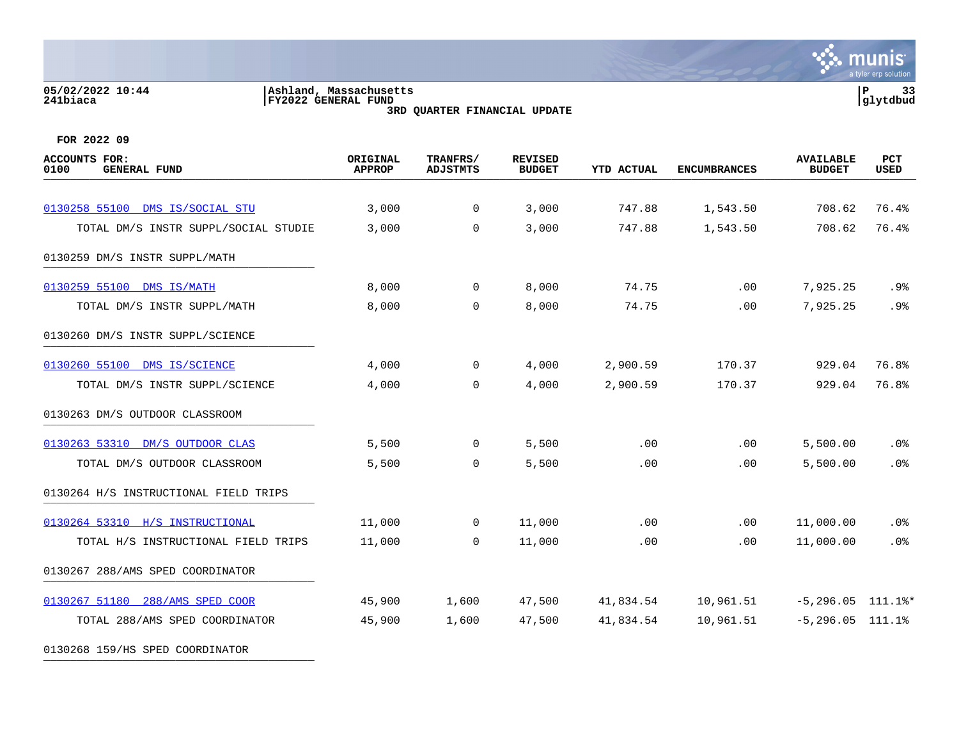## **05/02/2022 10:44 |Ashland, Massachusetts |P 33 241biaca |FY2022 GENERAL FUND |glytdbud**



**3RD QUARTER FINANCIAL UPDATE**

**FOR 2022 09**

0130268 159/HS SPED COORDINATOR

| <b>ACCOUNTS FOR:</b><br>0100<br><b>GENERAL FUND</b> | ORIGINAL<br><b>APPROP</b> | TRANFRS/<br><b>ADJSTMTS</b> | <b>REVISED</b><br><b>BUDGET</b> | <b>YTD ACTUAL</b> | <b>ENCUMBRANCES</b> | <b>AVAILABLE</b><br><b>BUDGET</b> | PCT<br><b>USED</b> |
|-----------------------------------------------------|---------------------------|-----------------------------|---------------------------------|-------------------|---------------------|-----------------------------------|--------------------|
| 0130258 55100 DMS IS/SOCIAL STU                     | 3,000                     | $\overline{0}$              | 3,000                           | 747.88            | 1,543.50            | 708.62                            | 76.4%              |
| TOTAL DM/S INSTR SUPPL/SOCIAL STUDIE                | 3,000                     | $\Omega$                    | 3,000                           | 747.88            | 1,543.50            | 708.62                            | 76.4%              |
| 0130259 DM/S INSTR SUPPL/MATH                       |                           |                             |                                 |                   |                     |                                   |                    |
| 0130259 55100 DMS IS/MATH                           | 8,000                     | $\overline{0}$              | 8,000                           | 74.75             | .00                 | 7,925.25                          | .9%                |
| TOTAL DM/S INSTR SUPPL/MATH                         | 8,000                     | $\Omega$                    | 8,000                           | 74.75             | .00                 | 7,925.25                          | .9%                |
| 0130260 DM/S INSTR SUPPL/SCIENCE                    |                           |                             |                                 |                   |                     |                                   |                    |
| 0130260 55100 DMS IS/SCIENCE                        | 4,000                     | $\overline{0}$              | 4,000                           | 2,900.59          | 170.37              | 929.04                            | 76.8%              |
| TOTAL DM/S INSTR SUPPL/SCIENCE                      | 4,000                     | $\mathbf 0$                 | 4,000                           | 2,900.59          | 170.37              | 929.04                            | 76.8%              |
| 0130263 DM/S OUTDOOR CLASSROOM                      |                           |                             |                                 |                   |                     |                                   |                    |
| 0130263 53310 DM/S OUTDOOR CLAS                     | 5,500                     | $\mathbf 0$                 | 5,500                           | .00               | .00                 | 5,500.00                          | $.0\%$             |
| TOTAL DM/S OUTDOOR CLASSROOM                        | 5,500                     | $\mathbf 0$                 | 5,500                           | .00               | .00                 | 5,500.00                          | .0%                |
| 0130264 H/S INSTRUCTIONAL FIELD TRIPS               |                           |                             |                                 |                   |                     |                                   |                    |
| 0130264 53310 H/S INSTRUCTIONAL                     | 11,000                    | $\mathbf 0$                 | 11,000                          | .00               | .00                 | 11,000.00                         | $.0\%$             |
| TOTAL H/S INSTRUCTIONAL FIELD TRIPS                 | 11,000                    | $\mathbf 0$                 | 11,000                          | .00               | .00                 | 11,000.00                         | .0%                |
| 0130267 288/AMS SPED COORDINATOR                    |                           |                             |                                 |                   |                     |                                   |                    |
| 0130267 51180 288/AMS SPED COOR                     | 45,900                    | 1,600                       | 47,500                          | 41,834.54         | 10,961.51           | $-5, 296.05$ 111.1%*              |                    |
| TOTAL 288/AMS SPED COORDINATOR                      | 45,900                    | 1,600                       | 47,500                          | 41,834.54         | 10,961.51           | $-5, 296.05$ 111.1%               |                    |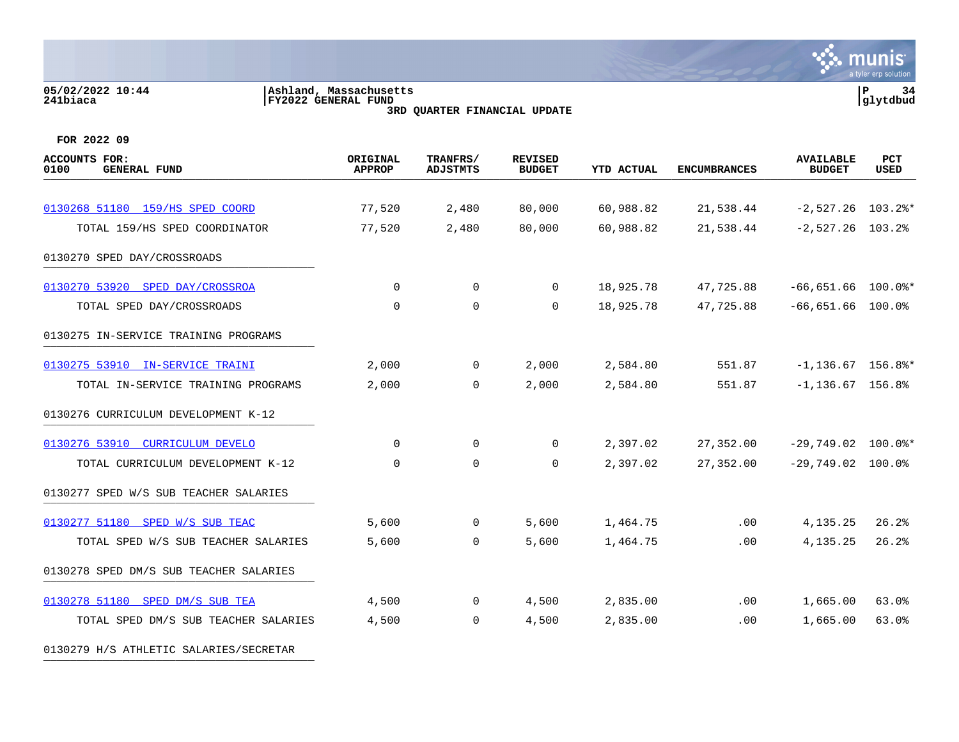#### **05/02/2022 10:44 |Ashland, Massachusetts |P 34 241biaca |FY2022 GENERAL FUND |glytdbud 3RD QUARTER FINANCIAL UPDATE**



**FOR 2022 09**

0130279 H/S ATHLETIC SALARIES/SECRETAR

| <b>ACCOUNTS FOR:</b><br>0100<br><b>GENERAL FUND</b> | ORIGINAL<br><b>APPROP</b> | TRANFRS/<br><b>ADJSTMTS</b> | <b>REVISED</b><br><b>BUDGET</b> | <b>YTD ACTUAL</b> | <b>ENCUMBRANCES</b> | <b>AVAILABLE</b><br><b>BUDGET</b> | <b>PCT</b><br><b>USED</b> |
|-----------------------------------------------------|---------------------------|-----------------------------|---------------------------------|-------------------|---------------------|-----------------------------------|---------------------------|
| 0130268 51180 159/HS SPED COORD                     | 77,520                    | 2,480                       | 80,000                          | 60,988.82         | 21,538.44           | $-2,527.26$ 103.2%*               |                           |
| TOTAL 159/HS SPED COORDINATOR                       | 77,520                    | 2,480                       | 80,000                          | 60,988.82         | 21,538.44           | $-2,527.26$ 103.2%                |                           |
|                                                     |                           |                             |                                 |                   |                     |                                   |                           |
| 0130270 SPED DAY/CROSSROADS                         |                           |                             |                                 |                   |                     |                                   |                           |
| 0130270 53920 SPED DAY/CROSSROA                     | 0                         | $\overline{0}$              | $\overline{0}$                  | 18,925.78         | 47,725.88           | $-66,651.66$ 100.0%*              |                           |
| TOTAL SPED DAY/CROSSROADS                           | $\mathbf 0$               | $\mathbf 0$                 | $\Omega$                        | 18,925.78         | 47,725.88           | $-66,651.66$ 100.0%               |                           |
| 0130275 IN-SERVICE TRAINING PROGRAMS                |                           |                             |                                 |                   |                     |                                   |                           |
| 0130275 53910 IN-SERVICE TRAINI                     | 2,000                     | $\overline{0}$              | 2,000                           | 2,584.80          | 551.87              | $-1, 136.67$ 156.8%*              |                           |
| TOTAL IN-SERVICE TRAINING PROGRAMS                  | 2,000                     | $\Omega$                    | 2,000                           | 2,584.80          | 551.87              | $-1,136.67$ 156.8%                |                           |
| 0130276 CURRICULUM DEVELOPMENT K-12                 |                           |                             |                                 |                   |                     |                                   |                           |
| 0130276 53910 CURRICULUM DEVELO                     | $\mathbf 0$               | $\mathbf 0$                 | $\mathbf 0$                     | 2,397.02          | 27,352.00           | $-29,749.02$ 100.0%*              |                           |
| TOTAL CURRICULUM DEVELOPMENT K-12                   | $\mathbf 0$               | $\mathbf 0$                 | 0                               | 2,397.02          | 27,352.00           | $-29,749.02$ 100.0%               |                           |
| 0130277 SPED W/S SUB TEACHER SALARIES               |                           |                             |                                 |                   |                     |                                   |                           |
| 0130277 51180 SPED W/S SUB TEAC                     | 5,600                     | $\overline{0}$              | 5,600                           | 1,464.75          | .00                 | 4, 135. 25                        | 26.2%                     |
| TOTAL SPED W/S SUB TEACHER SALARIES                 | 5,600                     | $\mathbf 0$                 | 5,600                           | 1,464.75          | .00                 | 4, 135. 25                        | 26.2%                     |
| 0130278 SPED DM/S SUB TEACHER SALARIES              |                           |                             |                                 |                   |                     |                                   |                           |
| 0130278 51180 SPED DM/S SUB TEA                     | 4,500                     | $\overline{0}$              | 4,500                           | 2,835.00          | $.00 \,$            | 1,665.00                          | 63.0%                     |
| TOTAL SPED DM/S SUB TEACHER SALARIES                | 4,500                     | $\mathbf 0$                 | 4,500                           | 2,835.00          | .00                 | 1,665.00                          | 63.0%                     |
|                                                     |                           |                             |                                 |                   |                     |                                   |                           |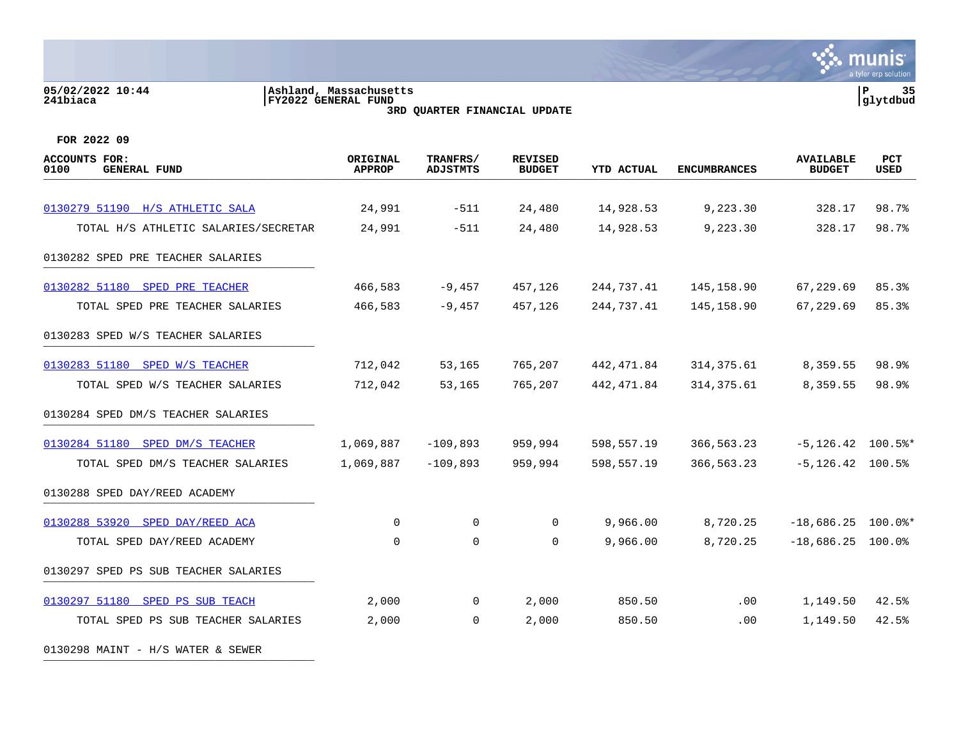**05/02/2022 10:44 |Ashland, Massachusetts |P 35 241biaca |FY2022 GENERAL FUND |glytdbud 3RD QUARTER FINANCIAL UPDATE FOR 2022 09 ACCOUNTS FOR: ORIGINAL TRANFRS/ REVISED AVAILABLE PCT 0100 GENERAL FUND APPROP ADJSTMTS BUDGET YTD ACTUAL ENCUMBRANCES BUDGET USED** arrive demension code and the second code of the condition of the code of the condition of the code of the code of the code of the code of the code of the code of the code of the code of the code of the code of the code of [0130279 51190 H/S ATHLETIC SALA](https://yvwlndash063.tylertech.com/sites/mu0241/LIVE/_layouts/15/DashboardMunisV6.3/PassThru.aspx?-E=VZOWCvT8wfWr7ZxodERquHIckuVpWYX1OVolQjdB4Y0N0TYsqMwMKMRqSGQWyM5j&) 24,991 -511 24,480 14,928.53 9,223.30 328.17 98.7% TOTAL H/S ATHLETIC SALARIES/SECRETAR 24,991 -511 24,480 14,928.53 9.223.30 328.17 98.7% 0130282 SPED PRE TEACHER SALARIES [0130282 51180 SPED PRE TEACHER](https://yvwlndash063.tylertech.com/sites/mu0241/LIVE/_layouts/15/DashboardMunisV6.3/PassThru.aspx?-E=%2B6zUYb/dD4pSVWT2VP%2BR0P0Q7IWhE0/seV18w0q1xQiV5iT1oFTqofAEdv%2B3Paap&) 466,583 -9,457 457,126 244,737.41 145,158.90 67,229.69 85.3% TOTAL SPED PRE TEACHER SALARIES 466,583 -9,457 457,126 244,737.41 145,158.90 67,229.69 85.3% 0130283 SPED W/S TEACHER SALARIES [0130283 51180 SPED W/S TEACHER](https://yvwlndash063.tylertech.com/sites/mu0241/LIVE/_layouts/15/DashboardMunisV6.3/PassThru.aspx?-E=eU7XQfbhL0mzZpzZw552BWCD1amIjp%2BcNLuzLd7xyWRQPde6J4aKVfUsZBdtcvjU&) 712,042 53,165 765,207 442,471.84 314,375.61 8,359.55 98.9% TOTAL SPED W/S TEACHER SALARIES 712,042 53,165 765,207 442,471.84 314,375.61 8,359.55 98.9% 0130284 SPED DM/S TEACHER SALARIES [0130284 51180 SPED DM/S TEACHER](https://yvwlndash063.tylertech.com/sites/mu0241/LIVE/_layouts/15/DashboardMunisV6.3/PassThru.aspx?-E=FBKu8mxeqSxqPANB8e2OXIjQlTnAo3c1QP42qhtHF5uKwXNnv/Y9qdJSzhCWS/0%2B&) 1,069,887 -109,893 959,994 598,557.19 366,563.23 -5,126.42 100.5%\* TOTAL SPED DM/S TEACHER SALARIES 1,069,887 -109,893 959,994 598,557.19 366,563.23 -5,126.42 100.5% 0130288 SPED DAY/REED ACADEMY \_\_\_\_\_\_\_\_\_\_\_\_\_\_\_\_\_\_\_\_\_\_\_\_\_\_\_\_\_\_\_\_\_\_\_\_\_\_\_\_\_ [0130288 53920 SPED DAY/REED ACA](https://yvwlndash063.tylertech.com/sites/mu0241/LIVE/_layouts/15/DashboardMunisV6.3/PassThru.aspx?-E=nn/6LXVHS/D/PxToV7XrrCfqR4/7xnCEv45tLe9%2Bu1sGxJaAMRGfwzJ2X%2B0CS2wk&) 0 0 0 9,966.00 8,720.25 -18,686.25 100.0%\* TOTAL SPED DAY/REED ACADEMY 0 0 0 9,966.00 8,720.25 -18,686.25 100.0%

munis a tyler erp solutior

TOTAL SPED PS SUB TEACHER SALARIES 2,000 0 2,000 850.50 .00 1,149.50 42.5%

0130297 SPED PS SUB TEACHER SALARIES

[0130297 51180 SPED PS SUB TEACH](https://yvwlndash063.tylertech.com/sites/mu0241/LIVE/_layouts/15/DashboardMunisV6.3/PassThru.aspx?-E=jCUGQ1CVHfFjWVTFeIGG1wNrznIOohOd5LwjQC8LQF6XJd1h95oi3MyEB%2BI6yvYm&) 2.000 0 2.000 850.50 .00 1.149.50 42.5%

0130298 MAINT - H/S WATER & SEWER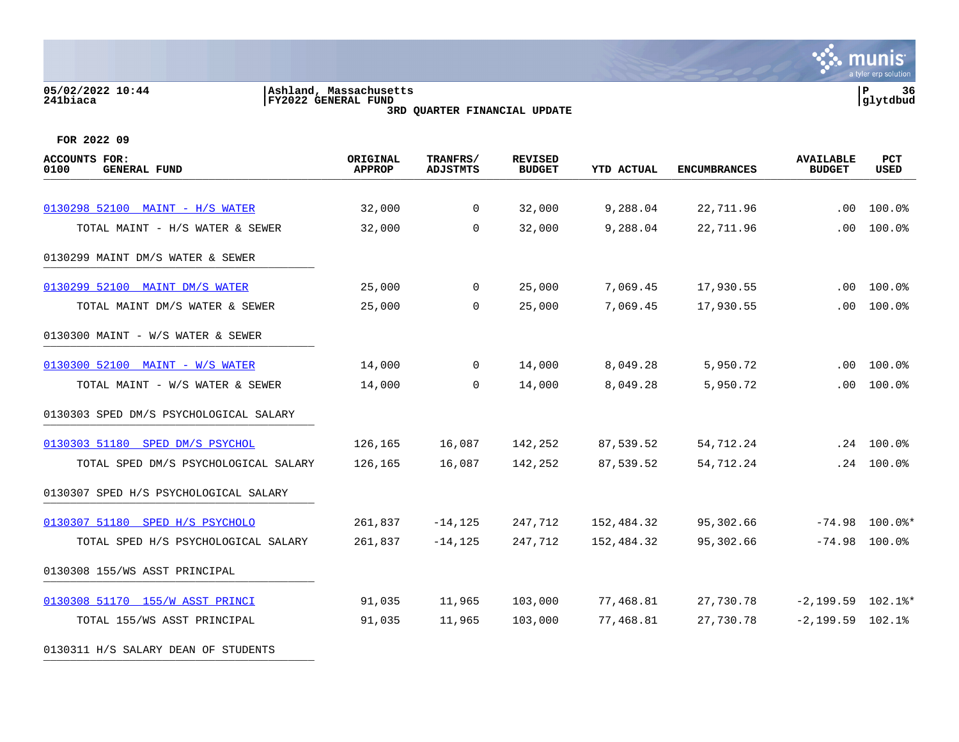#### **05/02/2022 10:44 |Ashland, Massachusetts |P 36 241biaca |FY2022 GENERAL FUND |glytdbud 3RD QUARTER FINANCIAL UPDATE**



| ACCOUNTS FOR:<br>0100<br><b>GENERAL FUND</b> | ORIGINAL<br><b>APPROP</b> | TRANFRS/<br><b>ADJSTMTS</b> | <b>REVISED</b><br><b>BUDGET</b> | <b>YTD ACTUAL</b> | <b>ENCUMBRANCES</b> | <b>AVAILABLE</b><br><b>BUDGET</b> | <b>PCT</b><br><b>USED</b> |
|----------------------------------------------|---------------------------|-----------------------------|---------------------------------|-------------------|---------------------|-----------------------------------|---------------------------|
|                                              |                           |                             |                                 |                   |                     |                                   |                           |
| 0130298 52100 MAINT - H/S WATER              | 32,000                    | $\overline{0}$              | 32,000                          | 9,288.04          | 22,711.96           | .00                               | 100.0%                    |
| TOTAL MAINT - H/S WATER & SEWER              | 32,000                    | $\Omega$                    | 32,000                          | 9,288.04          | 22,711.96           | .00                               | 100.0%                    |
| 0130299 MAINT DM/S WATER & SEWER             |                           |                             |                                 |                   |                     |                                   |                           |
| 0130299 52100 MAINT DM/S WATER               | 25,000                    | $\overline{0}$              | 25,000                          | 7,069.45          | 17,930.55           | $.00 \,$                          | 100.0%                    |
| TOTAL MAINT DM/S WATER & SEWER               | 25,000                    | $\mathbf 0$                 | 25,000                          | 7,069.45          | 17,930.55           | $.00 \,$                          | 100.0%                    |
| 0130300 MAINT - W/S WATER & SEWER            |                           |                             |                                 |                   |                     |                                   |                           |
| 0130300 52100 MAINT - W/S WATER              | 14,000                    | $\mathbf 0$                 | 14,000                          | 8,049.28          | 5,950.72            | $.00 \,$                          | 100.0%                    |
| TOTAL MAINT - W/S WATER & SEWER              | 14,000                    | 0                           | 14,000                          | 8,049.28          | 5,950.72            | .00                               | 100.0%                    |
| 0130303 SPED DM/S PSYCHOLOGICAL SALARY       |                           |                             |                                 |                   |                     |                                   |                           |
| 0130303 51180 SPED DM/S PSYCHOL              | 126,165                   | 16,087                      | 142,252                         | 87,539.52         | 54,712.24           |                                   | $.24$ 100.0%              |
| TOTAL SPED DM/S PSYCHOLOGICAL SALARY         | 126,165                   | 16,087                      | 142,252                         | 87,539.52         | 54,712.24           | .24                               | 100.0%                    |
| 0130307 SPED H/S PSYCHOLOGICAL SALARY        |                           |                             |                                 |                   |                     |                                   |                           |
| 0130307 51180 SPED H/S PSYCHOLO              | 261,837                   | $-14, 125$                  | 247,712                         | 152,484.32        | 95,302.66           | $-74.98$                          | 100.0%*                   |
| TOTAL SPED H/S PSYCHOLOGICAL SALARY          | 261,837                   | $-14, 125$                  | 247,712                         | 152,484.32        | 95,302.66           | $-74.98$                          | 100.0%                    |
| 0130308 155/WS ASST PRINCIPAL                |                           |                             |                                 |                   |                     |                                   |                           |
| 0130308 51170 155/W ASST PRINCI              | 91,035                    | 11,965                      | 103,000                         | 77,468.81         | 27,730.78           | $-2,199.59$ $102.1$ <sup>*</sup>  |                           |
| TOTAL 155/WS ASST PRINCIPAL                  | 91,035                    | 11,965                      | 103,000                         | 77,468.81         | 27,730.78           | $-2,199.59$ $102.1%$              |                           |
| 0130311 H/S SALARY DEAN OF STUDENTS          |                           |                             |                                 |                   |                     |                                   |                           |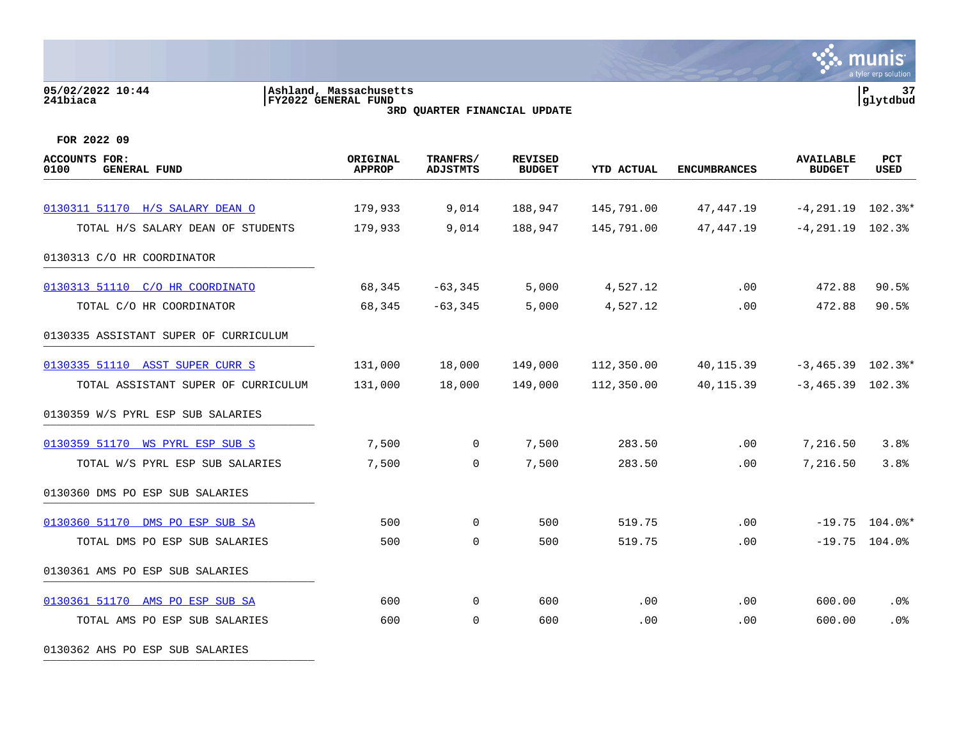# **05/02/2022 10:44 |Ashland, Massachusetts |P 37 241biaca |FY2022 GENERAL FUND |glytdbud 3RD QUARTER FINANCIAL UPDATE**



**FOR 2022 09**

| ACCOUNTS FOR:<br><b>GENERAL FUND</b><br>0100 | ORIGINAL<br><b>APPROP</b> | TRANFRS/<br><b>ADJSTMTS</b> | <b>REVISED</b><br><b>BUDGET</b> | <b>YTD ACTUAL</b> | <b>ENCUMBRANCES</b> | <b>AVAILABLE</b><br><b>BUDGET</b> | <b>PCT</b><br><b>USED</b> |
|----------------------------------------------|---------------------------|-----------------------------|---------------------------------|-------------------|---------------------|-----------------------------------|---------------------------|
| 0130311 51170 H/S SALARY DEAN O              | 179,933                   | 9,014                       | 188,947                         | 145,791.00        | 47,447.19           | $-4, 291.19$ 102.3%*              |                           |
| TOTAL H/S SALARY DEAN OF STUDENTS            | 179,933                   | 9,014                       | 188,947                         | 145,791.00        | 47,447.19           | $-4, 291.19$ 102.3%               |                           |
| 0130313 C/O HR COORDINATOR                   |                           |                             |                                 |                   |                     |                                   |                           |
| 0130313 51110 C/O HR COORDINATO              | 68,345                    | $-63, 345$                  | 5,000                           | 4,527.12          | .00                 | 472.88                            | 90.5%                     |
| TOTAL C/O HR COORDINATOR                     | 68,345                    | $-63, 345$                  | 5,000                           | 4,527.12          | .00                 | 472.88                            | 90.5%                     |
| 0130335 ASSISTANT SUPER OF CURRICULUM        |                           |                             |                                 |                   |                     |                                   |                           |
| 0130335 51110 ASST SUPER CURR S              | 131,000                   | 18,000                      | 149,000                         | 112,350.00        | 40,115.39           | $-3,465.39$ 102.3%*               |                           |
| TOTAL ASSISTANT SUPER OF CURRICULUM          | 131,000                   | 18,000                      | 149,000                         | 112,350.00        | 40, 115.39          | $-3,465.39$ 102.3%                |                           |
| 0130359 W/S PYRL ESP SUB SALARIES            |                           |                             |                                 |                   |                     |                                   |                           |
| 0130359 51170 WS PYRL ESP SUB S              | 7,500                     | $\overline{0}$              | 7,500                           | 283.50            | .00                 | 7,216.50                          | 3.8%                      |
| TOTAL W/S PYRL ESP SUB SALARIES              | 7,500                     | 0                           | 7,500                           | 283.50            | .00                 | 7,216.50                          | 3.8%                      |
| 0130360 DMS PO ESP SUB SALARIES              |                           |                             |                                 |                   |                     |                                   |                           |
| 0130360 51170 DMS PO ESP SUB SA              | 500                       | $\mathbf 0$                 | 500                             | 519.75            | .00                 |                                   | $-19.75$ 104.0%*          |
| TOTAL DMS PO ESP SUB SALARIES                | 500                       | $\mathbf 0$                 | 500                             | 519.75            | .00                 |                                   | $-19.75$ 104.0%           |
| 0130361 AMS PO ESP SUB SALARIES              |                           |                             |                                 |                   |                     |                                   |                           |
| 0130361 51170 AMS PO ESP SUB SA              | 600                       | 0                           | 600                             | .00               | .00                 | 600.00                            | .0%                       |
| TOTAL AMS PO ESP SUB SALARIES                | 600                       | $\mathbf 0$                 | 600                             | .00               | .00                 | 600.00                            | .0%                       |

0130362 AHS PO ESP SUB SALARIES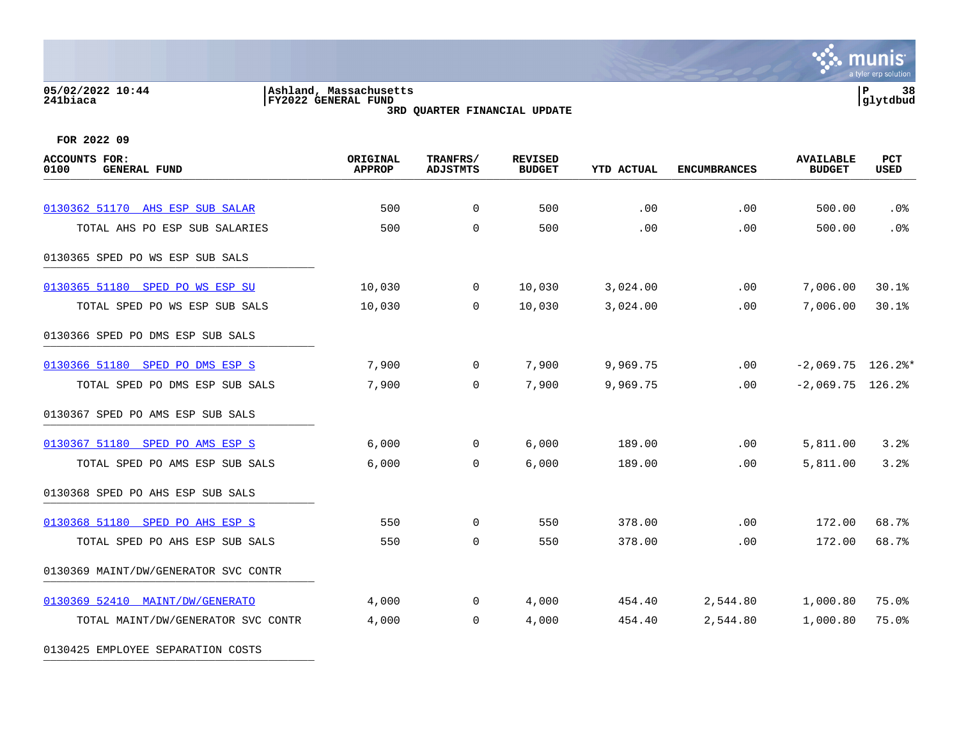### **05/02/2022 10:44 |Ashland, Massachusetts |P 38 241biaca |FY2022 GENERAL FUND |glytdbud 3RD QUARTER FINANCIAL UPDATE**



**FOR 2022 09**

0130425 EMPLOYEE SEPARATION COSTS

| <b>ACCOUNTS FOR:</b><br>0100<br><b>GENERAL FUND</b> | ORIGINAL<br><b>APPROP</b> | TRANFRS/<br><b>ADJSTMTS</b> | <b>REVISED</b><br><b>BUDGET</b> | <b>YTD ACTUAL</b> | <b>ENCUMBRANCES</b> | <b>AVAILABLE</b><br><b>BUDGET</b> | PCT<br>USED |
|-----------------------------------------------------|---------------------------|-----------------------------|---------------------------------|-------------------|---------------------|-----------------------------------|-------------|
|                                                     |                           |                             |                                 |                   |                     |                                   |             |
| 0130362 51170 AHS ESP SUB SALAR                     | 500                       | $\overline{0}$              | 500                             | .00               | .00                 | 500.00                            | .0%         |
| TOTAL AHS PO ESP SUB SALARIES                       | 500                       | $\overline{0}$              | 500                             | .00               | .00                 | 500.00                            | .0%         |
| 0130365 SPED PO WS ESP SUB SALS                     |                           |                             |                                 |                   |                     |                                   |             |
| 0130365 51180 SPED PO WS ESP SU                     | 10,030                    | $\overline{0}$              | 10,030                          | 3,024.00          | .00                 | 7,006.00                          | 30.1%       |
| TOTAL SPED PO WS ESP SUB SALS                       | 10,030                    | $\Omega$                    | 10,030                          | 3,024.00          | .00                 | 7,006.00                          | 30.1%       |
| 0130366 SPED PO DMS ESP SUB SALS                    |                           |                             |                                 |                   |                     |                                   |             |
| 0130366 51180 SPED PO DMS ESP S                     | 7,900                     | $\overline{0}$              | 7,900                           | 9,969.75          | $.00 \,$            | $-2,069.75$ 126.2%*               |             |
| TOTAL SPED PO DMS ESP SUB SALS                      | 7,900                     | $\Omega$                    | 7,900                           | 9,969.75          | $.00 \,$            | $-2,069.75$ 126.2%                |             |
| 0130367 SPED PO AMS ESP SUB SALS                    |                           |                             |                                 |                   |                     |                                   |             |
| 0130367 51180 SPED PO AMS ESP S                     | 6,000                     | $\overline{0}$              | 6,000                           | 189.00            | $.00 \,$            | 5,811.00                          | 3.2%        |
| TOTAL SPED PO AMS ESP SUB SALS                      | 6,000                     | $\overline{0}$              | 6,000                           | 189.00            | .00                 | 5,811.00                          | 3.2%        |
| 0130368 SPED PO AHS ESP SUB SALS                    |                           |                             |                                 |                   |                     |                                   |             |
| 0130368 51180 SPED PO AHS ESP S                     | 550                       | $\overline{0}$              | 550                             | 378.00            | .00                 | 172.00                            | 68.7%       |
| TOTAL SPED PO AHS ESP SUB SALS                      | 550                       | $\mathbf 0$                 | 550                             | 378.00            | .00                 | 172.00                            | 68.7%       |
| 0130369 MAINT/DW/GENERATOR SVC CONTR                |                           |                             |                                 |                   |                     |                                   |             |
| 0130369 52410 MAINT/DW/GENERATO                     | 4,000                     | $\mathbf 0$                 | 4,000                           | 454.40            | 2,544.80            | 1,000.80                          | 75.0%       |
| TOTAL MAINT/DW/GENERATOR SVC CONTR                  | 4,000                     | $\Omega$                    | 4,000                           | 454.40            | 2,544.80            | 1,000.80                          | 75.0%       |
|                                                     |                           |                             |                                 |                   |                     |                                   |             |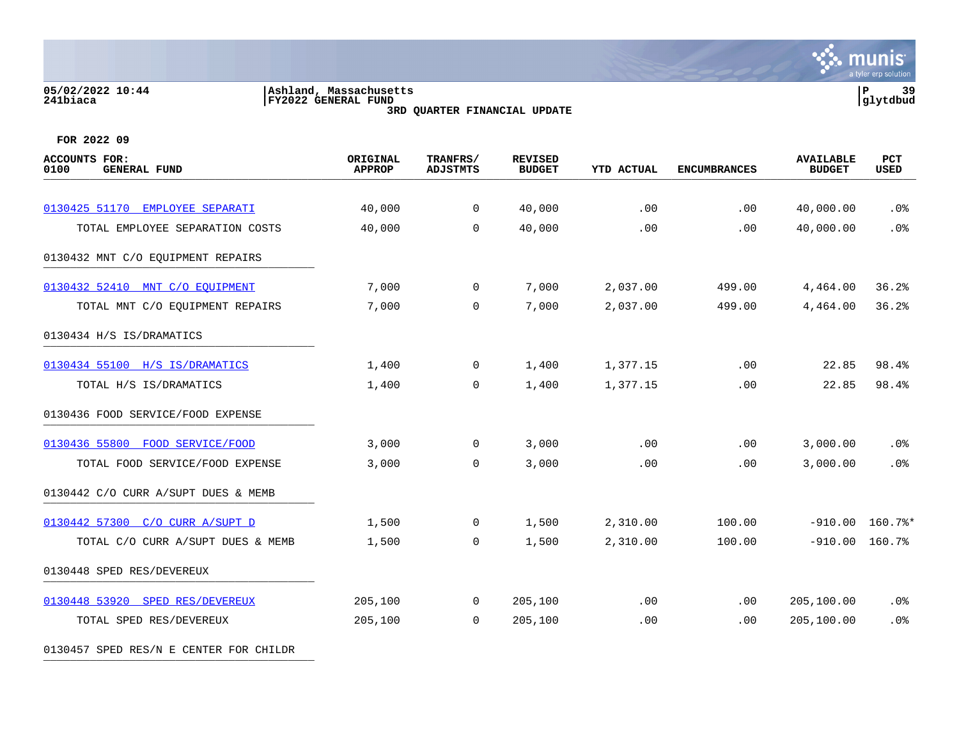### **05/02/2022 10:44 |Ashland, Massachusetts |P 39 241biaca |FY2022 GENERAL FUND |glytdbud 3RD QUARTER FINANCIAL UPDATE**

**∵∴** munis a tyler erp solution

**FOR 2022 09**

| <b>ACCOUNTS FOR:</b><br>0100<br><b>GENERAL FUND</b> | ORIGINAL<br><b>APPROP</b> | TRANFRS/<br><b>ADJSTMTS</b> | <b>REVISED</b><br><b>BUDGET</b> | <b>YTD ACTUAL</b> | <b>ENCUMBRANCES</b> | <b>AVAILABLE</b><br><b>BUDGET</b> | PCT<br><b>USED</b> |
|-----------------------------------------------------|---------------------------|-----------------------------|---------------------------------|-------------------|---------------------|-----------------------------------|--------------------|
|                                                     |                           |                             |                                 |                   |                     |                                   |                    |
| 0130425 51170 EMPLOYEE SEPARATI                     | 40,000                    | $\overline{0}$              | 40,000                          | .00               | .00                 | 40,000.00                         | .0%                |
| TOTAL EMPLOYEE SEPARATION COSTS                     | 40,000                    | $\Omega$                    | 40,000                          | .00               | .00                 | 40,000.00                         | .0%                |
| 0130432 MNT C/O EQUIPMENT REPAIRS                   |                           |                             |                                 |                   |                     |                                   |                    |
| 0130432 52410 MNT C/O EQUIPMENT                     | 7,000                     | $\overline{0}$              | 7,000                           | 2,037.00          | 499.00              | 4,464.00                          | 36.2%              |
| TOTAL MNT C/O EQUIPMENT REPAIRS                     | 7,000                     | $\mathbf 0$                 | 7,000                           | 2,037.00          | 499.00              | 4,464.00                          | 36.2%              |
| 0130434 H/S IS/DRAMATICS                            |                           |                             |                                 |                   |                     |                                   |                    |
| 0130434 55100 H/S IS/DRAMATICS                      | 1,400                     | $\mathbf 0$                 | 1,400                           | 1,377.15          | .00                 | 22.85                             | 98.4%              |
| TOTAL H/S IS/DRAMATICS                              | 1,400                     | $\mathbf 0$                 | 1,400                           | 1,377.15          | .00                 | 22.85                             | 98.4%              |
| 0130436 FOOD SERVICE/FOOD EXPENSE                   |                           |                             |                                 |                   |                     |                                   |                    |
| 0130436 55800 FOOD SERVICE/FOOD                     | 3,000                     | $\overline{0}$              | 3,000                           | .00               | .00                 | 3,000.00                          | .0%                |
| TOTAL FOOD SERVICE/FOOD EXPENSE                     | 3,000                     | 0                           | 3,000                           | .00               | .00                 | 3,000.00                          | .0%                |
| 0130442 C/O CURR A/SUPT DUES & MEMB                 |                           |                             |                                 |                   |                     |                                   |                    |
| 0130442 57300 C/O CURR A/SUPT D                     | 1,500                     | $\overline{0}$              | 1,500                           | 2,310.00          | 100.00              |                                   | $-910.00$ 160.7%*  |
| TOTAL C/O CURR A/SUPT DUES & MEMB                   | 1,500                     | $\mathbf 0$                 | 1,500                           | 2,310.00          | 100.00              | $-910.00$                         | 160.7%             |
| 0130448 SPED RES/DEVEREUX                           |                           |                             |                                 |                   |                     |                                   |                    |
| 0130448 53920 SPED RES/DEVEREUX                     | 205,100                   | $\overline{0}$              | 205,100                         | .00               | .00                 | 205,100.00                        | .0%                |
| TOTAL SPED RES/DEVEREUX                             | 205,100                   | $\mathbf 0$                 | 205,100                         | .00               | .00                 | 205,100.00                        | .0%                |
|                                                     |                           |                             |                                 |                   |                     |                                   |                    |

0130457 SPED RES/N E CENTER FOR CHILDR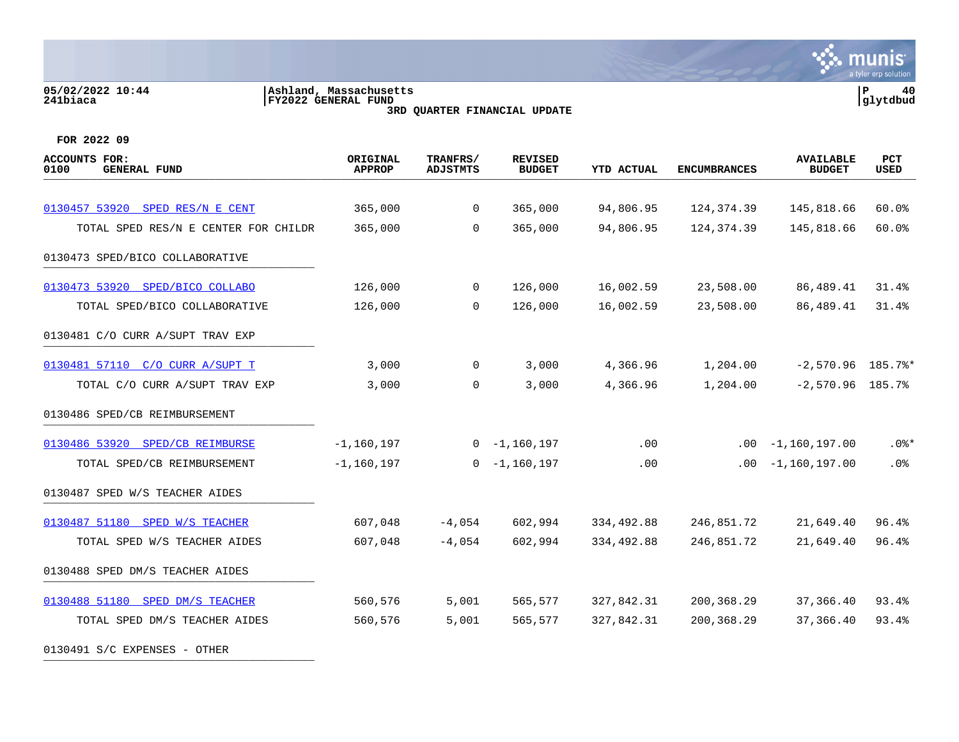# **05/02/2022 10:44 |Ashland, Massachusetts |P 40 241biaca |FY2022 GENERAL FUND |glytdbud 3RD QUARTER FINANCIAL UPDATE**



| <b>ACCOUNTS FOR:</b><br>0100<br><b>GENERAL FUND</b> | ORIGINAL<br><b>APPROP</b> | TRANFRS/<br><b>ADJSTMTS</b> | <b>REVISED</b><br><b>BUDGET</b> | <b>YTD ACTUAL</b> | <b>ENCUMBRANCES</b> | <b>AVAILABLE</b><br><b>BUDGET</b> | <b>PCT</b><br>USED |
|-----------------------------------------------------|---------------------------|-----------------------------|---------------------------------|-------------------|---------------------|-----------------------------------|--------------------|
|                                                     |                           |                             |                                 |                   |                     |                                   |                    |
| 0130457 53920 SPED RES/N E CENT                     | 365,000                   | $\mathbf 0$                 | 365,000                         | 94,806.95         | 124,374.39          | 145,818.66                        | 60.0%              |
| TOTAL SPED RES/N E CENTER FOR CHILDR                | 365,000                   | $\Omega$                    | 365,000                         | 94,806.95         | 124, 374.39         | 145,818.66                        | 60.0%              |
| 0130473 SPED/BICO COLLABORATIVE                     |                           |                             |                                 |                   |                     |                                   |                    |
| 0130473 53920 SPED/BICO COLLABO                     | 126,000                   | 0                           | 126,000                         | 16,002.59         | 23,508.00           | 86,489.41                         | 31.4%              |
| TOTAL SPED/BICO COLLABORATIVE                       | 126,000                   | $\Omega$                    | 126,000                         | 16,002.59         | 23,508.00           | 86,489.41                         | 31.4%              |
| 0130481 C/O CURR A/SUPT TRAV EXP                    |                           |                             |                                 |                   |                     |                                   |                    |
| 0130481 57110 C/O CURR A/SUPT T                     | 3,000                     | $\mathbf{0}$                | 3,000                           | 4,366.96          | 1,204.00            | $-2,570.96$ 185.7%*               |                    |
| TOTAL C/O CURR A/SUPT TRAV EXP                      | 3,000                     | $\mathbf 0$                 | 3,000                           | 4,366.96          | 1,204.00            | $-2,570.96$ 185.7%                |                    |
| 0130486 SPED/CB REIMBURSEMENT                       |                           |                             |                                 |                   |                     |                                   |                    |
| 0130486 53920 SPED/CB REIMBURSE                     | $-1, 160, 197$            |                             | $0 - 1,160,197$                 | .00               | $.00\,$             | $-1,160,197.00$                   | $.0$ %*            |
| TOTAL SPED/CB REIMBURSEMENT                         | $-1, 160, 197$            | $\Omega$                    | -1,160,197                      | .00               | $.00 \,$            | $-1,160,197.00$                   | .0%                |
| 0130487 SPED W/S TEACHER AIDES                      |                           |                             |                                 |                   |                     |                                   |                    |
| 0130487 51180 SPED W/S TEACHER                      | 607,048                   | $-4,054$                    | 602,994                         | 334,492.88        | 246,851.72          | 21,649.40                         | 96.4%              |
| TOTAL SPED W/S TEACHER AIDES                        | 607,048                   | $-4,054$                    | 602,994                         | 334,492.88        | 246,851.72          | 21,649.40                         | 96.4%              |
| 0130488 SPED DM/S TEACHER AIDES                     |                           |                             |                                 |                   |                     |                                   |                    |
| 0130488 51180 SPED DM/S TEACHER                     | 560,576                   | 5,001                       | 565,577                         | 327,842.31        | 200,368.29          | 37,366.40                         | 93.4%              |
| TOTAL SPED DM/S TEACHER AIDES                       | 560,576                   | 5,001                       | 565,577                         | 327,842.31        | 200,368.29          | 37,366.40                         | 93.4%              |
| 0130491 S/C EXPENSES - OTHER                        |                           |                             |                                 |                   |                     |                                   |                    |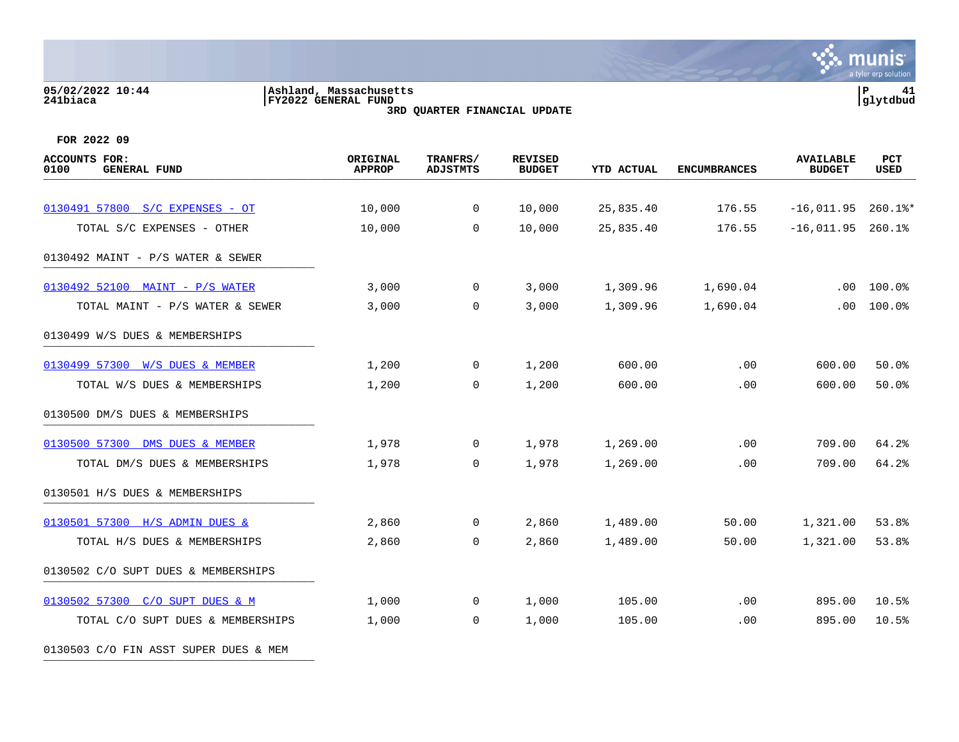### **05/02/2022 10:44 |Ashland, Massachusetts |P 41 241biaca |FY2022 GENERAL FUND |glytdbud 3RD QUARTER FINANCIAL UPDATE**



| <b>ACCOUNTS FOR:</b><br>0100<br><b>GENERAL FUND</b> | ORIGINAL<br><b>APPROP</b> | TRANFRS/<br><b>ADJSTMTS</b> | <b>REVISED</b><br><b>BUDGET</b> | <b>YTD ACTUAL</b> | <b>ENCUMBRANCES</b> | <b>AVAILABLE</b><br><b>BUDGET</b> | PCT<br><b>USED</b> |
|-----------------------------------------------------|---------------------------|-----------------------------|---------------------------------|-------------------|---------------------|-----------------------------------|--------------------|
|                                                     |                           |                             |                                 |                   |                     |                                   |                    |
| 0130491 57800 S/C EXPENSES - OT                     | 10,000                    | 0                           | 10,000                          | 25,835.40         | 176.55              | $-16,011.95$                      | $260.1$ %*         |
| TOTAL S/C EXPENSES - OTHER                          | 10,000                    | $\Omega$                    | 10,000                          | 25,835.40         | 176.55              | $-16,011.95$                      | 260.1%             |
| 0130492 MAINT - P/S WATER & SEWER                   |                           |                             |                                 |                   |                     |                                   |                    |
| 0130492 52100 MAINT - P/S WATER                     | 3,000                     | 0                           | 3,000                           | 1,309.96          | 1,690.04            | .00                               | 100.0%             |
| TOTAL MAINT - P/S WATER & SEWER                     | 3,000                     | $\mathbf 0$                 | 3,000                           | 1,309.96          | 1,690.04            | .00                               | 100.0%             |
| 0130499 W/S DUES & MEMBERSHIPS                      |                           |                             |                                 |                   |                     |                                   |                    |
| 0130499 57300 W/S DUES & MEMBER                     | 1,200                     | $\mathbf 0$                 | 1,200                           | 600.00            | .00                 | 600.00                            | 50.0%              |
| TOTAL W/S DUES & MEMBERSHIPS                        | 1,200                     | 0                           | 1,200                           | 600.00            | .00                 | 600.00                            | 50.0%              |
| 0130500 DM/S DUES & MEMBERSHIPS                     |                           |                             |                                 |                   |                     |                                   |                    |
| 0130500 57300 DMS DUES & MEMBER                     | 1,978                     | 0                           | 1,978                           | 1,269.00          | .00                 | 709.00                            | 64.2%              |
| TOTAL DM/S DUES & MEMBERSHIPS                       | 1,978                     | 0                           | 1,978                           | 1,269.00          | .00                 | 709.00                            | 64.2%              |
| 0130501 H/S DUES & MEMBERSHIPS                      |                           |                             |                                 |                   |                     |                                   |                    |
| 0130501 57300 H/S ADMIN DUES &                      | 2,860                     | 0                           | 2,860                           | 1,489.00          | 50.00               | 1,321.00                          | 53.8%              |
| TOTAL H/S DUES & MEMBERSHIPS                        | 2,860                     | 0                           | 2,860                           | 1,489.00          | 50.00               | 1,321.00                          | 53.8%              |
| 0130502 C/O SUPT DUES & MEMBERSHIPS                 |                           |                             |                                 |                   |                     |                                   |                    |
| 0130502 57300 C/O SUPT DUES & M                     | 1,000                     | 0                           | 1,000                           | 105.00            | .00                 | 895.00                            | 10.5%              |
| TOTAL C/O SUPT DUES & MEMBERSHIPS                   | 1,000                     | 0                           | 1,000                           | 105.00            | .00                 | 895.00                            | 10.5%              |
| 0130503 C/O FIN ASST SUPER DUES & MEM               |                           |                             |                                 |                   |                     |                                   |                    |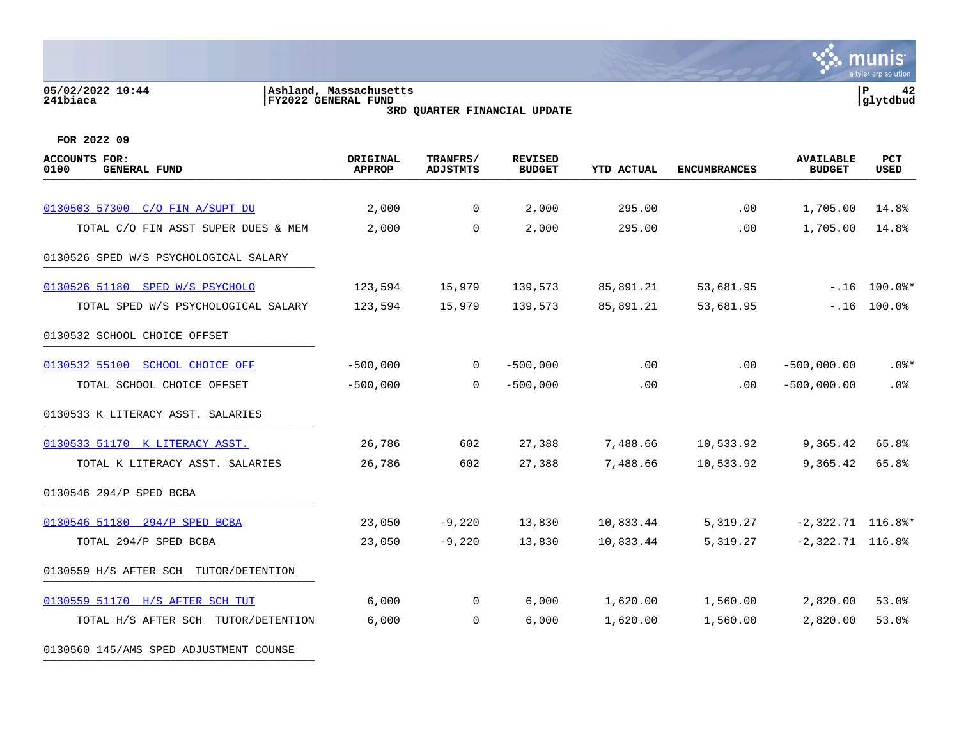### **05/02/2022 10:44 |Ashland, Massachusetts |P 42 241biaca |FY2022 GENERAL FUND |glytdbud 3RD QUARTER FINANCIAL UPDATE**



| <b>ACCOUNTS FOR:</b><br>0100<br><b>GENERAL FUND</b> | ORIGINAL<br><b>APPROP</b> | TRANFRS/<br><b>ADJSTMTS</b> | <b>REVISED</b><br><b>BUDGET</b> | <b>YTD ACTUAL</b> | <b>ENCUMBRANCES</b> | <b>AVAILABLE</b><br><b>BUDGET</b> | <b>PCT</b><br><b>USED</b> |
|-----------------------------------------------------|---------------------------|-----------------------------|---------------------------------|-------------------|---------------------|-----------------------------------|---------------------------|
|                                                     |                           |                             |                                 |                   |                     |                                   |                           |
| 0130503 57300 C/O FIN A/SUPT DU                     | 2,000                     | $\mathbf{0}$                | 2,000                           | 295.00            | .00                 | 1,705.00                          | 14.8%                     |
| TOTAL C/O FIN ASST SUPER DUES & MEM                 | 2,000                     | $\Omega$                    | 2,000                           | 295.00            | .00                 | 1,705.00                          | 14.8%                     |
| 0130526 SPED W/S PSYCHOLOGICAL SALARY               |                           |                             |                                 |                   |                     |                                   |                           |
| 0130526 51180 SPED W/S PSYCHOLO                     | 123,594                   | 15,979                      | 139,573                         | 85,891.21         | 53,681.95           |                                   | $-.16$ 100.0%*            |
| TOTAL SPED W/S PSYCHOLOGICAL SALARY                 | 123,594                   | 15,979                      | 139,573                         | 85,891.21         | 53,681.95           | $-.16$                            | 100.0%                    |
| 0130532 SCHOOL CHOICE OFFSET                        |                           |                             |                                 |                   |                     |                                   |                           |
| 0130532 55100 SCHOOL CHOICE OFF                     | $-500,000$                | $\mathbf{0}$                | $-500,000$                      | .00               | $.00 \,$            | $-500,000.00$                     | $.0$ %*                   |
| TOTAL SCHOOL CHOICE OFFSET                          | $-500,000$                | $\overline{0}$              | $-500,000$                      | .00               | $.00 \,$            | $-500,000.00$                     | .0%                       |
| 0130533 K LITERACY ASST. SALARIES                   |                           |                             |                                 |                   |                     |                                   |                           |
| 0130533 51170 K LITERACY ASST.                      | 26,786                    | 602                         | 27,388                          | 7,488.66          | 10,533.92           | 9,365.42                          | 65.8%                     |
| TOTAL K LITERACY ASST. SALARIES                     | 26,786                    | 602                         | 27,388                          | 7,488.66          | 10,533.92           | 9,365.42                          | 65.8%                     |
| 0130546 294/P SPED BCBA                             |                           |                             |                                 |                   |                     |                                   |                           |
| 0130546 51180 294/P SPED BCBA                       | 23,050                    | $-9,220$                    | 13,830                          | 10,833.44         | 5,319.27            | $-2,322.71$ 116.8%*               |                           |
| TOTAL 294/P SPED BCBA                               | 23,050                    | $-9,220$                    | 13,830                          | 10,833.44         | 5,319.27            | $-2,322.71$ 116.8%                |                           |
| 0130559 H/S AFTER SCH<br>TUTOR/DETENTION            |                           |                             |                                 |                   |                     |                                   |                           |
| 0130559 51170 H/S AFTER SCH TUT                     | 6,000                     | $\mathbf 0$                 | 6,000                           | 1,620.00          | 1,560.00            | 2,820.00                          | 53.0%                     |
| TOTAL H/S AFTER SCH TUTOR/DETENTION                 | 6,000                     | $\overline{0}$              | 6,000                           | 1,620.00          | 1,560.00            | 2,820.00                          | 53.0%                     |
| 0130560 145/AMS SPED ADJUSTMENT COUNSE              |                           |                             |                                 |                   |                     |                                   |                           |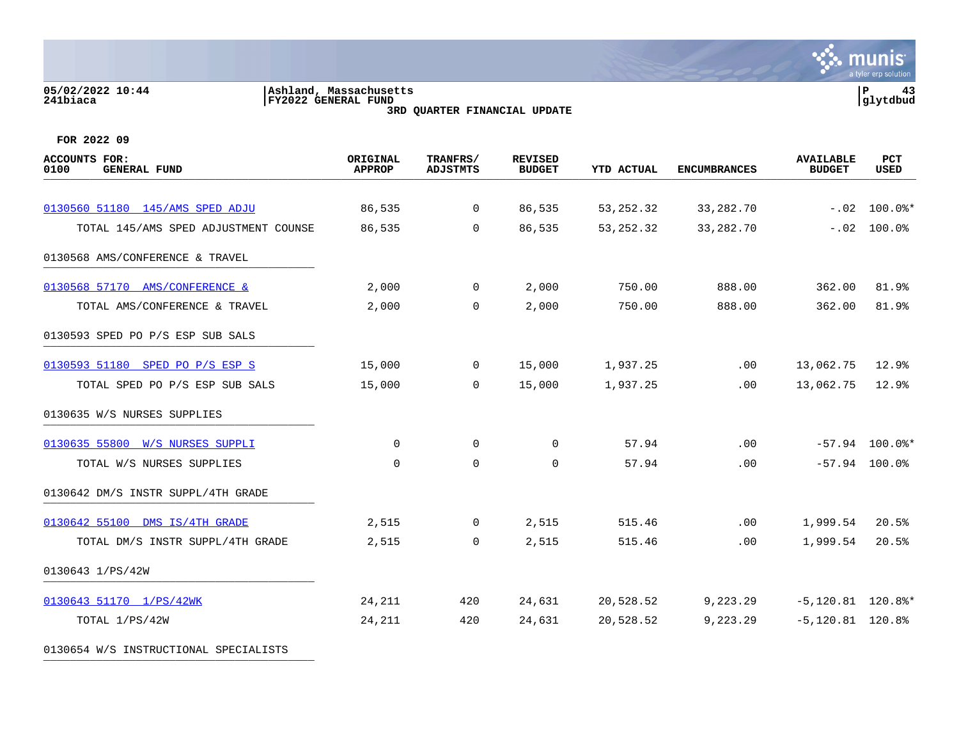# **05/02/2022 10:44 |Ashland, Massachusetts |P 43 241biaca |FY2022 GENERAL FUND |glytdbud**

**3RD QUARTER FINANCIAL UPDATE**



**FOR 2022 09**

| <b>ACCOUNTS FOR:</b><br>0100<br><b>GENERAL FUND</b> | ORIGINAL<br><b>APPROP</b> | TRANFRS/<br><b>ADJSTMTS</b> | <b>REVISED</b><br><b>BUDGET</b> | <b>YTD ACTUAL</b> | <b>ENCUMBRANCES</b> | <b>AVAILABLE</b><br><b>BUDGET</b> | <b>PCT</b><br><b>USED</b> |
|-----------------------------------------------------|---------------------------|-----------------------------|---------------------------------|-------------------|---------------------|-----------------------------------|---------------------------|
| 0130560 51180 145/AMS SPED ADJU                     | 86,535                    | $\overline{0}$              | 86,535                          | 53, 252.32        | 33, 282. 70         | $-.02$                            | $100.0$ $*$               |
| TOTAL 145/AMS SPED ADJUSTMENT COUNSE                | 86,535                    | $\Omega$                    | 86,535                          | 53, 252.32        | 33, 282. 70         | $-.02$                            | 100.0%                    |
| 0130568 AMS/CONFERENCE & TRAVEL                     |                           |                             |                                 |                   |                     |                                   |                           |
| 0130568 57170 AMS/CONFERENCE &                      | 2,000                     | $\mathsf{O}$                | 2,000                           | 750.00            | 888.00              | 362.00                            | 81.9%                     |
| TOTAL AMS/CONFERENCE & TRAVEL                       | 2,000                     | $\mathbf 0$                 | 2,000                           | 750.00            | 888.00              | 362.00                            | 81.9%                     |
| 0130593 SPED PO P/S ESP SUB SALS                    |                           |                             |                                 |                   |                     |                                   |                           |
| 0130593 51180 SPED PO P/S ESP S                     | 15,000                    | $\mathsf{O}$                | 15,000                          | 1,937.25          | .00                 | 13,062.75                         | 12.9%                     |
| TOTAL SPED PO P/S ESP SUB SALS                      | 15,000                    | $\mathbf 0$                 | 15,000                          | 1,937.25          | .00                 | 13,062.75                         | 12.9%                     |
| 0130635 W/S NURSES SUPPLIES                         |                           |                             |                                 |                   |                     |                                   |                           |
| 0130635 55800 W/S NURSES SUPPLI                     | $\mathbf 0$               | $\mathbf 0$                 | 0                               | 57.94             | .00                 |                                   | $-57.94$ 100.0%*          |
| TOTAL W/S NURSES SUPPLIES                           | $\mathbf 0$               | $\mathbf 0$                 | 0                               | 57.94             | .00                 |                                   | $-57.94$ 100.0%           |
| 0130642 DM/S INSTR SUPPL/4TH GRADE                  |                           |                             |                                 |                   |                     |                                   |                           |
| 0130642 55100 DMS IS/4TH GRADE                      | 2,515                     | $\overline{0}$              | 2,515                           | 515.46            | .00                 | 1,999.54                          | 20.5%                     |
| TOTAL DM/S INSTR SUPPL/4TH GRADE                    | 2,515                     | 0                           | 2,515                           | 515.46            | .00                 | 1,999.54                          | 20.5%                     |
| 0130643 1/PS/42W                                    |                           |                             |                                 |                   |                     |                                   |                           |
| 0130643 51170 1/PS/42WK                             | 24,211                    | 420                         | 24,631                          | 20,528.52         | 9,223.29            | $-5,120.81$ 120.8%*               |                           |
| TOTAL 1/PS/42W                                      | 24,211                    | 420                         | 24,631                          | 20,528.52         | 9,223.29            | $-5,120.81$ 120.8%                |                           |

0130654 W/S INSTRUCTIONAL SPECIALISTS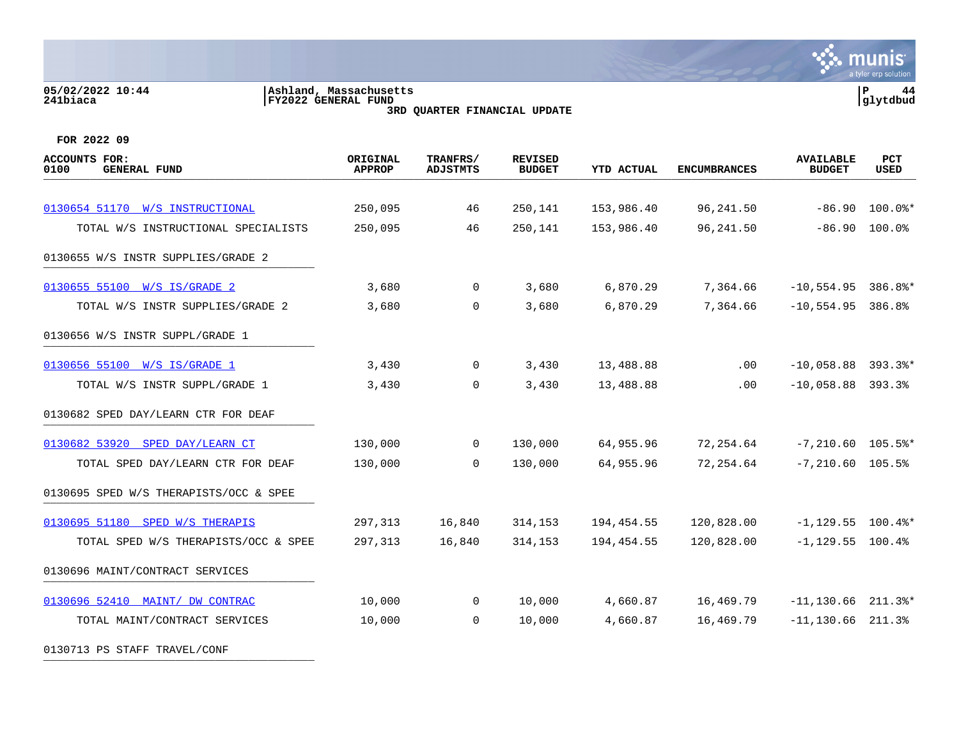# **05/02/2022 10:44 |Ashland, Massachusetts |P 44 241biaca |FY2022 GENERAL FUND |glytdbud 3RD QUARTER FINANCIAL UPDATE**



| ACCOUNTS FOR:<br>0100<br><b>GENERAL FUND</b> | ORIGINAL<br><b>APPROP</b> | TRANFRS/<br><b>ADJSTMTS</b> | <b>REVISED</b><br><b>BUDGET</b> | <b>YTD ACTUAL</b> | <b>ENCUMBRANCES</b> | <b>AVAILABLE</b><br><b>BUDGET</b> | PCT<br><b>USED</b> |
|----------------------------------------------|---------------------------|-----------------------------|---------------------------------|-------------------|---------------------|-----------------------------------|--------------------|
|                                              |                           |                             |                                 |                   |                     |                                   |                    |
| 0130654 51170 W/S INSTRUCTIONAL              | 250,095                   | 46                          | 250,141                         | 153,986.40        | 96, 241.50          | $-86.90$                          | $100.0$ $*$        |
| TOTAL W/S INSTRUCTIONAL SPECIALISTS          | 250,095                   | 46                          | 250,141                         | 153,986.40        | 96, 241.50          | $-86.90$                          | 100.0%             |
| 0130655 W/S INSTR SUPPLIES/GRADE 2           |                           |                             |                                 |                   |                     |                                   |                    |
| 0130655 55100 W/S IS/GRADE 2                 | 3,680                     | $\overline{0}$              | 3,680                           | 6,870.29          | 7,364.66            | $-10,554.95$ 386.8%*              |                    |
| TOTAL W/S INSTR SUPPLIES/GRADE 2             | 3,680                     | $\overline{0}$              | 3,680                           | 6,870.29          | 7,364.66            | $-10,554.95$ 386.8%               |                    |
| 0130656 W/S INSTR SUPPL/GRADE 1              |                           |                             |                                 |                   |                     |                                   |                    |
| 0130656 55100 W/S IS/GRADE 1                 | 3,430                     | $\overline{0}$              | 3,430                           | 13,488.88         | .00                 | $-10,058.88$ 393.3%*              |                    |
| TOTAL W/S INSTR SUPPL/GRADE 1                | 3,430                     | $\mathbf 0$                 | 3,430                           | 13,488.88         | .00                 | $-10,058.88$ 393.3%               |                    |
| 0130682 SPED DAY/LEARN CTR FOR DEAF          |                           |                             |                                 |                   |                     |                                   |                    |
| 0130682 53920 SPED DAY/LEARN CT              | 130,000                   | $\overline{0}$              | 130,000                         | 64,955.96         | 72,254.64           | $-7,210.60$ 105.5%*               |                    |
| TOTAL SPED DAY/LEARN CTR FOR DEAF            | 130,000                   | $\Omega$                    | 130,000                         | 64,955.96         | 72,254.64           | $-7,210.60$ 105.5%                |                    |
| 0130695 SPED W/S THERAPISTS/OCC & SPEE       |                           |                             |                                 |                   |                     |                                   |                    |
| 0130695 51180 SPED W/S THERAPIS              | 297,313                   | 16,840                      | 314,153                         | 194,454.55        | 120,828.00          | $-1, 129.55$ 100.4%*              |                    |
| TOTAL SPED W/S THERAPISTS/OCC & SPEE         | 297,313                   | 16,840                      | 314,153                         | 194,454.55        | 120,828.00          | $-1,129.55$ 100.4%                |                    |
| 0130696 MAINT/CONTRACT SERVICES              |                           |                             |                                 |                   |                     |                                   |                    |
| 0130696 52410 MAINT/ DW CONTRAC              | 10,000                    | $\overline{0}$              | 10,000                          | 4,660.87          | 16,469.79           | $-11, 130.66$ 211.3%*             |                    |
| TOTAL MAINT/CONTRACT SERVICES                | 10,000                    | $\overline{0}$              | 10,000                          | 4,660.87          | 16,469.79           | $-11, 130.66$ 211.3%              |                    |
| 0130713 PS STAFF TRAVEL/CONF                 |                           |                             |                                 |                   |                     |                                   |                    |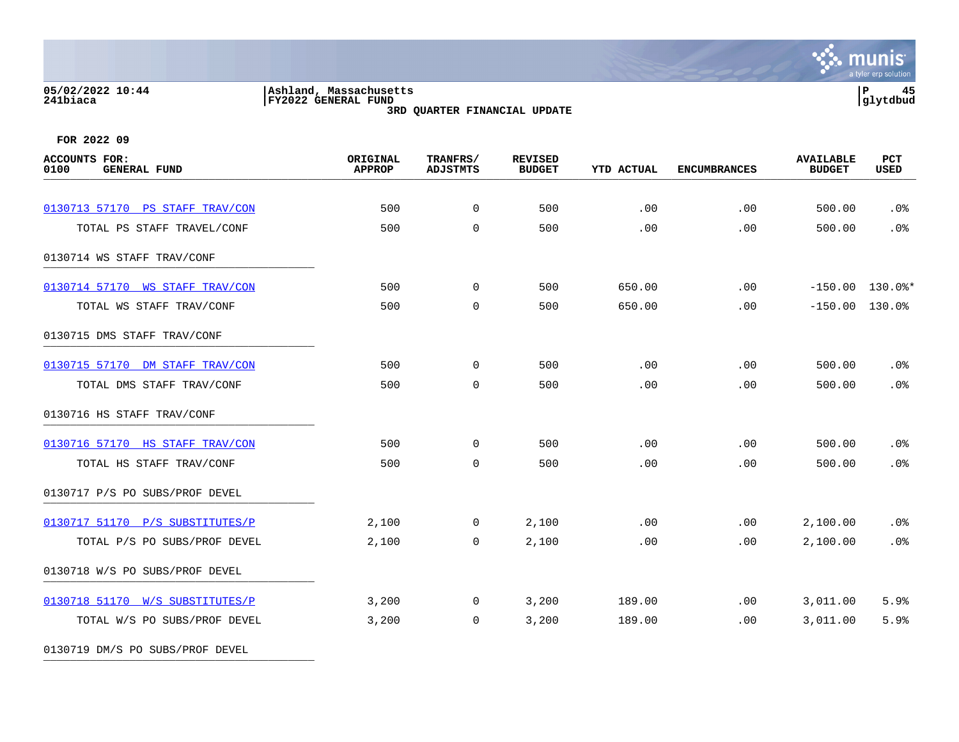### **05/02/2022 10:44 |Ashland, Massachusetts |P 45 241biaca |FY2022 GENERAL FUND |glytdbud 3RD QUARTER FINANCIAL UPDATE**



**FOR 2022 09**

0130719 DM/S PO SUBS/PROF DEVEL

| <b>ACCOUNTS FOR:</b><br>0100<br><b>GENERAL FUND</b> | ORIGINAL<br><b>APPROP</b> | TRANFRS/<br><b>ADJSTMTS</b> | <b>REVISED</b><br><b>BUDGET</b> | <b>YTD ACTUAL</b> | <b>ENCUMBRANCES</b> | <b>AVAILABLE</b><br><b>BUDGET</b> | PCT<br><b>USED</b> |
|-----------------------------------------------------|---------------------------|-----------------------------|---------------------------------|-------------------|---------------------|-----------------------------------|--------------------|
|                                                     |                           |                             |                                 |                   |                     |                                   |                    |
| 0130713 57170 PS STAFF TRAV/CON                     | 500                       | $\overline{0}$              | 500                             | .00               | .00                 | 500.00                            | .0%                |
| TOTAL PS STAFF TRAVEL/CONF                          | 500                       | $\mathbf 0$                 | 500                             | .00               | .00                 | 500.00                            | .0%                |
| 0130714 WS STAFF TRAV/CONF                          |                           |                             |                                 |                   |                     |                                   |                    |
| 0130714 57170 WS STAFF TRAV/CON                     | 500                       | $\mathbf{0}$                | 500                             | 650.00            | $.00 \,$            |                                   | $-150.00$ 130.0%*  |
| TOTAL WS STAFF TRAV/CONF                            | 500                       | $\overline{0}$              | 500                             | 650.00            | .00                 | $-150.00$ 130.0%                  |                    |
| 0130715 DMS STAFF TRAV/CONF                         |                           |                             |                                 |                   |                     |                                   |                    |
| 0130715 57170 DM STAFF TRAV/CON                     | 500                       | $\overline{0}$              | 500                             | .00               | .00                 | 500.00                            | .0%                |
| TOTAL DMS STAFF TRAV/CONF                           | 500                       | $\mathbf 0$                 | 500                             | .00               | .00                 | 500.00                            | .0%                |
| 0130716 HS STAFF TRAV/CONF                          |                           |                             |                                 |                   |                     |                                   |                    |
| 0130716 57170 HS STAFF TRAV/CON                     | 500                       | $\overline{0}$              | 500                             | .00               | .00                 | 500.00                            | .0%                |
| TOTAL HS STAFF TRAV/CONF                            | 500                       | $\mathbf 0$                 | 500                             | .00               | .00                 | 500.00                            | .0%                |
| 0130717 P/S PO SUBS/PROF DEVEL                      |                           |                             |                                 |                   |                     |                                   |                    |
| 0130717 51170 P/S SUBSTITUTES/P                     | 2,100                     | $\mathbf 0$                 | 2,100                           | .00               | .00                 | 2,100.00                          | $.0\%$             |
| TOTAL P/S PO SUBS/PROF DEVEL                        | 2,100                     | $\Omega$                    | 2,100                           | .00               | .00                 | 2,100.00                          | .0%                |
| 0130718 W/S PO SUBS/PROF DEVEL                      |                           |                             |                                 |                   |                     |                                   |                    |
| 0130718 51170 W/S SUBSTITUTES/P                     | 3,200                     | $\overline{0}$              | 3,200                           | 189.00            | .00                 | 3,011.00                          | 5.9%               |
| TOTAL W/S PO SUBS/PROF DEVEL                        | 3,200                     | $\overline{0}$              | 3,200                           | 189.00            | $.00 \,$            | 3,011.00                          | 5.9%               |
|                                                     |                           |                             |                                 |                   |                     |                                   |                    |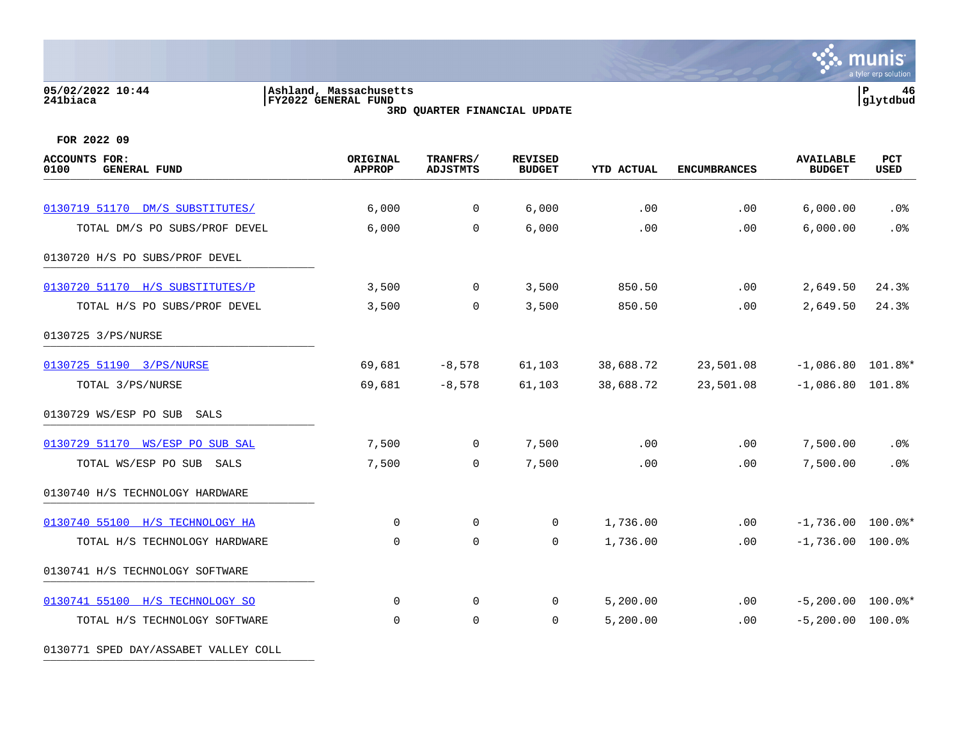# **05/02/2022 10:44 |Ashland, Massachusetts |P 46 241biaca |FY2022 GENERAL FUND |glytdbud**

**3RD QUARTER FINANCIAL UPDATE**



**FOR 2022 09**

| <b>ACCOUNTS FOR:</b><br>0100<br><b>GENERAL FUND</b> | ORIGINAL<br><b>APPROP</b> | TRANFRS/<br><b>ADJSTMTS</b> | <b>REVISED</b><br><b>BUDGET</b> | <b>YTD ACTUAL</b> | <b>ENCUMBRANCES</b> | <b>AVAILABLE</b><br><b>BUDGET</b> | PCT<br><b>USED</b> |
|-----------------------------------------------------|---------------------------|-----------------------------|---------------------------------|-------------------|---------------------|-----------------------------------|--------------------|
| 0130719 51170 DM/S SUBSTITUTES/                     | 6,000                     | $\overline{0}$              | 6,000                           | .00               | .00                 | 6,000.00                          | .0%                |
| TOTAL DM/S PO SUBS/PROF DEVEL                       | 6,000                     | $\mathbf 0$                 | 6,000                           | .00               | .00                 | 6,000.00                          | .0%                |
| 0130720 H/S PO SUBS/PROF DEVEL                      |                           |                             |                                 |                   |                     |                                   |                    |
| 0130720 51170 H/S SUBSTITUTES/P                     | 3,500                     | $\overline{0}$              | 3,500                           | 850.50            | .00                 | 2,649.50                          | 24.3%              |
| TOTAL H/S PO SUBS/PROF DEVEL                        | 3,500                     | $\mathbf 0$                 | 3,500                           | 850.50            | .00                 | 2,649.50                          | 24.3%              |
| 0130725 3/PS/NURSE                                  |                           |                             |                                 |                   |                     |                                   |                    |
| 0130725 51190 3/PS/NURSE                            | 69,681                    | $-8,578$                    | 61,103                          | 38,688.72         | 23,501.08           | $-1,086.80$ 101.8%*               |                    |
| TOTAL 3/PS/NURSE                                    | 69,681                    | $-8,578$                    | 61,103                          | 38,688.72         | 23,501.08           | $-1,086.80$ 101.8%                |                    |
| 0130729 WS/ESP PO SUB SALS                          |                           |                             |                                 |                   |                     |                                   |                    |
| 0130729 51170 WS/ESP PO SUB SAL                     | 7,500                     | $\mathbf 0$                 | 7,500                           | .00               | .00                 | 7,500.00                          | $.0\%$             |
| TOTAL WS/ESP PO SUB SALS                            | 7,500                     | $\mathbf 0$                 | 7,500                           | .00               | .00                 | 7,500.00                          | .0%                |
| 0130740 H/S TECHNOLOGY HARDWARE                     |                           |                             |                                 |                   |                     |                                   |                    |
| 0130740 55100 H/S TECHNOLOGY HA                     | 0                         | 0                           | 0                               | 1,736.00          | .00                 | $-1,736.00$ 100.0%*               |                    |
| TOTAL H/S TECHNOLOGY HARDWARE                       | $\mathbf 0$               | $\mathbf 0$                 | 0                               | 1,736.00          | .00                 | $-1,736.00$ 100.0%                |                    |
| 0130741 H/S TECHNOLOGY SOFTWARE                     |                           |                             |                                 |                   |                     |                                   |                    |
| 0130741 55100 H/S TECHNOLOGY SO                     | $\mathbf 0$               | 0                           | 0                               | 5,200.00          | .00                 | $-5,200.00$ 100.0%*               |                    |
| TOTAL H/S TECHNOLOGY SOFTWARE                       | $\mathbf 0$               | $\mathbf 0$                 | $\mathbf 0$                     | 5,200.00          | .00                 | $-5,200.00$ 100.0%                |                    |

0130771 SPED DAY/ASSABET VALLEY COLL **with the set of the set of the set of the set of the set of the set of the set of the set of the set of the set of the set of the set of the set of the set of the set of the set of the**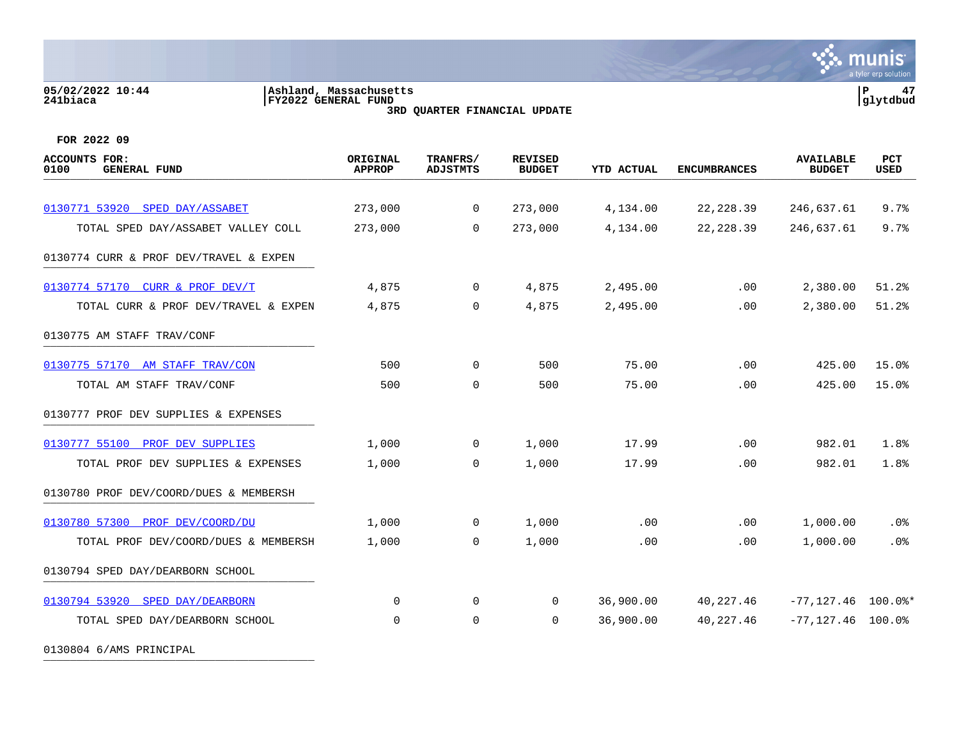# **05/02/2022 10:44 |Ashland, Massachusetts |P 47 241biaca |FY2022 GENERAL FUND |glytdbud 3RD QUARTER FINANCIAL UPDATE**

**्रैं: munis** a tyler erp solution

**FOR 2022 09**

| <b>ACCOUNTS FOR:</b><br>0100<br><b>GENERAL FUND</b> | ORIGINAL<br><b>APPROP</b> | TRANFRS/<br><b>ADJSTMTS</b> | <b>REVISED</b><br><b>BUDGET</b> | <b>YTD ACTUAL</b> | <b>ENCUMBRANCES</b> | <b>AVAILABLE</b><br><b>BUDGET</b> | PCT<br><b>USED</b> |
|-----------------------------------------------------|---------------------------|-----------------------------|---------------------------------|-------------------|---------------------|-----------------------------------|--------------------|
|                                                     |                           |                             |                                 |                   |                     |                                   |                    |
| 0130771 53920 SPED DAY/ASSABET                      | 273,000                   | $\mathbf 0$                 | 273,000                         | 4,134.00          | 22, 228.39          | 246,637.61                        | 9.7%               |
| TOTAL SPED DAY/ASSABET VALLEY COLL                  | 273,000                   | $\Omega$                    | 273,000                         | 4,134.00          | 22, 228.39          | 246,637.61                        | 9.7%               |
| 0130774 CURR & PROF DEV/TRAVEL & EXPEN              |                           |                             |                                 |                   |                     |                                   |                    |
| 0130774 57170 CURR & PROF DEV/T                     | 4,875                     | $\overline{0}$              | 4,875                           | 2,495.00          | $.00 \,$            | 2,380.00                          | 51.2%              |
| TOTAL CURR & PROF DEV/TRAVEL & EXPEN                | 4,875                     | 0                           | 4,875                           | 2,495.00          | .00                 | 2,380.00                          | 51.2%              |
| 0130775 AM STAFF TRAV/CONF                          |                           |                             |                                 |                   |                     |                                   |                    |
| 0130775 57170 AM STAFF TRAV/CON                     | 500                       | 0                           | 500                             | 75.00             | .00                 | 425.00                            | 15.0%              |
| TOTAL AM STAFF TRAV/CONF                            | 500                       | $\mathbf 0$                 | 500                             | 75.00             | .00                 | 425.00                            | 15.0%              |
| 0130777 PROF DEV SUPPLIES & EXPENSES                |                           |                             |                                 |                   |                     |                                   |                    |
| 0130777 55100<br>PROF DEV SUPPLIES                  | 1,000                     | 0                           | 1,000                           | 17.99             | .00                 | 982.01                            | 1.8%               |
| TOTAL PROF DEV SUPPLIES & EXPENSES                  | 1,000                     | 0                           | 1,000                           | 17.99             | .00                 | 982.01                            | 1.8%               |
| 0130780 PROF DEV/COORD/DUES & MEMBERSH              |                           |                             |                                 |                   |                     |                                   |                    |
| 0130780 57300<br>PROF DEV/COORD/DU                  | 1,000                     | 0                           | 1,000                           | .00               | .00                 | 1,000.00                          | $.0\%$             |
| TOTAL PROF DEV/COORD/DUES & MEMBERSH                | 1,000                     | $\Omega$                    | 1,000                           | .00               | .00                 | 1,000.00                          | .0%                |
| 0130794 SPED DAY/DEARBORN SCHOOL                    |                           |                             |                                 |                   |                     |                                   |                    |
| 0130794 53920 SPED DAY/DEARBORN                     | $\Omega$                  | $\mathbf 0$                 | $\Omega$                        | 36,900.00         | 40,227.46           | $-77,127.46$ 100.0%*              |                    |
| TOTAL SPED DAY/DEARBORN SCHOOL                      | 0                         | $\mathbf 0$                 | 0                               | 36,900.00         | 40,227.46           | $-77, 127.46$ 100.0%              |                    |
|                                                     |                           |                             |                                 |                   |                     |                                   |                    |

0130804 6/AMS PRINCIPAL \_\_\_\_\_\_\_\_\_\_\_\_\_\_\_\_\_\_\_\_\_\_\_\_\_\_\_\_\_\_\_\_\_\_\_\_\_\_\_\_\_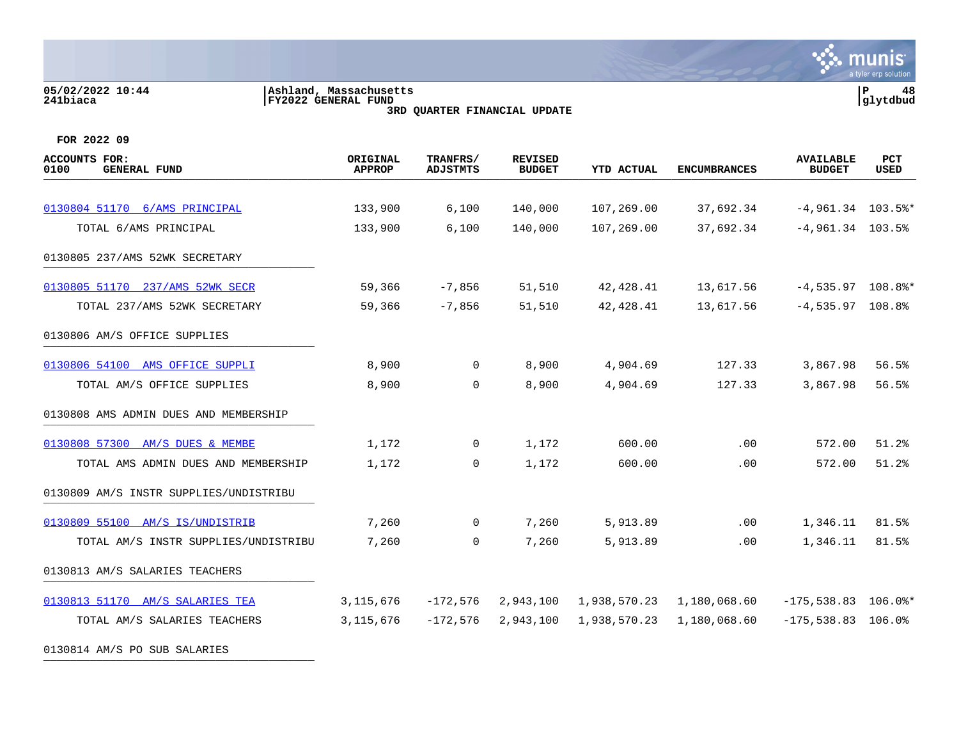# **05/02/2022 10:44 |Ashland, Massachusetts |P 48 241biaca |FY2022 GENERAL FUND |glytdbud 3RD QUARTER FINANCIAL UPDATE**



**FOR 2022 09**

| ACCOUNTS FOR:<br>0100<br><b>GENERAL FUND</b> | ORIGINAL<br><b>APPROP</b> | TRANFRS/<br><b>ADJSTMTS</b> | <b>REVISED</b><br><b>BUDGET</b> | <b>YTD ACTUAL</b> | <b>ENCUMBRANCES</b> | <b>AVAILABLE</b><br><b>BUDGET</b> | <b>PCT</b><br><b>USED</b> |
|----------------------------------------------|---------------------------|-----------------------------|---------------------------------|-------------------|---------------------|-----------------------------------|---------------------------|
|                                              |                           |                             |                                 |                   |                     |                                   |                           |
| 0130804 51170 6/AMS PRINCIPAL                | 133,900                   | 6,100                       | 140,000                         | 107,269.00        | 37,692.34           | $-4,961.34$ 103.5%*               |                           |
| TOTAL 6/AMS PRINCIPAL                        | 133,900                   | 6,100                       | 140,000                         | 107,269.00        | 37,692.34           | $-4,961.34$ 103.5%                |                           |
| 0130805 237/AMS 52WK SECRETARY               |                           |                             |                                 |                   |                     |                                   |                           |
| 0130805 51170 237/AMS 52WK SECR              | 59,366                    | $-7,856$                    | 51,510                          | 42,428.41         | 13,617.56           | $-4,535.97$ 108.8%*               |                           |
| TOTAL 237/AMS 52WK SECRETARY                 | 59,366                    | $-7,856$                    | 51,510                          | 42, 428.41        | 13,617.56           | $-4,535.97$ 108.8%                |                           |
| 0130806 AM/S OFFICE SUPPLIES                 |                           |                             |                                 |                   |                     |                                   |                           |
| 0130806 54100 AMS OFFICE SUPPLI              | 8,900                     | $\mathbf 0$                 | 8,900                           | 4,904.69          | 127.33              | 3,867.98                          | 56.5%                     |
| TOTAL AM/S OFFICE SUPPLIES                   | 8,900                     | $\Omega$                    | 8,900                           | 4,904.69          | 127.33              | 3,867.98                          | 56.5%                     |
| 0130808 AMS ADMIN DUES AND MEMBERSHIP        |                           |                             |                                 |                   |                     |                                   |                           |
| 0130808 57300 AM/S DUES & MEMBE              | 1,172                     | $\mathbf 0$                 | 1,172                           | 600.00            | .00                 | 572.00                            | 51.2%                     |
| TOTAL AMS ADMIN DUES AND MEMBERSHIP          | 1,172                     | $\Omega$                    | 1,172                           | 600.00            | .00                 | 572.00                            | 51.2%                     |
| 0130809 AM/S INSTR SUPPLIES/UNDISTRIBU       |                           |                             |                                 |                   |                     |                                   |                           |
| 0130809 55100 AM/S IS/UNDISTRIB              | 7,260                     | $\overline{0}$              | 7,260                           | 5,913.89          | .00                 | 1,346.11                          | 81.5%                     |
| TOTAL AM/S INSTR SUPPLIES/UNDISTRIBU         | 7,260                     | $\mathbf 0$                 | 7,260                           | 5,913.89          | .00                 | 1,346.11                          | 81.5%                     |
| 0130813 AM/S SALARIES TEACHERS               |                           |                             |                                 |                   |                     |                                   |                           |
| 0130813 51170 AM/S SALARIES TEA              | 3, 115, 676               | $-172,576$                  | 2,943,100                       | 1,938,570.23      | 1,180,068.60        | $-175,538.83$ 106.0%*             |                           |
| TOTAL AM/S SALARIES TEACHERS                 | 3, 115, 676               | $-172,576$                  | 2,943,100                       | 1,938,570.23      | 1,180,068.60        | $-175,538.83$ 106.0%              |                           |
|                                              |                           |                             |                                 |                   |                     |                                   |                           |

0130814 AM/S PO SUB SALARIES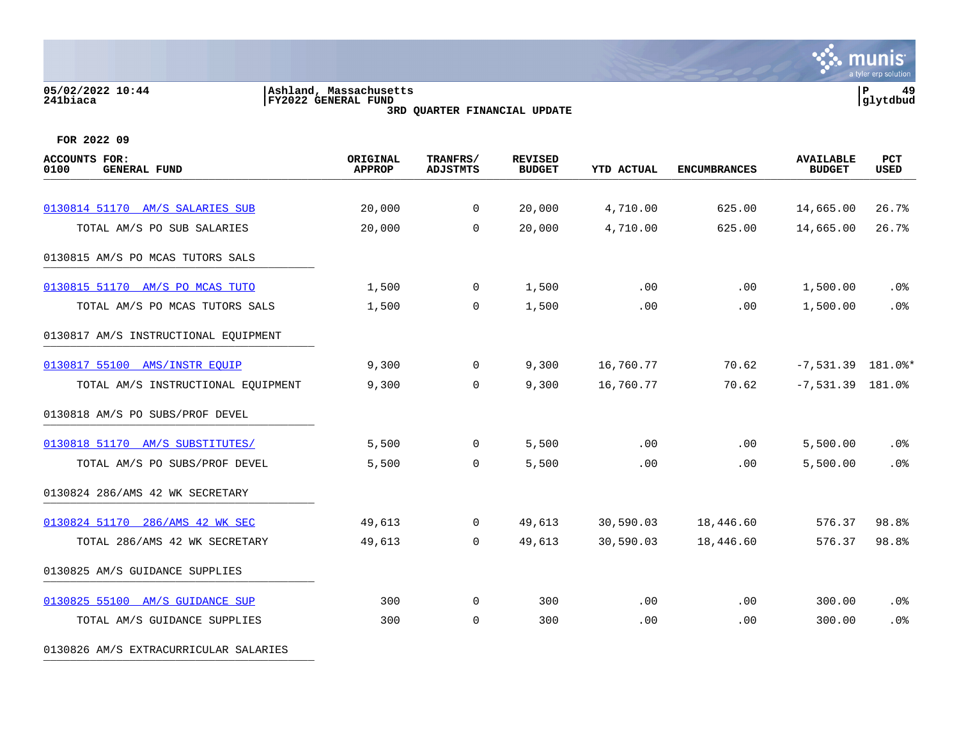### **05/02/2022 10:44 |Ashland, Massachusetts |P 49 241biaca |FY2022 GENERAL FUND |glytdbud 3RD QUARTER FINANCIAL UPDATE**



**FOR 2022 09**

| <b>ACCOUNTS FOR:</b><br>0100<br><b>GENERAL FUND</b> | ORIGINAL<br><b>APPROP</b> | TRANFRS/<br><b>ADJSTMTS</b> | <b>REVISED</b><br><b>BUDGET</b> | <b>YTD ACTUAL</b> | <b>ENCUMBRANCES</b> | <b>AVAILABLE</b><br><b>BUDGET</b> | PCT<br><b>USED</b> |
|-----------------------------------------------------|---------------------------|-----------------------------|---------------------------------|-------------------|---------------------|-----------------------------------|--------------------|
|                                                     |                           |                             |                                 |                   |                     |                                   |                    |
| 0130814 51170 AM/S SALARIES SUB                     | 20,000                    | $\overline{0}$              | 20,000                          | 4,710.00          | 625.00              | 14,665.00                         | 26.7%              |
| TOTAL AM/S PO SUB SALARIES                          | 20,000                    | $\mathbf 0$                 | 20,000                          | 4,710.00          | 625.00              | 14,665.00                         | 26.7%              |
| 0130815 AM/S PO MCAS TUTORS SALS                    |                           |                             |                                 |                   |                     |                                   |                    |
| 0130815 51170 AM/S PO MCAS TUTO                     | 1,500                     | $\overline{0}$              | 1,500                           | .00               | .00                 | 1,500.00                          | .0%                |
| TOTAL AM/S PO MCAS TUTORS SALS                      | 1,500                     | $\mathbf 0$                 | 1,500                           | .00               | .00                 | 1,500.00                          | .0%                |
| 0130817 AM/S INSTRUCTIONAL EQUIPMENT                |                           |                             |                                 |                   |                     |                                   |                    |
| 0130817 55100 AMS/INSTR EQUIP                       | 9,300                     | $\mathbf 0$                 | 9,300                           | 16,760.77         | 70.62               | $-7,531.39$ 181.0%*               |                    |
| TOTAL AM/S INSTRUCTIONAL EQUIPMENT                  | 9,300                     | $\mathbf 0$                 | 9,300                           | 16,760.77         | 70.62               | $-7,531.39$ 181.0%                |                    |
| 0130818 AM/S PO SUBS/PROF DEVEL                     |                           |                             |                                 |                   |                     |                                   |                    |
| 0130818 51170 AM/S SUBSTITUTES/                     | 5,500                     | $\overline{0}$              | 5,500                           | .00               | .00                 | 5,500.00                          | .0%                |
| TOTAL AM/S PO SUBS/PROF DEVEL                       | 5,500                     | 0                           | 5,500                           | .00               | .00                 | 5,500.00                          | .0%                |
| 0130824 286/AMS 42 WK SECRETARY                     |                           |                             |                                 |                   |                     |                                   |                    |
| 0130824 51170 286/AMS 42 WK SEC                     | 49,613                    | $\overline{0}$              | 49,613                          | 30,590.03         | 18,446.60           | 576.37                            | 98.8%              |
| TOTAL 286/AMS 42 WK SECRETARY                       | 49,613                    | $\mathbf 0$                 | 49,613                          | 30,590.03         | 18,446.60           | 576.37                            | 98.8%              |
| 0130825 AM/S GUIDANCE SUPPLIES                      |                           |                             |                                 |                   |                     |                                   |                    |
| 0130825 55100 AM/S GUIDANCE SUP                     | 300                       | $\overline{0}$              | 300                             | .00               | .00                 | 300.00                            | $.0\%$             |
| TOTAL AM/S GUIDANCE SUPPLIES                        | 300                       | $\mathbf 0$                 | 300                             | .00               | .00                 | 300.00                            | .0%                |

0130826 AM/S EXTRACURRICULAR SALARIES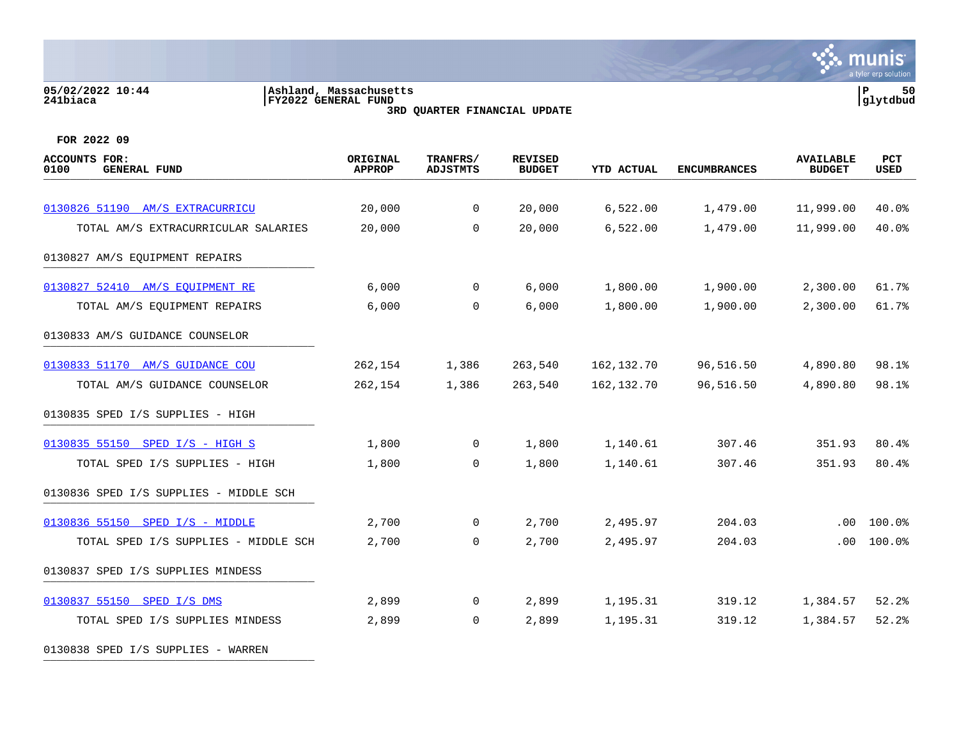# **05/02/2022 10:44 |Ashland, Massachusetts |P 50 241biaca |FY2022 GENERAL FUND |glytdbud**

**3RD QUARTER FINANCIAL UPDATE**



**FOR 2022 09**

| <b>ACCOUNTS FOR:</b><br>0100<br><b>GENERAL FUND</b> | ORIGINAL<br><b>APPROP</b> | TRANFRS/<br><b>ADJSTMTS</b> | <b>REVISED</b><br><b>BUDGET</b> | YTD ACTUAL | <b>ENCUMBRANCES</b> | <b>AVAILABLE</b><br><b>BUDGET</b> | <b>PCT</b><br>USED |
|-----------------------------------------------------|---------------------------|-----------------------------|---------------------------------|------------|---------------------|-----------------------------------|--------------------|
|                                                     |                           |                             |                                 |            |                     |                                   |                    |
| 0130826 51190 AM/S EXTRACURRICU                     | 20,000                    | $\overline{0}$              | 20,000                          | 6,522.00   | 1,479.00            | 11,999.00                         | 40.0%              |
| TOTAL AM/S EXTRACURRICULAR SALARIES                 | 20,000                    | $\Omega$                    | 20,000                          | 6,522.00   | 1,479.00            | 11,999.00                         | 40.0%              |
| 0130827 AM/S EQUIPMENT REPAIRS                      |                           |                             |                                 |            |                     |                                   |                    |
| 0130827 52410 AM/S EOUIPMENT RE                     | 6,000                     | $\overline{0}$              | 6,000                           | 1,800.00   | 1,900.00            | 2,300.00                          | 61.7%              |
| TOTAL AM/S EQUIPMENT REPAIRS                        | 6,000                     | $\overline{0}$              | 6,000                           | 1,800.00   | 1,900.00            | 2,300.00                          | 61.7%              |
| 0130833 AM/S GUIDANCE COUNSELOR                     |                           |                             |                                 |            |                     |                                   |                    |
| 0130833 51170 AM/S GUIDANCE COU                     | 262,154                   | 1,386                       | 263,540                         | 162,132.70 | 96,516.50           | 4,890.80                          | 98.1%              |
| TOTAL AM/S GUIDANCE COUNSELOR                       | 262,154                   | 1,386                       | 263,540                         | 162,132.70 | 96,516.50           | 4,890.80                          | 98.1%              |
| 0130835 SPED I/S SUPPLIES - HIGH                    |                           |                             |                                 |            |                     |                                   |                    |
| 0130835 55150 SPED I/S - HIGH S                     | 1,800                     | $\overline{0}$              | 1,800                           | 1,140.61   | 307.46              | 351.93                            | 80.4%              |
| TOTAL SPED I/S SUPPLIES - HIGH                      | 1,800                     | $\Omega$                    | 1,800                           | 1,140.61   | 307.46              | 351.93                            | 80.4%              |
| 0130836 SPED I/S SUPPLIES - MIDDLE SCH              |                           |                             |                                 |            |                     |                                   |                    |
| 0130836 55150 SPED I/S - MIDDLE                     | 2,700                     | $\overline{0}$              | 2,700                           | 2,495.97   | 204.03              | .00                               | 100.0%             |
| TOTAL SPED I/S SUPPLIES - MIDDLE SCH                | 2,700                     | $\Omega$                    | 2,700                           | 2,495.97   | 204.03              | .00                               | 100.0%             |
| 0130837 SPED I/S SUPPLIES MINDESS                   |                           |                             |                                 |            |                     |                                   |                    |
| 0130837 55150 SPED I/S DMS                          | 2,899                     | $\overline{0}$              | 2,899                           | 1,195.31   | 319.12              | 1,384.57                          | 52.2%              |
| TOTAL SPED I/S SUPPLIES MINDESS                     | 2,899                     | $\overline{0}$              | 2,899                           | 1,195.31   | 319.12              | 1,384.57                          | 52.2%              |
|                                                     |                           |                             |                                 |            |                     |                                   |                    |

0130838 SPED I/S SUPPLIES - WARREN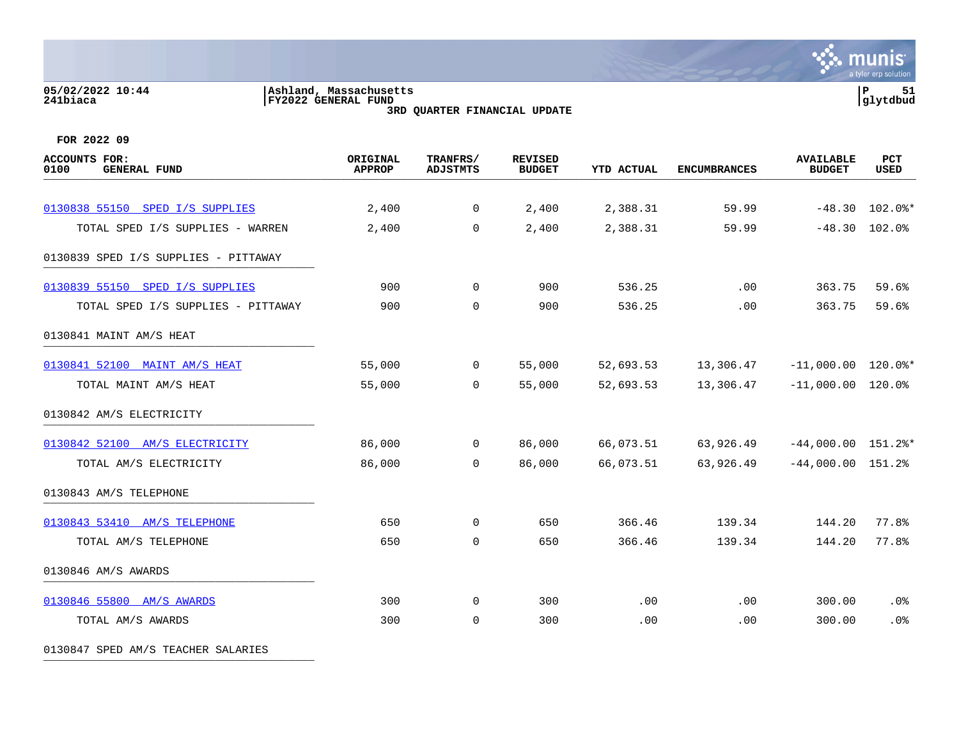### **05/02/2022 10:44 |Ashland, Massachusetts |P 51 241biaca |FY2022 GENERAL FUND |glytdbud 3RD QUARTER FINANCIAL UPDATE**



**FOR 2022 09**

| <b>ACCOUNTS FOR:</b><br><b>GENERAL FUND</b><br>0100 | ORIGINAL<br><b>APPROP</b> | TRANFRS/<br><b>ADJSTMTS</b> | <b>REVISED</b><br><b>BUDGET</b> | <b>YTD ACTUAL</b> | <b>ENCUMBRANCES</b> | <b>AVAILABLE</b><br><b>BUDGET</b> | PCT<br>USED |
|-----------------------------------------------------|---------------------------|-----------------------------|---------------------------------|-------------------|---------------------|-----------------------------------|-------------|
| 0130838 55150 SPED I/S SUPPLIES                     | 2,400                     | $\mathsf{O}$                | 2,400                           | 2,388.31          | 59.99               | $-48.30$                          | 102.0%*     |
| TOTAL SPED I/S SUPPLIES - WARREN                    | 2,400                     | $\mathbf 0$                 | 2,400                           | 2,388.31          | 59.99               | $-48.30$                          | 102.0%      |
| 0130839 SPED I/S SUPPLIES - PITTAWAY                |                           |                             |                                 |                   |                     |                                   |             |
| 0130839 55150 SPED I/S SUPPLIES                     | 900                       | $\mathsf{O}$                | 900                             | 536.25            | .00                 | 363.75                            | 59.6%       |
| TOTAL SPED I/S SUPPLIES - PITTAWAY                  | 900                       | $\mathbf 0$                 | 900                             | 536.25            | .00                 | 363.75                            | 59.6%       |
| 0130841 MAINT AM/S HEAT                             |                           |                             |                                 |                   |                     |                                   |             |
| 0130841 52100 MAINT AM/S HEAT                       | 55,000                    | $\mathbf 0$                 | 55,000                          | 52,693.53         | 13,306.47           | $-11,000.00$ $120.0$ *            |             |
| TOTAL MAINT AM/S HEAT                               | 55,000                    | $\mathbf 0$                 | 55,000                          | 52,693.53         | 13,306.47           | $-11,000.00$                      | 120.0%      |
| 0130842 AM/S ELECTRICITY                            |                           |                             |                                 |                   |                     |                                   |             |
| 0130842 52100 AM/S ELECTRICITY                      | 86,000                    | $\mathbf 0$                 | 86,000                          | 66,073.51         | 63,926.49           | $-44,000.00$ $151.2$ *            |             |
| TOTAL AM/S ELECTRICITY                              | 86,000                    | $\mathbf 0$                 | 86,000                          | 66,073.51         | 63,926.49           | $-44,000.00$ 151.2%               |             |
| 0130843 AM/S TELEPHONE                              |                           |                             |                                 |                   |                     |                                   |             |
| 0130843 53410 AM/S TELEPHONE                        | 650                       | $\mathbf 0$                 | 650                             | 366.46            | 139.34              | 144.20                            | 77.8%       |
| TOTAL AM/S TELEPHONE                                | 650                       | $\mathbf 0$                 | 650                             | 366.46            | 139.34              | 144.20                            | 77.8%       |
| 0130846 AM/S AWARDS                                 |                           |                             |                                 |                   |                     |                                   |             |
| 0130846 55800 AM/S AWARDS                           | 300                       | $\Omega$                    | 300                             | .00               | .00                 | 300.00                            | .0%         |
| TOTAL AM/S AWARDS                                   | 300                       | $\mathbf 0$                 | 300                             | .00               | .00                 | 300.00                            | .0%         |

0130847 SPED AM/S TEACHER SALARIES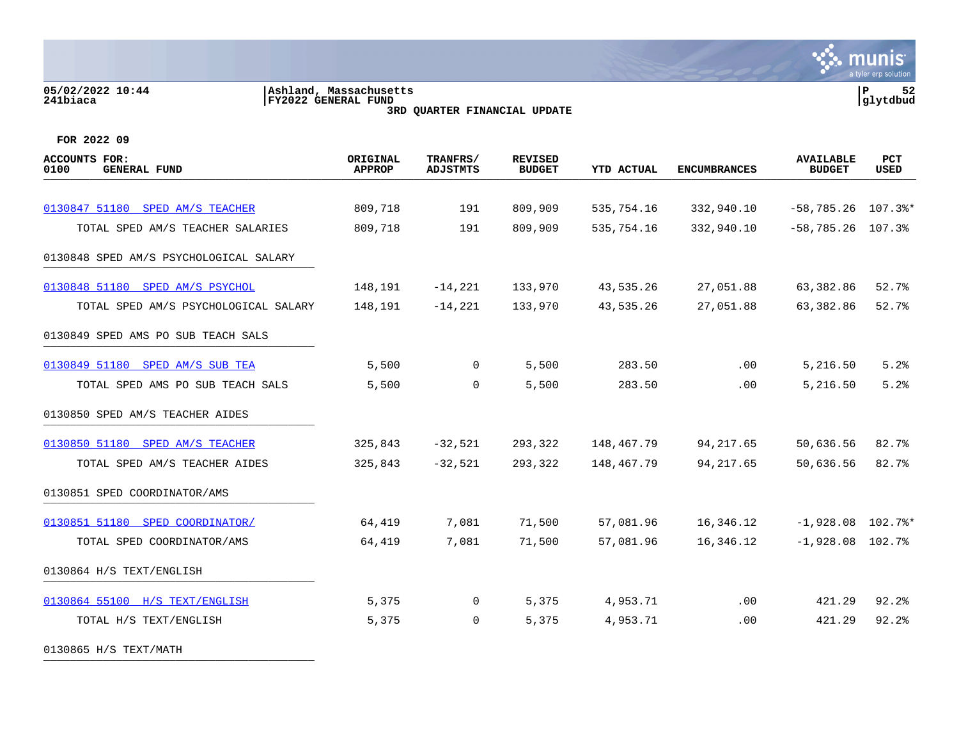**05/02/2022 10:44 |Ashland, Massachusetts |P 52 241biaca |FY2022 GENERAL FUND |glytdbud 3RD QUARTER FINANCIAL UPDATE FOR 2022 09 ACCOUNTS FOR: ORIGINAL TRANFRS/ REVISED AVAILABLE PCT 0100 GENERAL FUND APPROP ADJSTMTS BUDGET YTD ACTUAL ENCUMBRANCES BUDGET USED** arrive demension code and the second code of the condition of the code of the condition of the code of the code of the code of the code of the code of the code of the code of the code of the code of the code of the code of [0130847 51180 SPED AM/S TEACHER](https://yvwlndash063.tylertech.com/sites/mu0241/LIVE/_layouts/15/DashboardMunisV6.3/PassThru.aspx?-E=5CYM8x3MdMFDoGHeFucJHZTcfYVykm0jrcVljKe9bzhKv7l79E5lWEFr5o2VIIrK&) 809.718 191 809.909 535.754.16 332.940.10 -58.785.26 107.3 \*\* TOTAL SPED AM/S TEACHER SALARIES 809,718 191 809,909 535,754.16 332,940.10 -58,785.26 107.3% 0130848 SPED AM/S PSYCHOLOGICAL SALARY [0130848 51180 SPED AM/S PSYCHOL](https://yvwlndash063.tylertech.com/sites/mu0241/LIVE/_layouts/15/DashboardMunisV6.3/PassThru.aspx?-E=nGVmm2foKMBXKJ3H%2BXyWOZpWNi2MVtKfGJSmoqWGoTFCvdbBvmDXS9sgXKzrEnYE&) 148,191 -14,221 133,970 43,535.26 27,051.88 63,382.86 52.7% TOTAL SPED AM/S PSYCHOLOGICAL SALARY 148,191 -14,221 133,970 43,535.26 27,051.88 63,382.86 52.7% 0130849 SPED AMS PO SUB TEACH SALS [0130849 51180 SPED AM/S SUB TEA](https://yvwlndash063.tylertech.com/sites/mu0241/LIVE/_layouts/15/DashboardMunisV6.3/PassThru.aspx?-E=RZW58YRF2PfcXXoU3NjBPejtwpvuYUWwbw2jJNCk7D4rC3ZWTPQscdjHuen9jC0G&) 5,500 0 5,500 283.50 .00 5,216.50 5.2% TOTAL SPED AMS PO SUB TEACH SALS  $5,500$  0  $5,500$  283.50 .00 5,216.50 5.2% 0130850 SPED AM/S TEACHER AIDES [0130850 51180 SPED AM/S TEACHER](https://yvwlndash063.tylertech.com/sites/mu0241/LIVE/_layouts/15/DashboardMunisV6.3/PassThru.aspx?-E=yMPSXtH6m05a6kgy9uI9nw8asMpNLsW6iJj7887I86/HJkoyGwizHV9KpL%2BgZAg1&) 325,843 -32,521 293,322 148,467.79 94,217.65 50,636.56 82.7% TOTAL SPED AM/S TEACHER AIDES 325,843 -32,521 293,322 148,467.79 94,217.65 50,636.56 82.7%

munis a tyler erp solutior

0130851 SPED COORDINATOR/AMS [0130851 51180 SPED COORDINATOR/](https://yvwlndash063.tylertech.com/sites/mu0241/LIVE/_layouts/15/DashboardMunisV6.3/PassThru.aspx?-E=Qvlp/tvmo7VBMWaNX6t02z8k7BwpA/p2JPSDVUH2/m8s78lVegEwOY6MpfrNUuVE&) 64,419 7,081 71,500 57,081.96 16,346.12 -1,928.08 102.7%\* TOTAL SPED COORDINATOR/AMS 64,419 7,081 71,500 57,081.96 16,346.12 -1,928.08 102.7% 0130864 H/S TEXT/ENGLISH [0130864 55100 H/S TEXT/ENGLISH](https://yvwlndash063.tylertech.com/sites/mu0241/LIVE/_layouts/15/DashboardMunisV6.3/PassThru.aspx?-E=74XS4cfKoLStbZjfR4h6Atyb37z/6uIG56hrDP0iBTEk8h0H63R2vWxmBt%2BfvAWz&) 5,375 0 5,375 4,953.71 .00 421.29 92.2% TOTAL H/S TEXT/ENGLISH  $5.375$   $6.375$   $7.375$   $8.375$   $9.28$ 

0130865 H/S TEXT/MATH \_\_\_\_\_\_\_\_\_\_\_\_\_\_\_\_\_\_\_\_\_\_\_\_\_\_\_\_\_\_\_\_\_\_\_\_\_\_\_\_\_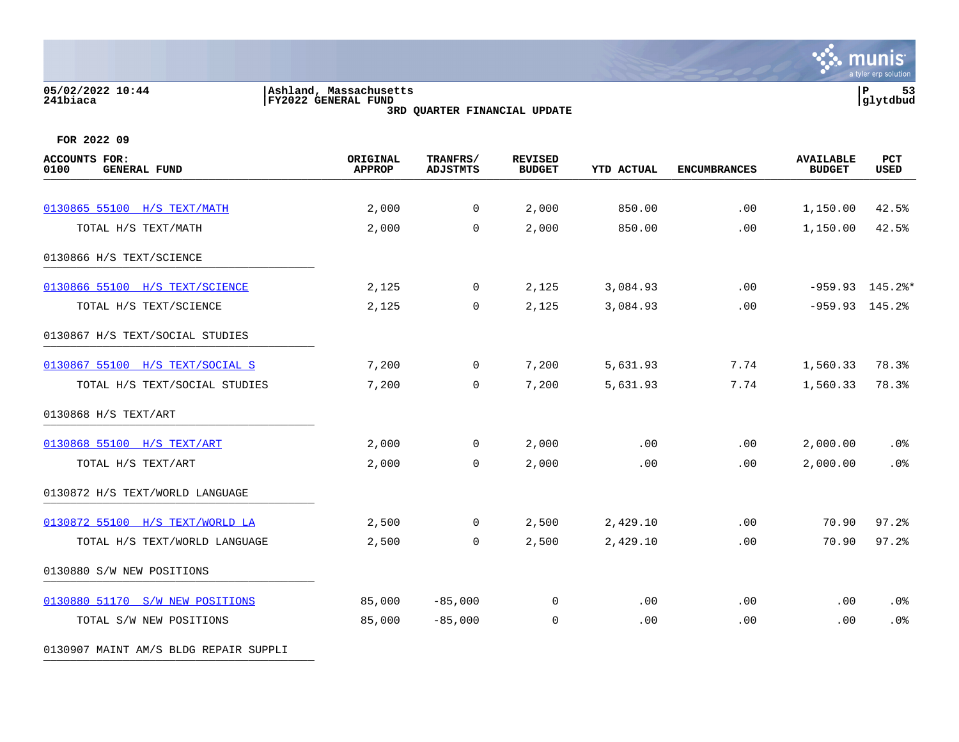# **05/02/2022 10:44 |Ashland, Massachusetts |P 53 241biaca |FY2022 GENERAL FUND |glytdbud 3RD QUARTER FINANCIAL UPDATE**



**FOR 2022 09**

| <b>ACCOUNTS FOR:</b><br>0100<br><b>GENERAL FUND</b> | ORIGINAL<br><b>APPROP</b> | TRANFRS/<br><b>ADJSTMTS</b> | <b>REVISED</b><br><b>BUDGET</b> | <b>YTD ACTUAL</b> | <b>ENCUMBRANCES</b> | <b>AVAILABLE</b><br><b>BUDGET</b> | PCT<br><b>USED</b> |
|-----------------------------------------------------|---------------------------|-----------------------------|---------------------------------|-------------------|---------------------|-----------------------------------|--------------------|
|                                                     |                           |                             |                                 |                   |                     |                                   |                    |
| 0130865 55100 H/S TEXT/MATH                         | 2,000                     | $\mathsf{O}$                | 2,000                           | 850.00            | .00                 | 1,150.00                          | 42.5%              |
| TOTAL H/S TEXT/MATH                                 | 2,000                     | $\mathbf 0$                 | 2,000                           | 850.00            | .00                 | 1,150.00                          | 42.5%              |
| 0130866 H/S TEXT/SCIENCE                            |                           |                             |                                 |                   |                     |                                   |                    |
| 0130866 55100 H/S TEXT/SCIENCE                      | 2,125                     | 0                           | 2,125                           | 3,084.93          | .00                 |                                   | $-959.93$ 145.2%*  |
| TOTAL H/S TEXT/SCIENCE                              | 2,125                     | $\mathbf 0$                 | 2,125                           | 3,084.93          | .00                 | $-959.93$ 145.2%                  |                    |
| 0130867 H/S TEXT/SOCIAL STUDIES                     |                           |                             |                                 |                   |                     |                                   |                    |
| 0130867 55100 H/S TEXT/SOCIAL S                     | 7,200                     | 0                           | 7,200                           | 5,631.93          | 7.74                | 1,560.33                          | 78.3%              |
| TOTAL H/S TEXT/SOCIAL STUDIES                       | 7,200                     | $\mathbf 0$                 | 7,200                           | 5,631.93          | 7.74                | 1,560.33                          | 78.3%              |
| 0130868 H/S TEXT/ART                                |                           |                             |                                 |                   |                     |                                   |                    |
| 0130868 55100 H/S TEXT/ART                          | 2,000                     | $\mathbf 0$                 | 2,000                           | .00               | .00                 | 2,000.00                          | .0%                |
| TOTAL H/S TEXT/ART                                  | 2,000                     | $\mathbf 0$                 | 2,000                           | .00               | .00                 | 2,000.00                          | .0%                |
| 0130872 H/S TEXT/WORLD LANGUAGE                     |                           |                             |                                 |                   |                     |                                   |                    |
| 0130872 55100 H/S TEXT/WORLD LA                     | 2,500                     | 0                           | 2,500                           | 2,429.10          | .00                 | 70.90                             | 97.2%              |
| TOTAL H/S TEXT/WORLD LANGUAGE                       | 2,500                     | $\mathbf 0$                 | 2,500                           | 2,429.10          | .00                 | 70.90                             | 97.2%              |
| 0130880 S/W NEW POSITIONS                           |                           |                             |                                 |                   |                     |                                   |                    |
| 0130880 51170 S/W NEW POSITIONS                     | 85,000                    | $-85,000$                   | 0                               | .00               | .00                 | .00                               | .0%                |
| TOTAL S/W NEW POSITIONS                             | 85,000                    | $-85,000$                   | 0                               | .00               | .00                 | .00                               | .0%                |

0130907 MAINT AM/S BLDG REPAIR SUPPLI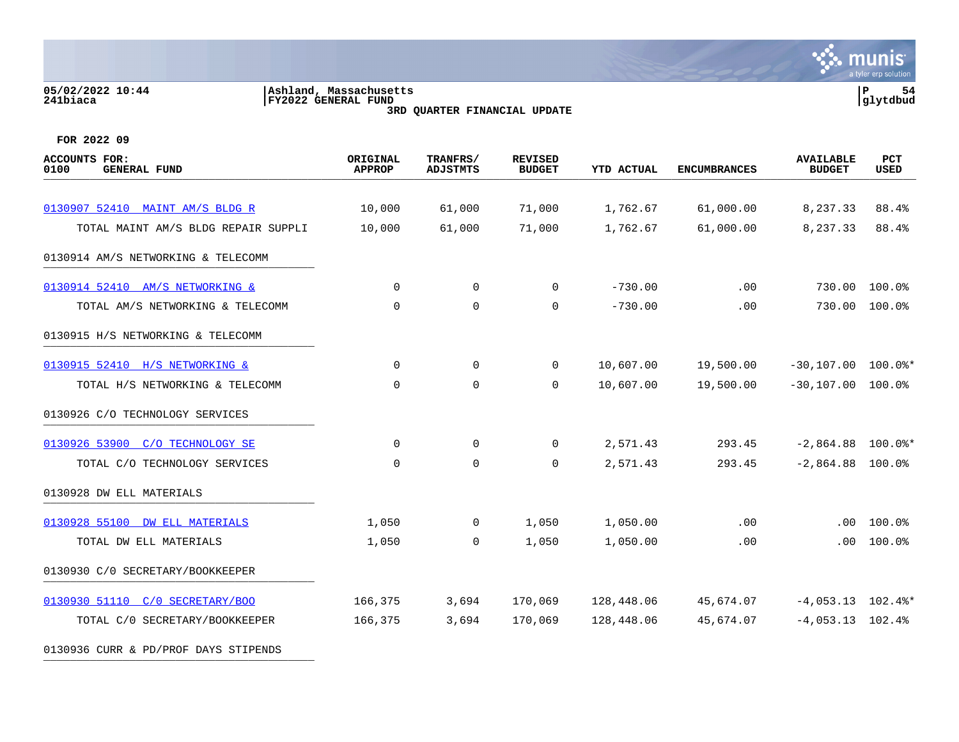# **05/02/2022 10:44 |Ashland, Massachusetts |P 54 241biaca |FY2022 GENERAL FUND |glytdbud 3RD QUARTER FINANCIAL UPDATE**



**FOR 2022 09**

| <b>ACCOUNTS FOR:</b><br>0100<br><b>GENERAL FUND</b> | ORIGINAL<br><b>APPROP</b> | TRANFRS/<br><b>ADJSTMTS</b> | <b>REVISED</b><br><b>BUDGET</b> | <b>YTD ACTUAL</b> | <b>ENCUMBRANCES</b> | <b>AVAILABLE</b><br><b>BUDGET</b> | PCT<br>USED        |
|-----------------------------------------------------|---------------------------|-----------------------------|---------------------------------|-------------------|---------------------|-----------------------------------|--------------------|
|                                                     |                           |                             |                                 |                   |                     |                                   |                    |
| 0130907 52410 MAINT AM/S BLDG R                     | 10,000                    | 61,000                      | 71,000                          | 1,762.67          | 61,000.00           | 8,237.33                          | 88.4%              |
| TOTAL MAINT AM/S BLDG REPAIR SUPPLI                 | 10,000                    | 61,000                      | 71,000                          | 1,762.67          | 61,000.00           | 8,237.33                          | 88.4%              |
| 0130914 AM/S NETWORKING & TELECOMM                  |                           |                             |                                 |                   |                     |                                   |                    |
| 0130914 52410 AM/S NETWORKING &                     | $\Omega$                  | $\mathbf 0$                 | $\Omega$                        | $-730.00$         | .00                 | 730.00                            | 100.0%             |
| TOTAL AM/S NETWORKING & TELECOMM                    | $\mathbf 0$               | $\mathbf 0$                 | $\mathbf 0$                     | $-730.00$         | .00                 | 730.00                            | 100.0%             |
| 0130915 H/S NETWORKING & TELECOMM                   |                           |                             |                                 |                   |                     |                                   |                    |
| 0130915 52410 H/S NETWORKING &                      | 0                         | $\mathbf 0$                 | 0                               | 10,607.00         | 19,500.00           | $-30,107.00$ 100.0%*              |                    |
| TOTAL H/S NETWORKING & TELECOMM                     | $\mathbf 0$               | $\mathbf 0$                 | $\Omega$                        | 10,607.00         | 19,500.00           | $-30, 107.00$                     | 100.0%             |
| 0130926 C/O TECHNOLOGY SERVICES                     |                           |                             |                                 |                   |                     |                                   |                    |
| 0130926 53900 C/O TECHNOLOGY SE                     | $\mathbf 0$               | 0                           | $\Omega$                        | 2,571.43          | 293.45              | $-2,864.88$ 100.0%*               |                    |
| TOTAL C/O TECHNOLOGY SERVICES                       | $\mathbf 0$               | 0                           | $\mathbf 0$                     | 2,571.43          | 293.45              | $-2,864.88$                       | $100.0$ $^{\circ}$ |
| 0130928 DW ELL MATERIALS                            |                           |                             |                                 |                   |                     |                                   |                    |
| 0130928 55100 DW ELL MATERIALS                      | 1,050                     | $\mathbf 0$                 | 1,050                           | 1,050.00          | .00                 | .00                               | 100.0%             |
| TOTAL DW ELL MATERIALS                              | 1,050                     | 0                           | 1,050                           | 1,050.00          | .00                 | .00                               | 100.0%             |
| 0130930 C/O SECRETARY/BOOKKEEPER                    |                           |                             |                                 |                   |                     |                                   |                    |
| 0130930 51110 C/O SECRETARY/BOO                     | 166,375                   | 3,694                       | 170,069                         | 128,448.06        | 45,674.07           | $-4,053.13$ $102.4$ <sup>*</sup>  |                    |
| TOTAL C/0 SECRETARY/BOOKKEEPER                      | 166,375                   | 3,694                       | 170,069                         | 128,448.06        | 45,674.07           | $-4,053.13$ 102.4%                |                    |

0130936 CURR & PD/PROF DAYS STIPENDS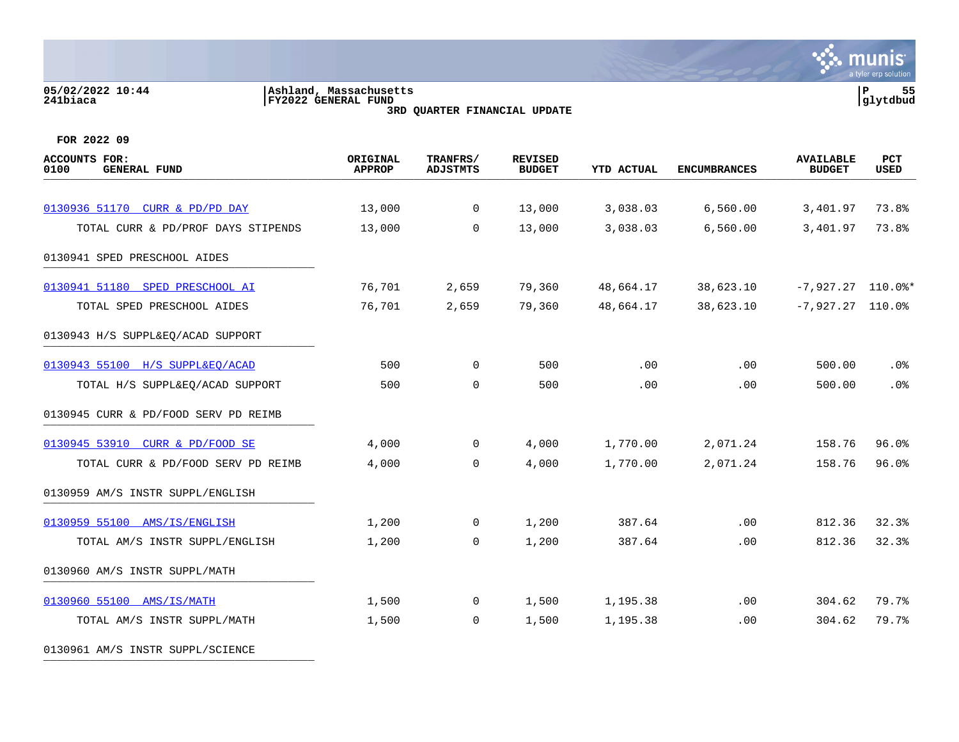# **05/02/2022 10:44 |Ashland, Massachusetts |P 55 241biaca |FY2022 GENERAL FUND |glytdbud 3RD QUARTER FINANCIAL UPDATE**



**FOR 2022 09**

| ACCOUNTS FOR:<br>0100<br><b>GENERAL FUND</b> | ORIGINAL<br><b>APPROP</b> | TRANFRS/<br><b>ADJSTMTS</b> | <b>REVISED</b><br><b>BUDGET</b> | <b>YTD ACTUAL</b> | <b>ENCUMBRANCES</b> | <b>AVAILABLE</b><br><b>BUDGET</b> | PCT<br>USED |
|----------------------------------------------|---------------------------|-----------------------------|---------------------------------|-------------------|---------------------|-----------------------------------|-------------|
|                                              |                           |                             |                                 |                   |                     |                                   |             |
| 0130936 51170 CURR & PD/PD DAY               | 13,000                    | $\overline{0}$              | 13,000                          | 3,038.03          | 6,560.00            | 3,401.97                          | 73.8%       |
| TOTAL CURR & PD/PROF DAYS STIPENDS           | 13,000                    | $\Omega$                    | 13,000                          | 3,038.03          | 6,560.00            | 3,401.97                          | 73.8%       |
| 0130941 SPED PRESCHOOL AIDES                 |                           |                             |                                 |                   |                     |                                   |             |
| 0130941 51180 SPED PRESCHOOL AI              | 76,701                    | 2,659                       | 79,360                          | 48,664.17         | 38,623.10           | $-7,927.27$ 110.0%*               |             |
| TOTAL SPED PRESCHOOL AIDES                   | 76,701                    | 2,659                       | 79,360                          | 48,664.17         | 38,623.10           | $-7,927.27$ 110.0%                |             |
| 0130943 H/S SUPPL&EQ/ACAD SUPPORT            |                           |                             |                                 |                   |                     |                                   |             |
| 0130943 55100 H/S SUPPL&EO/ACAD              | 500                       | $\mathbf 0$                 | 500                             | .00               | .00                 | 500.00                            | $.0\%$      |
| TOTAL H/S SUPPL&EQ/ACAD SUPPORT              | 500                       | $\mathbf 0$                 | 500                             | .00               | .00                 | 500.00                            | .0%         |
| 0130945 CURR & PD/FOOD SERV PD REIMB         |                           |                             |                                 |                   |                     |                                   |             |
| 0130945 53910 CURR & PD/FOOD SE              | 4,000                     | $\mathbf 0$                 | 4,000                           | 1,770.00          | 2,071.24            | 158.76                            | 96.0%       |
| TOTAL CURR & PD/FOOD SERV PD REIMB           | 4,000                     | $\mathbf 0$                 | 4,000                           | 1,770.00          | 2,071.24            | 158.76                            | 96.0%       |
| 0130959 AM/S INSTR SUPPL/ENGLISH             |                           |                             |                                 |                   |                     |                                   |             |
| 0130959 55100 AMS/IS/ENGLISH                 | 1,200                     | $\overline{0}$              | 1,200                           | 387.64            | .00                 | 812.36                            | 32.3%       |
| TOTAL AM/S INSTR SUPPL/ENGLISH               | 1,200                     | $\Omega$                    | 1,200                           | 387.64            | .00                 | 812.36                            | 32.3%       |
| 0130960 AM/S INSTR SUPPL/MATH                |                           |                             |                                 |                   |                     |                                   |             |
| 0130960 55100 AMS/IS/MATH                    | 1,500                     | $\overline{0}$              | 1,500                           | 1,195.38          | .00                 | 304.62                            | 79.7%       |
| TOTAL AM/S INSTR SUPPL/MATH                  | 1,500                     | $\mathbf 0$                 | 1,500                           | 1,195.38          | .00                 | 304.62                            | 79.7%       |
|                                              |                           |                             |                                 |                   |                     |                                   |             |

0130961 AM/S INSTR SUPPL/SCIENCE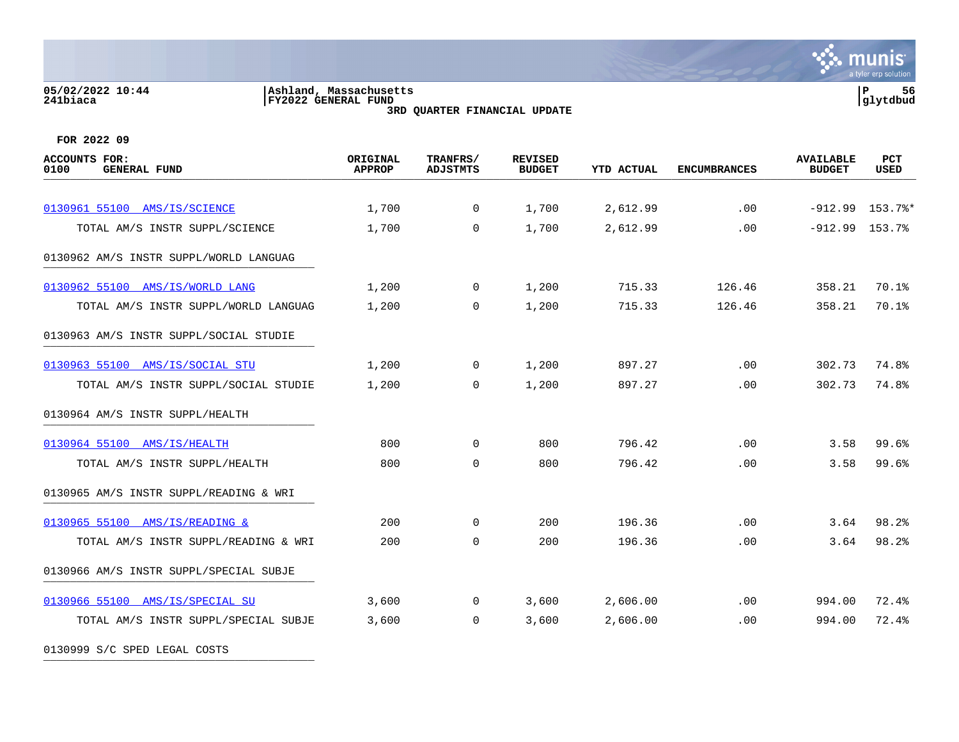### **05/02/2022 10:44 |Ashland, Massachusetts |P 56 241biaca |FY2022 GENERAL FUND |glytdbud 3RD QUARTER FINANCIAL UPDATE**



**FOR 2022 09**

| <b>ACCOUNTS FOR:</b><br><b>GENERAL FUND</b><br>0100 | ORIGINAL<br><b>APPROP</b> | TRANFRS/<br><b>ADJSTMTS</b> | <b>REVISED</b><br><b>BUDGET</b> | <b>YTD ACTUAL</b> | <b>ENCUMBRANCES</b> | <b>AVAILABLE</b><br><b>BUDGET</b> | <b>PCT</b><br><b>USED</b> |
|-----------------------------------------------------|---------------------------|-----------------------------|---------------------------------|-------------------|---------------------|-----------------------------------|---------------------------|
| 0130961 55100 AMS/IS/SCIENCE                        | 1,700                     | $\overline{0}$              | 1,700                           | 2,612.99          | .00                 |                                   | $-912.99$ 153.7%*         |
| TOTAL AM/S INSTR SUPPL/SCIENCE                      | 1,700                     | $\Omega$                    | 1,700                           | 2,612.99          | .00                 | $-912.99$ 153.7%                  |                           |
| 0130962 AM/S INSTR SUPPL/WORLD LANGUAG              |                           |                             |                                 |                   |                     |                                   |                           |
| 0130962 55100 AMS/IS/WORLD LANG                     | 1,200                     | $\overline{0}$              | 1,200                           | 715.33            | 126.46              | 358.21                            | 70.1%                     |
| TOTAL AM/S INSTR SUPPL/WORLD LANGUAG                | 1,200                     | $\mathbf 0$                 | 1,200                           | 715.33            | 126.46              | 358.21                            | 70.1%                     |
| 0130963 AM/S INSTR SUPPL/SOCIAL STUDIE              |                           |                             |                                 |                   |                     |                                   |                           |
| 0130963 55100 AMS/IS/SOCIAL STU                     | 1,200                     | $\overline{0}$              | 1,200                           | 897.27            | .00                 | 302.73                            | 74.8%                     |
| TOTAL AM/S INSTR SUPPL/SOCIAL STUDIE                | 1,200                     | $\mathbf 0$                 | 1,200                           | 897.27            | .00                 | 302.73                            | 74.8%                     |
| 0130964 AM/S INSTR SUPPL/HEALTH                     |                           |                             |                                 |                   |                     |                                   |                           |
| 0130964 55100 AMS/IS/HEALTH                         | 800                       | $\mathbf 0$                 | 800                             | 796.42            | .00                 | 3.58                              | 99.6%                     |
| TOTAL AM/S INSTR SUPPL/HEALTH                       | 800                       | $\mathbf 0$                 | 800                             | 796.42            | .00                 | 3.58                              | 99.6%                     |
| 0130965 AM/S INSTR SUPPL/READING & WRI              |                           |                             |                                 |                   |                     |                                   |                           |
| 0130965 55100 AMS/IS/READING &                      | 200                       | $\mathbf 0$                 | 200                             | 196.36            | $.00 \,$            | 3.64                              | 98.2%                     |
| TOTAL AM/S INSTR SUPPL/READING & WRI                | 200                       | $\mathbf 0$                 | 200                             | 196.36            | .00                 | 3.64                              | 98.2%                     |
| 0130966 AM/S INSTR SUPPL/SPECIAL SUBJE              |                           |                             |                                 |                   |                     |                                   |                           |
| 0130966 55100 AMS/IS/SPECIAL SU                     | 3,600                     | $\overline{0}$              | 3,600                           | 2,606.00          | .00                 | 994.00                            | 72.4%                     |
| TOTAL AM/S INSTR SUPPL/SPECIAL SUBJE                | 3,600                     | $\mathbf 0$                 | 3,600                           | 2,606.00          | .00                 | 994.00                            | 72.4%                     |

0130999 S/C SPED LEGAL COSTS \_\_\_\_\_\_\_\_\_\_\_\_\_\_\_\_\_\_\_\_\_\_\_\_\_\_\_\_\_\_\_\_\_\_\_\_\_\_\_\_\_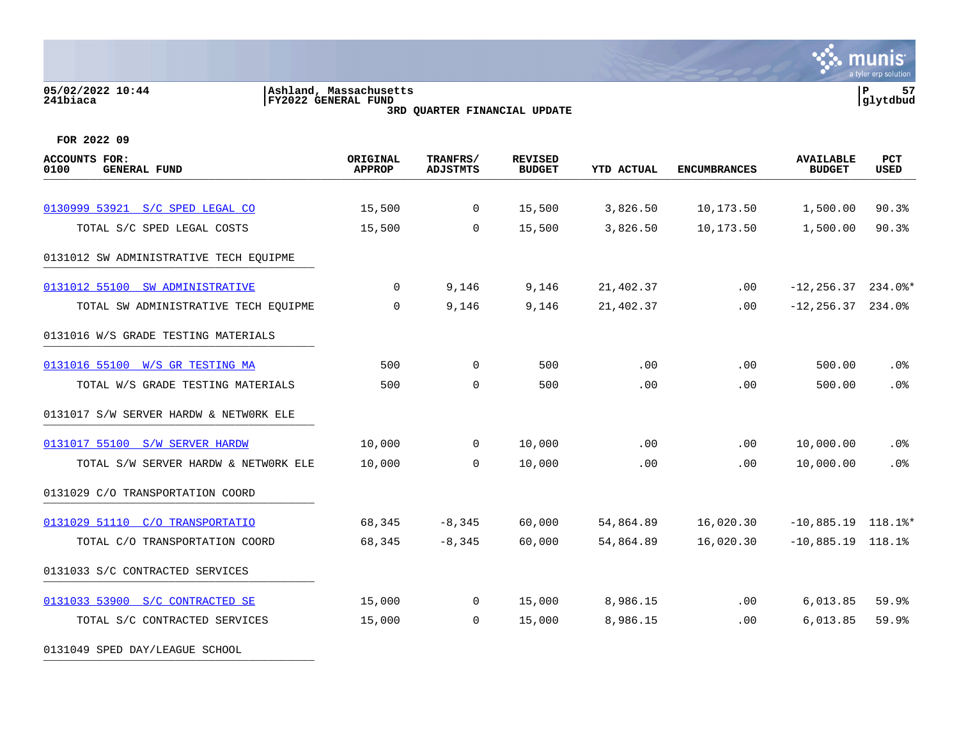### **05/02/2022 10:44 |Ashland, Massachusetts |P 57 241biaca |FY2022 GENERAL FUND |glytdbud 3RD QUARTER FINANCIAL UPDATE**



| <b>ACCOUNTS FOR:</b><br>0100<br><b>GENERAL FUND</b> | ORIGINAL<br><b>APPROP</b> | TRANFRS/<br><b>ADJSTMTS</b> | <b>REVISED</b><br><b>BUDGET</b> | <b>YTD ACTUAL</b> | <b>ENCUMBRANCES</b> | <b>AVAILABLE</b><br><b>BUDGET</b> | PCT<br><b>USED</b> |
|-----------------------------------------------------|---------------------------|-----------------------------|---------------------------------|-------------------|---------------------|-----------------------------------|--------------------|
|                                                     |                           |                             |                                 |                   |                     |                                   |                    |
| 0130999 53921 S/C SPED LEGAL CO                     | 15,500                    | $\mathbf 0$                 | 15,500                          | 3,826.50          | 10,173.50           | 1,500.00                          | 90.3%              |
| TOTAL S/C SPED LEGAL COSTS                          | 15,500                    | $\Omega$                    | 15,500                          | 3,826.50          | 10,173.50           | 1,500.00                          | 90.3%              |
| 0131012 SW ADMINISTRATIVE TECH EQUIPME              |                           |                             |                                 |                   |                     |                                   |                    |
| 0131012 55100 SW ADMINISTRATIVE                     | 0                         | 9,146                       | 9,146                           | 21,402.37         | $.00 \,$            | $-12, 256.37$ 234.0%*             |                    |
| TOTAL SW ADMINISTRATIVE TECH EQUIPME                | $\Omega$                  | 9,146                       | 9,146                           | 21,402.37         | $.00 \,$            | $-12, 256.37$ 234.0%              |                    |
| 0131016 W/S GRADE TESTING MATERIALS                 |                           |                             |                                 |                   |                     |                                   |                    |
| 0131016 55100 W/S GR TESTING MA                     | 500                       | $\mathbf 0$                 | 500                             | .00               | .00                 | 500.00                            | .0%                |
| TOTAL W/S GRADE TESTING MATERIALS                   | 500                       | 0                           | 500                             | .00               | .00                 | 500.00                            | .0%                |
| 0131017 S/W SERVER HARDW & NETWORK ELE              |                           |                             |                                 |                   |                     |                                   |                    |
| 0131017 55100 S/W SERVER HARDW                      | 10,000                    | $\overline{0}$              | 10,000                          | .00               | .00                 | 10,000.00                         | $.0\%$             |
| TOTAL S/W SERVER HARDW & NETWORK ELE                | 10,000                    | $\overline{0}$              | 10,000                          | .00               | .00                 | 10,000.00                         | .0%                |
| 0131029 C/O TRANSPORTATION COORD                    |                           |                             |                                 |                   |                     |                                   |                    |
| 0131029 51110 C/O TRANSPORTATIO                     | 68,345                    | $-8,345$                    | 60,000                          | 54,864.89         | 16,020.30           | $-10,885.19$ 118.1%*              |                    |
| TOTAL C/O TRANSPORTATION COORD                      | 68,345                    | $-8,345$                    | 60,000                          | 54,864.89         | 16,020.30           | $-10,885.19$ 118.1%               |                    |
| 0131033 S/C CONTRACTED SERVICES                     |                           |                             |                                 |                   |                     |                                   |                    |
| 0131033 53900 S/C CONTRACTED SE                     | 15,000                    | $\overline{0}$              | 15,000                          | 8,986.15          | .00                 | 6,013.85                          | 59.9               |
| TOTAL S/C CONTRACTED SERVICES                       | 15,000                    | $\overline{0}$              | 15,000                          | 8,986.15          | .00                 | 6,013.85                          | 59.9%              |
| 0131049 SPED DAY/LEAGUE SCHOOL                      |                           |                             |                                 |                   |                     |                                   |                    |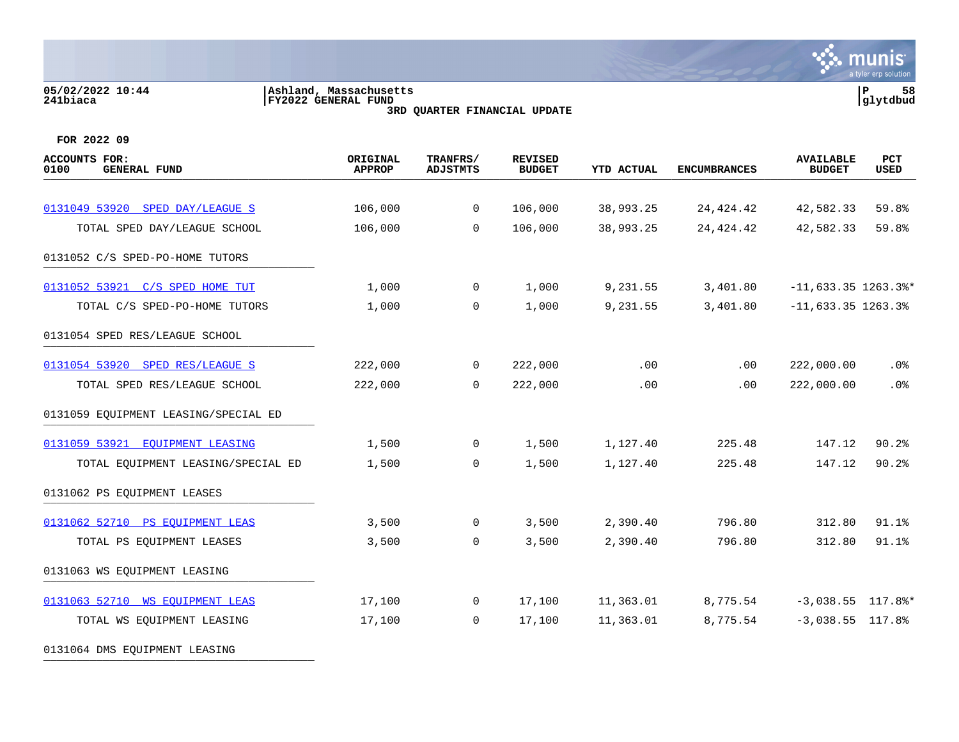# **05/02/2022 10:44 |Ashland, Massachusetts |P 58 241biaca |FY2022 GENERAL FUND |glytdbud 3RD QUARTER FINANCIAL UPDATE**



| ACCOUNTS FOR:<br>0100<br><b>GENERAL FUND</b> | ORIGINAL<br><b>APPROP</b> | TRANFRS/<br><b>ADJSTMTS</b> | <b>REVISED</b><br><b>BUDGET</b> | <b>YTD ACTUAL</b> | <b>ENCUMBRANCES</b> | <b>AVAILABLE</b><br><b>BUDGET</b> | PCT<br>USED |
|----------------------------------------------|---------------------------|-----------------------------|---------------------------------|-------------------|---------------------|-----------------------------------|-------------|
|                                              |                           |                             |                                 |                   |                     |                                   |             |
| 0131049 53920 SPED DAY/LEAGUE S              | 106,000                   | $\overline{0}$              | 106,000                         | 38,993.25         | 24, 424. 42         | 42,582.33                         | 59.8%       |
| TOTAL SPED DAY/LEAGUE SCHOOL                 | 106,000                   | $\mathbf 0$                 | 106,000                         | 38,993.25         | 24,424.42           | 42,582.33                         | 59.8%       |
| 0131052 C/S SPED-PO-HOME TUTORS              |                           |                             |                                 |                   |                     |                                   |             |
| 0131052 53921 C/S SPED HOME TUT              | 1,000                     | $\overline{0}$              | 1,000                           | 9,231.55          | 3,401.80            | $-11,633.35$ 1263.3%*             |             |
| TOTAL C/S SPED-PO-HOME TUTORS                | 1,000                     | $\mathbf 0$                 | 1,000                           | 9,231.55          | 3,401.80            | $-11,633.35$ 1263.3%              |             |
| 0131054 SPED RES/LEAGUE SCHOOL               |                           |                             |                                 |                   |                     |                                   |             |
| 0131054 53920 SPED RES/LEAGUE S              | 222,000                   | 0                           | 222,000                         | .00               | .00                 | 222,000.00                        | $.0\%$      |
| TOTAL SPED RES/LEAGUE SCHOOL                 | 222,000                   | $\mathbf 0$                 | 222,000                         | .00               | .00                 | 222,000.00                        | .0%         |
| 0131059 EQUIPMENT LEASING/SPECIAL ED         |                           |                             |                                 |                   |                     |                                   |             |
| 0131059 53921 EQUIPMENT LEASING              | 1,500                     | $\overline{0}$              | 1,500                           | 1,127.40          | 225.48              | 147.12                            | 90.2%       |
| TOTAL EQUIPMENT LEASING/SPECIAL ED           | 1,500                     | $\mathbf 0$                 | 1,500                           | 1,127.40          | 225.48              | 147.12                            | 90.2%       |
| 0131062 PS EQUIPMENT LEASES                  |                           |                             |                                 |                   |                     |                                   |             |
| 0131062 52710 PS EQUIPMENT LEAS              | 3,500                     | 0                           | 3,500                           | 2,390.40          | 796.80              | 312.80                            | 91.1%       |
| TOTAL PS EQUIPMENT LEASES                    | 3,500                     | $\mathbf 0$                 | 3,500                           | 2,390.40          | 796.80              | 312.80                            | 91.1%       |
| 0131063 WS EQUIPMENT LEASING                 |                           |                             |                                 |                   |                     |                                   |             |
| 0131063 52710 WS EOUIPMENT LEAS              | 17,100                    | $\overline{0}$              | 17,100                          | 11,363.01         | 8,775.54            | $-3,038.55$ 117.8%*               |             |
| TOTAL WS EQUIPMENT LEASING                   | 17,100                    | $\mathbf{0}$                | 17,100                          | 11,363.01         | 8,775.54            | $-3,038.55$ 117.8%                |             |
| 0131064 DMS EQUIPMENT LEASING                |                           |                             |                                 |                   |                     |                                   |             |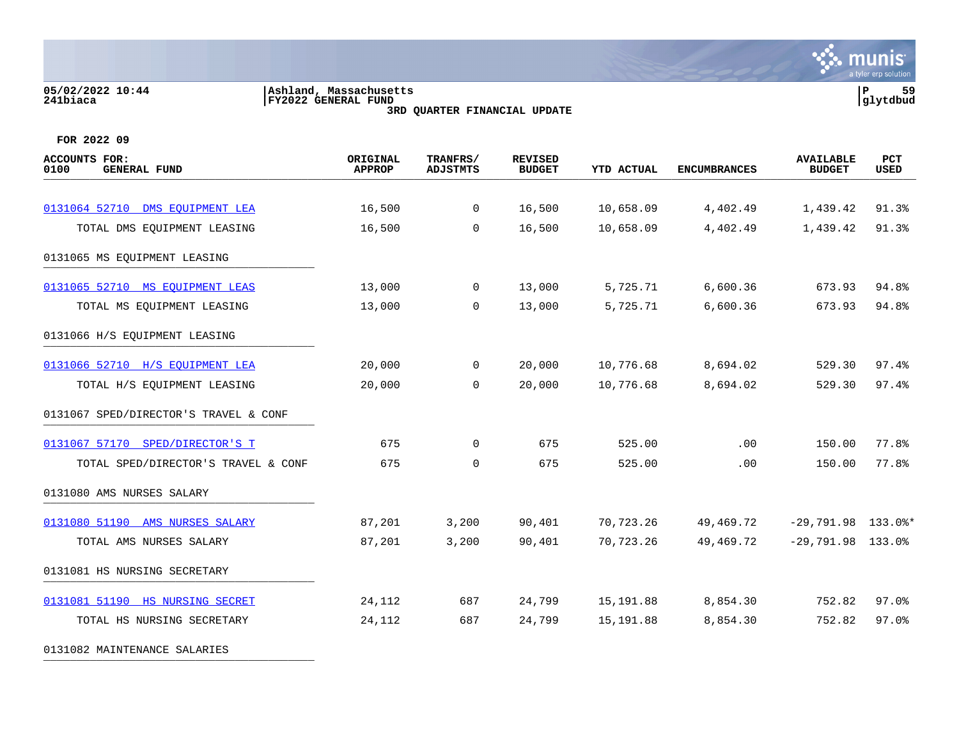### **05/02/2022 10:44 |Ashland, Massachusetts |P 59 241biaca |FY2022 GENERAL FUND |glytdbud 3RD QUARTER FINANCIAL UPDATE**



**FOR 2022 09**

| <b>ACCOUNTS FOR:</b><br>0100<br><b>GENERAL FUND</b> | ORIGINAL<br><b>APPROP</b> | TRANFRS/<br><b>ADJSTMTS</b> | <b>REVISED</b><br><b>BUDGET</b> | YTD ACTUAL | <b>ENCUMBRANCES</b> | <b>AVAILABLE</b><br><b>BUDGET</b> | PCT<br>USED |
|-----------------------------------------------------|---------------------------|-----------------------------|---------------------------------|------------|---------------------|-----------------------------------|-------------|
|                                                     |                           |                             |                                 |            |                     |                                   |             |
| 0131064 52710 DMS EOUIPMENT LEA                     | 16,500                    | $\overline{0}$              | 16,500                          | 10,658.09  | 4,402.49            | 1,439.42                          | 91.3%       |
| TOTAL DMS EQUIPMENT LEASING                         | 16,500                    | $\Omega$                    | 16,500                          | 10,658.09  | 4,402.49            | 1,439.42                          | 91.3%       |
| 0131065 MS EQUIPMENT LEASING                        |                           |                             |                                 |            |                     |                                   |             |
| 0131065 52710 MS EQUIPMENT LEAS                     | 13,000                    | $\mathbf 0$                 | 13,000                          | 5,725.71   | 6,600.36            | 673.93                            | 94.8%       |
| TOTAL MS EQUIPMENT LEASING                          | 13,000                    | $\mathbf 0$                 | 13,000                          | 5,725.71   | 6,600.36            | 673.93                            | 94.8%       |
| 0131066 H/S EQUIPMENT LEASING                       |                           |                             |                                 |            |                     |                                   |             |
| 0131066 52710 H/S EOUIPMENT LEA                     | 20,000                    | $\overline{0}$              | 20,000                          | 10,776.68  | 8,694.02            | 529.30                            | 97.4%       |
| TOTAL H/S EQUIPMENT LEASING                         | 20,000                    | $\Omega$                    | 20,000                          | 10,776.68  | 8,694.02            | 529.30                            | 97.4%       |
| 0131067 SPED/DIRECTOR'S TRAVEL & CONF               |                           |                             |                                 |            |                     |                                   |             |
| 0131067 57170 SPED/DIRECTOR'S T                     | 675                       | $\mathbf 0$                 | 675                             | 525.00     | .00                 | 150.00                            | 77.8%       |
| TOTAL SPED/DIRECTOR'S TRAVEL & CONF                 | 675                       | $\mathbf 0$                 | 675                             | 525.00     | .00                 | 150.00                            | 77.8%       |
| 0131080 AMS NURSES SALARY                           |                           |                             |                                 |            |                     |                                   |             |
| 0131080 51190 AMS NURSES SALARY                     | 87,201                    | 3,200                       | 90,401                          | 70,723.26  | 49,469.72           | $-29,791.98$ 133.0%*              |             |
| TOTAL AMS NURSES SALARY                             | 87,201                    | 3,200                       | 90,401                          | 70,723.26  | 49,469.72           | $-29,791.98$ 133.0%               |             |
| 0131081 HS NURSING SECRETARY                        |                           |                             |                                 |            |                     |                                   |             |
| 0131081 51190 HS NURSING SECRET                     | 24,112                    | 687                         | 24,799                          | 15,191.88  | 8,854.30            | 752.82                            | $97.0$ $%$  |
| TOTAL HS NURSING SECRETARY                          | 24,112                    | 687                         | 24,799                          | 15,191.88  | 8,854.30            | 752.82                            | 97.0%       |
|                                                     |                           |                             |                                 |            |                     |                                   |             |

0131082 MAINTENANCE SALARIES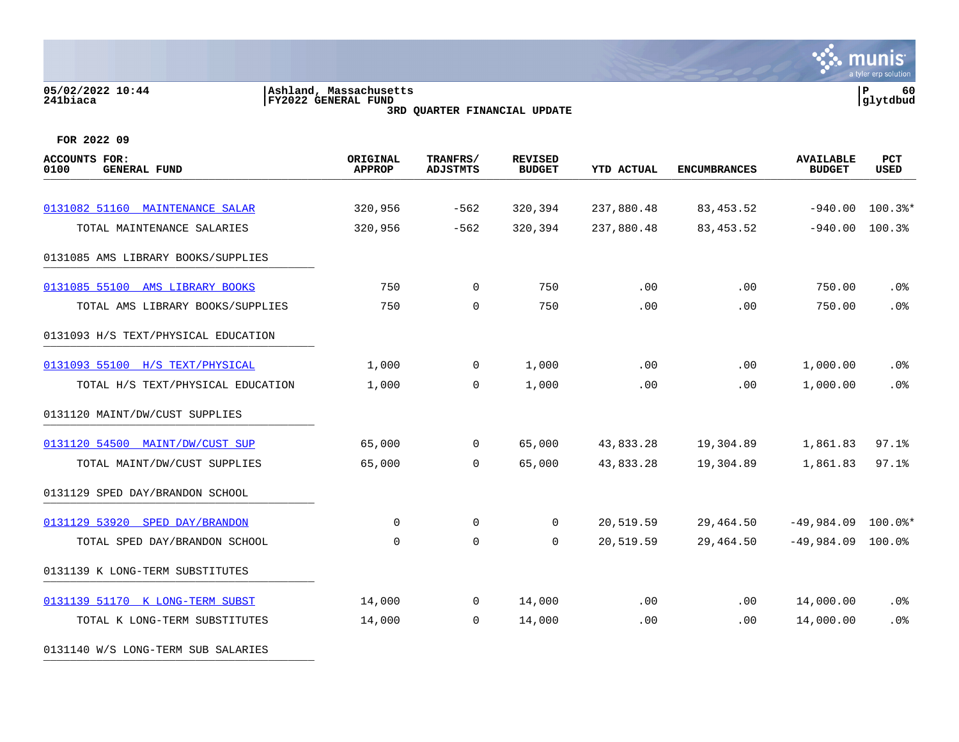# **05/02/2022 10:44 |Ashland, Massachusetts |P 60 241biaca |FY2022 GENERAL FUND |glytdbud 3RD QUARTER FINANCIAL UPDATE**



**FOR 2022 09**

0131140 W/S LONG-TERM SUB SALARIES

| <b>ACCOUNTS FOR:</b><br><b>GENERAL FUND</b><br>0100 | ORIGINAL<br><b>APPROP</b> | TRANFRS/<br><b>ADJSTMTS</b> | <b>REVISED</b><br><b>BUDGET</b> | <b>YTD ACTUAL</b> | <b>ENCUMBRANCES</b> | <b>AVAILABLE</b><br><b>BUDGET</b> | <b>PCT</b><br><b>USED</b> |
|-----------------------------------------------------|---------------------------|-----------------------------|---------------------------------|-------------------|---------------------|-----------------------------------|---------------------------|
| 0131082 51160 MAINTENANCE SALAR                     | 320,956                   | $-562$                      | 320,394                         | 237,880.48        | 83, 453.52          | $-940.00$                         | $100.3$ $*$               |
|                                                     |                           |                             |                                 |                   |                     |                                   |                           |
| TOTAL MAINTENANCE SALARIES                          | 320,956                   | $-562$                      | 320,394                         | 237,880.48        | 83,453.52           | $-940.00$                         | 100.3%                    |
| 0131085 AMS LIBRARY BOOKS/SUPPLIES                  |                           |                             |                                 |                   |                     |                                   |                           |
| 0131085 55100 AMS LIBRARY BOOKS                     | 750                       | $\overline{0}$              | 750                             | .00               | .00                 | 750.00                            | .0%                       |
| TOTAL AMS LIBRARY BOOKS/SUPPLIES                    | 750                       | 0                           | 750                             | .00               | .00                 | 750.00                            | .0%                       |
| 0131093 H/S TEXT/PHYSICAL EDUCATION                 |                           |                             |                                 |                   |                     |                                   |                           |
| 0131093 55100 H/S TEXT/PHYSICAL                     | 1,000                     | $\overline{0}$              | 1,000                           | .00               | .00                 | 1,000.00                          | .0 <sub>8</sub>           |
| TOTAL H/S TEXT/PHYSICAL EDUCATION                   | 1,000                     | $\mathbf 0$                 | 1,000                           | .00               | .00                 | 1,000.00                          | .0%                       |
| 0131120 MAINT/DW/CUST SUPPLIES                      |                           |                             |                                 |                   |                     |                                   |                           |
| 0131120 54500 MAINT/DW/CUST SUP                     | 65,000                    | $\overline{0}$              | 65,000                          | 43,833.28         | 19,304.89           | 1,861.83                          | 97.1%                     |
| TOTAL MAINT/DW/CUST SUPPLIES                        | 65,000                    | $\mathbf 0$                 | 65,000                          | 43,833.28         | 19,304.89           | 1,861.83                          | 97.1%                     |
| 0131129 SPED DAY/BRANDON SCHOOL                     |                           |                             |                                 |                   |                     |                                   |                           |
| 0131129 53920 SPED DAY/BRANDON                      | 0                         | 0                           | 0                               | 20,519.59         | 29,464.50           | $-49,984.09$                      | $100.0$ *                 |
| TOTAL SPED DAY/BRANDON SCHOOL                       | 0                         | $\mathbf 0$                 | 0                               | 20,519.59         | 29,464.50           | $-49,984.09$                      | $100.0\%$                 |
| 0131139 K LONG-TERM SUBSTITUTES                     |                           |                             |                                 |                   |                     |                                   |                           |
| 0131139 51170 K LONG-TERM SUBST                     | 14,000                    | $\overline{0}$              | 14,000                          | .00               | .00                 | 14,000.00                         | .0 <sub>8</sub>           |
| TOTAL K LONG-TERM SUBSTITUTES                       | 14,000                    | 0                           | 14,000                          | .00               | .00                 | 14,000.00                         | .0%                       |
|                                                     |                           |                             |                                 |                   |                     |                                   |                           |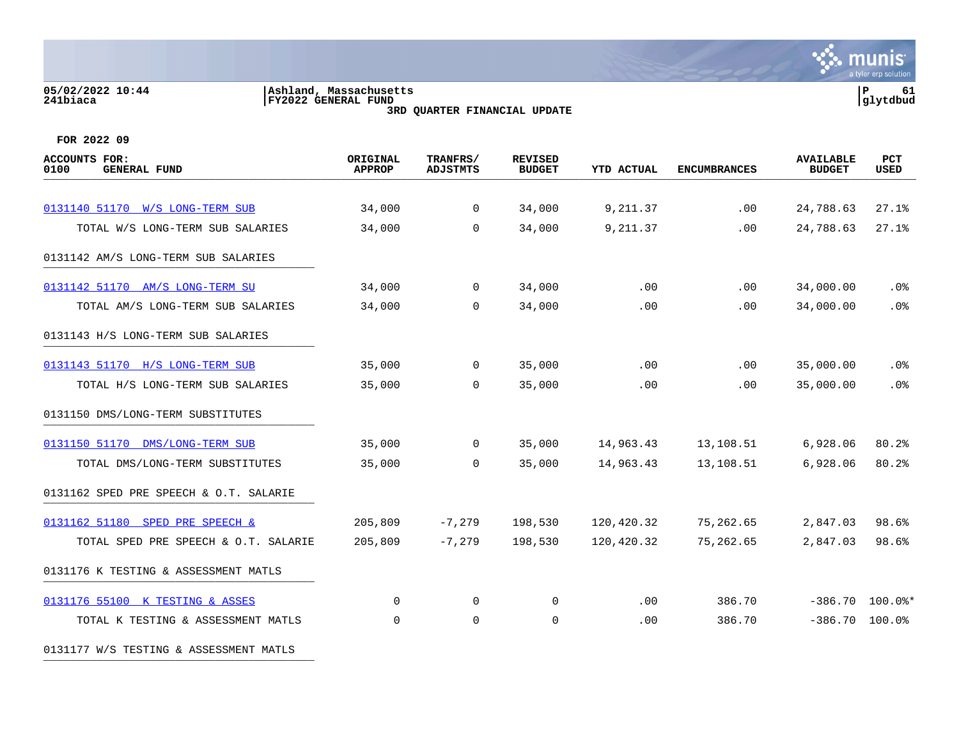### **05/02/2022 10:44 |Ashland, Massachusetts |P 61 241biaca |FY2022 GENERAL FUND |glytdbud 3RD QUARTER FINANCIAL UPDATE**



| <b>ACCOUNTS FOR:</b><br><b>GENERAL FUND</b><br>0100 | ORIGINAL<br><b>APPROP</b> | TRANFRS/<br><b>ADJSTMTS</b> | <b>REVISED</b><br><b>BUDGET</b> | <b>YTD ACTUAL</b> | <b>ENCUMBRANCES</b> | <b>AVAILABLE</b><br><b>BUDGET</b> | PCT<br><b>USED</b> |
|-----------------------------------------------------|---------------------------|-----------------------------|---------------------------------|-------------------|---------------------|-----------------------------------|--------------------|
|                                                     |                           |                             |                                 |                   |                     |                                   |                    |
| 0131140 51170 W/S LONG-TERM SUB                     | 34,000                    | 0                           | 34,000                          | 9,211.37          | .00                 | 24,788.63                         | 27.1%              |
| TOTAL W/S LONG-TERM SUB SALARIES                    | 34,000                    | $\Omega$                    | 34,000                          | 9,211.37          | .00                 | 24,788.63                         | 27.1%              |
| 0131142 AM/S LONG-TERM SUB SALARIES                 |                           |                             |                                 |                   |                     |                                   |                    |
| 0131142 51170 AM/S LONG-TERM SU                     | 34,000                    | $\mathbf 0$                 | 34,000                          | .00               | .00                 | 34,000.00                         | .0%                |
| TOTAL AM/S LONG-TERM SUB SALARIES                   | 34,000                    | $\Omega$                    | 34,000                          | .00               | .00                 | 34,000.00                         | .0%                |
| 0131143 H/S LONG-TERM SUB SALARIES                  |                           |                             |                                 |                   |                     |                                   |                    |
| 0131143 51170 H/S LONG-TERM SUB                     | 35,000                    | 0                           | 35,000                          | .00               | .00                 | 35,000.00                         | .0%                |
| TOTAL H/S LONG-TERM SUB SALARIES                    | 35,000                    | $\mathbf 0$                 | 35,000                          | .00               | .00                 | 35,000.00                         | .0%                |
| 0131150 DMS/LONG-TERM SUBSTITUTES                   |                           |                             |                                 |                   |                     |                                   |                    |
| 0131150 51170 DMS/LONG-TERM SUB                     | 35,000                    | 0                           | 35,000                          | 14,963.43         | 13,108.51           | 6,928.06                          | 80.2%              |
| TOTAL DMS/LONG-TERM SUBSTITUTES                     | 35,000                    | $\mathbf 0$                 | 35,000                          | 14,963.43         | 13,108.51           | 6,928.06                          | 80.2%              |
| 0131162 SPED PRE SPEECH & O.T. SALARIE              |                           |                             |                                 |                   |                     |                                   |                    |
| 0131162 51180 SPED PRE SPEECH &                     | 205,809                   | $-7,279$                    | 198,530                         | 120,420.32        | 75,262.65           | 2,847.03                          | 98.6%              |
| TOTAL SPED PRE SPEECH & O.T. SALARIE                | 205,809                   | $-7,279$                    | 198,530                         | 120,420.32        | 75,262.65           | 2,847.03                          | 98.6%              |
| 0131176 K TESTING & ASSESSMENT MATLS                |                           |                             |                                 |                   |                     |                                   |                    |
| 0131176 55100 K TESTING & ASSES                     | 0                         | $\mathbf 0$                 | 0                               | .00               | 386.70              | $-386.70$                         | $100.0$ $*$        |
| TOTAL K TESTING & ASSESSMENT MATLS                  | $\Omega$                  | $\mathbf 0$                 | 0                               | .00               | 386.70              | $-386.70$ 100.0%                  |                    |
| 0131177 W/S TESTING & ASSESSMENT MATLS              |                           |                             |                                 |                   |                     |                                   |                    |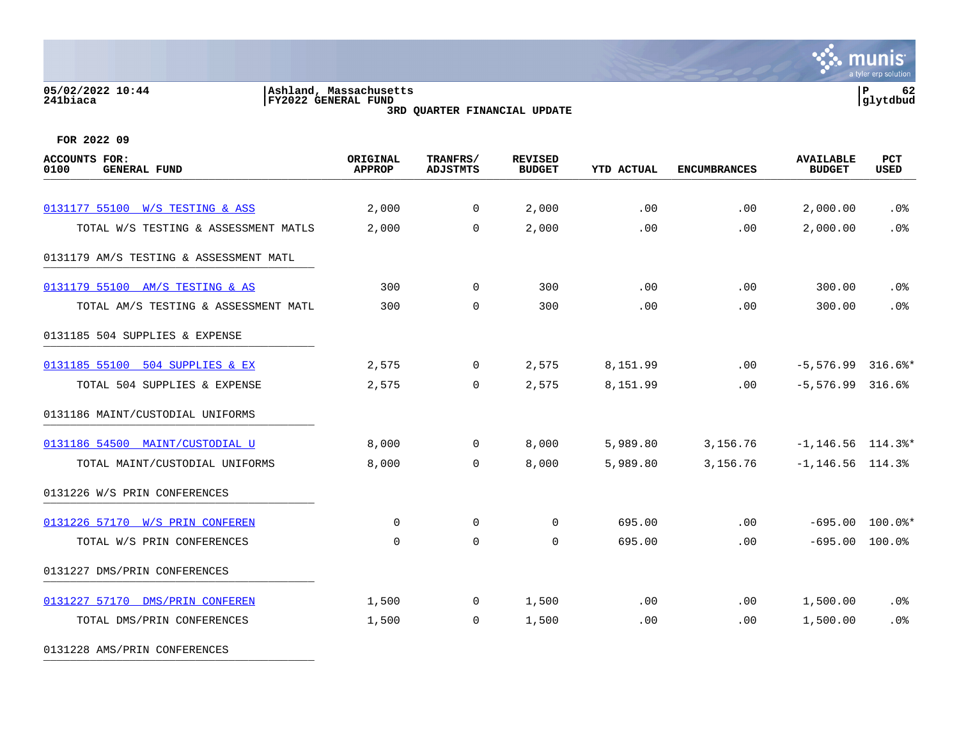# **05/02/2022 10:44 |Ashland, Massachusetts |P 62 241biaca |FY2022 GENERAL FUND |glytdbud 3RD QUARTER FINANCIAL UPDATE**



**FOR 2022 09**

0131228 AMS/PRIN CONFERENCES

| <b>AVAILABLE</b><br><b>BUDGET</b> | PCT<br><b>USED</b> |
|-----------------------------------|--------------------|
| 2,000.00                          | .0%                |
| 2,000.00                          | .0%                |
|                                   |                    |
| 300.00                            | $.0\%$             |
| 300.00                            | .0%                |
|                                   |                    |
| $-5,576.99$ 316.6%*               |                    |
| $-5,576.99$ 316.6%                |                    |
|                                   |                    |
| $-1, 146.56$ 114.3%*              |                    |
| $-1, 146.56$ 114.3%               |                    |
|                                   |                    |
| $-695.00$ 100.0%*                 |                    |
| $-695.00$ 100.0%                  |                    |
|                                   |                    |
| 1,500.00                          | $.0\%$             |
| 1,500.00                          | .0%                |
|                                   |                    |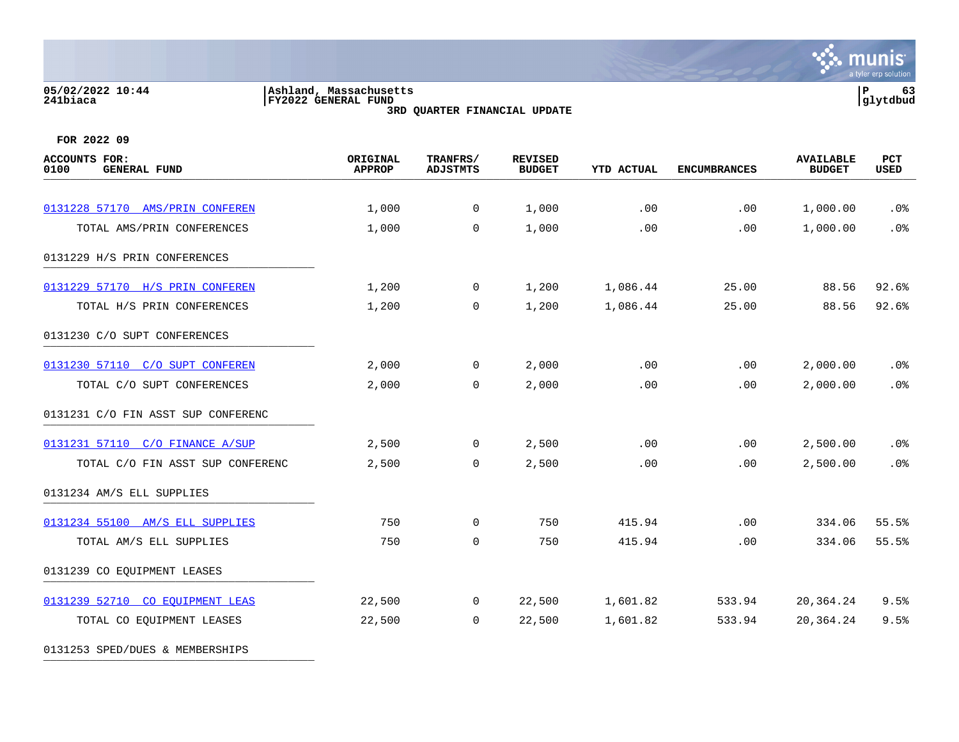### **05/02/2022 10:44 |Ashland, Massachusetts |P 63 241biaca |FY2022 GENERAL FUND |glytdbud 3RD QUARTER FINANCIAL UPDATE**

 $\mathcal{L}$  munis a tyler erp solution

| <b>ACCOUNTS FOR:</b><br>0100<br><b>GENERAL FUND</b> | ORIGINAL<br><b>APPROP</b> | TRANFRS/<br><b>ADJSTMTS</b> | <b>REVISED</b><br><b>BUDGET</b> | <b>YTD ACTUAL</b> | <b>ENCUMBRANCES</b> | <b>AVAILABLE</b><br><b>BUDGET</b> | PCT<br><b>USED</b> |
|-----------------------------------------------------|---------------------------|-----------------------------|---------------------------------|-------------------|---------------------|-----------------------------------|--------------------|
|                                                     |                           |                             |                                 |                   |                     |                                   |                    |
| 0131228 57170 AMS/PRIN CONFEREN                     | 1,000                     | $\overline{0}$              | 1,000                           | .00               | .00                 | 1,000.00                          | .0 <sub>8</sub>    |
| TOTAL AMS/PRIN CONFERENCES                          | 1,000                     | $\mathbf 0$                 | 1,000                           | .00               | .00                 | 1,000.00                          | .0%                |
| 0131229 H/S PRIN CONFERENCES                        |                           |                             |                                 |                   |                     |                                   |                    |
| 0131229 57170 H/S PRIN CONFEREN                     | 1,200                     | $\overline{0}$              | 1,200                           | 1,086.44          | 25.00               | 88.56                             | 92.6%              |
| TOTAL H/S PRIN CONFERENCES                          | 1,200                     | $\mathbf{0}$                | 1,200                           | 1,086.44          | 25.00               | 88.56                             | 92.6%              |
| 0131230 C/O SUPT CONFERENCES                        |                           |                             |                                 |                   |                     |                                   |                    |
| 0131230 57110 C/O SUPT CONFEREN                     | 2,000                     | $\overline{0}$              | 2,000                           | .00               | .00                 | 2,000.00                          | $.0\%$             |
| TOTAL C/O SUPT CONFERENCES                          | 2,000                     | 0                           | 2,000                           | .00               | .00                 | 2,000.00                          | .0%                |
| 0131231 C/O FIN ASST SUP CONFERENC                  |                           |                             |                                 |                   |                     |                                   |                    |
| 0131231 57110 C/O FINANCE A/SUP                     | 2,500                     | $\overline{0}$              | 2,500                           | .00               | .00                 | 2,500.00                          | .0%                |
| TOTAL C/O FIN ASST SUP CONFERENC                    | 2,500                     | $\mathbf 0$                 | 2,500                           | .00               | .00                 | 2,500.00                          | .0%                |
| 0131234 AM/S ELL SUPPLIES                           |                           |                             |                                 |                   |                     |                                   |                    |
| 0131234 55100 AM/S ELL SUPPLIES                     | 750                       | $\mathbf{0}$                | 750                             | 415.94            | .00                 | 334.06                            | 55.5%              |
| TOTAL AM/S ELL SUPPLIES                             | 750                       | $\mathbf 0$                 | 750                             | 415.94            | .00                 | 334.06                            | 55.5%              |
| 0131239 CO EQUIPMENT LEASES                         |                           |                             |                                 |                   |                     |                                   |                    |
| 0131239 52710 CO EQUIPMENT LEAS                     | 22,500                    | $\mathsf{O}$                | 22,500                          | 1,601.82          | 533.94              | 20,364.24                         | 9.5%               |
| TOTAL CO EQUIPMENT LEASES                           | 22,500                    | $\mathbf{0}$                | 22,500                          | 1,601.82          | 533.94              | 20,364.24                         | 9.5%               |
| 0131253 SPED/DUES & MEMBERSHIPS                     |                           |                             |                                 |                   |                     |                                   |                    |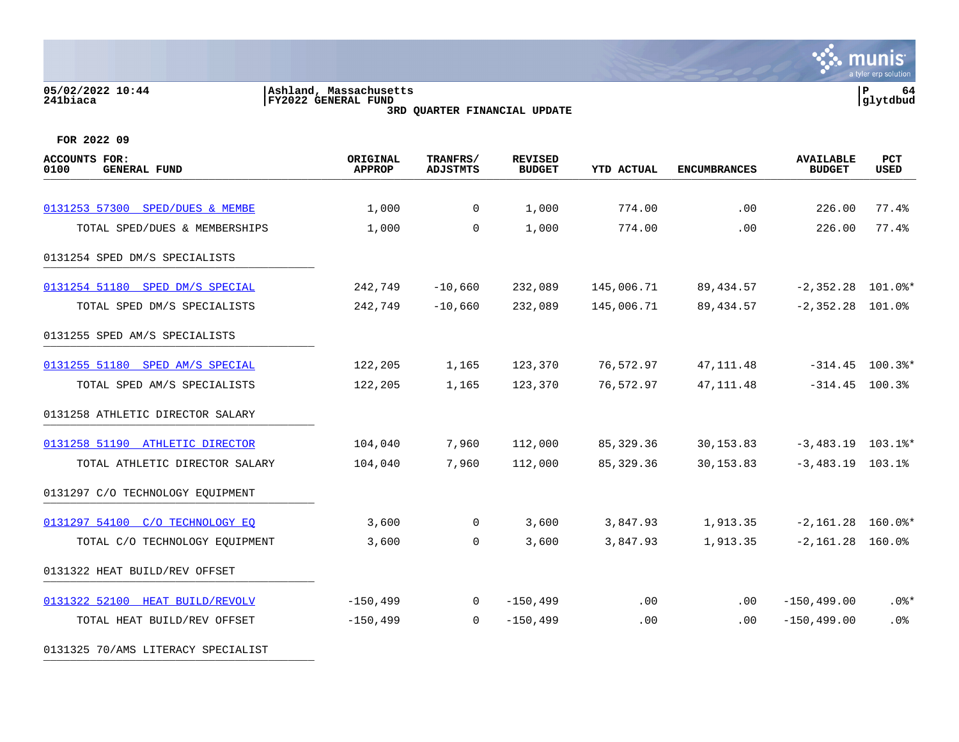# **05/02/2022 10:44 |Ashland, Massachusetts |P 64 241biaca |FY2022 GENERAL FUND |glytdbud 3RD QUARTER FINANCIAL UPDATE**



**FOR 2022 09**

0131325 70/AMS LITERACY SPECIALIST

| <b>ACCOUNTS FOR:</b><br><b>GENERAL FUND</b><br>0100 | ORIGINAL<br><b>APPROP</b> | TRANFRS/<br><b>ADJSTMTS</b> | <b>REVISED</b><br><b>BUDGET</b> | <b>YTD ACTUAL</b> | <b>ENCUMBRANCES</b> | <b>AVAILABLE</b><br><b>BUDGET</b> | <b>PCT</b><br>USED |
|-----------------------------------------------------|---------------------------|-----------------------------|---------------------------------|-------------------|---------------------|-----------------------------------|--------------------|
|                                                     |                           |                             |                                 |                   |                     |                                   |                    |
| 0131253 57300 SPED/DUES & MEMBE                     | 1,000                     | $\mathsf{O}$                | 1,000                           | 774.00            | .00                 | 226.00                            | 77.4%              |
| TOTAL SPED/DUES & MEMBERSHIPS                       | 1,000                     | $\mathbf 0$                 | 1,000                           | 774.00            | .00                 | 226.00                            | 77.4%              |
| 0131254 SPED DM/S SPECIALISTS                       |                           |                             |                                 |                   |                     |                                   |                    |
| 0131254 51180 SPED DM/S SPECIAL                     | 242,749                   | $-10,660$                   | 232,089                         | 145,006.71        | 89,434.57           | $-2,352.28$ 101.0%*               |                    |
| TOTAL SPED DM/S SPECIALISTS                         | 242,749                   | $-10,660$                   | 232,089                         | 145,006.71        | 89,434.57           | $-2,352.28$ 101.0%                |                    |
| 0131255 SPED AM/S SPECIALISTS                       |                           |                             |                                 |                   |                     |                                   |                    |
| 0131255 51180 SPED AM/S SPECIAL                     | 122,205                   | 1,165                       | 123,370                         | 76,572.97         | 47, 111.48          | $-314.45$ 100.3%*                 |                    |
| TOTAL SPED AM/S SPECIALISTS                         | 122,205                   | 1,165                       | 123,370                         | 76,572.97         | 47, 111.48          | $-314.45$ 100.3%                  |                    |
| 0131258 ATHLETIC DIRECTOR SALARY                    |                           |                             |                                 |                   |                     |                                   |                    |
| 0131258 51190 ATHLETIC DIRECTOR                     | 104,040                   | 7,960                       | 112,000                         | 85,329.36         | 30, 153.83          | $-3,483.19$ 103.1%*               |                    |
| TOTAL ATHLETIC DIRECTOR SALARY                      | 104,040                   | 7,960                       | 112,000                         | 85,329.36         | 30, 153.83          | $-3,483.19$ 103.1%                |                    |
| 0131297 C/O TECHNOLOGY EQUIPMENT                    |                           |                             |                                 |                   |                     |                                   |                    |
| 0131297 54100 C/O TECHNOLOGY EO                     | 3,600                     | $\overline{0}$              | 3,600                           | 3,847.93          | 1,913.35            | $-2,161.28$ 160.0%*               |                    |
| TOTAL C/O TECHNOLOGY EQUIPMENT                      | 3,600                     | $\Omega$                    | 3,600                           | 3,847.93          | 1,913.35            | $-2,161.28$ 160.0%                |                    |
| 0131322 HEAT BUILD/REV OFFSET                       |                           |                             |                                 |                   |                     |                                   |                    |
| 0131322 52100 HEAT BUILD/REVOLV                     | $-150, 499$               | $\Omega$                    | $-150, 499$                     | .00               | .00                 | $-150, 499.00$                    | $.0$ %*            |
| TOTAL HEAT BUILD/REV OFFSET                         | $-150, 499$               | $\Omega$                    | $-150, 499$                     | .00               | .00                 | $-150, 499.00$                    | .0%                |
|                                                     |                           |                             |                                 |                   |                     |                                   |                    |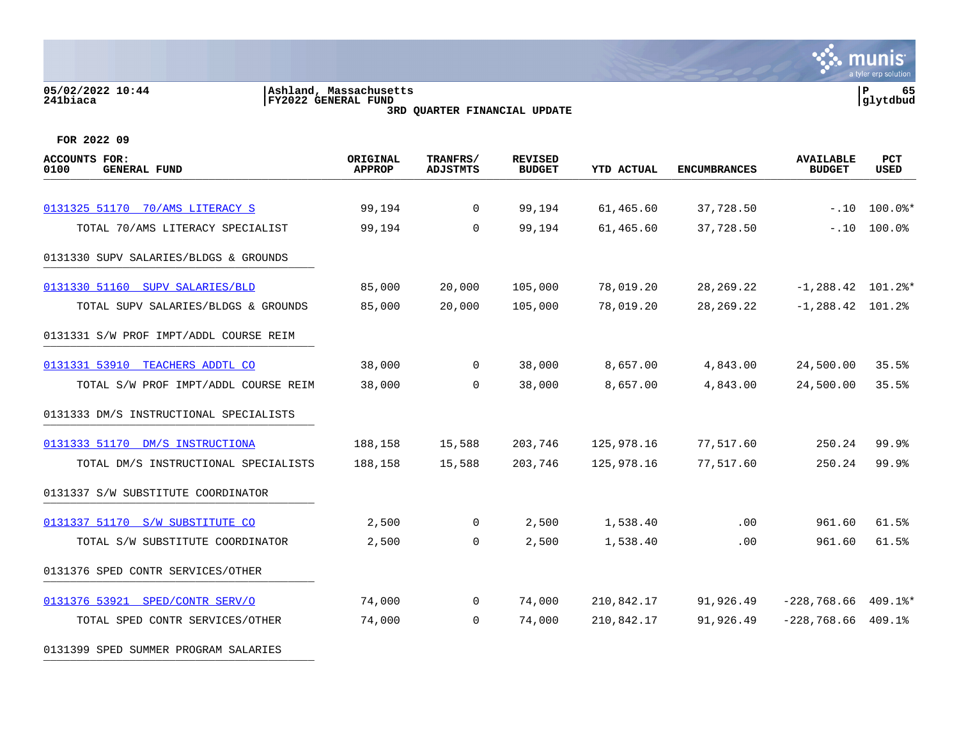### **05/02/2022 10:44 |Ashland, Massachusetts |P 65 241biaca |FY2022 GENERAL FUND |glytdbud 3RD QUARTER FINANCIAL UPDATE**



| <b>ACCOUNTS FOR:</b><br>0100<br><b>GENERAL FUND</b> | ORIGINAL<br><b>APPROP</b> | TRANFRS/<br><b>ADJSTMTS</b> | <b>REVISED</b><br><b>BUDGET</b> | <b>YTD ACTUAL</b> | <b>ENCUMBRANCES</b> | <b>AVAILABLE</b><br><b>BUDGET</b> | PCT<br><b>USED</b> |
|-----------------------------------------------------|---------------------------|-----------------------------|---------------------------------|-------------------|---------------------|-----------------------------------|--------------------|
| 0131325 51170 70/AMS LITERACY S                     | 99,194                    | 0                           | 99,194                          | 61,465.60         | 37,728.50           | $-.10$                            | $100.0$ *          |
| TOTAL 70/AMS LITERACY SPECIALIST                    | 99,194                    | $\Omega$                    | 99,194                          | 61,465.60         | 37,728.50           | $-.10$                            | 100.0%             |
| 0131330 SUPV SALARIES/BLDGS & GROUNDS               |                           |                             |                                 |                   |                     |                                   |                    |
| 0131330 51160 SUPV SALARIES/BLD                     | 85,000                    | 20,000                      | 105,000                         | 78,019.20         | 28, 269. 22         | $-1, 288.42$ 101.2%*              |                    |
| TOTAL SUPV SALARIES/BLDGS & GROUNDS                 | 85,000                    | 20,000                      | 105,000                         | 78,019.20         | 28, 269. 22         | $-1, 288.42$ 101.2%               |                    |
| 0131331 S/W PROF IMPT/ADDL COURSE REIM              |                           |                             |                                 |                   |                     |                                   |                    |
| 0131331 53910 TEACHERS ADDTL CO                     | 38,000                    | $\Omega$                    | 38,000                          | 8,657.00          | 4,843.00            | 24,500.00                         | 35.5%              |
| TOTAL S/W PROF IMPT/ADDL COURSE REIM                | 38,000                    | 0                           | 38,000                          | 8,657.00          | 4,843.00            | 24,500.00                         | 35.5%              |
| 0131333 DM/S INSTRUCTIONAL SPECIALISTS              |                           |                             |                                 |                   |                     |                                   |                    |
| 0131333 51170 DM/S INSTRUCTIONA                     | 188,158                   | 15,588                      | 203,746                         | 125,978.16        | 77,517.60           | 250.24                            | 99.9%              |
| TOTAL DM/S INSTRUCTIONAL SPECIALISTS                | 188,158                   | 15,588                      | 203,746                         | 125,978.16        | 77,517.60           | 250.24                            | 99.9%              |
| 0131337 S/W SUBSTITUTE COORDINATOR                  |                           |                             |                                 |                   |                     |                                   |                    |
| 0131337 51170 S/W SUBSTITUTE CO                     | 2,500                     | 0                           | 2,500                           | 1,538.40          | .00.                | 961.60                            | 61.5%              |
| TOTAL S/W SUBSTITUTE COORDINATOR                    | 2,500                     | 0                           | 2,500                           | 1,538.40          | .00                 | 961.60                            | 61.5%              |
| 0131376 SPED CONTR SERVICES/OTHER                   |                           |                             |                                 |                   |                     |                                   |                    |
| 0131376 53921 SPED/CONTR SERV/O                     | 74,000                    | $\mathbf 0$                 | 74,000                          | 210,842.17        | 91,926.49           | $-228,768.66$ 409.1%*             |                    |
| TOTAL SPED CONTR SERVICES/OTHER                     | 74,000                    | 0                           | 74,000                          | 210,842.17        | 91,926.49           | $-228, 768.66$ 409.1%             |                    |
| 0131399 SPED SUMMER PROGRAM SALARIES                |                           |                             |                                 |                   |                     |                                   |                    |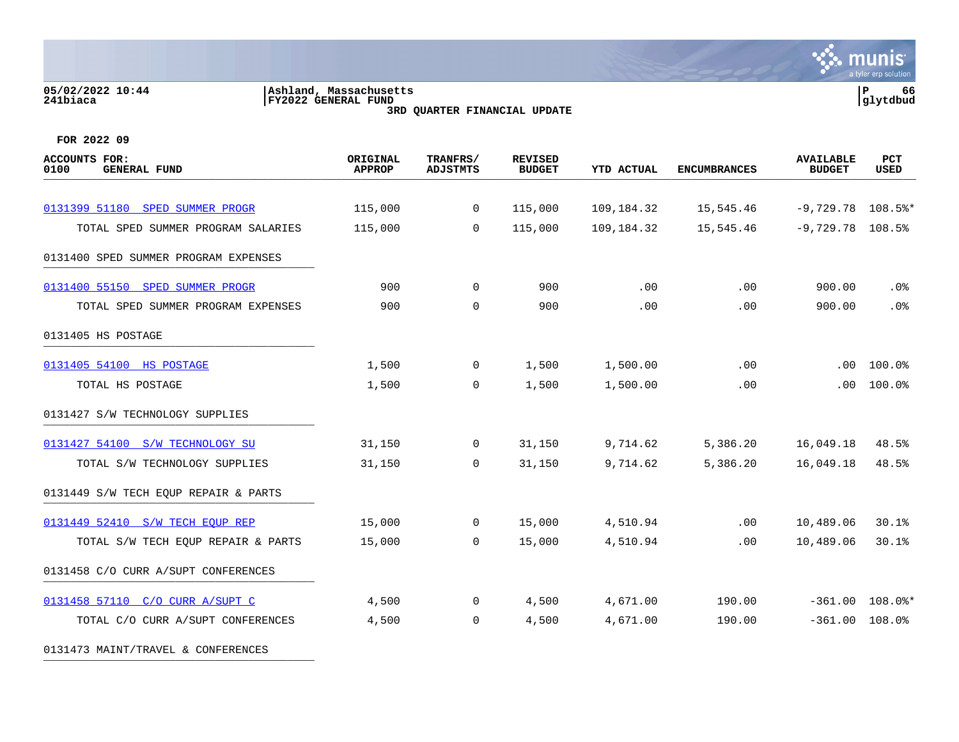# **05/02/2022 10:44 |Ashland, Massachusetts |P 66 241biaca |FY2022 GENERAL FUND |glytdbud 3RD QUARTER FINANCIAL UPDATE**



| ACCOUNTS FOR:<br>0100<br><b>GENERAL FUND</b> | ORIGINAL<br><b>APPROP</b> | TRANFRS/<br><b>ADJSTMTS</b> | <b>REVISED</b><br><b>BUDGET</b> | <b>YTD ACTUAL</b> | <b>ENCUMBRANCES</b> | <b>AVAILABLE</b><br><b>BUDGET</b> | PCT<br><b>USED</b> |
|----------------------------------------------|---------------------------|-----------------------------|---------------------------------|-------------------|---------------------|-----------------------------------|--------------------|
|                                              |                           |                             |                                 |                   |                     |                                   |                    |
| 0131399 51180 SPED SUMMER PROGR              | 115,000                   | 0                           | 115,000                         | 109,184.32        | 15,545.46           | $-9,729.78$                       | $108.5$ $*$        |
| TOTAL SPED SUMMER PROGRAM SALARIES           | 115,000                   | $\Omega$                    | 115,000                         | 109,184.32        | 15,545.46           | $-9,729.78$ 108.5%                |                    |
| 0131400 SPED SUMMER PROGRAM EXPENSES         |                           |                             |                                 |                   |                     |                                   |                    |
| 0131400 55150 SPED SUMMER PROGR              | 900                       | $\mathbf 0$                 | 900                             | .00               | .00                 | 900.00                            | .0%                |
| TOTAL SPED SUMMER PROGRAM EXPENSES           | 900                       | $\mathbf 0$                 | 900                             | .00               | .00                 | 900.00                            | .0%                |
| 0131405 HS POSTAGE                           |                           |                             |                                 |                   |                     |                                   |                    |
| 0131405 54100 HS POSTAGE                     | 1,500                     | 0                           | 1,500                           | 1,500.00          | .00                 | .00                               | 100.0%             |
| TOTAL HS POSTAGE                             | 1,500                     | $\mathbf 0$                 | 1,500                           | 1,500.00          | .00                 | .00                               | 100.0%             |
| 0131427 S/W TECHNOLOGY SUPPLIES              |                           |                             |                                 |                   |                     |                                   |                    |
| 0131427 54100 S/W TECHNOLOGY SU              | 31,150                    | $\mathbf 0$                 | 31,150                          | 9,714.62          | 5,386.20            | 16,049.18                         | 48.5%              |
| TOTAL S/W TECHNOLOGY SUPPLIES                | 31,150                    | 0                           | 31,150                          | 9,714.62          | 5,386.20            | 16,049.18                         | 48.5%              |
| 0131449 S/W TECH EQUP REPAIR & PARTS         |                           |                             |                                 |                   |                     |                                   |                    |
| 0131449 52410 S/W TECH EOUP REP              | 15,000                    | 0                           | 15,000                          | 4,510.94          | .00                 | 10,489.06                         | 30.1%              |
| TOTAL S/W TECH EQUP REPAIR & PARTS           | 15,000                    | $\mathbf 0$                 | 15,000                          | 4,510.94          | .00                 | 10,489.06                         | 30.1%              |
| 0131458 C/O CURR A/SUPT CONFERENCES          |                           |                             |                                 |                   |                     |                                   |                    |
| 0131458 57110 C/O CURR A/SUPT C              | 4,500                     | $\mathbf{0}$                | 4,500                           | 4,671.00          | 190.00              | $-361.00$                         | $108.0$ $*$        |
| TOTAL C/O CURR A/SUPT CONFERENCES            | 4,500                     | 0                           | 4,500                           | 4,671.00          | 190.00              | $-361.00$ 108.0%                  |                    |
| 0131473 MAINT/TRAVEL & CONFERENCES           |                           |                             |                                 |                   |                     |                                   |                    |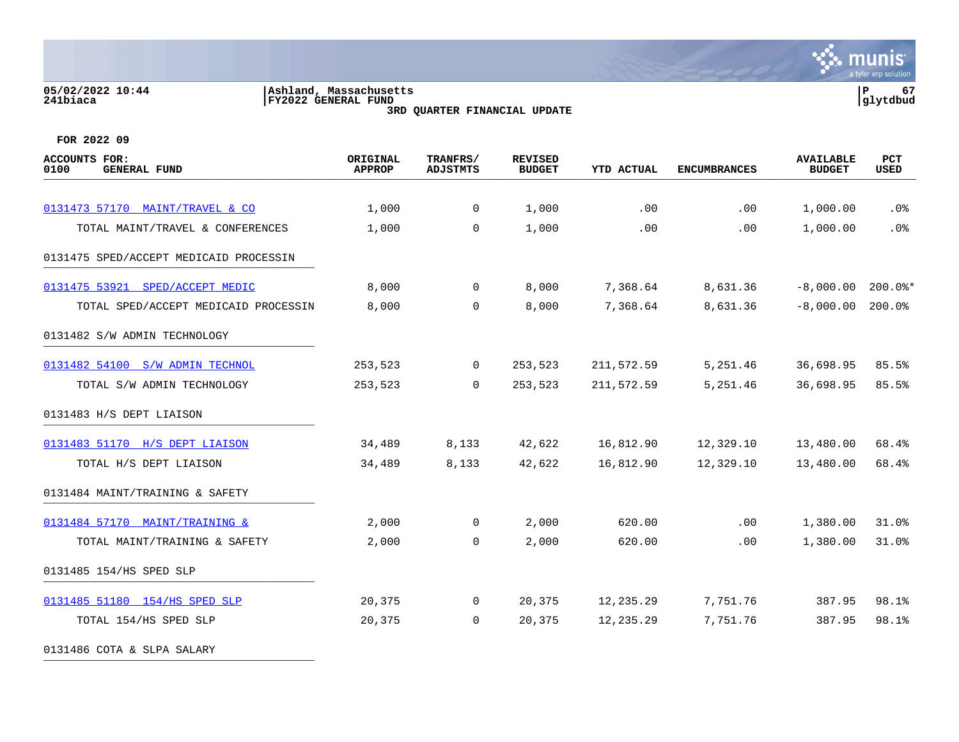### **05/02/2022 10:44 |Ashland, Massachusetts |P 67 241biaca |FY2022 GENERAL FUND |glytdbud 3RD QUARTER FINANCIAL UPDATE**



| <b>ACCOUNTS FOR:</b><br><b>GENERAL FUND</b><br>0100 | ORIGINAL<br><b>APPROP</b> | TRANFRS/<br><b>ADJSTMTS</b> | <b>REVISED</b><br><b>BUDGET</b> | <b>YTD ACTUAL</b> | <b>ENCUMBRANCES</b> | <b>AVAILABLE</b><br><b>BUDGET</b> | PCT<br><b>USED</b> |
|-----------------------------------------------------|---------------------------|-----------------------------|---------------------------------|-------------------|---------------------|-----------------------------------|--------------------|
|                                                     |                           |                             |                                 |                   |                     |                                   |                    |
| 0131473 57170 MAINT/TRAVEL & CO                     | 1,000                     | 0                           | 1,000                           | .00               | .00                 | 1,000.00                          | .0 <sub>8</sub>    |
| TOTAL MAINT/TRAVEL & CONFERENCES                    | 1,000                     | $\mathbf 0$                 | 1,000                           | .00               | .00                 | 1,000.00                          | .0%                |
| 0131475 SPED/ACCEPT MEDICAID PROCESSIN              |                           |                             |                                 |                   |                     |                                   |                    |
| 0131475 53921 SPED/ACCEPT MEDIC                     | 8,000                     | $\mathbf 0$                 | 8,000                           | 7,368.64          | 8,631.36            | $-8,000.00$                       | $200.0$ *          |
| TOTAL SPED/ACCEPT MEDICAID PROCESSIN                | 8,000                     | $\Omega$                    | 8,000                           | 7,368.64          | 8,631.36            | $-8,000.00$                       | 200.0%             |
| 0131482 S/W ADMIN TECHNOLOGY                        |                           |                             |                                 |                   |                     |                                   |                    |
| 0131482 54100 S/W ADMIN TECHNOL                     | 253,523                   | 0                           | 253,523                         | 211,572.59        | 5,251.46            | 36,698.95                         | 85.5%              |
| TOTAL S/W ADMIN TECHNOLOGY                          | 253,523                   | $\mathbf 0$                 | 253,523                         | 211,572.59        | 5,251.46            | 36,698.95                         | 85.5%              |
| 0131483 H/S DEPT LIAISON                            |                           |                             |                                 |                   |                     |                                   |                    |
| 0131483 51170 H/S DEPT LIAISON                      | 34,489                    | 8,133                       | 42,622                          | 16,812.90         | 12,329.10           | 13,480.00                         | 68.4%              |
| TOTAL H/S DEPT LIAISON                              | 34,489                    | 8,133                       | 42,622                          | 16,812.90         | 12,329.10           | 13,480.00                         | 68.4%              |
| 0131484 MAINT/TRAINING & SAFETY                     |                           |                             |                                 |                   |                     |                                   |                    |
| 0131484 57170 MAINT/TRAINING &                      | 2,000                     | $\mathbf 0$                 | 2,000                           | 620.00            | .00                 | 1,380.00                          | 31.0%              |
| TOTAL MAINT/TRAINING & SAFETY                       | 2,000                     | $\Omega$                    | 2,000                           | 620.00            | .00                 | 1,380.00                          | 31.0%              |
| 0131485 154/HS SPED SLP                             |                           |                             |                                 |                   |                     |                                   |                    |
| 0131485 51180 154/HS SPED SLP                       | 20,375                    | 0                           | 20,375                          | 12,235.29         | 7,751.76            | 387.95                            | 98.1%              |
| TOTAL 154/HS SPED SLP                               | 20,375                    | $\Omega$                    | 20,375                          | 12,235.29         | 7,751.76            | 387.95                            | 98.1%              |
| 0131486 COTA & SLPA SALARY                          |                           |                             |                                 |                   |                     |                                   |                    |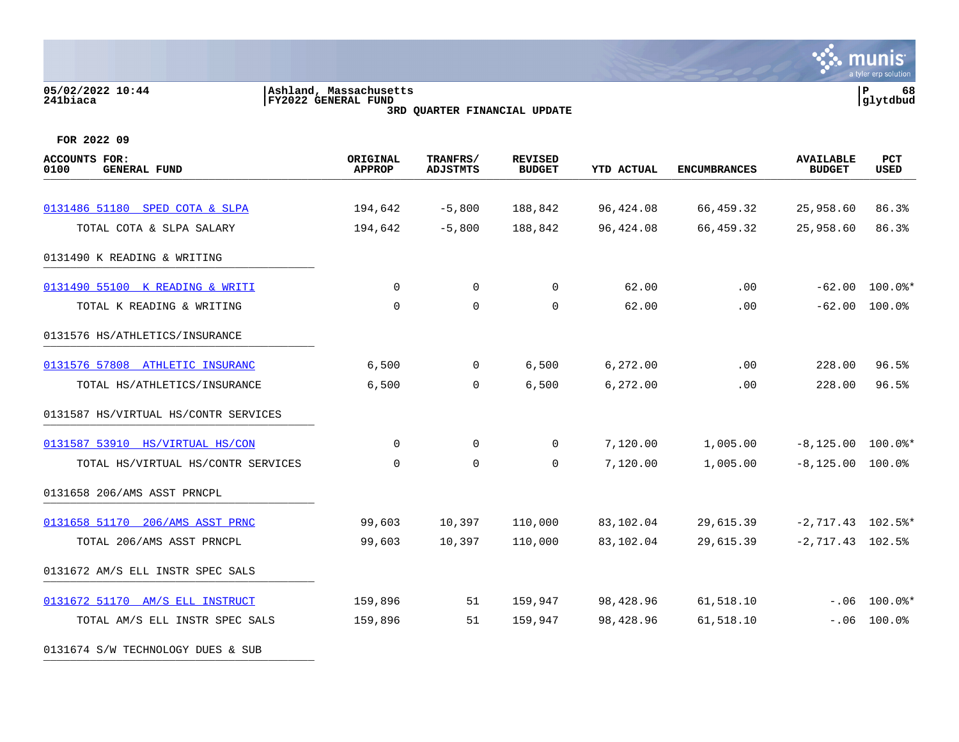# **05/02/2022 10:44 |Ashland, Massachusetts |P 68 241biaca |FY2022 GENERAL FUND |glytdbud 3RD QUARTER FINANCIAL UPDATE**



**FOR 2022 09**

| <b>ACCOUNTS FOR:</b><br>0100<br><b>GENERAL FUND</b> | ORIGINAL<br><b>APPROP</b> | TRANFRS/<br><b>ADJSTMTS</b> | <b>REVISED</b><br><b>BUDGET</b> | <b>YTD ACTUAL</b> | <b>ENCUMBRANCES</b> | <b>AVAILABLE</b><br><b>BUDGET</b> | PCT<br>USED    |
|-----------------------------------------------------|---------------------------|-----------------------------|---------------------------------|-------------------|---------------------|-----------------------------------|----------------|
|                                                     |                           |                             |                                 |                   |                     |                                   |                |
| 0131486 51180 SPED COTA & SLPA                      | 194,642                   | $-5,800$                    | 188,842                         | 96,424.08         | 66,459.32           | 25,958.60                         | 86.3%          |
| TOTAL COTA & SLPA SALARY                            | 194,642                   | $-5,800$                    | 188,842                         | 96,424.08         | 66,459.32           | 25,958.60                         | 86.3%          |
| 0131490 K READING & WRITING                         |                           |                             |                                 |                   |                     |                                   |                |
| 0131490 55100 K READING & WRITI                     | 0                         | $\mathbf 0$                 | 0                               | 62.00             | .00                 | $-62.00$                          | $100.0$ $*$    |
| TOTAL K READING & WRITING                           | $\Omega$                  | $\Omega$                    | $\mathbf 0$                     | 62.00             | .00                 | $-62.00$                          | 100.0%         |
| 0131576 HS/ATHLETICS/INSURANCE                      |                           |                             |                                 |                   |                     |                                   |                |
| 0131576 57808 ATHLETIC INSURANC                     | 6,500                     | $\overline{0}$              | 6,500                           | 6,272.00          | .00                 | 228.00                            | 96.5%          |
| TOTAL HS/ATHLETICS/INSURANCE                        | 6,500                     | 0                           | 6,500                           | 6,272.00          | .00                 | 228.00                            | 96.5%          |
| 0131587 HS/VIRTUAL HS/CONTR SERVICES                |                           |                             |                                 |                   |                     |                                   |                |
| 0131587 53910 HS/VIRTUAL HS/CON                     | 0                         | 0                           | 0                               | 7,120.00          | 1,005.00            | $-8,125.00$ 100.0%*               |                |
| TOTAL HS/VIRTUAL HS/CONTR SERVICES                  | 0                         | $\mathbf 0$                 | 0                               | 7,120.00          | 1,005.00            | $-8,125.00$ 100.0%                |                |
| 0131658 206/AMS ASST PRNCPL                         |                           |                             |                                 |                   |                     |                                   |                |
| 0131658 51170 206/AMS ASST PRNC                     | 99,603                    | 10,397                      | 110,000                         | 83,102.04         | 29,615.39           | $-2, 717.43$ 102.5%*              |                |
| TOTAL 206/AMS ASST PRNCPL                           | 99,603                    | 10,397                      | 110,000                         | 83,102.04         | 29,615.39           | $-2, 717.43$ 102.5%               |                |
| 0131672 AM/S ELL INSTR SPEC SALS                    |                           |                             |                                 |                   |                     |                                   |                |
| 0131672 51170 AM/S ELL INSTRUCT                     | 159,896                   | 51                          | 159,947                         | 98,428.96         | 61,518.10           |                                   | $-.06$ 100.0%* |
| TOTAL AM/S ELL INSTR SPEC SALS                      | 159,896                   | 51                          | 159,947                         | 98,428.96         | 61,518.10           |                                   | $-.06$ 100.0%  |
|                                                     |                           |                             |                                 |                   |                     |                                   |                |

0131674 S/W TECHNOLOGY DUES & SUB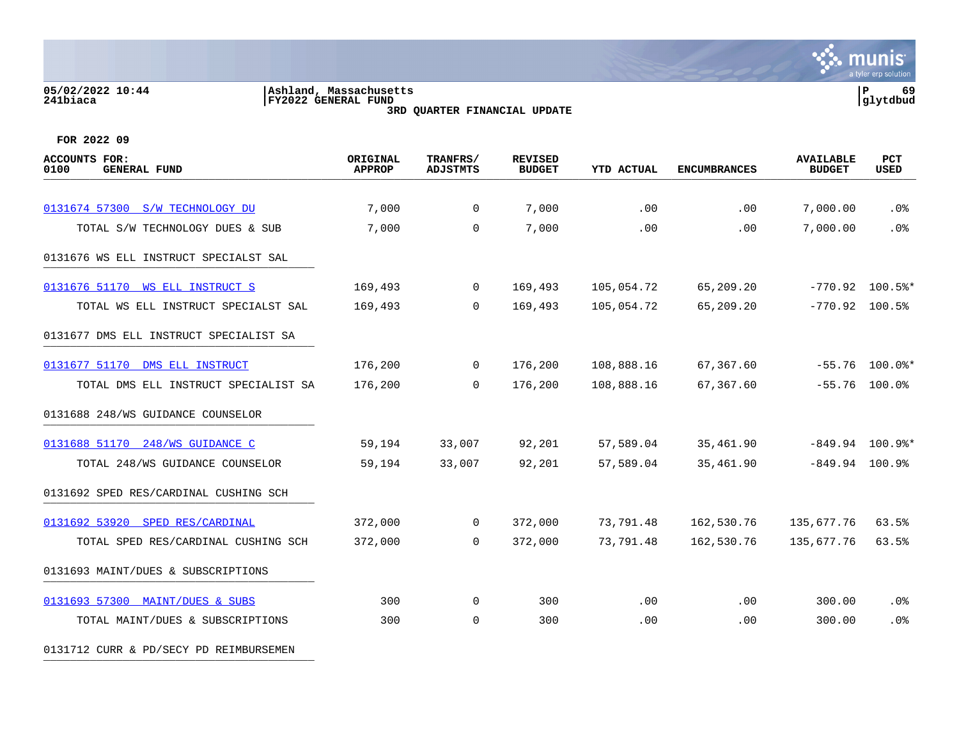# **05/02/2022 10:44 |Ashland, Massachusetts |P 69 241biaca |FY2022 GENERAL FUND |glytdbud**



**3RD QUARTER FINANCIAL UPDATE**

**FOR 2022 09**

| <b>ACCOUNTS FOR:</b><br>0100<br><b>GENERAL FUND</b> | ORIGINAL<br><b>APPROP</b> | TRANFRS/<br><b>ADJSTMTS</b> | <b>REVISED</b><br><b>BUDGET</b> | <b>YTD ACTUAL</b> | <b>ENCUMBRANCES</b> | <b>AVAILABLE</b><br><b>BUDGET</b> | PCT<br><b>USED</b> |
|-----------------------------------------------------|---------------------------|-----------------------------|---------------------------------|-------------------|---------------------|-----------------------------------|--------------------|
|                                                     |                           |                             |                                 |                   |                     |                                   |                    |
| 0131674 57300 S/W TECHNOLOGY DU                     | 7,000                     | $\mathbf 0$                 | 7,000                           | .00               | $.00 \,$            | 7,000.00                          | $.0\%$             |
| TOTAL S/W TECHNOLOGY DUES & SUB                     | 7,000                     | $\mathbf 0$                 | 7,000                           | .00               | .00                 | 7,000.00                          | .0%                |
| 0131676 WS ELL INSTRUCT SPECIALST SAL               |                           |                             |                                 |                   |                     |                                   |                    |
| 0131676 51170 WS ELL INSTRUCT S                     | 169,493                   | $\overline{0}$              | 169,493                         | 105,054.72        | 65,209.20           |                                   | $-770.92$ 100.5%*  |
| TOTAL WS ELL INSTRUCT SPECIALST SAL                 | 169,493                   | $\Omega$                    | 169,493                         | 105,054.72        | 65,209.20           | $-770.92$ 100.5%                  |                    |
| 0131677 DMS ELL INSTRUCT SPECIALIST SA              |                           |                             |                                 |                   |                     |                                   |                    |
| 0131677 51170 DMS ELL INSTRUCT                      | 176,200                   | $\overline{0}$              | 176,200                         | 108,888.16        | 67,367.60           |                                   | $-55.76$ 100.0%*   |
| TOTAL DMS ELL INSTRUCT SPECIALIST SA                | 176,200                   | $\mathbf 0$                 | 176,200                         | 108,888.16        | 67,367.60           |                                   | $-55.76$ 100.0%    |
| 0131688 248/WS GUIDANCE COUNSELOR                   |                           |                             |                                 |                   |                     |                                   |                    |
| 0131688 51170 248/WS GUIDANCE C                     | 59,194                    | 33,007                      | 92,201                          | 57,589.04         | 35,461.90           |                                   | $-849.94$ 100.9%*  |
| TOTAL 248/WS GUIDANCE COUNSELOR                     | 59,194                    | 33,007                      | 92,201                          | 57,589.04         | 35,461.90           | $-849.94$ 100.9%                  |                    |
| 0131692 SPED RES/CARDINAL CUSHING SCH               |                           |                             |                                 |                   |                     |                                   |                    |
| 0131692 53920 SPED RES/CARDINAL                     | 372,000                   | $\overline{0}$              | 372,000                         | 73,791.48         | 162,530.76          | 135,677.76                        | 63.5%              |
| TOTAL SPED RES/CARDINAL CUSHING SCH                 | 372,000                   | $\overline{0}$              | 372,000                         | 73,791.48         | 162,530.76          | 135,677.76                        | 63.5%              |
| 0131693 MAINT/DUES & SUBSCRIPTIONS                  |                           |                             |                                 |                   |                     |                                   |                    |
| 0131693 57300 MAINT/DUES & SUBS                     | 300                       | $\overline{0}$              | 300                             | .00               | .00                 | 300.00                            | $.0\%$             |
| TOTAL MAINT/DUES & SUBSCRIPTIONS                    | 300                       | $\Omega$                    | 300                             | .00               | .00                 | 300.00                            | .0%                |
|                                                     |                           |                             |                                 |                   |                     |                                   |                    |

0131712 CURR & PD/SECY PD REIMBURSEMEN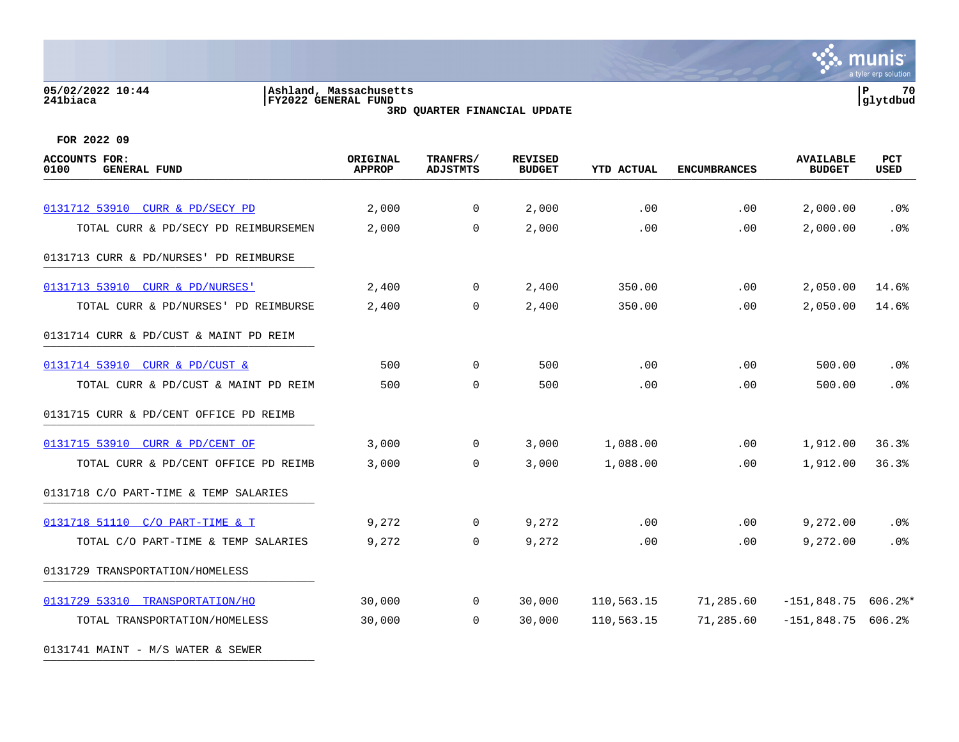### **05/02/2022 10:44 |Ashland, Massachusetts |P 70 241biaca |FY2022 GENERAL FUND |glytdbud 3RD QUARTER FINANCIAL UPDATE**



| <b>ACCOUNTS FOR:</b><br>0100<br><b>GENERAL FUND</b> | ORIGINAL<br><b>APPROP</b> | TRANFRS/<br><b>ADJSTMTS</b> | <b>REVISED</b><br><b>BUDGET</b> | <b>YTD ACTUAL</b> | <b>ENCUMBRANCES</b> | <b>AVAILABLE</b><br><b>BUDGET</b> | PCT<br><b>USED</b> |
|-----------------------------------------------------|---------------------------|-----------------------------|---------------------------------|-------------------|---------------------|-----------------------------------|--------------------|
|                                                     |                           |                             |                                 |                   |                     |                                   |                    |
| 0131712 53910 CURR & PD/SECY PD                     | 2,000                     | 0                           | 2,000                           | .00               | .00                 | 2,000.00                          | .0 <sub>8</sub>    |
| TOTAL CURR & PD/SECY PD REIMBURSEMEN                | 2,000                     | $\mathbf 0$                 | 2,000                           | .00               | .00                 | 2,000.00                          | .0%                |
| 0131713 CURR & PD/NURSES' PD REIMBURSE              |                           |                             |                                 |                   |                     |                                   |                    |
| 0131713 53910 CURR & PD/NURSES'                     | 2,400                     | $\mathbf 0$                 | 2,400                           | 350.00            | .00                 | 2,050.00                          | 14.6%              |
| TOTAL CURR & PD/NURSES' PD REIMBURSE                | 2,400                     | $\Omega$                    | 2,400                           | 350.00            | .00.                | 2,050.00                          | 14.6%              |
| 0131714 CURR & PD/CUST & MAINT PD REIM              |                           |                             |                                 |                   |                     |                                   |                    |
| 0131714 53910 CURR & PD/CUST &                      | 500                       | $\mathbf 0$                 | 500                             | .00               | .00                 | 500.00                            | .0 <sub>8</sub>    |
| TOTAL CURR & PD/CUST & MAINT PD REIM                | 500                       | $\mathbf 0$                 | 500                             | .00               | .00                 | 500.00                            | .0%                |
| 0131715 CURR & PD/CENT OFFICE PD REIMB              |                           |                             |                                 |                   |                     |                                   |                    |
| 0131715 53910 CURR & PD/CENT OF                     | 3,000                     | $\mathbf 0$                 | 3,000                           | 1,088.00          | .00                 | 1,912.00                          | 36.3%              |
| TOTAL CURR & PD/CENT OFFICE PD REIMB                | 3,000                     | $\Omega$                    | 3,000                           | 1,088.00          | .00                 | 1,912.00                          | 36.3%              |
| 0131718 C/O PART-TIME & TEMP SALARIES               |                           |                             |                                 |                   |                     |                                   |                    |
| 0131718 51110 C/O PART-TIME & T                     | 9,272                     | 0                           | 9,272                           | .00               | .00.                | 9,272.00                          | $.0\%$             |
| TOTAL C/O PART-TIME & TEMP SALARIES                 | 9,272                     | 0                           | 9,272                           | .00               | .00                 | 9,272.00                          | .0%                |
| 0131729 TRANSPORTATION/HOMELESS                     |                           |                             |                                 |                   |                     |                                   |                    |
| 0131729 53310 TRANSPORTATION/HO                     | 30,000                    | 0                           | 30,000                          | 110,563.15        | 71,285.60           | $-151,848.75$                     | $606.2$ *          |
| TOTAL TRANSPORTATION/HOMELESS                       | 30,000                    | $\Omega$                    | 30,000                          | 110,563.15        | 71,285.60           | $-151,848.75$ 606.2%              |                    |
| 0131741 MAINT - M/S WATER & SEWER                   |                           |                             |                                 |                   |                     |                                   |                    |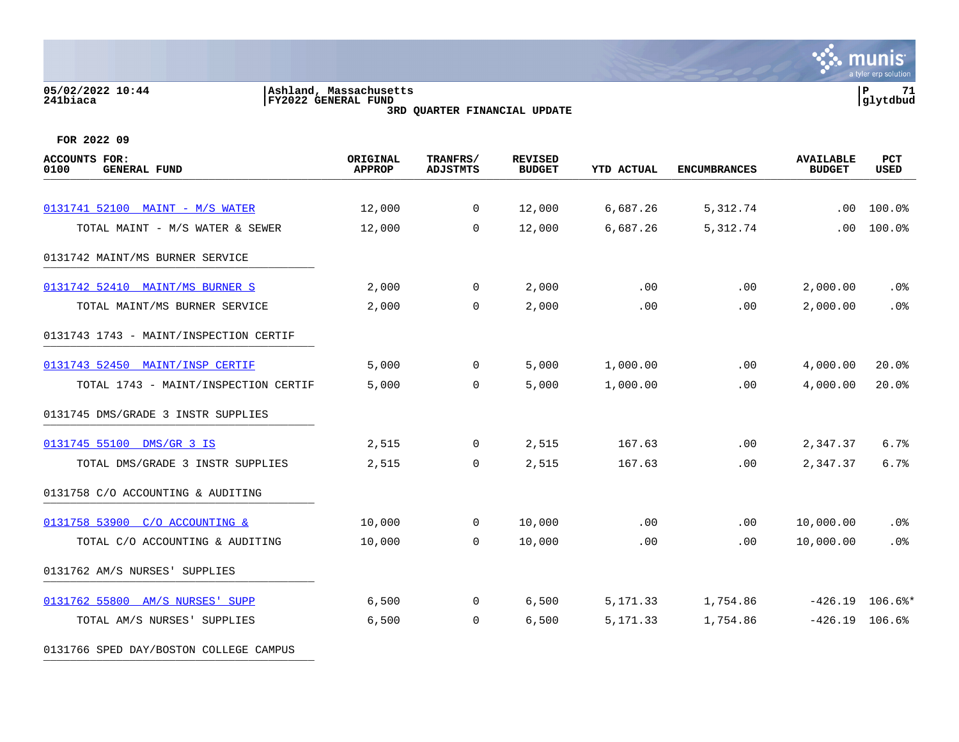# **05/02/2022 10:44 |Ashland, Massachusetts |P 71 241biaca |FY2022 GENERAL FUND |glytdbud 3RD QUARTER FINANCIAL UPDATE**



**FOR 2022 09**

0131766 SPED DAY/BOSTON COLLEGE CAMPUS

| <b>ACCOUNTS FOR:</b><br>0100<br><b>GENERAL FUND</b> | ORIGINAL<br><b>APPROP</b> | TRANFRS/<br><b>ADJSTMTS</b> | <b>REVISED</b><br><b>BUDGET</b> | <b>YTD ACTUAL</b> | <b>ENCUMBRANCES</b> | <b>AVAILABLE</b><br><b>BUDGET</b> | PCT<br><b>USED</b> |
|-----------------------------------------------------|---------------------------|-----------------------------|---------------------------------|-------------------|---------------------|-----------------------------------|--------------------|
|                                                     |                           |                             |                                 |                   |                     |                                   |                    |
| 0131741 52100 MAINT - M/S WATER                     | 12,000                    | $\overline{0}$              | 12,000                          | 6,687.26          | 5,312.74            | .00                               | 100.0%             |
| TOTAL MAINT - M/S WATER & SEWER                     | 12,000                    | $\Omega$                    | 12,000                          | 6,687.26          | 5,312.74            | .00                               | 100.0%             |
| 0131742 MAINT/MS BURNER SERVICE                     |                           |                             |                                 |                   |                     |                                   |                    |
| 0131742 52410 MAINT/MS BURNER S                     | 2,000                     | 0                           | 2,000                           | .00               | .00                 | 2,000.00                          | .0%                |
| TOTAL MAINT/MS BURNER SERVICE                       | 2,000                     | 0                           | 2,000                           | .00               | .00.                | 2,000.00                          | .0%                |
| 0131743 1743 - MAINT/INSPECTION CERTIF              |                           |                             |                                 |                   |                     |                                   |                    |
| 0131743 52450 MAINT/INSP CERTIF                     | 5,000                     | $\overline{0}$              | 5,000                           | 1,000.00          | .00                 | 4,000.00                          | 20.0%              |
| TOTAL 1743 - MAINT/INSPECTION CERTIF                | 5,000                     | $\Omega$                    | 5,000                           | 1,000.00          | .00                 | 4,000.00                          | 20.0%              |
| 0131745 DMS/GRADE 3 INSTR SUPPLIES                  |                           |                             |                                 |                   |                     |                                   |                    |
| 0131745 55100 DMS/GR 3 IS                           | 2,515                     | $\overline{0}$              | 2,515                           | 167.63            | .00                 | 2,347.37                          | 6.7%               |
| TOTAL DMS/GRADE 3 INSTR SUPPLIES                    | 2,515                     | $\mathbf 0$                 | 2,515                           | 167.63            | .00                 | 2,347.37                          | 6.7%               |
| 0131758 C/O ACCOUNTING & AUDITING                   |                           |                             |                                 |                   |                     |                                   |                    |
| 0131758 53900 C/O ACCOUNTING &                      | 10,000                    | 0                           | 10,000                          | $.00 \,$          | .00.                | 10,000.00                         | .0 <sub>8</sub>    |
| TOTAL C/O ACCOUNTING & AUDITING                     | 10,000                    | $\mathbf 0$                 | 10,000                          | .00               | .00                 | 10,000.00                         | .0%                |
| 0131762 AM/S NURSES' SUPPLIES                       |                           |                             |                                 |                   |                     |                                   |                    |
| 0131762 55800 AM/S NURSES' SUPP                     | 6,500                     | 0                           | 6,500                           | 5,171.33          | 1,754.86            |                                   | $-426.19$ 106.6%*  |
| TOTAL AM/S NURSES' SUPPLIES                         | 6,500                     | $\mathbf 0$                 | 6,500                           | 5,171.33          | 1,754.86            | $-426.19$ 106.6%                  |                    |
|                                                     |                           |                             |                                 |                   |                     |                                   |                    |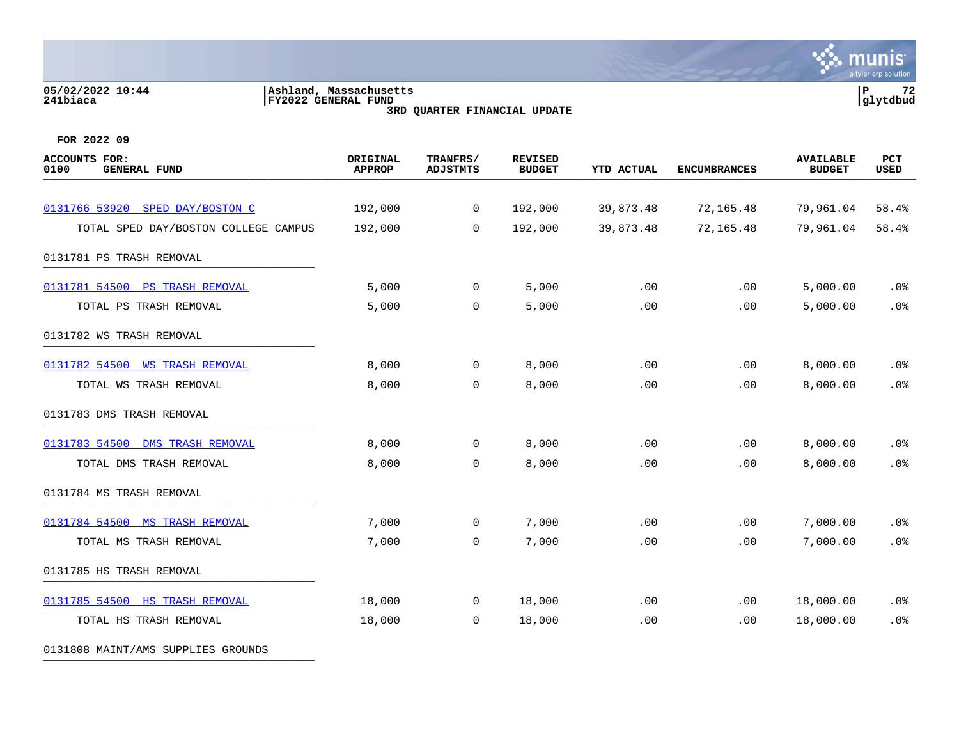# **05/02/2022 10:44 |Ashland, Massachusetts |P 72 241biaca |FY2022 GENERAL FUND |glytdbud 3RD QUARTER FINANCIAL UPDATE**



**FOR 2022 09**

| <b>ACCOUNTS FOR:</b><br>0100<br><b>GENERAL FUND</b> | ORIGINAL<br><b>APPROP</b> | TRANFRS/<br><b>ADJSTMTS</b> | <b>REVISED</b><br><b>BUDGET</b> | <b>YTD ACTUAL</b> | <b>ENCUMBRANCES</b> | <b>AVAILABLE</b><br><b>BUDGET</b> | PCT<br><b>USED</b> |
|-----------------------------------------------------|---------------------------|-----------------------------|---------------------------------|-------------------|---------------------|-----------------------------------|--------------------|
|                                                     |                           |                             |                                 |                   |                     |                                   |                    |
| 0131766 53920 SPED DAY/BOSTON C                     | 192,000                   | $\mathbf 0$                 | 192,000                         | 39,873.48         | 72,165.48           | 79,961.04                         | 58.4%              |
| TOTAL SPED DAY/BOSTON COLLEGE CAMPUS                | 192,000                   | 0                           | 192,000                         | 39,873.48         | 72,165.48           | 79,961.04                         | 58.4%              |
| 0131781 PS TRASH REMOVAL                            |                           |                             |                                 |                   |                     |                                   |                    |
| 0131781 54500<br><b>PS TRASH REMOVAL</b>            | 5,000                     | $\overline{0}$              | 5,000                           | .00               | .00                 | 5,000.00                          | $.0\%$             |
| TOTAL PS TRASH REMOVAL                              | 5,000                     | 0                           | 5,000                           | .00               | .00                 | 5,000.00                          | .0%                |
| 0131782 WS TRASH REMOVAL                            |                           |                             |                                 |                   |                     |                                   |                    |
| 0131782 54500<br><b>WS TRASH REMOVAL</b>            | 8,000                     | 0                           | 8,000                           | .00               | .00                 | 8,000.00                          | .0%                |
| TOTAL WS TRASH REMOVAL                              | 8,000                     | 0                           | 8,000                           | .00               | .00                 | 8,000.00                          | .0%                |
| 0131783 DMS TRASH REMOVAL                           |                           |                             |                                 |                   |                     |                                   |                    |
| 0131783 54500 DMS TRASH REMOVAL                     | 8,000                     | 0                           | 8,000                           | .00               | .00                 | 8,000.00                          | .0%                |
| TOTAL DMS TRASH REMOVAL                             | 8,000                     | $\mathbf 0$                 | 8,000                           | .00               | .00                 | 8,000.00                          | .0%                |
| 0131784 MS TRASH REMOVAL                            |                           |                             |                                 |                   |                     |                                   |                    |
| 0131784 54500 MS TRASH REMOVAL                      | 7,000                     | 0                           | 7,000                           | .00               | .00                 | 7,000.00                          | $.0\%$             |
| TOTAL MS TRASH REMOVAL                              | 7,000                     | $\mathbf 0$                 | 7,000                           | .00               | .00                 | 7,000.00                          | .0%                |
| 0131785 HS TRASH REMOVAL                            |                           |                             |                                 |                   |                     |                                   |                    |
| 0131785 54500 HS TRASH REMOVAL                      | 18,000                    | 0                           | 18,000                          | .00               | .00                 | 18,000.00                         | .0%                |
| TOTAL HS TRASH REMOVAL                              | 18,000                    | 0                           | 18,000                          | .00               | .00                 | 18,000.00                         | .0%                |

0131808 MAINT/AMS SUPPLIES GROUNDS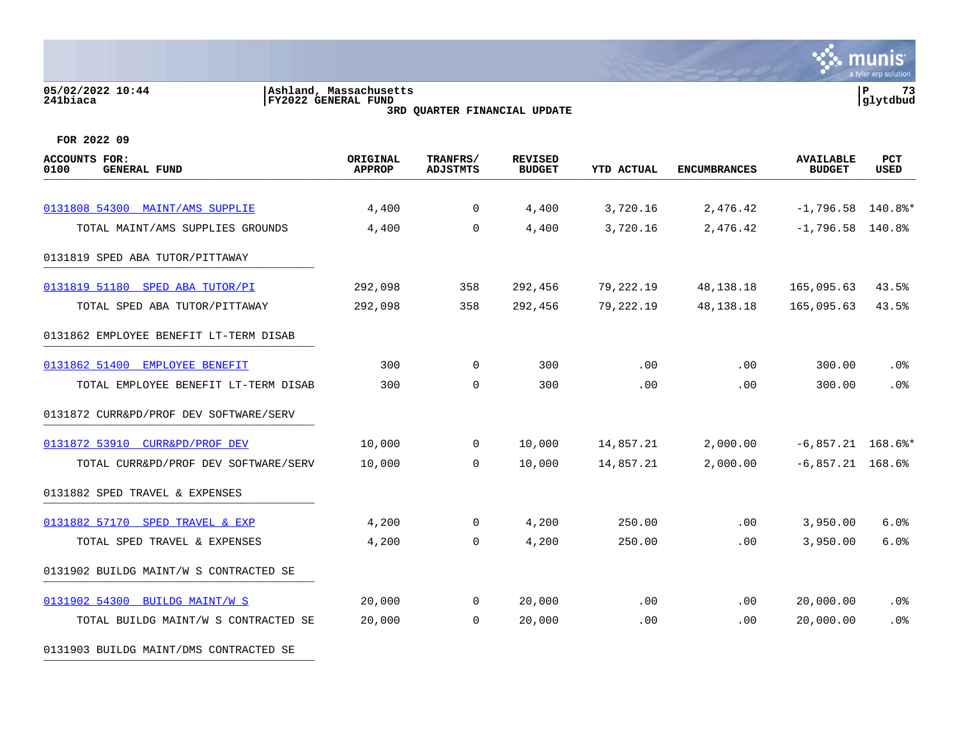#### **05/02/2022 10:44 |Ashland, Massachusetts |P 73 241biaca |FY2022 GENERAL FUND |glytdbud 3RD QUARTER FINANCIAL UPDATE**



**FOR 2022 09**

0131903 BUILDG MAINT/DMS CONTRACTED SE

| <b>ACCOUNTS FOR:</b><br>0100<br><b>GENERAL FUND</b> | ORIGINAL<br><b>APPROP</b> | TRANFRS/<br><b>ADJSTMTS</b> | <b>REVISED</b><br><b>BUDGET</b> | <b>YTD ACTUAL</b> | <b>ENCUMBRANCES</b> | <b>AVAILABLE</b><br><b>BUDGET</b> | PCT<br><b>USED</b> |
|-----------------------------------------------------|---------------------------|-----------------------------|---------------------------------|-------------------|---------------------|-----------------------------------|--------------------|
| 0131808 54300 MAINT/AMS SUPPLIE                     | 4,400                     | $\overline{0}$              | 4,400                           | 3,720.16          | 2,476.42            | $-1,796.58$ 140.8%*               |                    |
| TOTAL MAINT/AMS SUPPLIES GROUNDS                    | 4,400                     | $\mathbf 0$                 | 4,400                           | 3,720.16          | 2,476.42            | $-1,796.58$ 140.8%                |                    |
| 0131819 SPED ABA TUTOR/PITTAWAY                     |                           |                             |                                 |                   |                     |                                   |                    |
| 0131819 51180 SPED ABA TUTOR/PI                     | 292,098                   | 358                         | 292,456                         | 79,222.19         | 48,138.18           | 165,095.63                        | 43.5%              |
| TOTAL SPED ABA TUTOR/PITTAWAY                       | 292,098                   | 358                         | 292,456                         | 79,222.19         | 48, 138. 18         | 165,095.63                        | 43.5%              |
| 0131862 EMPLOYEE BENEFIT LT-TERM DISAB              |                           |                             |                                 |                   |                     |                                   |                    |
| 0131862 51400<br>EMPLOYEE BENEFIT                   | 300                       | $\mathbf 0$                 | 300                             | .00               | .00                 | 300.00                            | .0%                |
| TOTAL EMPLOYEE BENEFIT LT-TERM DISAB                | 300                       | $\mathbf 0$                 | 300                             | .00               | .00                 | 300.00                            | .0%                |
| 0131872 CURR&PD/PROF DEV SOFTWARE/SERV              |                           |                             |                                 |                   |                     |                                   |                    |
| 0131872 53910<br>CURR&PD/PROF DEV                   | 10,000                    | $\overline{0}$              | 10,000                          | 14,857.21         | 2,000.00            | $-6,857.21$ 168.6%*               |                    |
| TOTAL CURR&PD/PROF DEV SOFTWARE/SERV                | 10,000                    | $\Omega$                    | 10,000                          | 14,857.21         | 2,000.00            | $-6,857.21$ 168.6%                |                    |
| 0131882 SPED TRAVEL & EXPENSES                      |                           |                             |                                 |                   |                     |                                   |                    |
| 0131882 57170 SPED TRAVEL & EXP                     | 4,200                     | $\mathbf 0$                 | 4,200                           | 250.00            | $.00 \,$            | 3,950.00                          | 6.0%               |
| TOTAL SPED TRAVEL & EXPENSES                        | 4,200                     | 0                           | 4,200                           | 250.00            | .00                 | 3,950.00                          | 6.0%               |
| 0131902 BUILDG MAINT/W S CONTRACTED SE              |                           |                             |                                 |                   |                     |                                   |                    |
| 0131902 54300 BUILDG MAINT/W S                      | 20,000                    | $\mathbf 0$                 | 20,000                          | .00               | .00.                | 20,000.00                         | $.0\%$             |
| TOTAL BUILDG MAINT/W S CONTRACTED SE                | 20,000                    | $\mathbf 0$                 | 20,000                          | .00               | .00                 | 20,000.00                         | .0%                |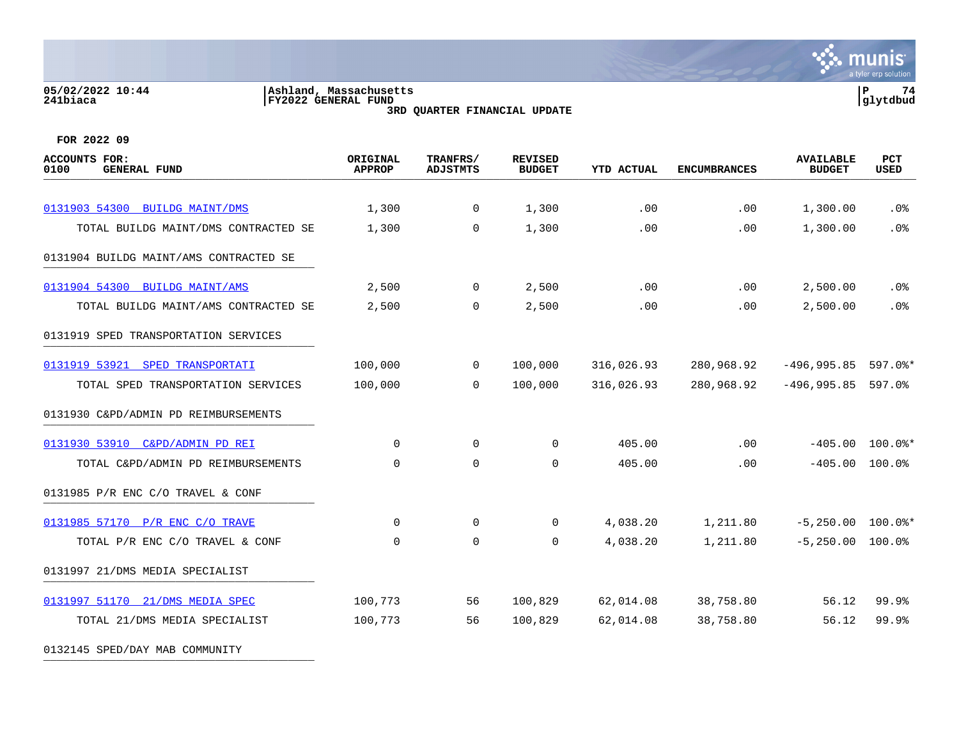# **05/02/2022 10:44 |Ashland, Massachusetts |P 74 241biaca |FY2022 GENERAL FUND |glytdbud**



**3RD QUARTER FINANCIAL UPDATE**

| <b>ACCOUNTS FOR:</b><br><b>GENERAL FUND</b><br>0100 | ORIGINAL<br><b>APPROP</b> | TRANFRS/<br><b>ADJSTMTS</b> | <b>REVISED</b><br><b>BUDGET</b> | <b>YTD ACTUAL</b> | <b>ENCUMBRANCES</b> | <b>AVAILABLE</b><br><b>BUDGET</b> | PCT<br><b>USED</b> |
|-----------------------------------------------------|---------------------------|-----------------------------|---------------------------------|-------------------|---------------------|-----------------------------------|--------------------|
|                                                     |                           |                             |                                 |                   |                     |                                   |                    |
| 0131903 54300 BUILDG MAINT/DMS                      | 1,300                     | 0                           | 1,300                           | .00               | .00                 | 1,300.00                          | $.0\%$             |
| TOTAL BUILDG MAINT/DMS CONTRACTED SE                | 1,300                     | 0                           | 1,300                           | .00               | .00                 | 1,300.00                          | .0%                |
| 0131904 BUILDG MAINT/AMS CONTRACTED SE              |                           |                             |                                 |                   |                     |                                   |                    |
| 0131904 54300 BUILDG MAINT/AMS                      | 2,500                     | $\mathbf 0$                 | 2,500                           | .00               | .00.                | 2,500.00                          | .0 <sub>8</sub>    |
| TOTAL BUILDG MAINT/AMS CONTRACTED SE                | 2,500                     | $\mathbf 0$                 | 2,500                           | .00               | .00                 | 2,500.00                          | .0%                |
| 0131919 SPED TRANSPORTATION SERVICES                |                           |                             |                                 |                   |                     |                                   |                    |
| 0131919 53921 SPED TRANSPORTATI                     | 100,000                   | $\mathbf 0$                 | 100,000                         | 316,026.93        | 280,968.92          | $-496,995.85$ 597.0%*             |                    |
| TOTAL SPED TRANSPORTATION SERVICES                  | 100,000                   | 0                           | 100,000                         | 316,026.93        | 280,968.92          | $-496,995.85$ 597.0%              |                    |
| 0131930 C&PD/ADMIN PD REIMBURSEMENTS                |                           |                             |                                 |                   |                     |                                   |                    |
| 0131930 53910 C&PD/ADMIN PD REI                     | 0                         | $\mathbf 0$                 | 0                               | 405.00            | .00                 |                                   | $-405.00$ 100.0%*  |
| TOTAL C&PD/ADMIN PD REIMBURSEMENTS                  | $\mathbf 0$               | $\mathbf 0$                 | 0                               | 405.00            | .00                 | $-405.00$                         | 100.0%             |
| 0131985 P/R ENC C/O TRAVEL & CONF                   |                           |                             |                                 |                   |                     |                                   |                    |
| 0131985 57170 P/R ENC C/O TRAVE                     | $\Omega$                  | $\mathbf 0$                 | 0                               | 4,038.20          | 1,211.80            | $-5,250.00$ 100.0%*               |                    |
| TOTAL P/R ENC C/O TRAVEL & CONF                     | $\Omega$                  | $\mathbf 0$                 | 0                               | 4,038.20          | 1,211.80            | $-5,250.00$ 100.0%                |                    |
| 0131997 21/DMS MEDIA SPECIALIST                     |                           |                             |                                 |                   |                     |                                   |                    |
| 0131997 51170 21/DMS MEDIA SPEC                     | 100,773                   | 56                          | 100,829                         | 62,014.08         | 38,758.80           | 56.12                             | 99.9%              |
| TOTAL 21/DMS MEDIA SPECIALIST                       | 100,773                   | 56                          | 100,829                         | 62,014.08         | 38,758.80           | 56.12                             | 99.9%              |
| 0132145 SPED/DAY MAB COMMUNITY                      |                           |                             |                                 |                   |                     |                                   |                    |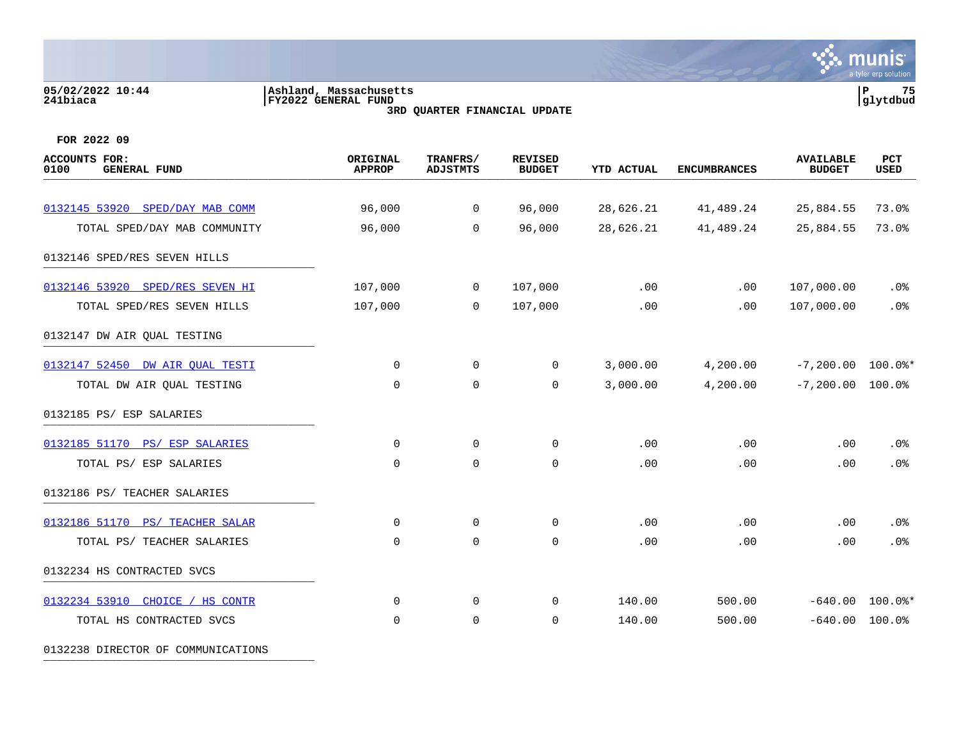# **05/02/2022 10:44 |Ashland, Massachusetts |P 75 241biaca |FY2022 GENERAL FUND |glytdbud**

**3RD QUARTER FINANCIAL UPDATE**



**FOR 2022 09**

| <b>ACCOUNTS FOR:</b><br>0100<br><b>GENERAL FUND</b> | <b>ORIGINAL</b><br><b>APPROP</b> | TRANFRS/<br><b>ADJSTMTS</b> | <b>REVISED</b><br><b>BUDGET</b> | <b>YTD ACTUAL</b> | <b>ENCUMBRANCES</b> | <b>AVAILABLE</b><br><b>BUDGET</b> | PCT<br>USED       |
|-----------------------------------------------------|----------------------------------|-----------------------------|---------------------------------|-------------------|---------------------|-----------------------------------|-------------------|
|                                                     |                                  |                             |                                 |                   |                     |                                   |                   |
| 0132145 53920 SPED/DAY MAB COMM                     | 96,000                           | $\overline{0}$              | 96,000                          | 28,626.21         | 41,489.24           | 25,884.55                         | 73.0%             |
| TOTAL SPED/DAY MAB COMMUNITY                        | 96,000                           | $\Omega$                    | 96,000                          | 28,626.21         | 41,489.24           | 25,884.55                         | 73.0%             |
| 0132146 SPED/RES SEVEN HILLS                        |                                  |                             |                                 |                   |                     |                                   |                   |
| 0132146 53920 SPED/RES SEVEN HI                     | 107,000                          | $\overline{0}$              | 107,000                         | .00               | .00                 | 107,000.00                        | $.0\%$            |
| TOTAL SPED/RES SEVEN HILLS                          | 107,000                          | $\mathbf 0$                 | 107,000                         | .00               | .00                 | 107,000.00                        | .0%               |
| 0132147 DW AIR QUAL TESTING                         |                                  |                             |                                 |                   |                     |                                   |                   |
| 0132147 52450 DW AIR OUAL TESTI                     | 0                                | $\overline{0}$              | $\mathbf 0$                     | 3,000.00          | 4,200.00            | $-7,200.00$ 100.0%*               |                   |
| TOTAL DW AIR QUAL TESTING                           | $\mathbf 0$                      | $\mathbf 0$                 | 0                               | 3,000.00          | 4,200.00            | $-7,200.00$ 100.0%                |                   |
| 0132185 PS/ ESP SALARIES                            |                                  |                             |                                 |                   |                     |                                   |                   |
| 0132185 51170 PS/ ESP SALARIES                      | $\mathbf 0$                      | $\overline{0}$              | 0                               | .00               | .00                 | .00                               | .0%               |
| TOTAL PS/ ESP SALARIES                              | $\mathbf 0$                      | $\mathbf 0$                 | 0                               | .00               | .00                 | .00                               | .0%               |
| 0132186 PS/ TEACHER SALARIES                        |                                  |                             |                                 |                   |                     |                                   |                   |
| 0132186 51170 PS/ TEACHER SALAR                     | 0                                | 0                           | 0                               | .00               | .00                 | .00                               | .0%               |
| TOTAL PS/ TEACHER SALARIES                          | $\mathbf 0$                      | $\mathbf 0$                 | $\mathbf 0$                     | .00               | .00                 | .00                               | .0%               |
| 0132234 HS CONTRACTED SVCS                          |                                  |                             |                                 |                   |                     |                                   |                   |
| 0132234 53910 CHOICE / HS CONTR                     | $\mathbf 0$                      | $\mathbf 0$                 | 0                               | 140.00            | 500.00              |                                   | $-640.00$ 100.0%* |
| TOTAL HS CONTRACTED SVCS                            | $\mathbf 0$                      | $\mathbf 0$                 | 0                               | 140.00            | 500.00              | $-640.00$                         | 100.0%            |
|                                                     |                                  |                             |                                 |                   |                     |                                   |                   |

0132238 DIRECTOR OF COMMUNICATIONS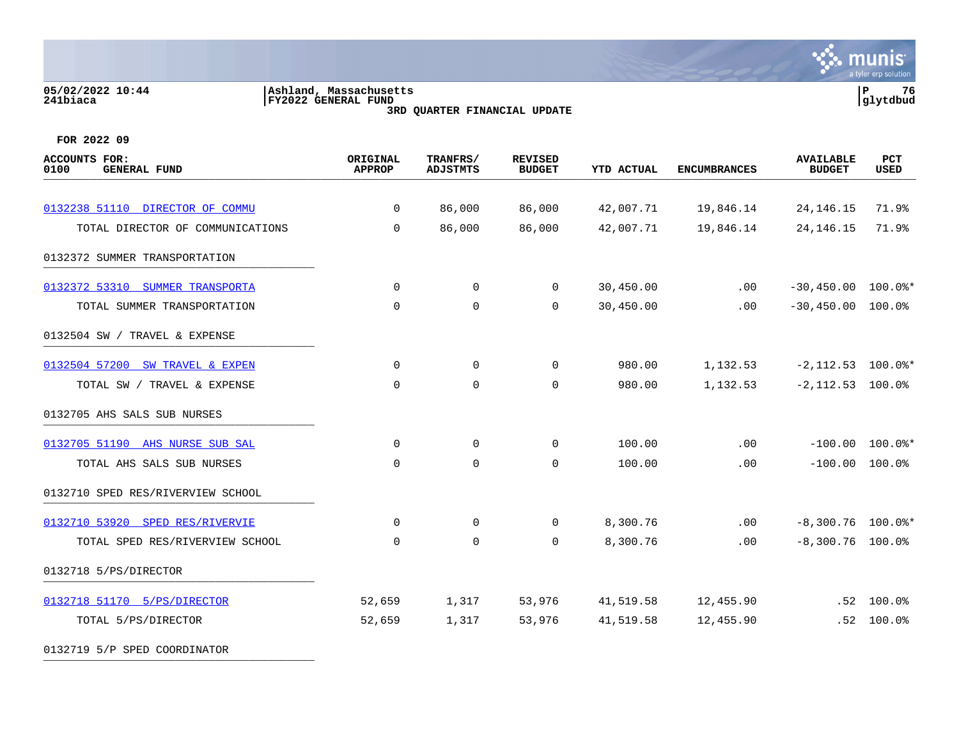#### **05/02/2022 10:44 |Ashland, Massachusetts |P 76 241biaca |FY2022 GENERAL FUND |glytdbud 3RD QUARTER FINANCIAL UPDATE**



| ACCOUNTS FOR:<br>0100<br><b>GENERAL FUND</b> | ORIGINAL<br><b>APPROP</b> | TRANFRS/<br><b>ADJSTMTS</b> | <b>REVISED</b><br><b>BUDGET</b> | <b>YTD ACTUAL</b> | <b>ENCUMBRANCES</b> | <b>AVAILABLE</b><br><b>BUDGET</b> | PCT<br><b>USED</b>             |
|----------------------------------------------|---------------------------|-----------------------------|---------------------------------|-------------------|---------------------|-----------------------------------|--------------------------------|
|                                              |                           |                             |                                 |                   |                     |                                   |                                |
| 0132238 51110 DIRECTOR OF COMMU              | 0                         | 86,000                      | 86,000                          | 42,007.71         | 19,846.14           | 24, 146. 15                       | 71.9%                          |
| TOTAL DIRECTOR OF COMMUNICATIONS             | 0                         | 86,000                      | 86,000                          | 42,007.71         | 19,846.14           | 24, 146. 15                       | 71.9%                          |
| 0132372 SUMMER TRANSPORTATION                |                           |                             |                                 |                   |                     |                                   |                                |
| 0132372 53310 SUMMER TRANSPORTA              | 0                         | 0                           | 0                               | 30,450.00         | .00                 | $-30,450.00$ 100.0%*              |                                |
| TOTAL SUMMER TRANSPORTATION                  | 0                         | 0                           | 0                               | 30,450.00         | $.00 \,$            | $-30,450.00$ 100.0%               |                                |
| 0132504 SW / TRAVEL & EXPENSE                |                           |                             |                                 |                   |                     |                                   |                                |
| 0132504 57200 SW TRAVEL & EXPEN              | $\Omega$                  | $\mathbf 0$                 | $\Omega$                        | 980.00            | 1,132.53            | $-2,112.53$ 100.0%*               |                                |
| TOTAL SW / TRAVEL & EXPENSE                  | 0                         | $\mathbf 0$                 | 0                               | 980.00            | 1,132.53            | $-2,112.53$ 100.0%                |                                |
| 0132705 AHS SALS SUB NURSES                  |                           |                             |                                 |                   |                     |                                   |                                |
| 0132705 51190 AHS NURSE SUB SAL              | 0                         | 0                           | 0                               | 100.00            | .00                 |                                   | $-100.00$ $100.0$ <sup>*</sup> |
| TOTAL AHS SALS SUB NURSES                    | $\Omega$                  | $\mathbf 0$                 | $\mathbf 0$                     | 100.00            | .00                 | $-100.00$                         | 100.0%                         |
| 0132710 SPED RES/RIVERVIEW SCHOOL            |                           |                             |                                 |                   |                     |                                   |                                |
| 0132710 53920 SPED RES/RIVERVIE              | 0                         | $\mathbf 0$                 | 0                               | 8,300.76          | .00                 | $-8,300.76$ 100.0%*               |                                |
| TOTAL SPED RES/RIVERVIEW SCHOOL              | $\mathbf 0$               | $\mathbf 0$                 | $\Omega$                        | 8,300.76          | .00                 | $-8,300.76$ 100.0%                |                                |
| 0132718 5/PS/DIRECTOR                        |                           |                             |                                 |                   |                     |                                   |                                |
| 0132718 51170 5/PS/DIRECTOR                  | 52,659                    | 1,317                       | 53,976                          | 41,519.58         | 12,455.90           |                                   | $.52$ 100.0%                   |
| TOTAL 5/PS/DIRECTOR                          | 52,659                    | 1,317                       | 53,976                          | 41,519.58         | 12,455.90           |                                   | $.52$ 100.0%                   |
| 0132719 5/P SPED COORDINATOR                 |                           |                             |                                 |                   |                     |                                   |                                |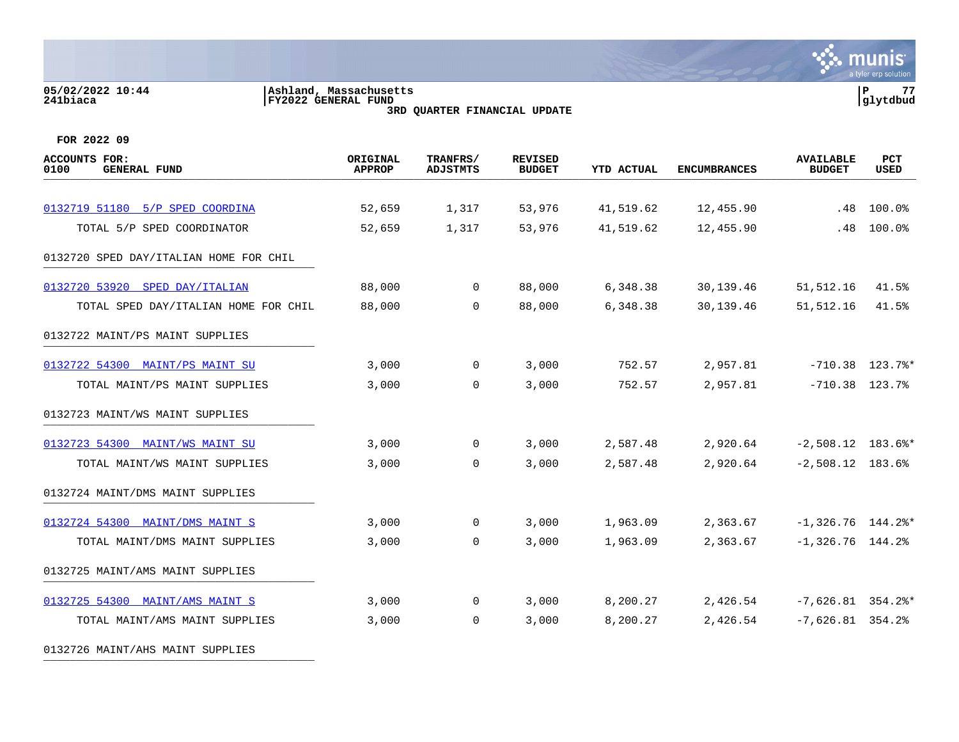#### **05/02/2022 10:44 |Ashland, Massachusetts |P 77 241biaca |FY2022 GENERAL FUND |glytdbud 3RD QUARTER FINANCIAL UPDATE**



| ACCOUNTS FOR:<br><b>GENERAL FUND</b><br>0100 | ORIGINAL<br><b>APPROP</b> | TRANFRS/<br><b>ADJSTMTS</b> | <b>REVISED</b><br><b>BUDGET</b> | <b>YTD ACTUAL</b> | <b>ENCUMBRANCES</b>    | <b>AVAILABLE</b><br><b>BUDGET</b> | PCT<br><b>USED</b> |
|----------------------------------------------|---------------------------|-----------------------------|---------------------------------|-------------------|------------------------|-----------------------------------|--------------------|
| 0132719 51180 5/P SPED COORDINA              |                           |                             |                                 | 41,519.62         |                        |                                   | 100.0%             |
| TOTAL 5/P SPED COORDINATOR                   | 52,659<br>52,659          | 1,317<br>1,317              | 53,976<br>53,976                | 41,519.62         | 12,455.90<br>12,455.90 | .48<br>.48                        | 100.0%             |
| 0132720 SPED DAY/ITALIAN HOME FOR CHIL       |                           |                             |                                 |                   |                        |                                   |                    |
|                                              |                           |                             |                                 |                   |                        |                                   |                    |
| 0132720 53920<br>SPED DAY/ITALIAN            | 88,000                    | $\overline{0}$              | 88,000                          | 6,348.38          | 30,139.46              | 51, 512.16                        | 41.5%              |
| TOTAL SPED DAY/ITALIAN HOME FOR CHIL         | 88,000                    | 0                           | 88,000                          | 6,348.38          | 30,139.46              | 51,512.16                         | 41.5%              |
| 0132722 MAINT/PS MAINT SUPPLIES              |                           |                             |                                 |                   |                        |                                   |                    |
| 0132722 54300 MAINT/PS MAINT SU              | 3,000                     | $\mathbf 0$                 | 3,000                           | 752.57            | 2,957.81               |                                   | $-710.38$ 123.7%*  |
| TOTAL MAINT/PS MAINT SUPPLIES                | 3,000                     | 0                           | 3,000                           | 752.57            | 2,957.81               | $-710.38$ 123.7%                  |                    |
| 0132723 MAINT/WS MAINT SUPPLIES              |                           |                             |                                 |                   |                        |                                   |                    |
| 0132723 54300 MAINT/WS MAINT SU              | 3,000                     | $\mathbf 0$                 | 3,000                           | 2,587.48          | 2,920.64               | $-2,508.12$ 183.6%*               |                    |
| TOTAL MAINT/WS MAINT SUPPLIES                | 3,000                     | $\mathbf 0$                 | 3,000                           | 2,587.48          | 2,920.64               | $-2,508.12$ 183.6%                |                    |
| 0132724 MAINT/DMS MAINT SUPPLIES             |                           |                             |                                 |                   |                        |                                   |                    |
| 0132724 54300 MAINT/DMS MAINT S              | 3,000                     | $\overline{0}$              | 3,000                           | 1,963.09          | 2,363.67               | $-1,326.76$ 144.2%*               |                    |
| TOTAL MAINT/DMS MAINT SUPPLIES               | 3,000                     | $\Omega$                    | 3,000                           | 1,963.09          | 2,363.67               | $-1,326.76$ 144.2%                |                    |
| 0132725 MAINT/AMS MAINT SUPPLIES             |                           |                             |                                 |                   |                        |                                   |                    |
| 0132725 54300 MAINT/AMS MAINT S              | 3,000                     | $\overline{0}$              | 3,000                           | 8,200.27          | 2,426.54               | $-7,626.81$ 354.2%*               |                    |
| TOTAL MAINT/AMS MAINT SUPPLIES               | 3,000                     | 0                           | 3,000                           | 8,200.27          | 2,426.54               | $-7,626.81$ 354.2%                |                    |
| 0132726 MAINT/AHS MAINT SUPPLIES             |                           |                             |                                 |                   |                        |                                   |                    |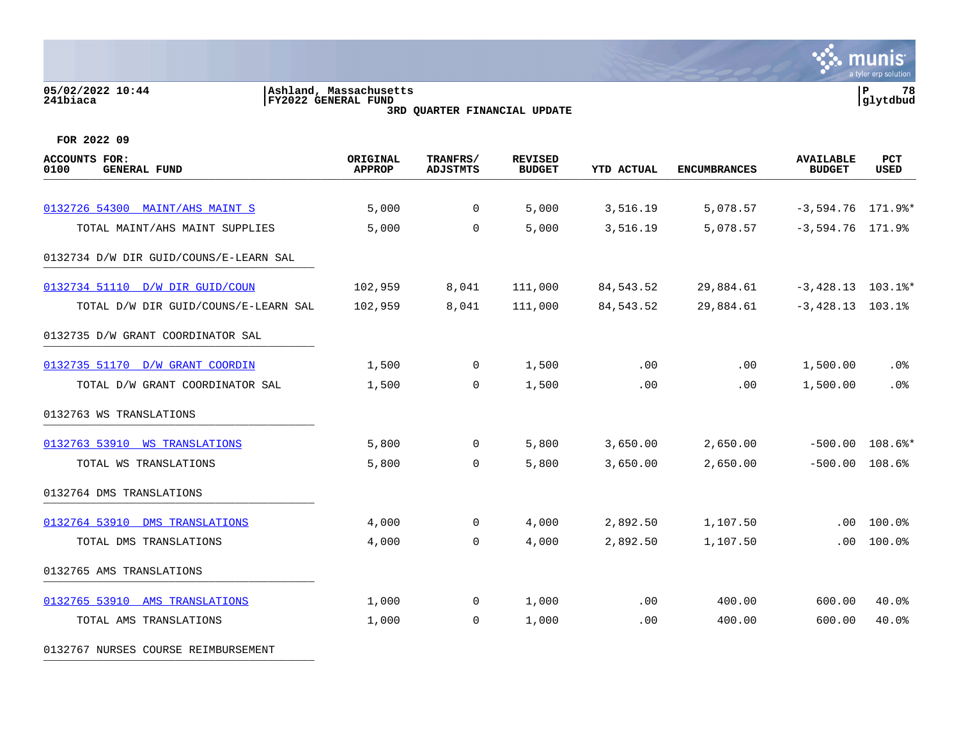#### **05/02/2022 10:44 |Ashland, Massachusetts |P 78 241biaca |FY2022 GENERAL FUND |glytdbud 3RD QUARTER FINANCIAL UPDATE**



**FOR 2022 09**

| <b>ACCOUNTS FOR:</b><br><b>GENERAL FUND</b><br>0100 | ORIGINAL<br><b>APPROP</b> | TRANFRS/<br><b>ADJSTMTS</b> | <b>REVISED</b><br><b>BUDGET</b> | <b>YTD ACTUAL</b> | <b>ENCUMBRANCES</b> | <b>AVAILABLE</b><br><b>BUDGET</b> | <b>PCT</b><br><b>USED</b> |
|-----------------------------------------------------|---------------------------|-----------------------------|---------------------------------|-------------------|---------------------|-----------------------------------|---------------------------|
| 0132726 54300 MAINT/AHS MAINT S                     | 5,000                     | $\overline{0}$              | 5,000                           | 3,516.19          | 5,078.57            | $-3,594.76$ 171.9%*               |                           |
| TOTAL MAINT/AHS MAINT SUPPLIES                      | 5,000                     | $\mathbf 0$                 | 5,000                           | 3,516.19          | 5,078.57            | $-3,594.76$ 171.9%                |                           |
| 0132734 D/W DIR GUID/COUNS/E-LEARN SAL              |                           |                             |                                 |                   |                     |                                   |                           |
| 0132734 51110 D/W DIR GUID/COUN                     | 102,959                   | 8,041                       | 111,000                         | 84,543.52         | 29,884.61           | $-3,428.13$ 103.1%*               |                           |
| TOTAL D/W DIR GUID/COUNS/E-LEARN SAL                | 102,959                   | 8,041                       | 111,000                         | 84,543.52         | 29,884.61           | $-3,428.13$ 103.1%                |                           |
| 0132735 D/W GRANT COORDINATOR SAL                   |                           |                             |                                 |                   |                     |                                   |                           |
| 0132735 51170 D/W GRANT COORDIN                     | 1,500                     | $\overline{0}$              | 1,500                           | .00               | .00                 | 1,500.00                          | $.0\%$                    |
| TOTAL D/W GRANT COORDINATOR SAL                     | 1,500                     | $\overline{0}$              | 1,500                           | .00               | .00                 | 1,500.00                          | .0%                       |
| 0132763 WS TRANSLATIONS                             |                           |                             |                                 |                   |                     |                                   |                           |
| 0132763 53910 WS TRANSLATIONS                       | 5,800                     | $\overline{0}$              | 5,800                           | 3,650.00          | 2,650.00            |                                   | $-500.00$ 108.6%*         |
| TOTAL WS TRANSLATIONS                               | 5,800                     | $\mathbf 0$                 | 5,800                           | 3,650.00          | 2,650.00            | $-500.00$                         | 108.6%                    |
| 0132764 DMS TRANSLATIONS                            |                           |                             |                                 |                   |                     |                                   |                           |
| 0132764 53910 DMS TRANSLATIONS                      | 4,000                     | 0                           | 4,000                           | 2,892.50          | 1,107.50            | $.00 \,$                          | 100.0%                    |
| TOTAL DMS TRANSLATIONS                              | 4,000                     | $\mathbf 0$                 | 4,000                           | 2,892.50          | 1,107.50            | .00                               | 100.0%                    |
| 0132765 AMS TRANSLATIONS                            |                           |                             |                                 |                   |                     |                                   |                           |
| 0132765 53910 AMS TRANSLATIONS                      | 1,000                     | $\mathbf 0$                 | 1,000                           | .00               | 400.00              | 600.00                            | 40.0%                     |
| TOTAL AMS TRANSLATIONS                              | 1,000                     | $\mathbf 0$                 | 1,000                           | .00               | 400.00              | 600.00                            | 40.0%                     |

0132767 NURSES COURSE REIMBURSEMENT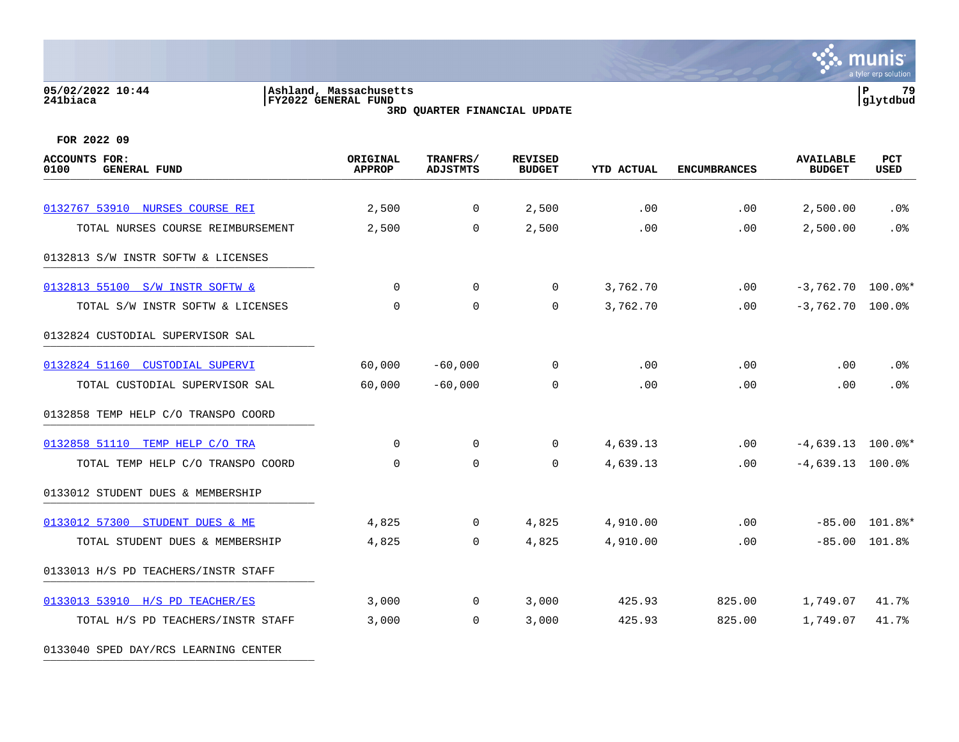#### **05/02/2022 10:44 |Ashland, Massachusetts |P 79 241biaca |FY2022 GENERAL FUND |glytdbud 3RD QUARTER FINANCIAL UPDATE**



**FOR 2022 09**

| <b>ACCOUNTS FOR:</b><br>0100<br><b>GENERAL FUND</b> | ORIGINAL<br><b>APPROP</b> | TRANFRS/<br><b>ADJSTMTS</b> | <b>REVISED</b><br><b>BUDGET</b> | <b>YTD ACTUAL</b> | <b>ENCUMBRANCES</b> | <b>AVAILABLE</b><br><b>BUDGET</b> | PCT<br>USED      |
|-----------------------------------------------------|---------------------------|-----------------------------|---------------------------------|-------------------|---------------------|-----------------------------------|------------------|
|                                                     |                           |                             |                                 |                   |                     |                                   |                  |
| 0132767 53910 NURSES COURSE REI                     | 2,500                     | $\overline{0}$              | 2,500                           | .00               | .00                 | 2,500.00                          | .0%              |
| TOTAL NURSES COURSE REIMBURSEMENT                   | 2,500                     | 0                           | 2,500                           | .00               | .00                 | 2,500.00                          | .0%              |
| 0132813 S/W INSTR SOFTW & LICENSES                  |                           |                             |                                 |                   |                     |                                   |                  |
| 0132813 55100 S/W INSTR SOFTW &                     | $\Omega$                  | $\mathbf 0$                 | $\overline{0}$                  | 3,762.70          | $.00 \,$            | $-3,762.70$ 100.0%*               |                  |
| TOTAL S/W INSTR SOFTW & LICENSES                    | $\Omega$                  | $\mathbf 0$                 | 0                               | 3,762.70          | .00                 | $-3,762.70$ 100.0%                |                  |
| 0132824 CUSTODIAL SUPERVISOR SAL                    |                           |                             |                                 |                   |                     |                                   |                  |
| 0132824 51160 CUSTODIAL SUPERVI                     | 60,000                    | $-60,000$                   | $\Omega$                        | .00               | .00                 | .00                               | .0%              |
| TOTAL CUSTODIAL SUPERVISOR SAL                      | 60,000                    | $-60,000$                   | 0                               | .00               | .00                 | .00                               | .0%              |
| 0132858 TEMP HELP C/O TRANSPO COORD                 |                           |                             |                                 |                   |                     |                                   |                  |
| 0132858 51110 TEMP HELP C/O TRA                     | $\Omega$                  | $\mathbf 0$                 | $\mathbf 0$                     | 4,639.13          | .00                 | $-4,639.13$ 100.0%*               |                  |
| TOTAL TEMP HELP C/O TRANSPO COORD                   | $\Omega$                  | $\Omega$                    | $\Omega$                        | 4,639.13          | .00                 | $-4,639.13$ 100.0%                |                  |
| 0133012 STUDENT DUES & MEMBERSHIP                   |                           |                             |                                 |                   |                     |                                   |                  |
| 0133012 57300 STUDENT DUES & ME                     | 4,825                     | 0                           | 4,825                           | 4,910.00          | .00                 |                                   | $-85.00$ 101.8%* |
| TOTAL STUDENT DUES & MEMBERSHIP                     | 4,825                     | $\mathbf 0$                 | 4,825                           | 4,910.00          | .00                 |                                   | $-85.00$ 101.8%  |
| 0133013 H/S PD TEACHERS/INSTR STAFF                 |                           |                             |                                 |                   |                     |                                   |                  |
| 0133013 53910 H/S PD TEACHER/ES                     | 3,000                     | 0                           | 3,000                           | 425.93            | 825.00              | 1,749.07                          | 41.7%            |
| TOTAL H/S PD TEACHERS/INSTR STAFF                   | 3,000                     | $\mathbf 0$                 | 3,000                           | 425.93            | 825.00              | 1,749.07                          | 41.7%            |
|                                                     |                           |                             |                                 |                   |                     |                                   |                  |

0133040 SPED DAY/RCS LEARNING CENTER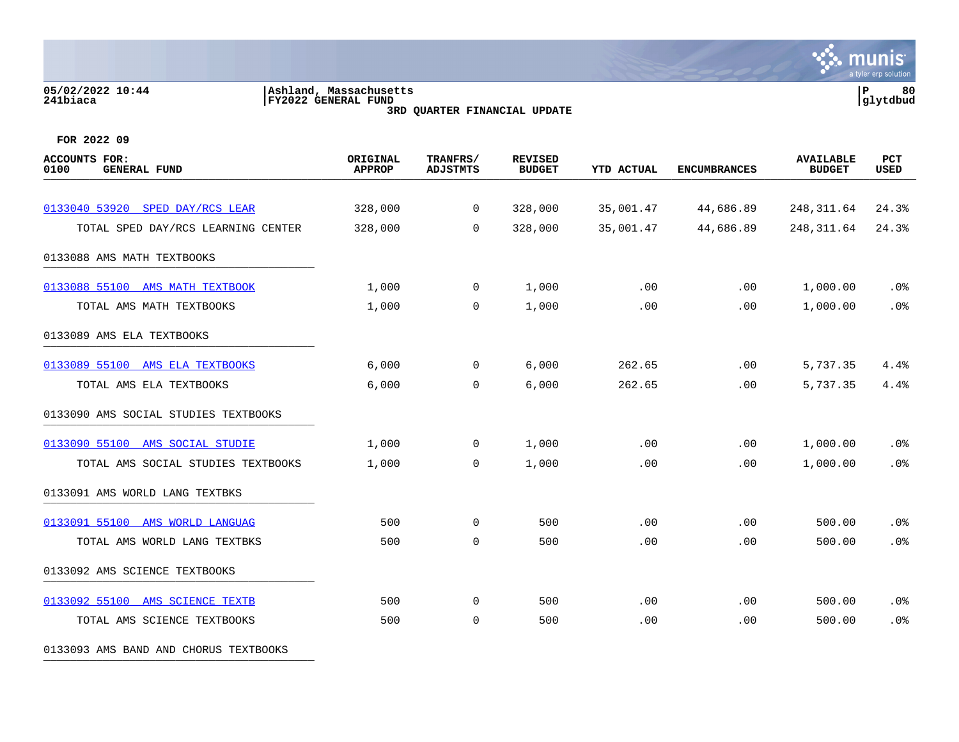#### **05/02/2022 10:44 |Ashland, Massachusetts |P 80 241biaca |FY2022 GENERAL FUND |glytdbud 3RD QUARTER FINANCIAL UPDATE**



**FOR 2022 09**

| <b>ACCOUNTS FOR:</b><br><b>GENERAL FUND</b><br>0100 | ORIGINAL<br><b>APPROP</b> | TRANFRS/<br><b>ADJSTMTS</b> | <b>REVISED</b><br><b>BUDGET</b> | <b>YTD ACTUAL</b> | <b>ENCUMBRANCES</b> | <b>AVAILABLE</b><br><b>BUDGET</b> | PCT<br><b>USED</b> |
|-----------------------------------------------------|---------------------------|-----------------------------|---------------------------------|-------------------|---------------------|-----------------------------------|--------------------|
|                                                     |                           |                             |                                 |                   |                     |                                   |                    |
| 0133040 53920 SPED DAY/RCS LEAR                     | 328,000                   | 0                           | 328,000                         | 35,001.47         | 44,686.89           | 248, 311.64                       | 24.3%              |
| TOTAL SPED DAY/RCS LEARNING CENTER                  | 328,000                   | $\mathbf 0$                 | 328,000                         | 35,001.47         | 44,686.89           | 248, 311.64                       | 24.3%              |
| 0133088 AMS MATH TEXTBOOKS                          |                           |                             |                                 |                   |                     |                                   |                    |
| 0133088 55100 AMS MATH TEXTBOOK                     | 1,000                     | 0                           | 1,000                           | .00               | .00                 | 1,000.00                          | $.0\%$             |
| TOTAL AMS MATH TEXTBOOKS                            | 1,000                     | 0                           | 1,000                           | .00               | .00                 | 1,000.00                          | .0%                |
| 0133089 AMS ELA TEXTBOOKS                           |                           |                             |                                 |                   |                     |                                   |                    |
| 0133089 55100 AMS ELA TEXTBOOKS                     | 6,000                     | $\Omega$                    | 6,000                           | 262.65            | .00                 | 5,737.35                          | 4.4%               |
| TOTAL AMS ELA TEXTBOOKS                             | 6,000                     | $\mathbf 0$                 | 6,000                           | 262.65            | .00                 | 5,737.35                          | 4.4%               |
| 0133090 AMS SOCIAL STUDIES TEXTBOOKS                |                           |                             |                                 |                   |                     |                                   |                    |
| 0133090 55100 AMS SOCIAL STUDIE                     | 1,000                     | $\Omega$                    | 1,000                           | .00               | .00                 | 1,000.00                          | .0%                |
| TOTAL AMS SOCIAL STUDIES TEXTBOOKS                  | 1,000                     | $\mathbf 0$                 | 1,000                           | .00               | .00                 | 1,000.00                          | .0%                |
| 0133091 AMS WORLD LANG TEXTBKS                      |                           |                             |                                 |                   |                     |                                   |                    |
| 0133091 55100 AMS WORLD LANGUAG                     | 500                       | $\mathbf 0$                 | 500                             | .00               | .00.                | 500.00                            | .0%                |
| TOTAL AMS WORLD LANG TEXTBKS                        | 500                       | $\mathbf 0$                 | 500                             | .00               | .00                 | 500.00                            | .0%                |
| 0133092 AMS SCIENCE TEXTBOOKS                       |                           |                             |                                 |                   |                     |                                   |                    |
| 0133092 55100 AMS SCIENCE TEXTB                     | 500                       | $\mathbf 0$                 | 500                             | .00               | .00                 | 500.00                            | .0%                |
| TOTAL AMS SCIENCE TEXTBOOKS                         | 500                       | 0                           | 500                             | .00               | .00                 | 500.00                            | .0%                |

0133093 AMS BAND AND CHORUS TEXTBOOKS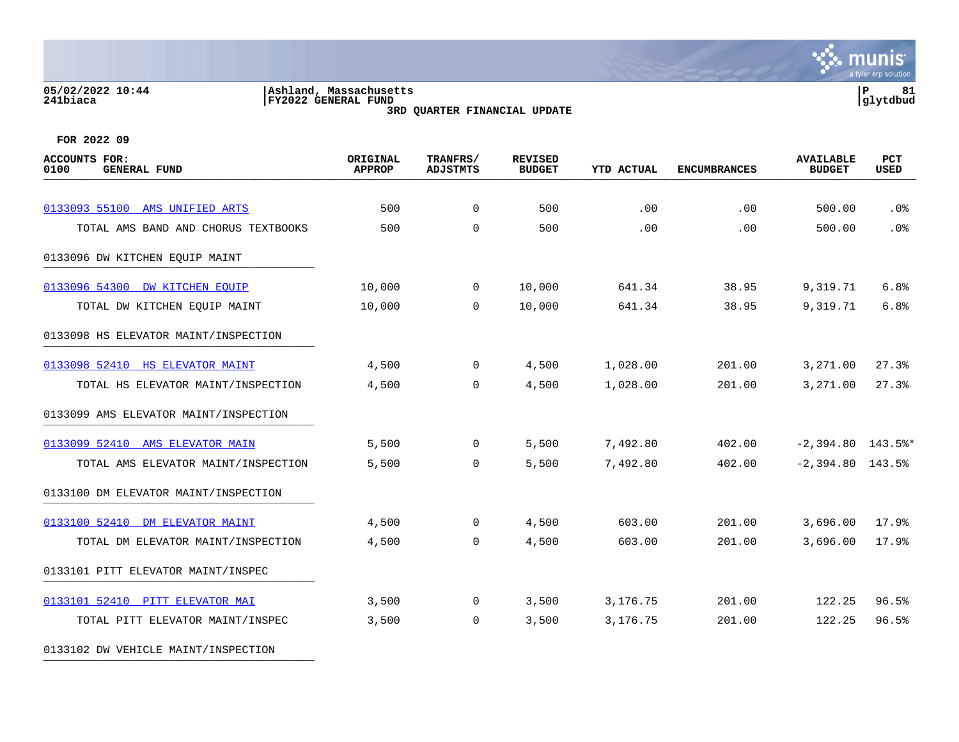#### **05/02/2022 10:44 |Ashland, Massachusetts |P 81 241biaca |FY2022 GENERAL FUND |glytdbud 3RD QUARTER FINANCIAL UPDATE**



| <b>ACCOUNTS FOR:</b><br>0100<br><b>GENERAL FUND</b> | ORIGINAL<br><b>APPROP</b> | TRANFRS/<br><b>ADJSTMTS</b> | <b>REVISED</b><br><b>BUDGET</b> | <b>YTD ACTUAL</b> | <b>ENCUMBRANCES</b> | <b>AVAILABLE</b><br><b>BUDGET</b> | PCT<br><b>USED</b> |
|-----------------------------------------------------|---------------------------|-----------------------------|---------------------------------|-------------------|---------------------|-----------------------------------|--------------------|
|                                                     |                           |                             |                                 |                   |                     |                                   |                    |
| 0133093 55100 AMS UNIFIED ARTS                      | 500                       | 0                           | 500                             | .00               | .00                 | 500.00                            | .0%                |
| TOTAL AMS BAND AND CHORUS TEXTBOOKS                 | 500                       | $\mathbf 0$                 | 500                             | .00               | .00                 | 500.00                            | .0%                |
| 0133096 DW KITCHEN EOUIP MAINT                      |                           |                             |                                 |                   |                     |                                   |                    |
| 0133096 54300 DW KITCHEN EOUIP                      | 10,000                    | $\mathbf 0$                 | 10,000                          | 641.34            | 38.95               | 9,319.71                          | 6.8%               |
| TOTAL DW KITCHEN EQUIP MAINT                        | 10,000                    | $\Omega$                    | 10,000                          | 641.34            | 38.95               | 9,319.71                          | 6.8%               |
| 0133098 HS ELEVATOR MAINT/INSPECTION                |                           |                             |                                 |                   |                     |                                   |                    |
| 0133098 52410 HS ELEVATOR MAINT                     | 4,500                     | $\overline{0}$              | 4,500                           | 1,028.00          | 201.00              | 3,271.00                          | 27.3%              |
| TOTAL HS ELEVATOR MAINT/INSPECTION                  | 4,500                     | 0                           | 4,500                           | 1,028.00          | 201.00              | 3,271.00                          | 27.3%              |
| 0133099 AMS ELEVATOR MAINT/INSPECTION               |                           |                             |                                 |                   |                     |                                   |                    |
| 0133099 52410 AMS ELEVATOR MAIN                     | 5,500                     | 0                           | 5,500                           | 7,492.80          | 402.00              | $-2,394.80$ 143.5%*               |                    |
| TOTAL AMS ELEVATOR MAINT/INSPECTION                 | 5,500                     | 0                           | 5,500                           | 7,492.80          | 402.00              | $-2,394.80$ 143.5%                |                    |
| 0133100 DM ELEVATOR MAINT/INSPECTION                |                           |                             |                                 |                   |                     |                                   |                    |
| 0133100 52410 DM ELEVATOR MAINT                     | 4,500                     | $\overline{0}$              | 4,500                           | 603.00            | 201.00              | 3,696.00                          | 17.9%              |
| TOTAL DM ELEVATOR MAINT/INSPECTION                  | 4,500                     | $\Omega$                    | 4,500                           | 603.00            | 201.00              | 3,696.00                          | 17.9%              |
| 0133101 PITT ELEVATOR MAINT/INSPEC                  |                           |                             |                                 |                   |                     |                                   |                    |
| 0133101 52410 PITT ELEVATOR MAI                     | 3,500                     | 0                           | 3,500                           | 3,176.75          | 201.00              | 122.25                            | 96.5%              |
| TOTAL PITT ELEVATOR MAINT/INSPEC                    | 3,500                     | 0                           | 3,500                           | 3,176.75          | 201.00              | 122.25                            | 96.5%              |
| 0133102 DW VEHICLE MAINT/INSPECTION                 |                           |                             |                                 |                   |                     |                                   |                    |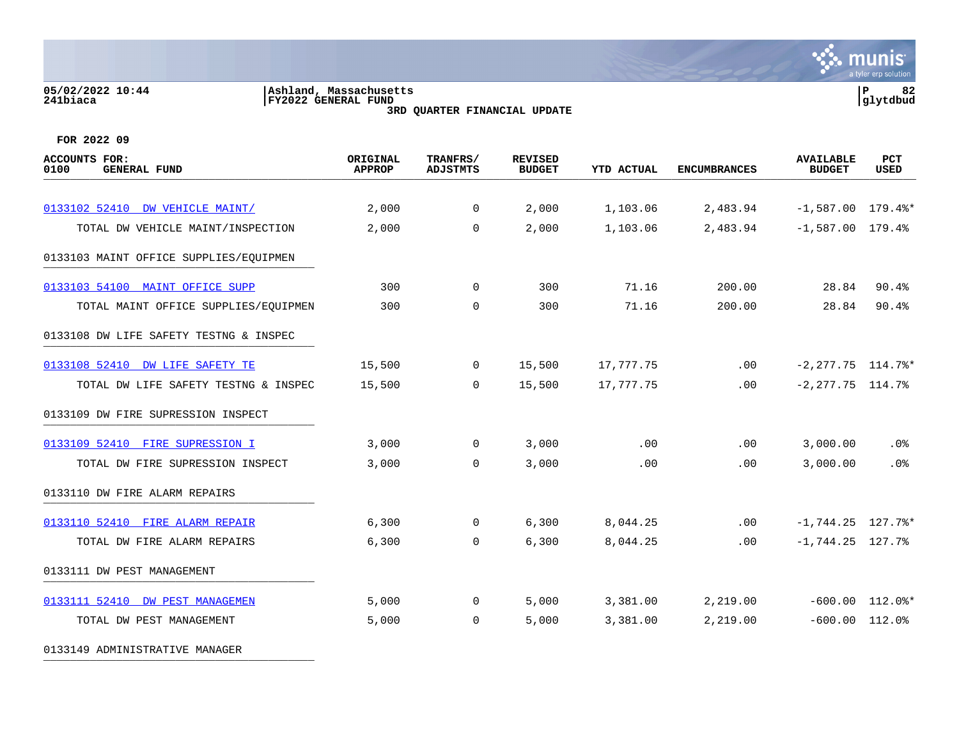#### **05/02/2022 10:44 |Ashland, Massachusetts |P 82 241biaca |FY2022 GENERAL FUND |glytdbud 3RD QUARTER FINANCIAL UPDATE**



**FOR 2022 09**

| ACCOUNTS FOR:<br>0100<br><b>GENERAL FUND</b> | ORIGINAL<br><b>APPROP</b> | TRANFRS/<br><b>ADJSTMTS</b> | <b>REVISED</b><br><b>BUDGET</b> | <b>YTD ACTUAL</b> | <b>ENCUMBRANCES</b> | <b>AVAILABLE</b><br><b>BUDGET</b> | PCT<br>USED         |
|----------------------------------------------|---------------------------|-----------------------------|---------------------------------|-------------------|---------------------|-----------------------------------|---------------------|
| 0133102 52410 DW VEHICLE MAINT/              | 2,000                     | $\mathbf 0$                 | 2,000                           | 1,103.06          | 2,483.94            | $-1,587.00$ 179.4%*               |                     |
| TOTAL DW VEHICLE MAINT/INSPECTION            | 2,000                     | $\mathbf 0$                 | 2,000                           | 1,103.06          | 2,483.94            | $-1,587.00$ 179.4%                |                     |
| 0133103 MAINT OFFICE SUPPLIES/EQUIPMEN       |                           |                             |                                 |                   |                     |                                   |                     |
| 0133103 54100<br>MAINT OFFICE SUPP           | 300                       | $\mathbf 0$                 | 300                             | 71.16             | 200.00              | 28.84                             | 90.4%               |
| TOTAL MAINT OFFICE SUPPLIES/EQUIPMEN         | 300                       | $\Omega$                    | 300                             | 71.16             | 200.00              | 28.84                             | 90.4%               |
| 0133108 DW LIFE SAFETY TESTNG & INSPEC       |                           |                             |                                 |                   |                     |                                   |                     |
| 0133108 52410 DW LIFE SAFETY TE              | 15,500                    | $\mathbf 0$                 | 15,500                          | 17,777.75         | .00                 | $-2, 277.75$ 114.7%*              |                     |
| TOTAL DW LIFE SAFETY TESTNG & INSPEC         | 15,500                    | $\Omega$                    | 15,500                          | 17,777.75         | .00                 | $-2, 277.75$ 114.7%               |                     |
| 0133109 DW FIRE SUPRESSION INSPECT           |                           |                             |                                 |                   |                     |                                   |                     |
| 0133109 52410 FIRE SUPRESSION I              | 3,000                     | $\mathbf 0$                 | 3,000                           | .00               | .00                 | 3,000.00                          | $.0\%$              |
| TOTAL DW FIRE SUPRESSION INSPECT             | 3,000                     | 0                           | 3,000                           | .00               | .00                 | 3,000.00                          | .0%                 |
| 0133110 DW FIRE ALARM REPAIRS                |                           |                             |                                 |                   |                     |                                   |                     |
| 0133110 52410 FIRE ALARM REPAIR              | 6,300                     | $\overline{0}$              | 6,300                           | 8,044.25          | .00                 | $-1, 744.25$ 127.7%*              |                     |
| TOTAL DW FIRE ALARM REPAIRS                  | 6,300                     | $\mathbf 0$                 | 6,300                           | 8,044.25          | .00                 | $-1, 744.25$ 127.7%               |                     |
| 0133111 DW PEST MANAGEMENT                   |                           |                             |                                 |                   |                     |                                   |                     |
| 0133111 52410 DW PEST MANAGEMEN              | 5,000                     | $\overline{0}$              | 5,000                           | 3,381.00          | 2,219.00            |                                   | $-600.00$ $112.0$ * |
| TOTAL DW PEST MANAGEMENT                     | 5,000                     | $\mathbf 0$                 | 5,000                           | 3,381.00          | 2,219.00            | $-600.00$ $112.0$ <sup>*</sup>    |                     |

0133149 ADMINISTRATIVE MANAGER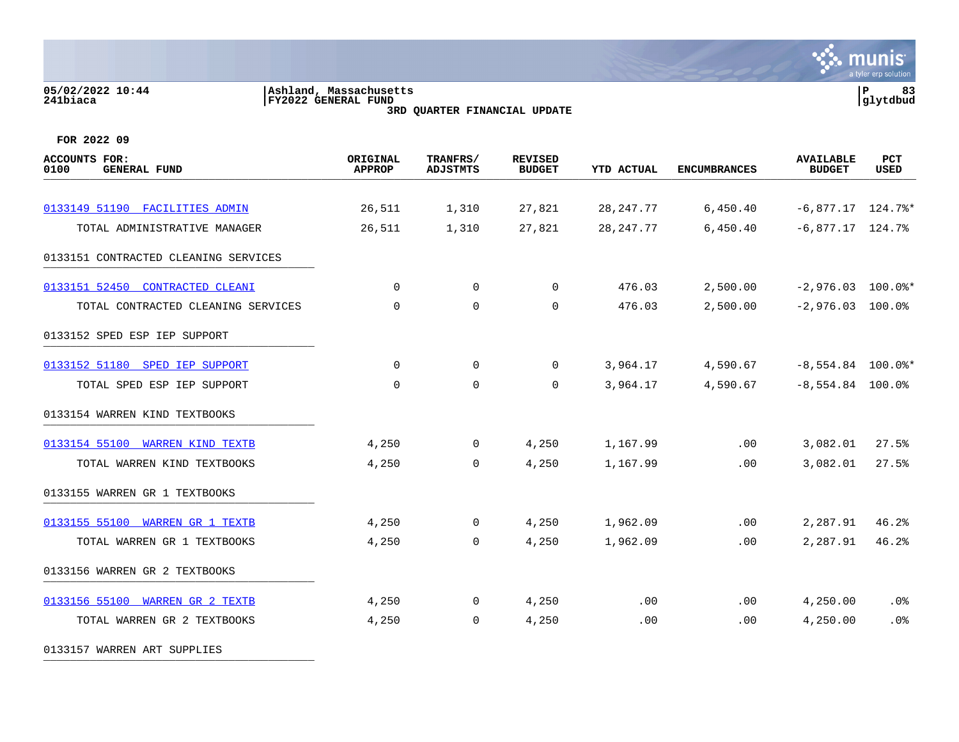#### **05/02/2022 10:44 |Ashland, Massachusetts |P 83 241biaca |FY2022 GENERAL FUND |glytdbud 3RD QUARTER FINANCIAL UPDATE**



**FOR 2022 09**

| <b>ACCOUNTS FOR:</b><br>0100<br><b>GENERAL FUND</b> | ORIGINAL<br><b>APPROP</b> | TRANFRS/<br><b>ADJSTMTS</b> | <b>REVISED</b><br><b>BUDGET</b> | <b>YTD ACTUAL</b> | <b>ENCUMBRANCES</b> | <b>AVAILABLE</b><br><b>BUDGET</b> | PCT<br><b>USED</b> |
|-----------------------------------------------------|---------------------------|-----------------------------|---------------------------------|-------------------|---------------------|-----------------------------------|--------------------|
|                                                     |                           |                             |                                 |                   |                     |                                   |                    |
| 0133149 51190 FACILITIES ADMIN                      | 26,511                    | 1,310                       | 27,821                          | 28, 247. 77       | 6,450.40            | $-6,877.17$ 124.7%*               |                    |
| TOTAL ADMINISTRATIVE MANAGER                        | 26,511                    | 1,310                       | 27,821                          | 28, 247. 77       | 6,450.40            | $-6,877.17$ 124.7%                |                    |
| 0133151 CONTRACTED CLEANING SERVICES                |                           |                             |                                 |                   |                     |                                   |                    |
| 0133151 52450<br><b>CONTRACTED CLEANI</b>           | $\Omega$                  | $\Omega$                    | $\Omega$                        | 476.03            | 2,500.00            | $-2,976.03$ 100.0%*               |                    |
| TOTAL CONTRACTED CLEANING SERVICES                  | $\mathbf 0$               | $\mathbf 0$                 | $\mathbf 0$                     | 476.03            | 2,500.00            | $-2,976.03$ 100.0%                |                    |
| 0133152 SPED ESP IEP SUPPORT                        |                           |                             |                                 |                   |                     |                                   |                    |
| 0133152 51180 SPED IEP SUPPORT                      | 0                         | $\mathbf 0$                 | 0                               | 3,964.17          | 4,590.67            | $-8,554.84$ 100.0%*               |                    |
| TOTAL SPED ESP IEP SUPPORT                          | $\Omega$                  | $\mathbf 0$                 | $\Omega$                        | 3,964.17          | 4,590.67            | $-8,554.84$ 100.0%                |                    |
| 0133154 WARREN KIND TEXTBOOKS                       |                           |                             |                                 |                   |                     |                                   |                    |
| 0133154 55100 WARREN KIND TEXTB                     | 4,250                     | $\overline{0}$              | 4,250                           | 1,167.99          | .00                 | 3,082.01                          | 27.5%              |
| TOTAL WARREN KIND TEXTBOOKS                         | 4,250                     | 0                           | 4,250                           | 1,167.99          | .00                 | 3,082.01                          | 27.5%              |
| 0133155 WARREN GR 1 TEXTBOOKS                       |                           |                             |                                 |                   |                     |                                   |                    |
| 0133155 55100 WARREN GR 1 TEXTB                     | 4,250                     | $\mathbf 0$                 | 4,250                           | 1,962.09          | .00                 | 2,287.91                          | 46.2%              |
| TOTAL WARREN GR 1 TEXTBOOKS                         | 4,250                     | 0                           | 4,250                           | 1,962.09          | .00                 | 2,287.91                          | 46.2%              |
| 0133156 WARREN GR 2 TEXTBOOKS                       |                           |                             |                                 |                   |                     |                                   |                    |
| 0133156 55100 WARREN GR 2 TEXTB                     | 4,250                     | $\mathbf 0$                 | 4,250                           | .00               | .00                 | 4,250.00                          | .0%                |
| TOTAL WARREN GR 2 TEXTBOOKS                         | 4,250                     | 0                           | 4,250                           | .00               | .00                 | 4,250.00                          | .0%                |
|                                                     |                           |                             |                                 |                   |                     |                                   |                    |

0133157 WARREN ART SUPPLIES \_\_\_\_\_\_\_\_\_\_\_\_\_\_\_\_\_\_\_\_\_\_\_\_\_\_\_\_\_\_\_\_\_\_\_\_\_\_\_\_\_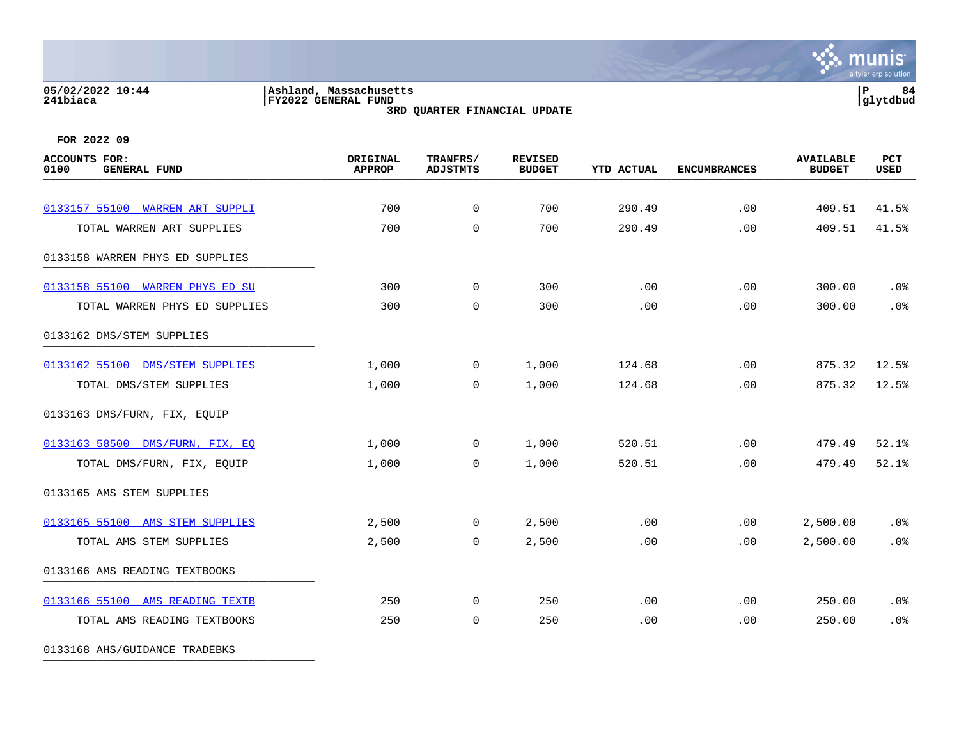#### **05/02/2022 10:44 |Ashland, Massachusetts |P 84 241biaca |FY2022 GENERAL FUND |glytdbud 3RD QUARTER FINANCIAL UPDATE**



**FOR 2022 09**

| <b>ACCOUNTS FOR:</b><br>0100<br><b>GENERAL FUND</b> | ORIGINAL<br><b>APPROP</b> | TRANFRS/<br><b>ADJSTMTS</b> | <b>REVISED</b><br><b>BUDGET</b> | YTD ACTUAL | <b>ENCUMBRANCES</b> | <b>AVAILABLE</b><br><b>BUDGET</b> | PCT<br><b>USED</b> |
|-----------------------------------------------------|---------------------------|-----------------------------|---------------------------------|------------|---------------------|-----------------------------------|--------------------|
|                                                     |                           |                             |                                 |            |                     |                                   |                    |
| 0133157 55100 WARREN ART SUPPLI                     | 700                       | $\mathbf 0$                 | 700                             | 290.49     | .00                 | 409.51                            | 41.5%              |
| TOTAL WARREN ART SUPPLIES                           | 700                       | $\mathbf 0$                 | 700                             | 290.49     | .00                 | 409.51                            | 41.5%              |
| 0133158 WARREN PHYS ED SUPPLIES                     |                           |                             |                                 |            |                     |                                   |                    |
| 0133158 55100 WARREN PHYS ED SU                     | 300                       | $\mathbf 0$                 | 300                             | .00        | .00                 | 300.00                            | .0%                |
| TOTAL WARREN PHYS ED SUPPLIES                       | 300                       | $\mathbf 0$                 | 300                             | .00        | .00                 | 300.00                            | .0%                |
| 0133162 DMS/STEM SUPPLIES                           |                           |                             |                                 |            |                     |                                   |                    |
| 0133162 55100 DMS/STEM SUPPLIES                     | 1,000                     | $\mathbf 0$                 | 1,000                           | 124.68     | .00                 | 875.32                            | 12.5%              |
| TOTAL DMS/STEM SUPPLIES                             | 1,000                     | 0                           | 1,000                           | 124.68     | .00                 | 875.32                            | 12.5%              |
| 0133163 DMS/FURN, FIX, EQUIP                        |                           |                             |                                 |            |                     |                                   |                    |
| 0133163 58500 DMS/FURN, FIX, EQ                     | 1,000                     | $\overline{0}$              | 1,000                           | 520.51     | .00                 | 479.49                            | 52.1%              |
| TOTAL DMS/FURN, FIX, EQUIP                          | 1,000                     | $\mathbf 0$                 | 1,000                           | 520.51     | .00                 | 479.49                            | 52.1%              |
| 0133165 AMS STEM SUPPLIES                           |                           |                             |                                 |            |                     |                                   |                    |
| 0133165 55100 AMS STEM SUPPLIES                     | 2,500                     | $\overline{0}$              | 2,500                           | .00        | .00                 | 2,500.00                          | .0%                |
| TOTAL AMS STEM SUPPLIES                             | 2,500                     | $\Omega$                    | 2,500                           | .00        | .00                 | 2,500.00                          | .0%                |
| 0133166 AMS READING TEXTBOOKS                       |                           |                             |                                 |            |                     |                                   |                    |
| 0133166 55100 AMS READING TEXTB                     | 250                       | $\mathbf 0$                 | 250                             | .00        | .00                 | 250.00                            | .0%                |
| TOTAL AMS READING TEXTBOOKS                         | 250                       | $\mathbf 0$                 | 250                             | .00        | .00                 | 250.00                            | .0 <sup>8</sup>    |
|                                                     |                           |                             |                                 |            |                     |                                   |                    |

0133168 AHS/GUIDANCE TRADEBKS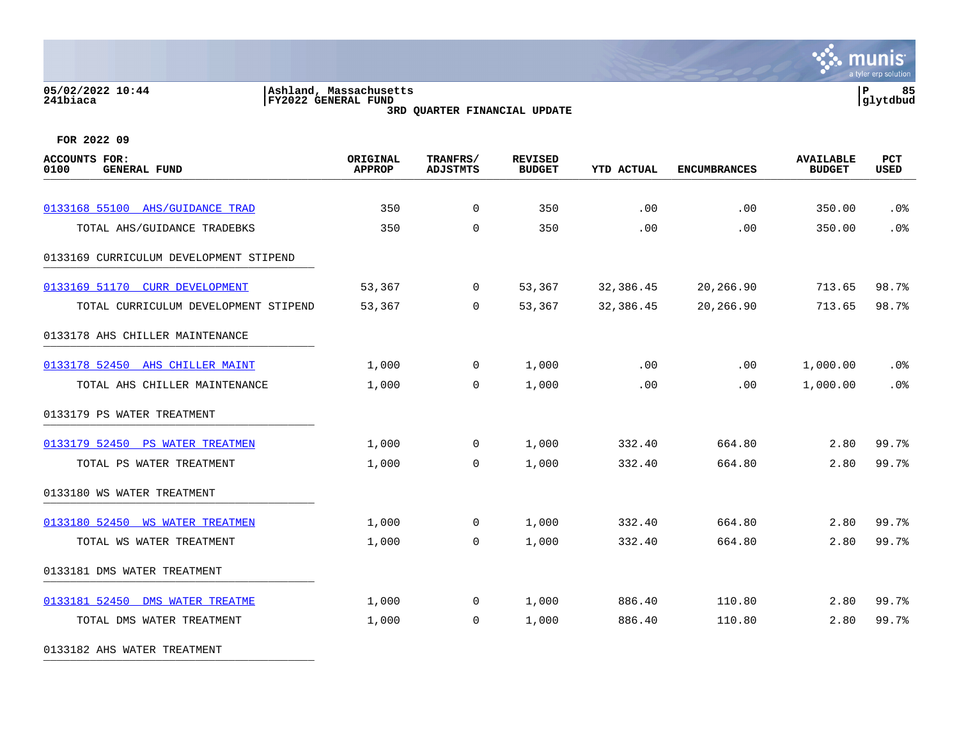#### **05/02/2022 10:44 |Ashland, Massachusetts |P 85 241biaca |FY2022 GENERAL FUND |glytdbud 3RD QUARTER FINANCIAL UPDATE**



**FOR 2022 09**

| <b>ACCOUNTS FOR:</b><br>0100<br><b>GENERAL FUND</b> | ORIGINAL<br><b>APPROP</b> | TRANFRS/<br><b>ADJSTMTS</b> | <b>REVISED</b><br><b>BUDGET</b> | <b>YTD ACTUAL</b> | <b>ENCUMBRANCES</b> | <b>AVAILABLE</b><br><b>BUDGET</b> | PCT<br><b>USED</b> |
|-----------------------------------------------------|---------------------------|-----------------------------|---------------------------------|-------------------|---------------------|-----------------------------------|--------------------|
| 0133168 55100 AHS/GUIDANCE TRAD                     | 350                       | $\mathbf 0$                 | 350                             | .00               | .00                 | 350.00                            | .0%                |
| TOTAL AHS/GUIDANCE TRADEBKS                         | 350                       | $\mathbf 0$                 | 350                             | .00               | .00                 | 350.00                            | .0%                |
| 0133169 CURRICULUM DEVELOPMENT STIPEND              |                           |                             |                                 |                   |                     |                                   |                    |
| 0133169 51170 CURR DEVELOPMENT                      | 53,367                    | $\overline{0}$              | 53,367                          | 32,386.45         | 20,266.90           | 713.65                            | 98.7%              |
| TOTAL CURRICULUM DEVELOPMENT STIPEND                | 53,367                    | $\Omega$                    | 53,367                          | 32,386.45         | 20,266.90           | 713.65                            | 98.7%              |
| 0133178 AHS CHILLER MAINTENANCE                     |                           |                             |                                 |                   |                     |                                   |                    |
| 0133178 52450 AHS CHILLER MAINT                     | 1,000                     | 0                           | 1,000                           | .00               | $.00 \ \rm$         | 1,000.00                          | .0%                |
| TOTAL AHS CHILLER MAINTENANCE                       | 1,000                     | 0                           | 1,000                           | .00               | .00                 | 1,000.00                          | .0%                |
| 0133179 PS WATER TREATMENT                          |                           |                             |                                 |                   |                     |                                   |                    |
| 0133179 52450 PS WATER TREATMEN                     | 1,000                     | 0                           | 1,000                           | 332.40            | 664.80              | 2.80                              | 99.7%              |
| TOTAL PS WATER TREATMENT                            | 1,000                     | $\overline{0}$              | 1,000                           | 332.40            | 664.80              | 2.80                              | 99.7%              |
| 0133180 WS WATER TREATMENT                          |                           |                             |                                 |                   |                     |                                   |                    |
| 0133180 52450 WS WATER TREATMEN                     | 1,000                     | 0                           | 1,000                           | 332.40            | 664.80              | 2.80                              | 99.7%              |
| TOTAL WS WATER TREATMENT                            | 1,000                     | $\Omega$                    | 1,000                           | 332.40            | 664.80              | 2.80                              | 99.7%              |
| 0133181 DMS WATER TREATMENT                         |                           |                             |                                 |                   |                     |                                   |                    |
| 0133181 52450 DMS WATER TREATME                     | 1,000                     | 0                           | 1,000                           | 886.40            | 110.80              | 2.80                              | 99.7%              |
| TOTAL DMS WATER TREATMENT                           | 1,000                     | 0                           | 1,000                           | 886.40            | 110.80              | 2.80                              | 99.7%              |

0133182 AHS WATER TREATMENT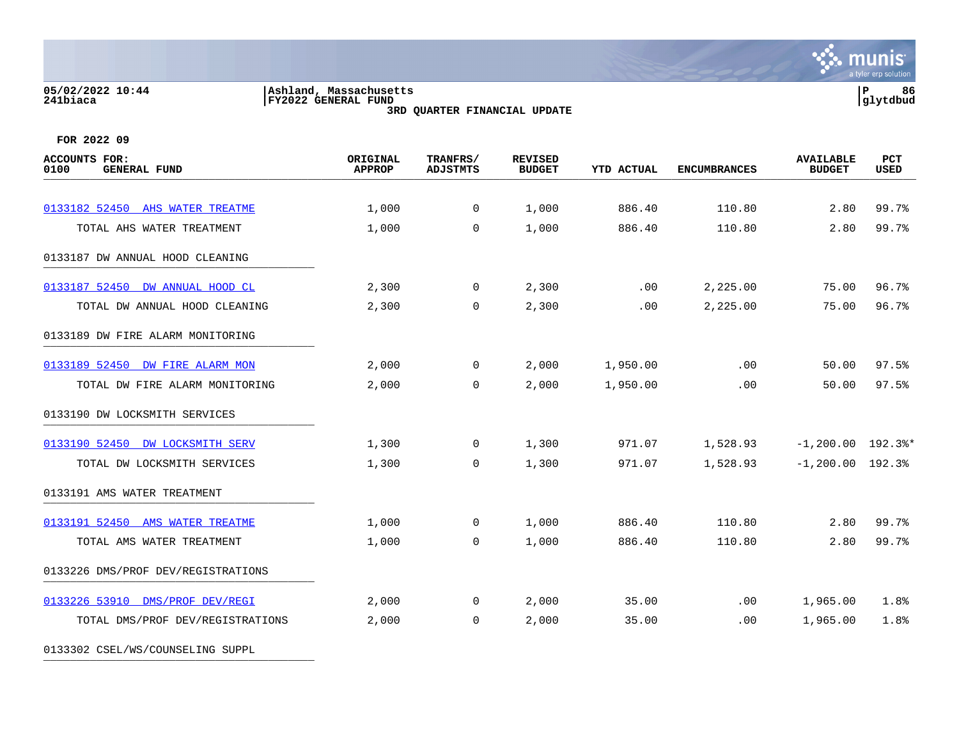#### **05/02/2022 10:44 |Ashland, Massachusetts |P 86 241biaca |FY2022 GENERAL FUND |glytdbud 3RD QUARTER FINANCIAL UPDATE**



**FOR 2022 09**

| <b>ACCOUNTS FOR:</b><br>0100<br><b>GENERAL FUND</b> | ORIGINAL<br><b>APPROP</b> | TRANFRS/<br><b>ADJSTMTS</b> | <b>REVISED</b><br><b>BUDGET</b> | <b>YTD ACTUAL</b> | <b>ENCUMBRANCES</b> | <b>AVAILABLE</b><br><b>BUDGET</b> | PCT<br><b>USED</b> |
|-----------------------------------------------------|---------------------------|-----------------------------|---------------------------------|-------------------|---------------------|-----------------------------------|--------------------|
| 0133182 52450 AHS WATER TREATME                     | 1,000                     | 0                           | 1,000                           | 886.40            | 110.80              | 2.80                              | 99.7%              |
| TOTAL AHS WATER TREATMENT                           | 1,000                     | $\Omega$                    | 1,000                           | 886.40            | 110.80              | 2.80                              | 99.7%              |
| 0133187 DW ANNUAL HOOD CLEANING                     |                           |                             |                                 |                   |                     |                                   |                    |
| 0133187 52450 DW ANNUAL HOOD CL                     | 2,300                     | 0                           | 2,300                           | .00               | 2,225.00            | 75.00                             | 96.7%              |
| TOTAL DW ANNUAL HOOD CLEANING                       | 2,300                     | 0                           | 2,300                           | .00               | 2,225.00            | 75.00                             | 96.7%              |
| 0133189 DW FIRE ALARM MONITORING                    |                           |                             |                                 |                   |                     |                                   |                    |
| 0133189 52450 DW FIRE ALARM MON                     | 2,000                     | 0                           | 2,000                           | 1,950.00          | $.00 \,$            | 50.00                             | 97.5%              |
| TOTAL DW FIRE ALARM MONITORING                      | 2,000                     | $\mathbf 0$                 | 2,000                           | 1,950.00          | .00                 | 50.00                             | 97.5%              |
| 0133190 DW LOCKSMITH SERVICES                       |                           |                             |                                 |                   |                     |                                   |                    |
| 0133190 52450 DW LOCKSMITH SERV                     | 1,300                     | 0                           | 1,300                           | 971.07            | 1,528.93            | $-1, 200.00$ 192.3%*              |                    |
| TOTAL DW LOCKSMITH SERVICES                         | 1,300                     | $\mathbf 0$                 | 1,300                           | 971.07            | 1,528.93            | $-1, 200.00$ 192.3%               |                    |
| 0133191 AMS WATER TREATMENT                         |                           |                             |                                 |                   |                     |                                   |                    |
| 0133191 52450 AMS WATER TREATME                     | 1,000                     | 0                           | 1,000                           | 886.40            | 110.80              | 2.80                              | 99.7%              |
| TOTAL AMS WATER TREATMENT                           | 1,000                     | $\Omega$                    | 1,000                           | 886.40            | 110.80              | 2.80                              | 99.7%              |
| 0133226 DMS/PROF DEV/REGISTRATIONS                  |                           |                             |                                 |                   |                     |                                   |                    |
| 0133226 53910 DMS/PROF DEV/REGI                     | 2,000                     | 0                           | 2,000                           | 35.00             | $.00 \,$            | 1,965.00                          | 1.8%               |
| TOTAL DMS/PROF DEV/REGISTRATIONS                    | 2,000                     | $\Omega$                    | 2,000                           | 35.00             | $.00 \,$            | 1,965.00                          | 1.8%               |

0133302 CSEL/WS/COUNSELING SUPPL \_\_\_\_\_\_\_\_\_\_\_\_\_\_\_\_\_\_\_\_\_\_\_\_\_\_\_\_\_\_\_\_\_\_\_\_\_\_\_\_\_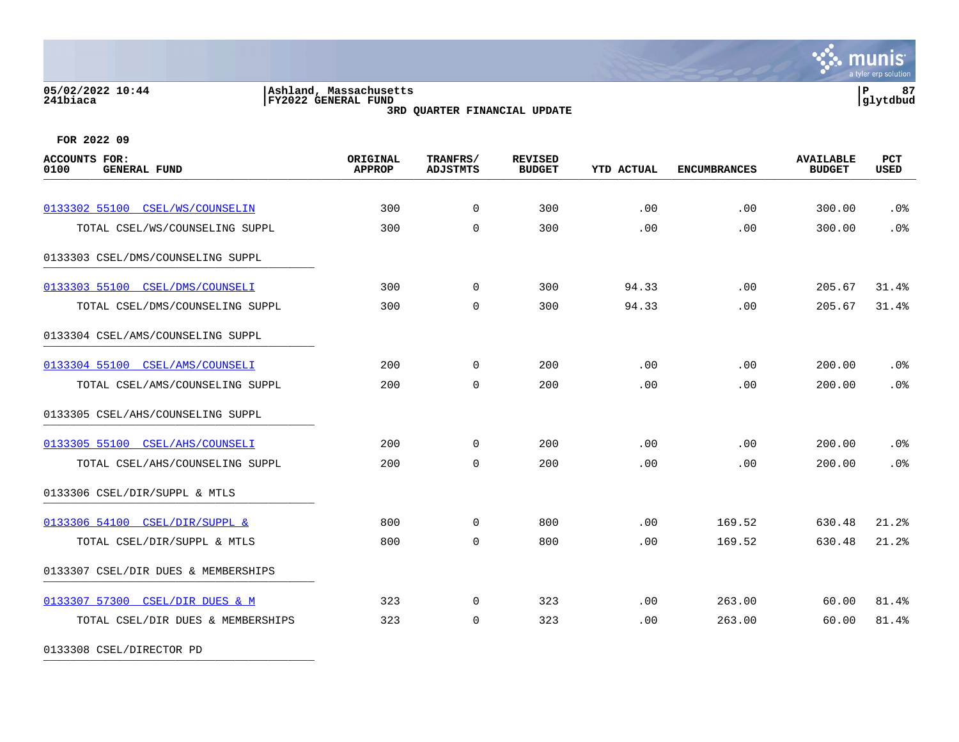#### **05/02/2022 10:44 |Ashland, Massachusetts |P 87 241biaca |FY2022 GENERAL FUND |glytdbud 3RD QUARTER FINANCIAL UPDATE**



**FOR 2022 09**

| <b>ACCOUNTS FOR:</b><br>0100<br><b>GENERAL FUND</b> | <b>ORIGINAL</b><br><b>APPROP</b> | TRANFRS/<br><b>ADJSTMTS</b> | <b>REVISED</b><br><b>BUDGET</b> | <b>YTD ACTUAL</b> | <b>ENCUMBRANCES</b> | <b>AVAILABLE</b><br><b>BUDGET</b> | PCT<br><b>USED</b> |
|-----------------------------------------------------|----------------------------------|-----------------------------|---------------------------------|-------------------|---------------------|-----------------------------------|--------------------|
| 0133302 55100 CSEL/WS/COUNSELIN                     | 300                              | $\Omega$                    | 300                             | .00               | .00                 | 300.00                            | .0%                |
| TOTAL CSEL/WS/COUNSELING SUPPL                      | 300                              | $\Omega$                    | 300                             | .00               | .00                 | 300.00                            | .0%                |
| 0133303 CSEL/DMS/COUNSELING SUPPL                   |                                  |                             |                                 |                   |                     |                                   |                    |
| 0133303 55100 CSEL/DMS/COUNSELI                     | 300                              | $\overline{0}$              | 300                             | 94.33             | .00                 | 205.67                            | 31.4%              |
| TOTAL CSEL/DMS/COUNSELING SUPPL                     | 300                              | $\Omega$                    | 300                             | 94.33             | .00                 | 205.67                            | 31.4%              |
| 0133304 CSEL/AMS/COUNSELING SUPPL                   |                                  |                             |                                 |                   |                     |                                   |                    |
| 0133304 55100 CSEL/AMS/COUNSELI                     | 200                              | $\mathbf 0$                 | 200                             | .00               | .00                 | 200.00                            | .0%                |
| TOTAL CSEL/AMS/COUNSELING SUPPL                     | 200                              | $\mathbf 0$                 | 200                             | .00               | .00                 | 200.00                            | .0%                |
| 0133305 CSEL/AHS/COUNSELING SUPPL                   |                                  |                             |                                 |                   |                     |                                   |                    |
| 0133305 55100 CSEL/AHS/COUNSELI                     | 200                              | $\mathbf 0$                 | 200                             | .00               | .00                 | 200.00                            | .0%                |
| TOTAL CSEL/AHS/COUNSELING SUPPL                     | 200                              | $\mathbf 0$                 | 200                             | .00               | .00                 | 200.00                            | .0%                |
| 0133306 CSEL/DIR/SUPPL & MTLS                       |                                  |                             |                                 |                   |                     |                                   |                    |
| 0133306 54100 CSEL/DIR/SUPPL &                      | 800                              | $\mathbf 0$                 | 800                             | .00               | 169.52              | 630.48                            | 21.2%              |
| TOTAL CSEL/DIR/SUPPL & MTLS                         | 800                              | $\mathbf 0$                 | 800                             | .00               | 169.52              | 630.48                            | 21.2%              |
| 0133307 CSEL/DIR DUES & MEMBERSHIPS                 |                                  |                             |                                 |                   |                     |                                   |                    |
| 0133307 57300 CSEL/DIR DUES & M                     | 323                              | $\Omega$                    | 323                             | .00               | 263.00              | 60.00                             | 81.4%              |
| TOTAL CSEL/DIR DUES & MEMBERSHIPS                   | 323                              | $\Omega$                    | 323                             | .00               | 263.00              | 60.00                             | 81.4%              |

0133308 CSEL/DIRECTOR PD \_\_\_\_\_\_\_\_\_\_\_\_\_\_\_\_\_\_\_\_\_\_\_\_\_\_\_\_\_\_\_\_\_\_\_\_\_\_\_\_\_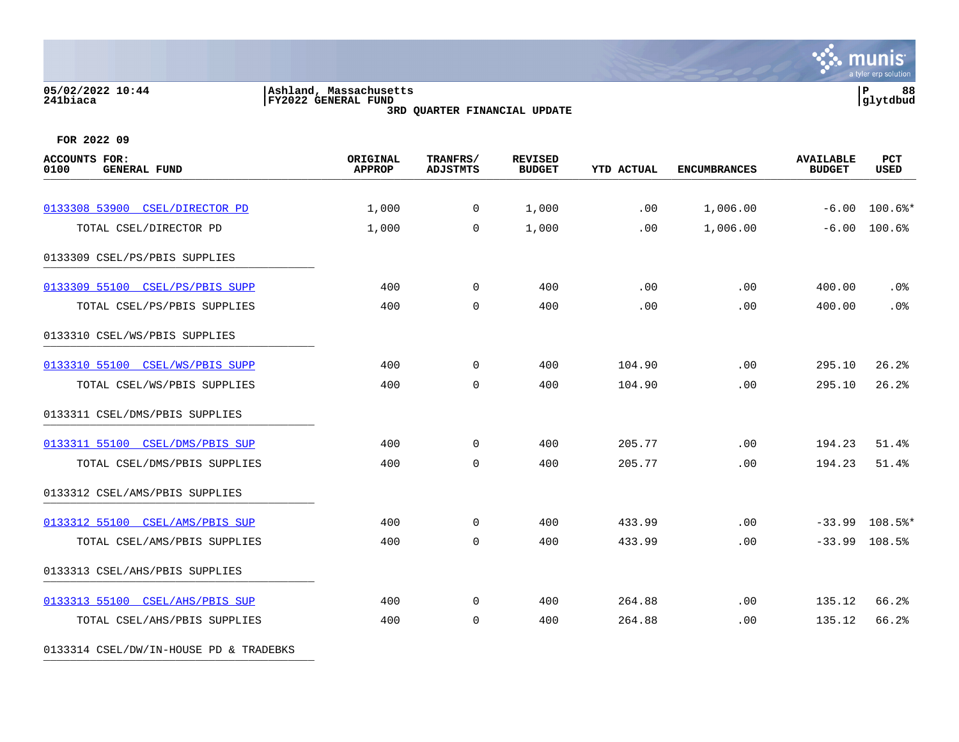#### **05/02/2022 10:44 |Ashland, Massachusetts |P 88 241biaca |FY2022 GENERAL FUND |glytdbud 3RD QUARTER FINANCIAL UPDATE**

**∵ munis** a tyler erp solution

**FOR 2022 09**

|       |                | <b>BUDGET</b> | <b>YTD ACTUAL</b> | <b>ENCUMBRANCES</b> | <b>BUDGET</b> | <b>USED</b>      |
|-------|----------------|---------------|-------------------|---------------------|---------------|------------------|
| 1,000 | $\overline{0}$ | 1,000         | .00               | 1,006.00            | $-6.00$       | $100.6$ %*       |
| 1,000 | $\Omega$       | 1,000         | .00               | 1,006.00            | $-6.00$       | 100.6%           |
|       |                |               |                   |                     |               |                  |
| 400   | $\mathbf 0$    | 400           | .00               | .00                 | 400.00        | .0%              |
| 400   | $\mathbf 0$    | 400           | .00               | .00                 | 400.00        | .0%              |
|       |                |               |                   |                     |               |                  |
| 400   | $\mathbf 0$    | 400           | 104.90            | .00                 | 295.10        | 26.2%            |
| 400   | $\mathbf 0$    | 400           | 104.90            | .00                 | 295.10        | 26.2%            |
|       |                |               |                   |                     |               |                  |
| 400   | $\mathbf 0$    | 400           | 205.77            | .00                 | 194.23        | 51.4%            |
| 400   | $\mathbf 0$    | 400           | 205.77            | .00                 | 194.23        | 51.4%            |
|       |                |               |                   |                     |               |                  |
| 400   | $\mathbf 0$    | 400           | 433.99            | .00                 |               | $-33.99$ 108.5%* |
| 400   | $\mathbf 0$    | 400           | 433.99            | .00                 | $-33.99$      | 108.5%           |
|       |                |               |                   |                     |               |                  |
| 400   | $\mathbf 0$    | 400           | 264.88            | .00                 | 135.12        | 66.2%            |
| 400   | $\mathbf 0$    | 400           | 264.88            | .00                 | 135.12        | 66.2%            |
|       |                |               |                   |                     |               |                  |

0133314 CSEL/DW/IN-HOUSE PD & TRADEBKS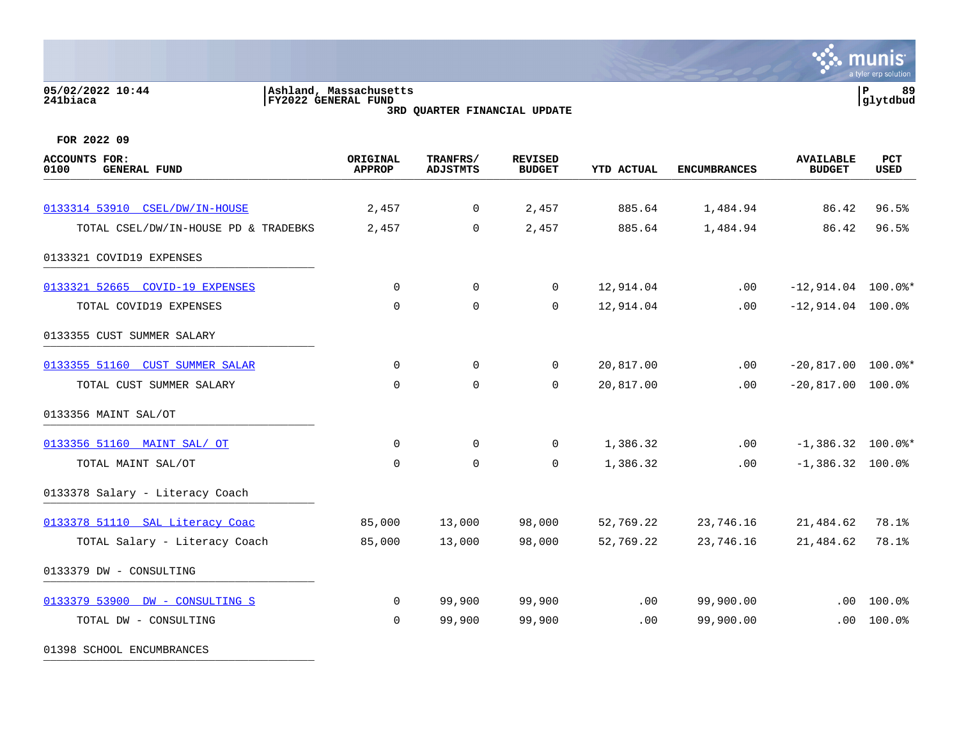# **05/02/2022 10:44 |Ashland, Massachusetts |P 89 241biaca |FY2022 GENERAL FUND |glytdbud**



**3RD QUARTER FINANCIAL UPDATE**

**FOR 2022 09**

01398 SCHOOL ENCUMBRANCES

| <b>ACCOUNTS FOR:</b><br>0100<br><b>GENERAL FUND</b> | ORIGINAL<br><b>APPROP</b> | TRANFRS/<br><b>ADJSTMTS</b> | <b>REVISED</b><br><b>BUDGET</b> | <b>YTD ACTUAL</b> | <b>ENCUMBRANCES</b> | <b>AVAILABLE</b><br><b>BUDGET</b> | PCT<br><b>USED</b>       |
|-----------------------------------------------------|---------------------------|-----------------------------|---------------------------------|-------------------|---------------------|-----------------------------------|--------------------------|
| 0133314 53910 CSEL/DW/IN-HOUSE                      | 2,457                     | $\overline{0}$              | 2,457                           | 885.64            | 1,484.94            | 86.42                             | 96.5%                    |
|                                                     |                           |                             |                                 |                   |                     |                                   |                          |
| TOTAL CSEL/DW/IN-HOUSE PD & TRADEBKS                | 2,457                     | $\Omega$                    | 2,457                           | 885.64            | 1,484.94            | 86.42                             | 96.5%                    |
| 0133321 COVID19 EXPENSES                            |                           |                             |                                 |                   |                     |                                   |                          |
| 0133321 52665 COVID-19 EXPENSES                     | 0                         | $\overline{0}$              | $\overline{0}$                  | 12,914.04         | .00                 | $-12,914.04$ 100.0%*              |                          |
| TOTAL COVID19 EXPENSES                              | $\mathbf 0$               | $\mathsf{O}$                | $\mathbf{0}$                    | 12,914.04         | .00                 | $-12,914.04$ 100.0%               |                          |
| 0133355 CUST SUMMER SALARY                          |                           |                             |                                 |                   |                     |                                   |                          |
| 0133355 51160 CUST SUMMER SALAR                     | $\Omega$                  | $\overline{0}$              | $\overline{0}$                  | 20,817.00         | .00                 | $-20,817.00$ 100.0%*              |                          |
| TOTAL CUST SUMMER SALARY                            | $\mathbf 0$               | $\mathbf 0$                 | 0                               | 20,817.00         | .00                 | $-20,817.00$ 100.0%               |                          |
| 0133356 MAINT SAL/OT                                |                           |                             |                                 |                   |                     |                                   |                          |
| 0133356 51160 MAINT SAL/ OT                         | $\mathbf 0$               | $\mathsf{O}$                | $\overline{0}$                  | 1,386.32          | .00                 | $-1,386.32$ 100.0%*               |                          |
| TOTAL MAINT SAL/OT                                  | $\Omega$                  | $\mathbf 0$                 | $\Omega$                        | 1,386.32          | .00                 | $-1,386.32$ 100.0%                |                          |
| 0133378 Salary - Literacy Coach                     |                           |                             |                                 |                   |                     |                                   |                          |
| 0133378 51110 SAL Literacy Coac                     | 85,000                    | 13,000                      | 98,000                          | 52,769.22         | 23,746.16           | 21,484.62                         | 78.1%                    |
| TOTAL Salary - Literacy Coach                       | 85,000                    | 13,000                      | 98,000                          | 52,769.22         | 23,746.16           | 21,484.62                         | 78.1%                    |
| 0133379 DW - CONSULTING                             |                           |                             |                                 |                   |                     |                                   |                          |
| 0133379 53900 DW - CONSULTING S                     | $\overline{0}$            | 99,900                      | 99,900                          | .00               | 99,900.00           | .00                               | 100.0%                   |
| TOTAL DW - CONSULTING                               | $\Omega$                  | 99,900                      | 99,900                          | .00               | 99,900.00           |                                   | $.00 100.0$ <sup>8</sup> |
|                                                     |                           |                             |                                 |                   |                     |                                   |                          |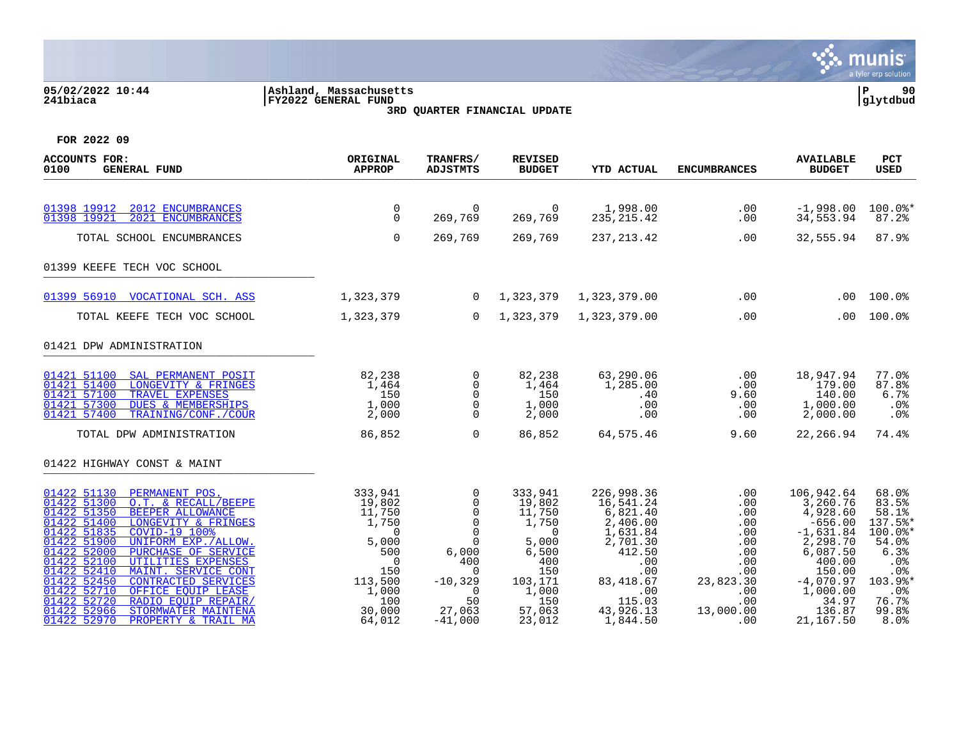### **05/02/2022 10:44 |Ashland, Massachusetts |P 90 241biaca |FY2022 GENERAL FUND |glytdbud 3RD QUARTER FINANCIAL UPDATE**



| <b>ACCOUNTS FOR:</b><br>0100<br><b>GENERAL FUND</b>                                                                                                                                                                                                                                                                                                                                                                                                                                                                                     | ORIGINAL<br><b>APPROP</b>                                                                                                                | TRANFRS/<br><b>ADJSTMTS</b>                                                                                                                    | <b>REVISED</b><br><b>BUDGET</b>                                                                                                 | <b>YTD ACTUAL</b>                                                                                                                                       | <b>ENCUMBRANCES</b>                                                                                                        | <b>AVAILABLE</b><br><b>BUDGET</b>                                                                                                                                     | PCT<br><b>USED</b>                                                                                                          |
|-----------------------------------------------------------------------------------------------------------------------------------------------------------------------------------------------------------------------------------------------------------------------------------------------------------------------------------------------------------------------------------------------------------------------------------------------------------------------------------------------------------------------------------------|------------------------------------------------------------------------------------------------------------------------------------------|------------------------------------------------------------------------------------------------------------------------------------------------|---------------------------------------------------------------------------------------------------------------------------------|---------------------------------------------------------------------------------------------------------------------------------------------------------|----------------------------------------------------------------------------------------------------------------------------|-----------------------------------------------------------------------------------------------------------------------------------------------------------------------|-----------------------------------------------------------------------------------------------------------------------------|
| 2012 ENCUMBRANCES<br>01398 19912<br>2021 ENCUMBRANCES<br>01398 19921                                                                                                                                                                                                                                                                                                                                                                                                                                                                    | $\mathbf 0$<br>$\mathbf 0$                                                                                                               | $\Omega$<br>269,769                                                                                                                            | $\Omega$<br>269,769                                                                                                             | 1,998.00<br>235, 215.42                                                                                                                                 | .00<br>.00                                                                                                                 | $-1,998.00$<br>34,553.94                                                                                                                                              | $100.0$ *<br>87.2%                                                                                                          |
| TOTAL SCHOOL ENCUMBRANCES                                                                                                                                                                                                                                                                                                                                                                                                                                                                                                               | $\mathbf 0$                                                                                                                              | 269,769                                                                                                                                        | 269,769                                                                                                                         | 237, 213.42                                                                                                                                             | .00                                                                                                                        | 32,555.94                                                                                                                                                             | 87.9%                                                                                                                       |
| 01399 KEEFE TECH VOC SCHOOL                                                                                                                                                                                                                                                                                                                                                                                                                                                                                                             |                                                                                                                                          |                                                                                                                                                |                                                                                                                                 |                                                                                                                                                         |                                                                                                                            |                                                                                                                                                                       |                                                                                                                             |
| 01399 56910 VOCATIONAL SCH. ASS                                                                                                                                                                                                                                                                                                                                                                                                                                                                                                         | 1,323,379                                                                                                                                | $\overline{0}$                                                                                                                                 | 1,323,379                                                                                                                       | 1,323,379.00                                                                                                                                            | .00                                                                                                                        | .00                                                                                                                                                                   | 100.0%                                                                                                                      |
| TOTAL KEEFE TECH VOC SCHOOL                                                                                                                                                                                                                                                                                                                                                                                                                                                                                                             | 1,323,379                                                                                                                                | $\mathbf{0}$                                                                                                                                   | 1,323,379                                                                                                                       | 1,323,379.00                                                                                                                                            | .00                                                                                                                        | .00                                                                                                                                                                   | 100.0%                                                                                                                      |
| 01421 DPW ADMINISTRATION                                                                                                                                                                                                                                                                                                                                                                                                                                                                                                                |                                                                                                                                          |                                                                                                                                                |                                                                                                                                 |                                                                                                                                                         |                                                                                                                            |                                                                                                                                                                       |                                                                                                                             |
| 01421 51100 SAL PERMANENT POSIT<br>01421 51400<br>LONGEVITY & FRINGES<br>01421 57100<br><b>TRAVEL EXPENSES</b><br>DUES & MEMBERSHIPS<br>01421 57300<br>01421 57400<br>TRAINING/CONF./COUR                                                                                                                                                                                                                                                                                                                                               | 82,238<br>1,464<br>150<br>1,000<br>2,000                                                                                                 | $\mathbf 0$<br>$\mathbf 0$<br>$\Omega$<br>$\mathbf 0$<br>$\Omega$                                                                              | 82,238<br>1,464<br>150<br>1,000<br>2,000                                                                                        | 63,290.06<br>1,285.00<br>.40<br>.00<br>.00                                                                                                              | .00<br>.00<br>9.60<br>.00<br>.00                                                                                           | 18,947.94<br>179.00<br>140.00<br>1,000.00<br>2,000.00                                                                                                                 | 77.0%<br>87.8%<br>6.7%<br>.0%<br>.0%                                                                                        |
| TOTAL DPW ADMINISTRATION                                                                                                                                                                                                                                                                                                                                                                                                                                                                                                                | 86,852                                                                                                                                   | $\Omega$                                                                                                                                       | 86,852                                                                                                                          | 64,575.46                                                                                                                                               | 9.60                                                                                                                       | 22,266.94                                                                                                                                                             | 74.4%                                                                                                                       |
| 01422 HIGHWAY CONST & MAINT                                                                                                                                                                                                                                                                                                                                                                                                                                                                                                             |                                                                                                                                          |                                                                                                                                                |                                                                                                                                 |                                                                                                                                                         |                                                                                                                            |                                                                                                                                                                       |                                                                                                                             |
| 01422 51130<br>PERMANENT POS.<br>01422 51300<br>O.T. & RECALL/BEEPE<br>01422 51350<br>BEEPER ALLOWANCE<br>01422 51400<br>LONGEVITY & FRINGES<br>01422 51835<br>COVID-19 100%<br>01422 51900<br>UNIFORM EXP./ALLOW.<br>01422 52000<br>PURCHASE OF SERVICE<br>01422 52100<br>UTILITIES EXPENSES<br>01422 52410<br>MAINT. SERVICE CONT<br>01422 52450<br><b>CONTRACTED SERVICES</b><br>01422 52710<br>OFFICE EOUIP LEASE<br>01422 52720<br>RADIO EOUIP REPAIR/<br>01422 52966<br>STORMWATER MAINTENA<br>01422 52970<br>PROPERTY & TRAIL MA | 333,941<br>19,802<br>11,750<br>1,750<br>$\Omega$<br>5,000<br>500<br>$\overline{0}$<br>150<br>113,500<br>1,000<br>100<br>30,000<br>64,012 | $\mathbf 0$<br>$\Omega$<br>$\mathbf 0$<br>$\Omega$<br>$\Omega$<br>0<br>6,000<br>400<br>0<br>$-10,329$<br>$\Omega$<br>50<br>27,063<br>$-41,000$ | 333,941<br>19,802<br>11,750<br>1,750<br>$\Omega$<br>5,000<br>6,500<br>400<br>150<br>103,171<br>1,000<br>150<br>57,063<br>23,012 | 226,998.36<br>16,541.24<br>6,821.40<br>2,406.00<br>1,631.84<br>2,701.30<br>412.50<br>.00<br>.00<br>83, 418.67<br>.00<br>115.03<br>43,926.13<br>1,844.50 | .00<br>.00<br>.00<br>.00<br>.00<br>.00<br>.00<br>.00<br>$.00 \ \rm$<br>23,823.30<br>$.00 \ \rm$<br>.00<br>13,000.00<br>.00 | 106,942.64<br>3,260.76<br>4,928.60<br>$-656.00$<br>$-1,631.84$<br>2,298.70<br>6,087.50<br>400.00<br>150.00<br>$-4,070.97$<br>1,000.00<br>34.97<br>136.87<br>21,167.50 | 68.0%<br>83.5%<br>58.1%<br>137.5%*<br>100.0%*<br>54.0%<br>6.3%<br>.0%<br>.0%<br>103.9%*<br>$.0\%$<br>76.7%<br>99.8%<br>8.0% |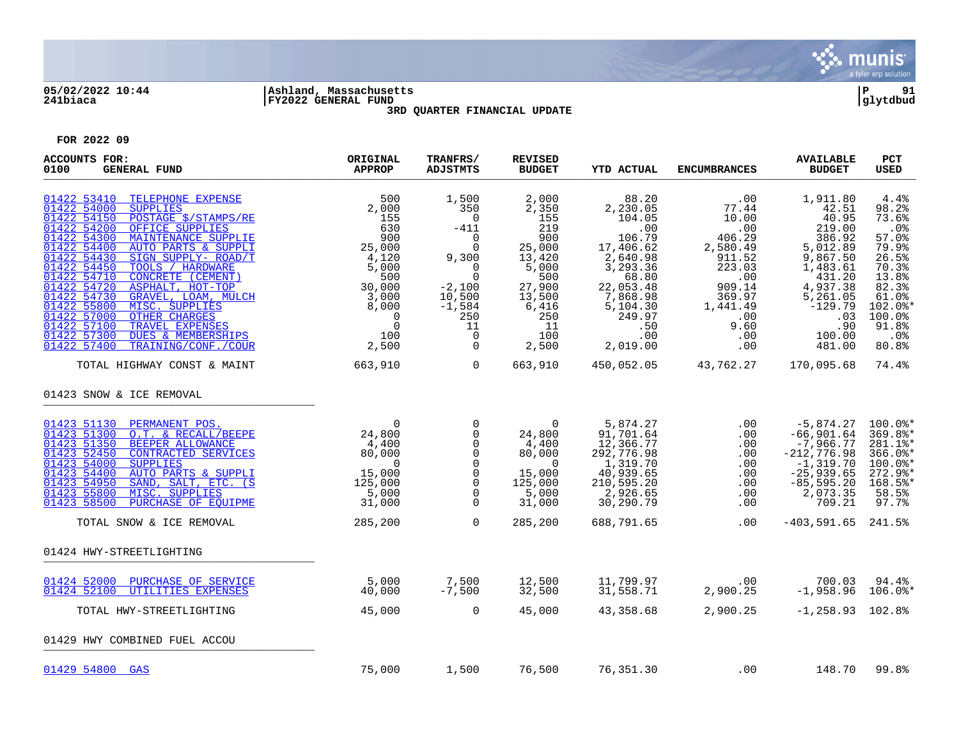

## **05/02/2022 10:44 |Ashland, Massachusetts |P 91 241biaca |FY2022 GENERAL FUND |glytdbud 3RD QUARTER FINANCIAL UPDATE**



| <b>ACCOUNTS FOR:</b><br>0100<br><b>GENERAL FUND</b>                                                                                                                                                                                                                                                                                                                                                                                                                                                                                                                                                    | ORIGINAL<br><b>APPROP</b>                                                                                                                            | TRANFRS/<br><b>ADJSTMTS</b>                                                                                                                                                                                                                                                                                                        | <b>REVISED</b><br><b>BUDGET</b>                                                                                                   | <b>YTD ACTUAL</b>                                                                                                                                                    | <b>ENCUMBRANCES</b>                                                                                                                                      | <b>AVAILABLE</b><br><b>BUDGET</b>                                                                                                                                   | PCT<br><b>USED</b>                                                                                                                              |
|--------------------------------------------------------------------------------------------------------------------------------------------------------------------------------------------------------------------------------------------------------------------------------------------------------------------------------------------------------------------------------------------------------------------------------------------------------------------------------------------------------------------------------------------------------------------------------------------------------|------------------------------------------------------------------------------------------------------------------------------------------------------|------------------------------------------------------------------------------------------------------------------------------------------------------------------------------------------------------------------------------------------------------------------------------------------------------------------------------------|-----------------------------------------------------------------------------------------------------------------------------------|----------------------------------------------------------------------------------------------------------------------------------------------------------------------|----------------------------------------------------------------------------------------------------------------------------------------------------------|---------------------------------------------------------------------------------------------------------------------------------------------------------------------|-------------------------------------------------------------------------------------------------------------------------------------------------|
| 01422 53410<br>TELEPHONE EXPENSE<br>01422 54000<br><b>SUPPLIES</b><br>01422 54150<br>POSTAGE \$/STAMPS/RE<br>01422 54200<br>OFFICE SUPPLIES<br>01422 54300<br>MAINTENANCE SUPPLIE<br>01422 54400<br>AUTO PARTS & SUPPLI<br>01422 54430<br>SIGN SUPPLY- ROAD/T<br>01422 54450<br>TOOLS / HARDWARE<br>01422 54710<br>CONCRETE (CEMENT)<br>01422 54720<br>ASPHALT, HOT-TOP<br>01422 54730<br>GRAVEL, LOAM, MULCH<br>01422 55800<br>MISC. SUPPLIES<br>OTHER CHARGES<br>01422 57000<br>01422 57100<br>TRAVEL EXPENSES<br>01422 57300<br><b>DUES &amp; MEMBERSHIPS</b><br>01422 57400<br>TRAINING/CONF./COUR | 500<br>2,000<br>155<br>630<br>900<br>25,000<br>4,120<br>5,000<br>500<br>30,000<br>3,000<br>8,000<br>$\overline{0}$<br>$\overline{0}$<br>100<br>2,500 | 1,500<br>350<br>$\Omega$<br>$-411$<br>$\Omega$<br>$\Omega$<br>9,300<br>$\overline{0}$<br>$\overline{0}$<br>$-2,100$<br>10,500<br>$-1,584$<br>250<br>11<br>$\overline{0}$<br>$\Omega$                                                                                                                                               | 2,000<br>2,350<br>155<br>219<br>900<br>25,000<br>13,420<br>5,000<br>500<br>27,900<br>13,500<br>6,416<br>250<br>11<br>100<br>2,500 | 88.20<br>2,230.05<br>104.05<br>.00<br>106.79<br>17,406.62<br>2,640.98<br>3, 293.36<br>68.80<br>22,053.48<br>7,868.98<br>5,104.30<br>249.97<br>.50<br>.00<br>2,019.00 | $\,.\,00$<br>77.44<br>10.00<br>.00<br>406.29<br>2,580.49<br>911.52<br>223.03<br>.00<br>909.14<br>369.97<br>1,441.49<br>.00<br>9.60<br>$.00\,$<br>$.00\,$ | 1,911.80<br>42.51<br>40.95<br>219.00<br>386.92<br>5,012.89<br>9,867.50<br>1,483.61<br>431.20<br>4,937.38<br>5,261.05<br>$-129.79$<br>.03<br>.90<br>100.00<br>481.00 | 4.4%<br>98.2%<br>73.6%<br>.0%<br>57.0%<br>79.9%<br>26.5%<br>70.3%<br>13.8%<br>82.3%<br>61.0%<br>$102.0$ *<br>100.0%<br>91.8%<br>$.0\%$<br>80.8% |
| TOTAL HIGHWAY CONST & MAINT                                                                                                                                                                                                                                                                                                                                                                                                                                                                                                                                                                            | 663,910                                                                                                                                              | $\overline{a}$ and $\overline{a}$ and $\overline{a}$ and $\overline{a}$ and $\overline{a}$ and $\overline{a}$ and $\overline{a}$ and $\overline{a}$ and $\overline{a}$ and $\overline{a}$ and $\overline{a}$ and $\overline{a}$ and $\overline{a}$ and $\overline{a}$ and $\overline{a}$ and $\overline{a}$ and $\overline{a}$ and | 663,910                                                                                                                           |                                                                                                                                                                      | 450,052.05 43,762.27                                                                                                                                     | 170,095.68                                                                                                                                                          | 74.4%                                                                                                                                           |
| 01423 SNOW & ICE REMOVAL                                                                                                                                                                                                                                                                                                                                                                                                                                                                                                                                                                               |                                                                                                                                                      |                                                                                                                                                                                                                                                                                                                                    |                                                                                                                                   |                                                                                                                                                                      |                                                                                                                                                          |                                                                                                                                                                     |                                                                                                                                                 |
| 01423 51130 PERMANENT POS.<br>01423 51300<br>O.T. & RECALL/BEEPE<br>01423 51350<br>BEEPER ALLOWANCE<br>01423 52450<br>CONTRACTED SERVICES<br>01423 54000<br><b>SUPPLIES</b><br>01423 54400<br>AUTO PARTS & SUPPLI<br>01423 54950<br>SAND, SALT, ETC. (S<br>01423 55800<br>MISC. SUPPLIES<br>01423 58500<br>PURCHASE OF EOUIPME                                                                                                                                                                                                                                                                         | $\overline{0}$<br>24,800<br>4,400<br>80,000<br>$\overline{0}$<br>15,000<br>125,000<br>5,000<br>31,000                                                | $\overline{0}$<br>$\overline{0}$<br>$\Omega$<br>$\mathbf 0$<br>$\Omega$<br>$\mathbf 0$<br>0<br>$\Omega$<br>$\mathbf 0$                                                                                                                                                                                                             | $\overline{0}$<br>24,800<br>4,400<br>80,000<br>$\overline{0}$<br>15,000<br>125,000<br>5,000<br>31,000                             | 5,874.27<br>91,701.64<br>12,366.77<br>292,776.98<br>1,319.70<br>40,939.65<br>210,595.20<br>2,926.65<br>30,290.79                                                     | .00<br>$.00 \ \rm$<br>.00<br>.00<br>.00<br>.00<br>$.00 \ \rm$<br>.00<br>$.00 \ \rm$                                                                      | -5,874.27<br>$-66,901.64$<br>$-7,966.77$<br>$-212,776.98$<br>$-1,319.70$<br>$-25,939.65$<br>$-85,595.20$<br>2,073.35<br>709.21                                      | $100.0$ <sup>*</sup><br>369.8%*<br>281.1%*<br>$366.0$ *<br>100.0%*<br>$272.9$ *<br>168.5%*<br>58.5%<br>97.7%                                    |
| TOTAL SNOW & ICE REMOVAL                                                                                                                                                                                                                                                                                                                                                                                                                                                                                                                                                                               | 285,200                                                                                                                                              | $\Omega$                                                                                                                                                                                                                                                                                                                           | 285,200                                                                                                                           | 688,791.65                                                                                                                                                           | .00                                                                                                                                                      | $-403,591.65$ 241.5%                                                                                                                                                |                                                                                                                                                 |
| 01424 HWY-STREETLIGHTING                                                                                                                                                                                                                                                                                                                                                                                                                                                                                                                                                                               |                                                                                                                                                      |                                                                                                                                                                                                                                                                                                                                    |                                                                                                                                   |                                                                                                                                                                      |                                                                                                                                                          |                                                                                                                                                                     |                                                                                                                                                 |
| 01424 52000<br>PURCHASE OF SERVICE<br>01424 52100<br>UTILITIES EXPENSES<br>TOTAL HWY-STREETLIGHTING                                                                                                                                                                                                                                                                                                                                                                                                                                                                                                    | 5,000<br>40,000<br>45,000                                                                                                                            | $\frac{7}{7}$ , 500<br>$\overline{0}$                                                                                                                                                                                                                                                                                              | 12,500<br>32,500<br>45,000                                                                                                        | 11,799.97<br>31,558.71<br>43,358.68                                                                                                                                  | .00<br>2,900.25<br>2,900.25                                                                                                                              | 700.03<br>$-1,958.96$ 106.0%*<br>$-1, 258.93$ 102.8%                                                                                                                | 94.4%                                                                                                                                           |
| 01429 HWY COMBINED FUEL ACCOU                                                                                                                                                                                                                                                                                                                                                                                                                                                                                                                                                                          |                                                                                                                                                      |                                                                                                                                                                                                                                                                                                                                    |                                                                                                                                   |                                                                                                                                                                      |                                                                                                                                                          |                                                                                                                                                                     |                                                                                                                                                 |
|                                                                                                                                                                                                                                                                                                                                                                                                                                                                                                                                                                                                        |                                                                                                                                                      |                                                                                                                                                                                                                                                                                                                                    |                                                                                                                                   |                                                                                                                                                                      |                                                                                                                                                          |                                                                                                                                                                     |                                                                                                                                                 |
| 01429 54800 GAS                                                                                                                                                                                                                                                                                                                                                                                                                                                                                                                                                                                        | 75,000                                                                                                                                               | 1,500                                                                                                                                                                                                                                                                                                                              | 76,500                                                                                                                            | 76,351.30                                                                                                                                                            | .00                                                                                                                                                      | 148.70                                                                                                                                                              | 99.8%                                                                                                                                           |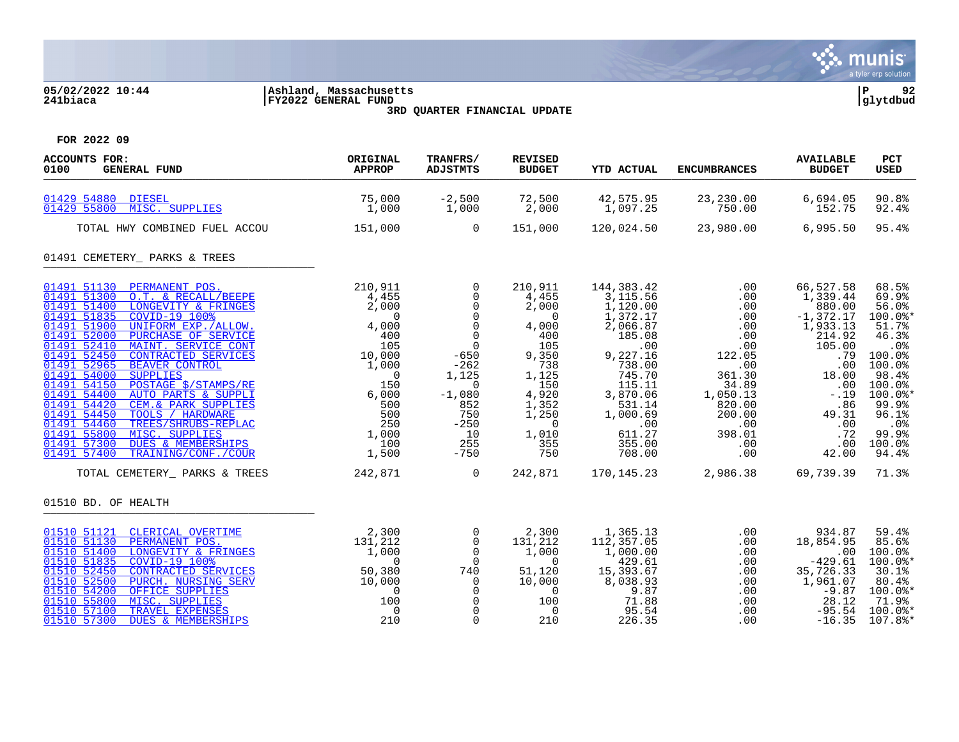

# **05/02/2022 10:44 |Ashland, Massachusetts |P 92 241biaca |FY2022 GENERAL FUND |glytdbud 3RD QUARTER FINANCIAL UPDATE**



| <b>ACCOUNTS FOR:</b><br>0100<br><b>GENERAL FUND</b>                                                                                                                                                                                                                                                                                                                                                                                                                                                                                                                                                                                                                                                | ORIGINAL<br><b>APPROP</b>                                                                                                                                         | TRANFRS/<br><b>ADJSTMTS</b>                                                                                                                                                                                               | <b>REVISED</b><br><b>BUDGET</b>                                                                                                                                                  | <b>YTD ACTUAL</b>                                                                                                                                                                            | <b>ENCUMBRANCES</b>                                                                                                                              | <b>AVAILABLE</b><br><b>BUDGET</b>                                                                                                                                     | <b>PCT</b><br><b>USED</b>                                                                                                                                               |
|----------------------------------------------------------------------------------------------------------------------------------------------------------------------------------------------------------------------------------------------------------------------------------------------------------------------------------------------------------------------------------------------------------------------------------------------------------------------------------------------------------------------------------------------------------------------------------------------------------------------------------------------------------------------------------------------------|-------------------------------------------------------------------------------------------------------------------------------------------------------------------|---------------------------------------------------------------------------------------------------------------------------------------------------------------------------------------------------------------------------|----------------------------------------------------------------------------------------------------------------------------------------------------------------------------------|----------------------------------------------------------------------------------------------------------------------------------------------------------------------------------------------|--------------------------------------------------------------------------------------------------------------------------------------------------|-----------------------------------------------------------------------------------------------------------------------------------------------------------------------|-------------------------------------------------------------------------------------------------------------------------------------------------------------------------|
| 01429 54880 DIESEL<br>MISC. SUPPLIES<br>01429 55800                                                                                                                                                                                                                                                                                                                                                                                                                                                                                                                                                                                                                                                | 75,000<br>1,000                                                                                                                                                   | $-2,500$<br>1,000                                                                                                                                                                                                         | 72,500<br>2,000                                                                                                                                                                  | 42,575.95<br>1,097.25                                                                                                                                                                        | 23,230.00<br>750.00                                                                                                                              | 6,694.05<br>152.75                                                                                                                                                    | 90.8%<br>92.4%                                                                                                                                                          |
| TOTAL HWY COMBINED FUEL ACCOU                                                                                                                                                                                                                                                                                                                                                                                                                                                                                                                                                                                                                                                                      | 151,000                                                                                                                                                           | $\overline{a}$                                                                                                                                                                                                            | 151,000                                                                                                                                                                          | 120,024.50                                                                                                                                                                                   | 23,980.00                                                                                                                                        | 6,995.50                                                                                                                                                              | 95.4%                                                                                                                                                                   |
| 01491 CEMETERY_ PARKS & TREES                                                                                                                                                                                                                                                                                                                                                                                                                                                                                                                                                                                                                                                                      |                                                                                                                                                                   |                                                                                                                                                                                                                           |                                                                                                                                                                                  |                                                                                                                                                                                              |                                                                                                                                                  |                                                                                                                                                                       |                                                                                                                                                                         |
| 01491 51130 PERMANENT POS.<br>01491 51300 O.T. & RECALL/BEEPE<br>01491 51400<br>LONGEVITY & FRINGES<br>01491 51835<br>COVID-19 100%<br>01491 51900<br>UNIFORM EXP. / ALLOW.<br>01491 52000<br>PURCHASE OF SERVICE<br>01491 52410<br>MAINT. SERVICE CONT<br>01491 52450<br><b>CONTRACTED SERVICES</b><br>01491 52965<br><b>BEAVER CONTROL</b><br>01491 54000<br><b>SUPPLIES</b><br>01491 54150<br>POSTAGE \$/STAMPS/RE<br>01491 54400<br>AUTO PARTS & SUPPLI<br>01491 54420<br>CEM. & PARK SUPPLIES<br>01491 54450<br>TOOLS / HARDWARE<br>01491 54460<br>TREES/SHRUBS-REPLAC<br>01491 55800<br>MISC. SUPPLIES<br><b>DUES &amp; MEMBERSHIPS</b><br>01491 57300<br>TRAINING/CONF./COUR<br>01491 57400 | 210,911<br>4,455<br>2,000<br>$\overline{0}$<br>4,000<br>$\frac{400}{105}$<br>10,000<br>1,000<br>$\frac{7 \text{RE}}{11}$ 6, 1<br>50<br>250<br>1,000<br>100<br>100 | $\overline{0}$<br>$\mathsf{O}$<br>$\overline{0}$<br>$\overline{0}$<br>$\mathbf 0$<br>$\overline{0}$<br>$\overline{0}$<br>$-650$<br>$-262$<br>1,125<br>$\Omega$<br>$-1,080$<br>852<br>750<br>$-250$<br>10<br>255<br>$-750$ | 210,911<br>4,455<br>2,000<br>$\overline{\phantom{0}}$<br>4,000<br>400<br>105<br>9,350<br>738<br>1,125<br>150<br>4,920<br>1,352<br>1,250<br>$\overline{0}$<br>1,010<br>355<br>750 | 144,383.42<br>3,115.56<br>1,120.00<br>1,372.17<br>2,066.87<br>185.08<br>.00<br>9,227.16<br>738.00<br>745.70<br>115.11<br>3,870.06<br>531.14<br>1,000.69<br>.00<br>611.27<br>355.00<br>708.00 | .00<br>.00<br>.00<br>.00<br>.00<br>.00<br>.00<br>122.05<br>.00<br>361.30<br>34.89<br>1,050.13<br>820.00<br>200.00<br>.00<br>398.01<br>.00<br>.00 | 66,527.58<br>1,339.44<br>880.00<br>$-1, 372.17$<br>1,933.13<br>214.92<br>105.00<br>.79<br>.00<br>18.00<br>.00<br>$-.19$<br>.86<br>49.31<br>.00<br>.72<br>.00<br>42.00 | 68.5%<br>69.9%<br>56.0%<br>100.0%*<br>51.7%<br>46.3%<br>.0%<br>100.0%<br>100.0%<br>98.4%<br>100.0%<br>$100.0$ *<br>99.9%<br>96.1%<br>$.0\%$<br>99.9%<br>100.0%<br>94.4% |
| TOTAL CEMETERY_ PARKS & TREES                                                                                                                                                                                                                                                                                                                                                                                                                                                                                                                                                                                                                                                                      | 242,871                                                                                                                                                           | $\overline{0}$                                                                                                                                                                                                            |                                                                                                                                                                                  |                                                                                                                                                                                              | 242,871 170,145.23 2,986.38 69,739.39                                                                                                            |                                                                                                                                                                       | 71.3%                                                                                                                                                                   |
| 01510 BD. OF HEALTH                                                                                                                                                                                                                                                                                                                                                                                                                                                                                                                                                                                                                                                                                |                                                                                                                                                                   |                                                                                                                                                                                                                           |                                                                                                                                                                                  |                                                                                                                                                                                              |                                                                                                                                                  |                                                                                                                                                                       |                                                                                                                                                                         |
| 01510 51121 CLERICAL OVERTIME<br>01510 51130<br>PERMANENT POS.<br>01510 51400<br>LONGEVITY & FRINGES<br>01510 51835<br>COVID-19 100%<br>01510 52450<br>CONTRACTED SERVICES<br>01510 52500<br>PURCH. NURSING SERV<br>01510 54200<br>OFFICE SUPPLIES<br>01510 55800<br>MISC. SUPPLIES<br>01510 57100<br>TRAVEL EXPENSES<br>01510 57300<br><b>DUES &amp; MEMBERSHIPS</b>                                                                                                                                                                                                                                                                                                                              | 2,300<br>131,212<br>$\frac{-1,000}{0}$<br>50,380<br>10,000<br>$\overline{0}$<br>100<br>$\overline{0}$<br>210                                                      | $\mathsf{O}$<br>$\overline{0}$<br>$\overline{0}$<br>$\overline{0}$<br>740<br>$\overline{0}$<br>$\overline{0}$<br>$\mathsf{O}$<br>$\overline{0}$<br>$\mathbf 0$                                                            | 2,300<br>131,212<br>1,000<br>$\overline{0}$<br>51,120<br>10,000<br>$\overline{\phantom{0}}$<br>100<br>$\overline{0}$<br>210                                                      | 1,365.13<br>112,357.05<br>1,000.00<br>429.61<br>15,393.67<br>8,038.93<br>9.87<br>71.88<br>95.54<br>226.35                                                                                    | .00<br>.00<br>.00<br>.00<br>.00<br>.00<br>.00<br>.00<br>.00<br>.00                                                                               | 934.87<br>18,854.95<br>.00<br>$-429.61$<br>35,726.33<br>1,961.07<br>$-9.87$<br>28.12<br>$-95.54$<br>$-16.35$                                                          | 59.4%<br>85.6%<br>100.0%<br>$100.0$ *<br>30.1%<br>80.4%<br>100.0%*<br>71.9%<br>100.0%*<br>$107.8$ $*$                                                                   |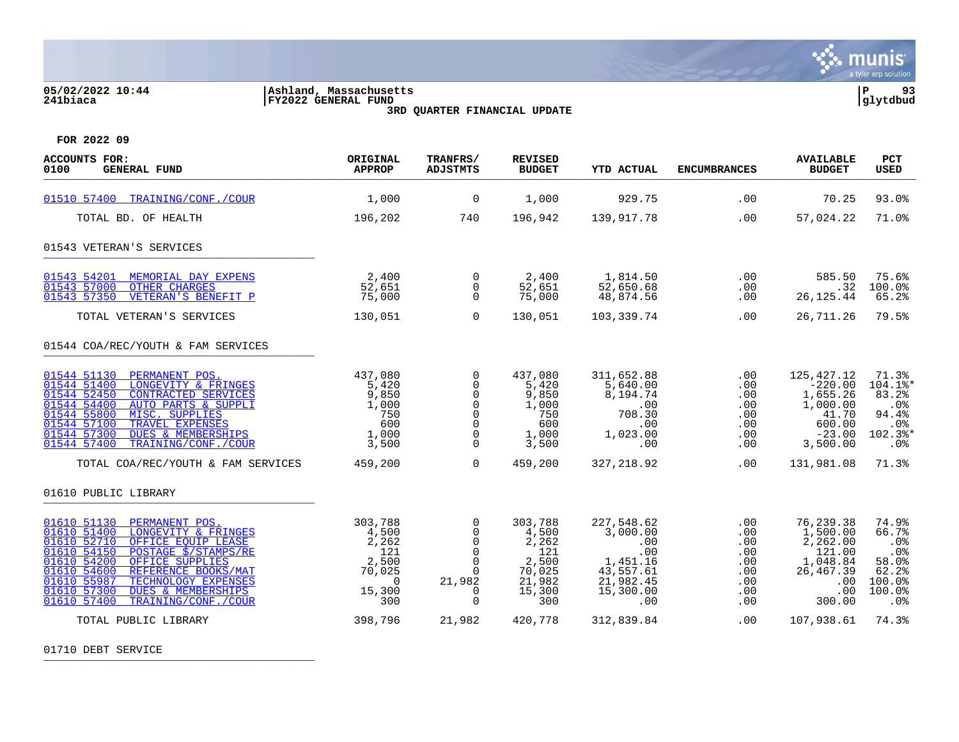

# **05/02/2022 10:44 |Ashland, Massachusetts |P 93 241biaca |FY2022 GENERAL FUND |glytdbud 3RD QUARTER FINANCIAL UPDATE**



**FOR 2022 09**

| <b>ACCOUNTS FOR:</b><br>0100<br><b>GENERAL FUND</b>                                                                                                                                                                                                                                                                                                                      | ORIGINAL<br><b>APPROP</b>                                                                         | TRANFRS/<br><b>ADJSTMTS</b>                                                                    | <b>REVISED</b><br><b>BUDGET</b>                                                           | <b>YTD ACTUAL</b>                                                                                            | <b>ENCUMBRANCES</b>                                                | <b>AVAILABLE</b><br><b>BUDGET</b>                                                                           | <b>PCT</b><br><b>USED</b>                                                          |
|--------------------------------------------------------------------------------------------------------------------------------------------------------------------------------------------------------------------------------------------------------------------------------------------------------------------------------------------------------------------------|---------------------------------------------------------------------------------------------------|------------------------------------------------------------------------------------------------|-------------------------------------------------------------------------------------------|--------------------------------------------------------------------------------------------------------------|--------------------------------------------------------------------|-------------------------------------------------------------------------------------------------------------|------------------------------------------------------------------------------------|
| 01510 57400 TRAINING/CONF./COUR                                                                                                                                                                                                                                                                                                                                          | 1,000                                                                                             | $\overline{0}$                                                                                 | 1,000                                                                                     | 929.75                                                                                                       | .00                                                                | 70.25                                                                                                       | 93.0%                                                                              |
| TOTAL BD. OF HEALTH                                                                                                                                                                                                                                                                                                                                                      | 196,202                                                                                           | 740                                                                                            | 196,942                                                                                   | 139,917.78                                                                                                   | .00                                                                | 57,024.22                                                                                                   | 71.0%                                                                              |
| 01543 VETERAN'S SERVICES                                                                                                                                                                                                                                                                                                                                                 |                                                                                                   |                                                                                                |                                                                                           |                                                                                                              |                                                                    |                                                                                                             |                                                                                    |
| 01543 54201<br>MEMORIAL DAY EXPENS<br>01543 57000<br><b>OTHER CHARGES</b><br>01543 57350<br>VETERAN'S BENEFIT P                                                                                                                                                                                                                                                          | 2,400<br>52,651<br>75,000                                                                         | $\overline{0}$<br>$\overline{0}$<br>$\Omega$                                                   | 2,400<br>52,651<br>75,000                                                                 | 1,814.50<br>52,650.68<br>48,874.56                                                                           | .00<br>.00<br>.00                                                  | 585.50<br>.32<br>26, 125.44                                                                                 | 75.6%<br>100.0%<br>65.2%                                                           |
| TOTAL VETERAN'S SERVICES                                                                                                                                                                                                                                                                                                                                                 | 130,051                                                                                           | $\Omega$                                                                                       | 130,051                                                                                   | 103,339.74                                                                                                   | .00                                                                | 26,711.26                                                                                                   | 79.5%                                                                              |
| 01544 COA/REC/YOUTH & FAM SERVICES                                                                                                                                                                                                                                                                                                                                       |                                                                                                   |                                                                                                |                                                                                           |                                                                                                              |                                                                    |                                                                                                             |                                                                                    |
| 01544 51130<br>PERMANENT POS.<br>01544 51400<br>LONGEVITY & FRINGES<br>01544 52450<br><b>CONTRACTED SERVICES</b><br>01544 54400<br>AUTO PARTS & SUPPLI<br>01544 55800<br>MISC. SUPPLIES<br>01544 57100<br>TRAVEL EXPENSES<br>01544 57300<br><b>DUES &amp; MEMBERSHIPS</b><br>01544 57400<br>TRAINING/CONF./COUR                                                          | 437,080<br>5,420<br>9,850<br>1,000<br>750<br>600<br>1,000<br>3,500                                | $\mathbf 0$<br>0<br>$\Omega$<br>0<br>$\mathbf 0$<br>$\mathbf 0$<br>0<br>$\Omega$               | 437,080<br>5,420<br>9,850<br>1,000<br>750<br>600<br>1,000<br>3,500                        | 311,652.88<br>5,640.00<br>8,194.74<br>.00<br>708.30<br>.00<br>1,023.00<br>.00                                | .00<br>.00<br>.00<br>.00<br>.00<br>.00<br>.00<br>.00               | 125,427.12<br>$-220.00$<br>1,655.26<br>1,000.00<br>41.70<br>600.00<br>$-23.00$<br>3,500.00                  | 71.3%<br>104.1%*<br>83.2%<br>.0%<br>94.4%<br>.0%<br>102.3%*<br>.0%                 |
| TOTAL COA/REC/YOUTH & FAM SERVICES                                                                                                                                                                                                                                                                                                                                       | 459,200                                                                                           | $\overline{0}$                                                                                 | 459,200                                                                                   | 327.218.92                                                                                                   | .00                                                                | 131,981.08                                                                                                  | 71.3%                                                                              |
| 01610 PUBLIC LIBRARY                                                                                                                                                                                                                                                                                                                                                     |                                                                                                   |                                                                                                |                                                                                           |                                                                                                              |                                                                    |                                                                                                             |                                                                                    |
| 01610 51130 PERMANENT POS.<br>01610 51400<br>LONGEVITY & FRINGES<br>01610 52710<br>OFFICE EOUIP LEASE<br>01610 54150<br>POSTAGE \$/STAMPS/RE<br>01610 54200<br>OFFICE SUPPLIES<br>01610 54600<br>REFERENCE BOOKS/MAT<br>01610 55987<br>TECHNOLOGY EXPENSES<br>01610 57300<br><b>DUES &amp; MEMBERSHIPS</b><br>01610 57400<br>TRAINING/CONF./COUR<br>TOTAL PUBLIC LIBRARY | 303,788<br>4,500<br>2,262<br>121<br>2,500<br>70,025<br>$\overline{0}$<br>15,300<br>300<br>398,796 | 0<br>0<br>$\Omega$<br>$\mathbf 0$<br>$\Omega$<br>$\Omega$<br>21,982<br>0<br>$\Omega$<br>21,982 | 303,788<br>4,500<br>2,262<br>121<br>2,500<br>70,025<br>21,982<br>15,300<br>300<br>420,778 | 227,548.62<br>3,000.00<br>.00<br>.00<br>1,451.16<br>43,557.61<br>21,982.45<br>15,300.00<br>.00<br>312,839.84 | .00<br>.00<br>.00<br>.00<br>.00<br>.00<br>.00<br>.00<br>.00<br>.00 | 76,239.38<br>1,500.00<br>2,262.00<br>121.00<br>1,048.84<br>26, 467.39<br>.00<br>.00<br>300.00<br>107,938.61 | 74.9%<br>66.7%<br>.0%<br>.0%<br>58.0%<br>62.2%<br>100.0%<br>100.0%<br>.0%<br>74.3% |

01710 DEBT SERVICE \_\_\_\_\_\_\_\_\_\_\_\_\_\_\_\_\_\_\_\_\_\_\_\_\_\_\_\_\_\_\_\_\_\_\_\_\_\_\_\_\_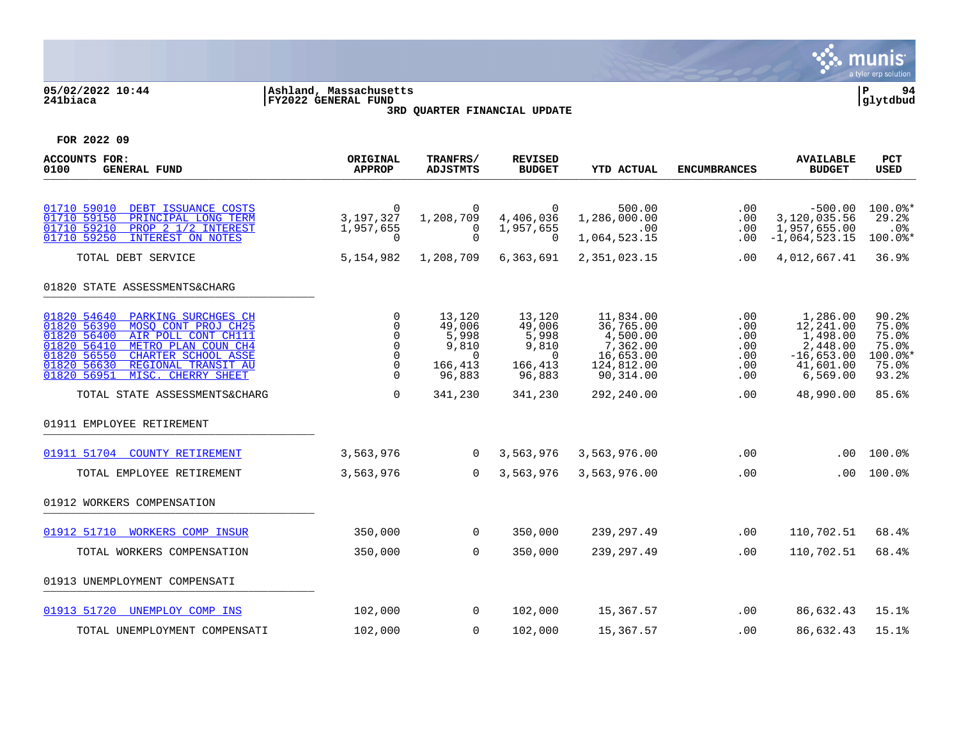

# **05/02/2022 10:44 |Ashland, Massachusetts |P 94 241biaca |FY2022 GENERAL FUND |glytdbud 3RD QUARTER FINANCIAL UPDATE**



| ACCOUNTS FOR:<br>0100<br><b>GENERAL FUND</b>                                                                                                                                                                                                                          | ORIGINAL<br><b>APPROP</b>                            | TRANFRS/<br><b>ADJSTMTS</b>                                         | <b>REVISED</b><br><b>BUDGET</b>                                     | <b>YTD ACTUAL</b>                                                                      | <b>ENCUMBRANCES</b>                           | <b>AVAILABLE</b><br><b>BUDGET</b>                                                       | <b>PCT</b><br>USED                                            |
|-----------------------------------------------------------------------------------------------------------------------------------------------------------------------------------------------------------------------------------------------------------------------|------------------------------------------------------|---------------------------------------------------------------------|---------------------------------------------------------------------|----------------------------------------------------------------------------------------|-----------------------------------------------|-----------------------------------------------------------------------------------------|---------------------------------------------------------------|
| 01710 59010<br>DEBT ISSUANCE COSTS<br>01710 59150<br>PRINCIPAL LONG TERM<br>01710 59210<br>PROP 2 1/2 INTEREST<br>01710 59250<br><b>INTEREST ON NOTES</b>                                                                                                             | $\overline{0}$<br>3,197,327<br>1,957,655<br>$\Omega$ | 0<br>1,208,709<br>0<br>$\Omega$                                     | $\overline{0}$<br>4,406,036<br>1,957,655<br>$\Omega$                | 500.00<br>1,286,000.00<br>.00<br>1,064,523.15                                          | .00<br>.00<br>.00<br>.00                      | $-500.00$<br>3,120,035.56<br>1,957,655.00<br>$-1,064,523.15$                            | $100.0$ *<br>29.2%<br>.0%<br>100.0%*                          |
| TOTAL DEBT SERVICE<br>01820 STATE ASSESSMENTS&CHARG                                                                                                                                                                                                                   | 5,154,982                                            | 1,208,709                                                           | 6,363,691                                                           | 2,351,023.15                                                                           | .00                                           | 4,012,667.41                                                                            | 36.9%                                                         |
| 01820 54640<br>PARKING SURCHGES CH<br>MOSO CONT PROJ CH25<br>01820 56390<br>01820 56400<br>AIR POLL CONT CH111<br>01820 56410<br>METRO PLAN COUN CH4<br>01820 56550<br>CHARTER SCHOOL ASSE<br>01820 56630<br>REGIONAL TRANSIT AU<br>01820 56951<br>MISC. CHERRY SHEET | 0<br>0<br>$\Omega$<br>0<br>0<br>0<br>$\Omega$        | 13,120<br>49,006<br>5,998<br>9,810<br>$\Omega$<br>166,413<br>96,883 | 13,120<br>49,006<br>5,998<br>9,810<br>$\Omega$<br>166,413<br>96,883 | 11,834.00<br>36,765.00<br>4,500.00<br>7,362.00<br>16,653.00<br>124,812.00<br>90,314.00 | .00<br>.00<br>.00<br>.00<br>.00<br>.00<br>.00 | 1,286.00<br>12,241.00<br>1,498.00<br>2,448.00<br>$-16,653.00$<br>41,601.00<br>6, 569.00 | 90.2%<br>75.0%<br>75.0%<br>75.0%<br>100.0%*<br>75.0%<br>93.2% |
| TOTAL STATE ASSESSMENTS&CHARG                                                                                                                                                                                                                                         | $\Omega$                                             | 341,230                                                             | 341,230                                                             | 292,240.00                                                                             | .00                                           | 48,990.00                                                                               | 85.6%                                                         |
| 01911 EMPLOYEE RETIREMENT                                                                                                                                                                                                                                             |                                                      |                                                                     |                                                                     |                                                                                        |                                               |                                                                                         |                                                               |
| 01911 51704<br><b>COUNTY RETIREMENT</b>                                                                                                                                                                                                                               | 3,563,976                                            | $\Omega$                                                            | 3,563,976                                                           | 3,563,976.00                                                                           | .00                                           | .00                                                                                     | 100.0%                                                        |
| TOTAL EMPLOYEE RETIREMENT                                                                                                                                                                                                                                             | 3,563,976                                            | $\overline{0}$                                                      | 3,563,976                                                           | 3,563,976.00                                                                           | .00                                           | .00                                                                                     | 100.0%                                                        |
| 01912 WORKERS COMPENSATION                                                                                                                                                                                                                                            |                                                      |                                                                     |                                                                     |                                                                                        |                                               |                                                                                         |                                                               |
| 01912 51710 WORKERS COMP INSUR                                                                                                                                                                                                                                        | 350,000                                              | $\overline{0}$                                                      | 350,000                                                             | 239, 297.49                                                                            | .00                                           | 110,702.51                                                                              | 68.4%                                                         |
| TOTAL WORKERS COMPENSATION                                                                                                                                                                                                                                            | 350,000                                              | $\overline{0}$                                                      | 350,000                                                             | 239, 297.49                                                                            | .00                                           | 110,702.51                                                                              | 68.4%                                                         |
| 01913 UNEMPLOYMENT COMPENSATI                                                                                                                                                                                                                                         |                                                      |                                                                     |                                                                     |                                                                                        |                                               |                                                                                         |                                                               |
| 01913 51720<br>UNEMPLOY COMP INS                                                                                                                                                                                                                                      | 102,000                                              | $\overline{0}$                                                      | 102,000                                                             | 15,367.57                                                                              | .00                                           | 86,632.43                                                                               | 15.1%                                                         |
| TOTAL UNEMPLOYMENT COMPENSATI                                                                                                                                                                                                                                         | 102,000                                              | $\mathbf 0$                                                         | 102,000                                                             | 15,367.57                                                                              | .00                                           | 86,632.43                                                                               | 15.1%                                                         |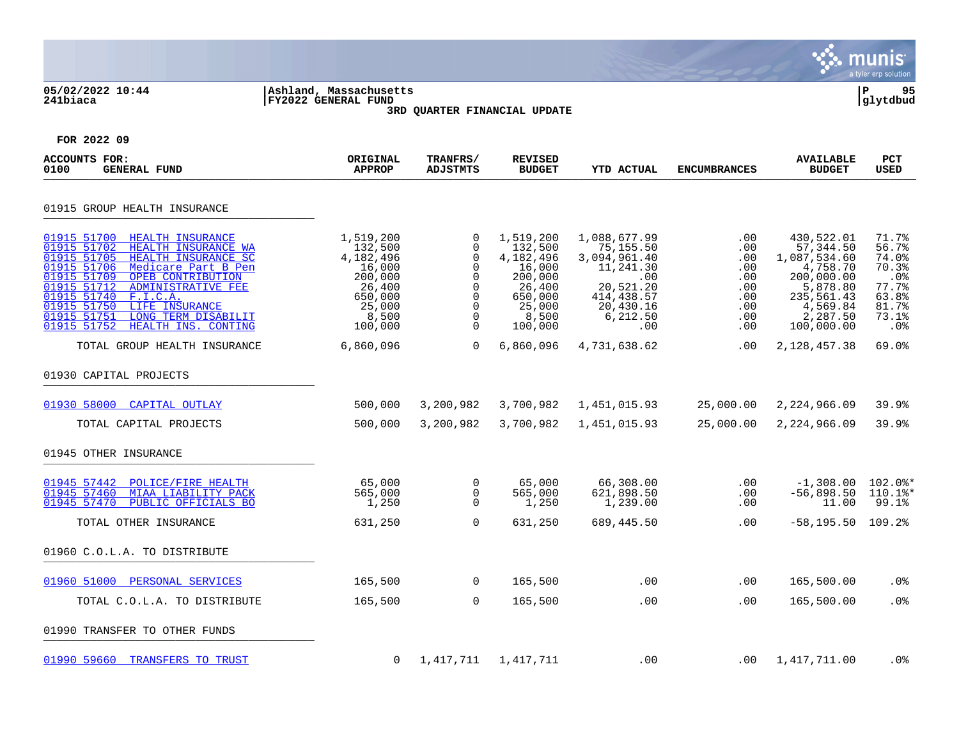|                                                                                                                                                                                                                                                                                                                                                                    |                                                                                                           |                                                                                                        |                                                                                                           |                                                                                                                          |                                                                    |                                                                                                                                    | munis<br>a tyler erp solution                                                      |
|--------------------------------------------------------------------------------------------------------------------------------------------------------------------------------------------------------------------------------------------------------------------------------------------------------------------------------------------------------------------|-----------------------------------------------------------------------------------------------------------|--------------------------------------------------------------------------------------------------------|-----------------------------------------------------------------------------------------------------------|--------------------------------------------------------------------------------------------------------------------------|--------------------------------------------------------------------|------------------------------------------------------------------------------------------------------------------------------------|------------------------------------------------------------------------------------|
| 05/02/2022 10:44<br>241biaca                                                                                                                                                                                                                                                                                                                                       | Ashland, Massachusetts<br><b>FY2022 GENERAL FUND</b>                                                      | 3RD QUARTER FINANCIAL UPDATE                                                                           |                                                                                                           |                                                                                                                          |                                                                    |                                                                                                                                    | ΙP<br>95<br>glytdbud                                                               |
| FOR 2022 09                                                                                                                                                                                                                                                                                                                                                        |                                                                                                           |                                                                                                        |                                                                                                           |                                                                                                                          |                                                                    |                                                                                                                                    |                                                                                    |
| ACCOUNTS FOR:<br><b>GENERAL FUND</b><br>0100                                                                                                                                                                                                                                                                                                                       | ORIGINAL<br><b>APPROP</b>                                                                                 | TRANFRS/<br><b>ADJSTMTS</b>                                                                            | <b>REVISED</b><br><b>BUDGET</b>                                                                           | <b>YTD ACTUAL</b>                                                                                                        | <b>ENCUMBRANCES</b>                                                | <b>AVAILABLE</b><br><b>BUDGET</b>                                                                                                  | PCT<br>USED                                                                        |
| 01915 GROUP HEALTH INSURANCE                                                                                                                                                                                                                                                                                                                                       |                                                                                                           |                                                                                                        |                                                                                                           |                                                                                                                          |                                                                    |                                                                                                                                    |                                                                                    |
| 01915 51700<br>HEALTH INSURANCE<br>01915 51702<br>HEALTH INSURANCE WA<br>01915 51705<br>HEALTH INSURANCE SC<br>01915 51706<br>Medicare Part B Pen<br>01915 51709<br>OPEB CONTRIBUTION<br>01915 51712<br>ADMINISTRATIVE FEE<br>01915 51740<br>F.I.C.A.<br>01915 51750<br>LIFE INSURANCE<br>01915 51751<br>LONG TERM DISABILIT<br>01915 51752<br>HEALTH INS. CONTING | 1,519,200<br>132,500<br>4,182,496<br>16,000<br>200,000<br>26,400<br>650,000<br>25,000<br>8,500<br>100,000 | 0<br>$\mathbf 0$<br>$\overline{0}$<br>$\mathbf 0$<br>0<br>0<br>0<br>$\overline{0}$<br>0<br>$\mathbf 0$ | 1,519,200<br>132,500<br>4,182,496<br>16,000<br>200,000<br>26,400<br>650,000<br>25,000<br>8,500<br>100,000 | 1,088,677.99<br>75,155.50<br>3,094,961.40<br>11,241.30<br>.00<br>20,521.20<br>414,438.57<br>20,430.16<br>6,212.50<br>.00 | .00<br>.00<br>.00<br>.00<br>.00<br>.00<br>.00<br>.00<br>.00<br>.00 | 430,522.01<br>57, 344.50<br>1,087,534.60<br>4,758.70<br>200,000.00<br>5,878.80<br>235,561.43<br>4,569.84<br>2,287.50<br>100,000.00 | 71.7%<br>56.7%<br>74.0%<br>70.3%<br>.0%<br>77.7%<br>63.8%<br>81.7%<br>73.1%<br>.0% |
| TOTAL GROUP HEALTH INSURANCE                                                                                                                                                                                                                                                                                                                                       | 6,860,096                                                                                                 | $\mathbf 0$                                                                                            | 6,860,096                                                                                                 | 4,731,638.62                                                                                                             | .00                                                                | 2,128,457.38                                                                                                                       | 69.0%                                                                              |
| 01930 CAPITAL PROJECTS                                                                                                                                                                                                                                                                                                                                             |                                                                                                           |                                                                                                        |                                                                                                           |                                                                                                                          |                                                                    |                                                                                                                                    |                                                                                    |
| 01930 58000 CAPITAL OUTLAY                                                                                                                                                                                                                                                                                                                                         | 500,000                                                                                                   | 3,200,982                                                                                              | 3,700,982                                                                                                 | 1,451,015.93                                                                                                             | 25,000.00                                                          | 2,224,966.09                                                                                                                       | 39.9%                                                                              |
| TOTAL CAPITAL PROJECTS                                                                                                                                                                                                                                                                                                                                             | 500,000                                                                                                   | 3,200,982                                                                                              | 3,700,982                                                                                                 | 1,451,015.93                                                                                                             | 25,000.00                                                          | 2,224,966.09                                                                                                                       | 39.9%                                                                              |
| 01945 OTHER INSURANCE                                                                                                                                                                                                                                                                                                                                              |                                                                                                           |                                                                                                        |                                                                                                           |                                                                                                                          |                                                                    |                                                                                                                                    |                                                                                    |
| 01945 57442<br>POLICE/FIRE HEALTH<br>01945 57460<br>MIAA LIABILITY PACK<br>01945 57470<br>PUBLIC OFFICIALS BO                                                                                                                                                                                                                                                      | 65,000<br>565,000<br>1,250                                                                                | 0<br>0<br>$\mathbf 0$                                                                                  | 65,000<br>565,000<br>1,250                                                                                | 66,308.00<br>621,898.50<br>1,239.00                                                                                      | .00<br>.00<br>.00                                                  | $-1,308.00$<br>$-56,898.50$<br>11.00                                                                                               | $102.0$ $*$<br>110.1%*<br>99.1%                                                    |
| TOTAL OTHER INSURANCE                                                                                                                                                                                                                                                                                                                                              | 631,250                                                                                                   | $\Omega$                                                                                               | 631,250                                                                                                   | 689,445.50                                                                                                               | .00                                                                | $-58, 195.50$                                                                                                                      | 109.2%                                                                             |
| 01960 C.O.L.A. TO DISTRIBUTE                                                                                                                                                                                                                                                                                                                                       |                                                                                                           |                                                                                                        |                                                                                                           |                                                                                                                          |                                                                    |                                                                                                                                    |                                                                                    |
| 01960 51000 PERSONAL SERVICES                                                                                                                                                                                                                                                                                                                                      | 165,500                                                                                                   | 0                                                                                                      | 165,500                                                                                                   | .00                                                                                                                      | .00                                                                | 165,500.00                                                                                                                         | .0%                                                                                |
| TOTAL C.O.L.A. TO DISTRIBUTE                                                                                                                                                                                                                                                                                                                                       | 165,500                                                                                                   | $\mathbf 0$                                                                                            | 165,500                                                                                                   | .00                                                                                                                      | .00                                                                | 165,500.00                                                                                                                         | .0%                                                                                |
| 01990 TRANSFER TO OTHER FUNDS                                                                                                                                                                                                                                                                                                                                      |                                                                                                           |                                                                                                        |                                                                                                           |                                                                                                                          |                                                                    |                                                                                                                                    |                                                                                    |
| 01990 59660 TRANSFERS TO TRUST                                                                                                                                                                                                                                                                                                                                     | 0                                                                                                         | 1,417,711                                                                                              | 1,417,711                                                                                                 | .00                                                                                                                      | .00                                                                | 1,417,711.00                                                                                                                       | .0%                                                                                |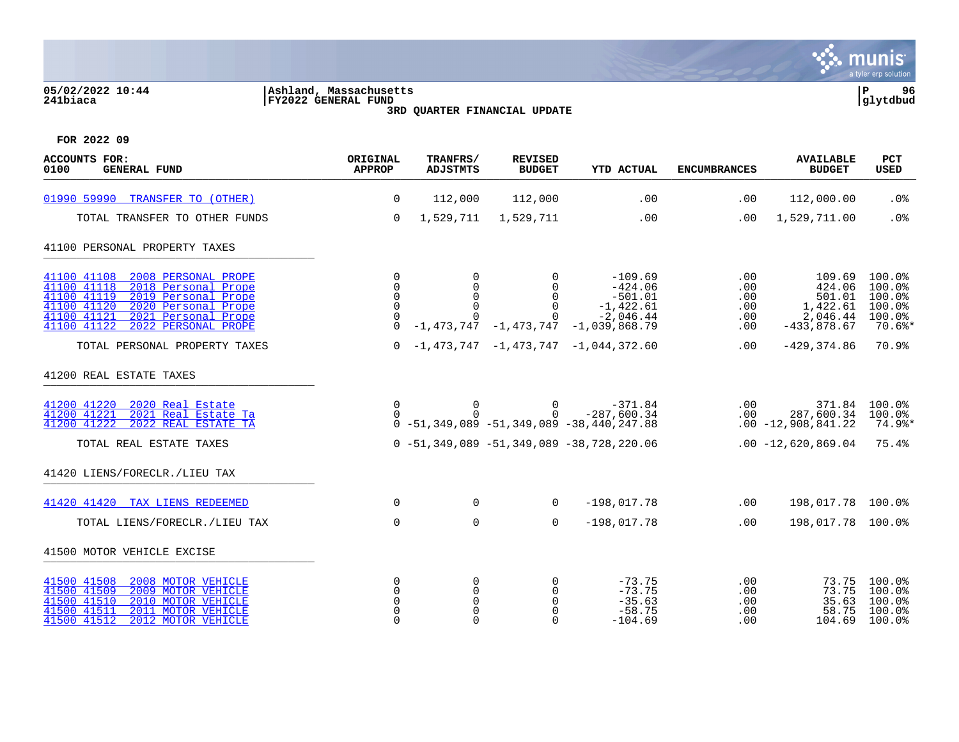#### **05/02/2022 10:44 |Ashland, Massachusetts |P 96 241biaca |FY2022 GENERAL FUND |glytdbud 3RD QUARTER FINANCIAL UPDATE**



| <b>ACCOUNTS FOR:</b><br><b>GENERAL FUND</b><br>0100                                                                                                                                                                              | ORIGINAL<br><b>APPROP</b>                                | TRANFRS/<br><b>ADJSTMTS</b> | <b>REVISED</b><br><b>BUDGET</b>                         | <b>YTD ACTUAL</b>                                                                                                 | <b>ENCUMBRANCES</b>                    | <b>AVAILABLE</b><br><b>BUDGET</b>                                   | <b>PCT</b><br><b>USED</b>                                    |
|----------------------------------------------------------------------------------------------------------------------------------------------------------------------------------------------------------------------------------|----------------------------------------------------------|-----------------------------|---------------------------------------------------------|-------------------------------------------------------------------------------------------------------------------|----------------------------------------|---------------------------------------------------------------------|--------------------------------------------------------------|
| 01990 59990<br>TRANSFER TO (OTHER)                                                                                                                                                                                               | $\mathbf 0$                                              | 112,000                     | 112,000                                                 | .00                                                                                                               | .00                                    | 112,000.00                                                          | .0%                                                          |
| TOTAL TRANSFER TO OTHER FUNDS                                                                                                                                                                                                    | $\mathbf 0$                                              | 1,529,711                   | 1,529,711                                               | .00                                                                                                               | .00                                    | 1,529,711.00                                                        | .0%                                                          |
| 41100 PERSONAL PROPERTY TAXES                                                                                                                                                                                                    |                                                          |                             |                                                         |                                                                                                                   |                                        |                                                                     |                                                              |
| 2008 PERSONAL PROPE<br>41100 41108<br>41100 41118<br>2018 Personal Prope<br>41100 41119<br>2019 Personal Prope<br>41100 41120<br>2020 Personal Prope<br>41100 41121<br>2021 Personal Prope<br>41100 41122<br>2022 PERSONAL PROPE | $\Omega$<br>$\Omega$<br>$\Omega$<br>$\Omega$<br>$\Omega$ | $\Omega$<br>$\mathbf 0$     | $\Omega$<br>$\mathbf 0$<br>$\Omega$<br>$\Omega$         | $-109.69$<br>$-424.06$<br>$-501.01$<br>$-1,422.61$<br>$-2,046.44$<br>$-1, 473, 747 -1, 473, 747 -1, 039, 868, 79$ | .00<br>.00<br>.00<br>.00<br>.00<br>.00 | 109.69<br>424.06<br>501.01<br>1,422.61<br>2,046.44<br>$-433,878.67$ | 100.0%<br>100.0%<br>100.0%<br>100.0%<br>100.0%<br>$70.6$ $*$ |
| TOTAL PERSONAL PROPERTY TAXES                                                                                                                                                                                                    | $\Omega$                                                 |                             |                                                         | $-1,473,747$ $-1,473,747$ $-1,044,372.60$                                                                         | .00                                    | $-429, 374.86$                                                      | 70.9%                                                        |
| 41200 REAL ESTATE TAXES                                                                                                                                                                                                          |                                                          |                             |                                                         |                                                                                                                   |                                        |                                                                     |                                                              |
| 41200 41220<br>2020 Real Estate<br>41200 41221<br>2021 Real Estate Ta<br>41200 41222<br>2022 REAL ESTATE TA                                                                                                                      | $\Omega$<br>$\Omega$                                     | $\overline{0}$<br>$\Omega$  | $\Omega$<br>$\Omega$                                    | $-371.84$<br>$-287,600.34$<br>$0 - 51, 349, 089 - 51, 349, 089 - 38, 440, 247, 88$                                | .00                                    | .00<br>287,600.34<br>$.00 - 12,908,841.22$                          | 371.84 100.0%<br>100.0%<br>74.9%*                            |
| TOTAL REAL ESTATE TAXES                                                                                                                                                                                                          |                                                          |                             |                                                         | $0 - 51, 349, 089 - 51, 349, 089 - 38, 728, 220, 06$                                                              |                                        | $.00 - 12,620,869.04$                                               | 75.4%                                                        |
| 41420 LIENS/FORECLR./LIEU TAX                                                                                                                                                                                                    |                                                          |                             |                                                         |                                                                                                                   |                                        |                                                                     |                                                              |
| 41420 41420 TAX LIENS REDEEMED                                                                                                                                                                                                   | $\mathbf 0$                                              | $\mathbf 0$                 | $\Omega$                                                | $-198,017.78$                                                                                                     | .00                                    | 198,017.78 100.0%                                                   |                                                              |
| TOTAL LIENS/FORECLR./LIEU TAX                                                                                                                                                                                                    | $\mathbf 0$                                              | $\mathbf 0$                 | $\mathbf 0$                                             | $-198,017.78$                                                                                                     | .00                                    | 198,017.78 100.0%                                                   |                                                              |
| 41500 MOTOR VEHICLE EXCISE                                                                                                                                                                                                       |                                                          |                             |                                                         |                                                                                                                   |                                        |                                                                     |                                                              |
| 41500 41508<br>2008 MOTOR VEHICLE<br>41500 41509<br>2009 MOTOR VEHICLE<br>41500 41510<br>2010 MOTOR VEHICLE<br>41500 41511<br>2011 MOTOR VEHICLE<br>2012 MOTOR VEHICLE<br>41500 41512                                            | 0<br>0<br>$\Omega$<br>$\Omega$<br>$\Omega$               | 0<br>$\mathbf 0$<br>0       | 0<br>$\mathbf 0$<br>$\Omega$<br>$\mathbf 0$<br>$\Omega$ | $-73.75$<br>$-73.75$<br>$-35.63$<br>$-58.75$<br>$-104.69$                                                         | .00<br>.00<br>.00<br>.00<br>.00        | 73.75<br>73.75<br>35.63<br>58.75<br>104.69                          | 100.0%<br>100.0%<br>100.0%<br>100.0%<br>$100.0$ %            |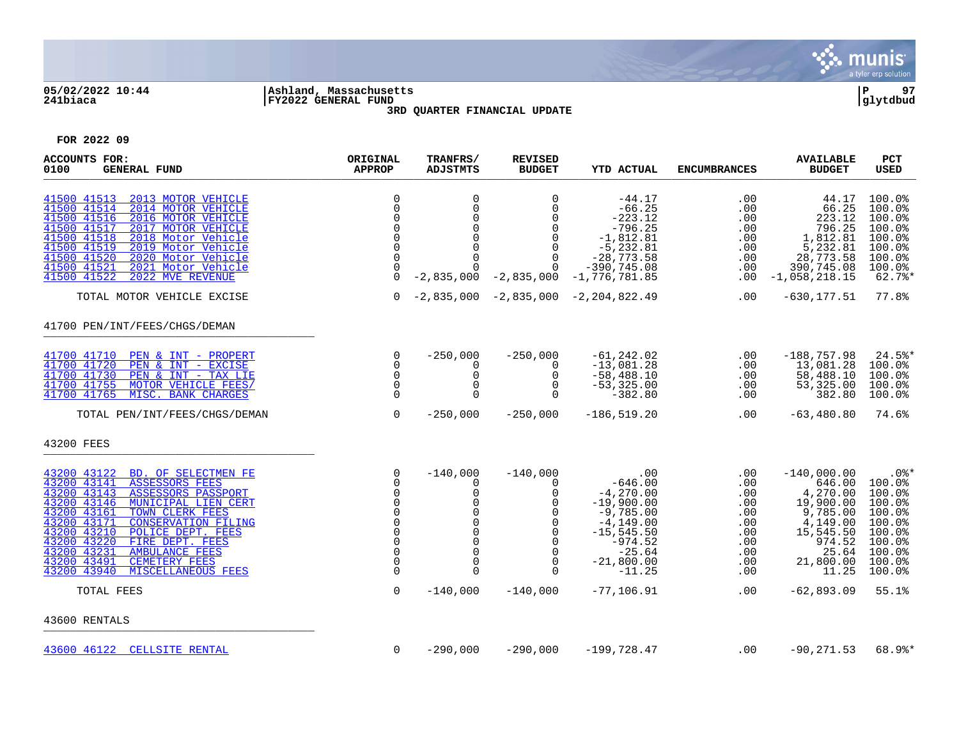

## **05/02/2022 10:44 |Ashland, Massachusetts |P 97 241biaca |FY2022 GENERAL FUND |glytdbud 3RD QUARTER FINANCIAL UPDATE**



| ACCOUNTS FOR:<br>0100<br><b>GENERAL FUND</b>                                                                                                                                                                                                                                                                                                                                                                                                     | ORIGINAL<br><b>APPROP</b>                                                                                                                                  | TRANFRS/<br><b>ADJSTMTS</b>                                                                                                                | <b>REVISED</b><br><b>BUDGET</b>                                                                                                                   | <b>YTD ACTUAL</b>                                                                                                                                                             | <b>ENCUMBRANCES</b>                                                                   | <b>AVAILABLE</b><br><b>BUDGET</b>                                                                                                              | PCT<br><b>USED</b>                                                                                                                 |
|--------------------------------------------------------------------------------------------------------------------------------------------------------------------------------------------------------------------------------------------------------------------------------------------------------------------------------------------------------------------------------------------------------------------------------------------------|------------------------------------------------------------------------------------------------------------------------------------------------------------|--------------------------------------------------------------------------------------------------------------------------------------------|---------------------------------------------------------------------------------------------------------------------------------------------------|-------------------------------------------------------------------------------------------------------------------------------------------------------------------------------|---------------------------------------------------------------------------------------|------------------------------------------------------------------------------------------------------------------------------------------------|------------------------------------------------------------------------------------------------------------------------------------|
| 41500 41513<br>2013 MOTOR VEHICLE<br>41500 41514<br>2014 MOTOR VEHICLE<br>41500 41516<br>2016 MOTOR VEHICLE<br>41500 41517<br>2017 MOTOR VEHICLE<br>41500 41518<br>2018 Motor Vehicle<br>41500 41519<br>2019 Motor Vehicle<br>41500 41520<br>2020 Motor Vehicle<br>41500 41521<br>2021 Motor Vehicle<br>41500 41522<br>2022 MVE REVENUE                                                                                                          | $\mathbf 0$<br>$\Omega$<br>$\mathbf 0$<br>$\mathbf 0$<br>$\Omega$<br>$\mathbf 0$<br>$\mathbf 0$<br>$\mathbf 0$<br>$\Omega$                                 | $\mathbf 0$<br>$\mathbf 0$<br>$\mathbf 0$<br>$\mathbf 0$<br>$\mathbf 0$<br>$\mathbf 0$<br>$\Omega$<br>0<br>$-2,835,000$                    | $\Omega$<br>$\Omega$<br>0<br>$\Omega$<br>$\mathbf 0$<br>$\mathbf 0$<br>$\Omega$<br>0                                                              | $-44.17$<br>$-66.25$<br>$-223.12$<br>$-796.25$<br>$-1,812.81$<br>$-5, 232.81$<br>$-28,773.58$<br>$-390, 745.08$<br>$-2,835,000 -1,776,781.85$                                 | .00<br>.00<br>.00<br>.00<br>.00<br>.00<br>.00<br>.00<br>$.00 \,$                      | 44.17<br>66.25<br>223.12<br>796.25<br>1,812.81<br>5,232.81<br>28,773.58<br>390,745.08<br>$-1,058,218.15$                                       | 100.0%<br>100.0%<br>100.0%<br>100.0%<br>100.0%<br>100.0%<br>100.0%<br>100.0%<br>$62.7$ %*                                          |
| TOTAL MOTOR VEHICLE EXCISE                                                                                                                                                                                                                                                                                                                                                                                                                       | $\overline{0}$                                                                                                                                             |                                                                                                                                            |                                                                                                                                                   | $-2,835,000 -2,835,000 -2,204,822.49$                                                                                                                                         | .00                                                                                   | $-630, 177.51$                                                                                                                                 | 77.8%                                                                                                                              |
| 41700 PEN/INT/FEES/CHGS/DEMAN                                                                                                                                                                                                                                                                                                                                                                                                                    |                                                                                                                                                            |                                                                                                                                            |                                                                                                                                                   |                                                                                                                                                                               |                                                                                       |                                                                                                                                                |                                                                                                                                    |
| 41700 41710<br>PEN & INT - PROPERT<br>41700 41720<br>PEN & INT - EXCISE<br>PEN & INT - TAX LIE<br>41700 41730<br>41700 41755<br>MOTOR VEHICLE FEES/<br>MISC. BANK CHARGES<br>41700 41765<br>TOTAL PEN/INT/FEES/CHGS/DEMAN                                                                                                                                                                                                                        | 0<br>$\Omega$<br>0<br>$\mathbf 0$<br>$\mathbf 0$<br>$\mathbf 0$                                                                                            | $-250,000$<br>$\Omega$<br>0<br>0<br>$\mathbf 0$<br>$-250,000$                                                                              | $-250,000$<br>$\Omega$<br>0<br>$\mathbf 0$<br>$\Omega$<br>$-250,000$                                                                              | $-61, 242.02$<br>$-13,081.28$<br>$-58,488.10$<br>$-53, 325.00$<br>$-382.80$<br>$-186, 519.20$                                                                                 | .00<br>.00<br>.00<br>.00<br>.00<br>$.00 \,$                                           | $-188, 757.98$<br>13,081.28<br>58,488.10<br>53,325.00<br>382.80<br>$-63,480.80$                                                                | $24.5$ *<br>100.0%<br>100.0%<br>100.0%<br>100.0%<br>74.6%                                                                          |
| 43200 FEES                                                                                                                                                                                                                                                                                                                                                                                                                                       |                                                                                                                                                            |                                                                                                                                            |                                                                                                                                                   |                                                                                                                                                                               |                                                                                       |                                                                                                                                                |                                                                                                                                    |
| 43200 43122 BD. OF SELECTMEN FE<br>ASSESSORS FEES<br>43200 43141<br>43200 43143<br><b>ASSESSORS PASSPORT</b><br>43200 43146<br>MUNICIPAL LIEN CERT<br>43200 43161<br>TOWN CLERK FEES<br>43200 43171<br><b>CONSERVATION FILING</b><br>43200 43210<br>POLICE DEPT. FEES<br>43200 43220<br>FIRE DEPT. FEES<br>43200 43231<br><b>AMBULANCE FEES</b><br>43200 43491<br><b>CEMETERY FEES</b><br>43200 43940<br><b>MISCELLANEOUS FEES</b><br>TOTAL FEES | $\mathbf 0$<br>$\mathbf 0$<br>$\mathbf 0$<br>$\mathbf 0$<br>$\Omega$<br>0<br>$\Omega$<br>$\Omega$<br>$\mathbf 0$<br>$\mathbf 0$<br>$\Omega$<br>$\mathbf 0$ | $-140,000$<br>0<br>0<br>0<br>$\Omega$<br>$\mathbf 0$<br>$\mathbf 0$<br>$\mathbf 0$<br>$\mathbf 0$<br>$\mathbf 0$<br>$\Omega$<br>$-140,000$ | $-140,000$<br>0<br>0<br>$\mathbf 0$<br>$\Omega$<br>$\mathbf 0$<br>$\mathbf 0$<br>$\Omega$<br>$\mathbf 0$<br>$\mathbf 0$<br>$\Omega$<br>$-140,000$ | $\cdot$ 00<br>$-646.00$<br>$-4, 270.00$<br>$-19,900.00$<br>$-9,785.00$<br>$-4, 149.00$<br>$-15, 545.50$<br>$-974.52$<br>$-25.64$<br>$-21,800.00$<br>$-11.25$<br>$-77, 106.91$ | .00<br>.00<br>.00<br>.00<br>.00<br>.00<br>.00<br>.00<br>.00<br>.00<br>.00<br>$.00 \,$ | $-140,000.00$<br>646.00<br>4,270.00<br>19,900.00<br>9,785.00<br>4,149.00<br>15,545.50<br>974.52<br>25.64<br>21,800.00<br>11.25<br>$-62,893.09$ | $.0$ %*<br>100.0%<br>100.0%<br>100.0%<br>100.0%<br>100.0%<br>100.0%<br>$100.0$ <sup>8</sup><br>100.0%<br>100.0%<br>100.0%<br>55.1% |
| 43600 RENTALS                                                                                                                                                                                                                                                                                                                                                                                                                                    |                                                                                                                                                            |                                                                                                                                            |                                                                                                                                                   |                                                                                                                                                                               |                                                                                       |                                                                                                                                                |                                                                                                                                    |
| 43600 46122 CELLSITE RENTAL                                                                                                                                                                                                                                                                                                                                                                                                                      | $\mathbf 0$                                                                                                                                                | $-290,000$                                                                                                                                 | $-290,000$                                                                                                                                        | $-199,728.47$                                                                                                                                                                 | .00                                                                                   | $-90, 271.53$                                                                                                                                  | 68.9%*                                                                                                                             |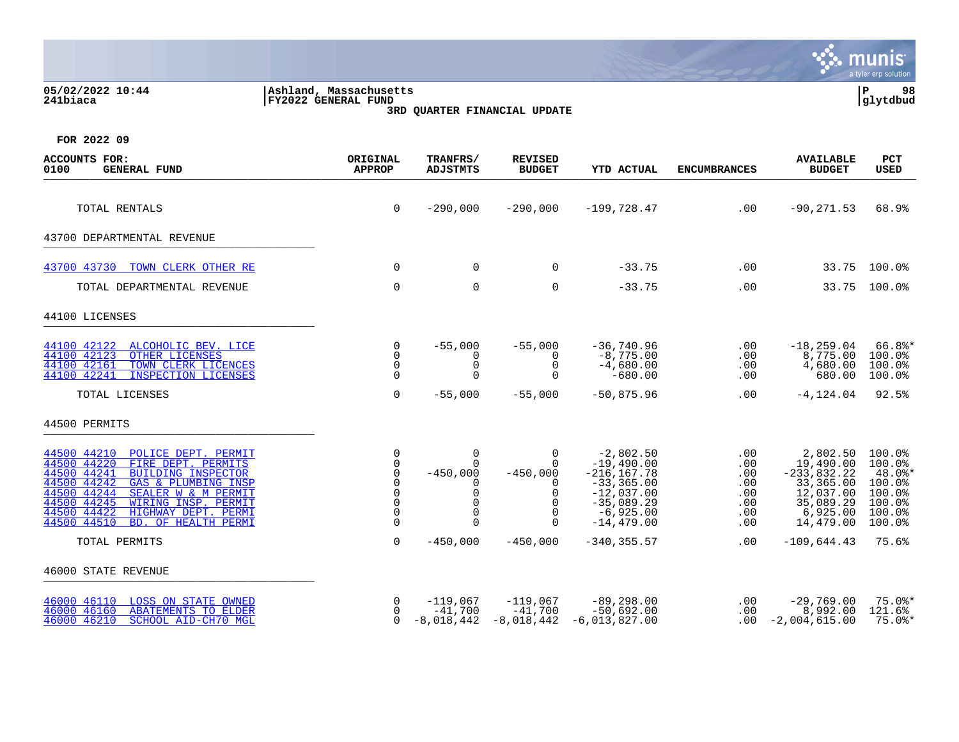|                                                                                                                                                                                                                                                                                                                   |                                                                                |                                                                                         |                                                                                         |                                                                                                                               |                                                      |                                                                                                        | munis<br>a tyler erp solution                                                                 |
|-------------------------------------------------------------------------------------------------------------------------------------------------------------------------------------------------------------------------------------------------------------------------------------------------------------------|--------------------------------------------------------------------------------|-----------------------------------------------------------------------------------------|-----------------------------------------------------------------------------------------|-------------------------------------------------------------------------------------------------------------------------------|------------------------------------------------------|--------------------------------------------------------------------------------------------------------|-----------------------------------------------------------------------------------------------|
| 05/02/2022 10:44<br>241biaca                                                                                                                                                                                                                                                                                      | Ashland, Massachusetts <br>FY2022 GENERAL FUND<br>3RD QUARTER FINANCIAL UPDATE |                                                                                         |                                                                                         |                                                                                                                               |                                                      |                                                                                                        |                                                                                               |
| FOR 2022 09                                                                                                                                                                                                                                                                                                       |                                                                                |                                                                                         |                                                                                         |                                                                                                                               |                                                      |                                                                                                        |                                                                                               |
| <b>ACCOUNTS FOR:</b><br>0100<br><b>GENERAL FUND</b>                                                                                                                                                                                                                                                               | ORIGINAL<br><b>APPROP</b>                                                      | TRANFRS/<br><b>ADJSTMTS</b>                                                             | <b>REVISED</b><br><b>BUDGET</b>                                                         | <b>YTD ACTUAL</b>                                                                                                             | <b>ENCUMBRANCES</b>                                  | <b>AVAILABLE</b><br><b>BUDGET</b>                                                                      | <b>PCT</b><br>USED                                                                            |
| TOTAL RENTALS                                                                                                                                                                                                                                                                                                     | $\mathbf 0$                                                                    | $-290,000$                                                                              | $-290,000$                                                                              | $-199,728.47$                                                                                                                 | .00                                                  | $-90, 271.53$                                                                                          | 68.9%                                                                                         |
| 43700 DEPARTMENTAL REVENUE                                                                                                                                                                                                                                                                                        |                                                                                |                                                                                         |                                                                                         |                                                                                                                               |                                                      |                                                                                                        |                                                                                               |
| TOWN CLERK OTHER RE<br>43700 43730                                                                                                                                                                                                                                                                                | $\Omega$                                                                       | 0                                                                                       | $\Omega$                                                                                | $-33.75$                                                                                                                      | .00                                                  |                                                                                                        | 33.75 100.0%                                                                                  |
| TOTAL DEPARTMENTAL REVENUE                                                                                                                                                                                                                                                                                        | $\mathbf 0$                                                                    | $\mathbf 0$                                                                             | $\mathbf 0$                                                                             | $-33.75$                                                                                                                      | .00                                                  |                                                                                                        | 33.75 100.0%                                                                                  |
| 44100 LICENSES                                                                                                                                                                                                                                                                                                    |                                                                                |                                                                                         |                                                                                         |                                                                                                                               |                                                      |                                                                                                        |                                                                                               |
| 44100 42122<br>ALCOHOLIC BEV. LICE<br>44100 42123<br>OTHER LICENSES<br>44100 42161<br>TOWN CLERK LICENCES<br><b>INSPECTION LICENSES</b><br>44100 42241                                                                                                                                                            | 0<br>$\Omega$<br>$\Omega$<br>0                                                 | $-55,000$<br>$\Omega$<br>$\Omega$<br>$\Omega$                                           | $-55,000$<br>$\Omega$<br>$\Omega$<br>$\Omega$                                           | $-36,740.96$<br>$-8,775.00$<br>$-4,680.00$<br>$-680.00$                                                                       | .00<br>.00<br>.00<br>.00                             | $-18, 259.04$<br>8,775.00<br>4,680.00<br>680.00                                                        | $66.8$ *<br>100.0%<br>100.0%<br>100.0%                                                        |
| TOTAL LICENSES                                                                                                                                                                                                                                                                                                    | $\mathbf 0$                                                                    | $-55,000$                                                                               | $-55,000$                                                                               | $-50,875.96$                                                                                                                  | .00                                                  | $-4, 124.04$                                                                                           | 92.5%                                                                                         |
| 44500 PERMITS                                                                                                                                                                                                                                                                                                     |                                                                                |                                                                                         |                                                                                         |                                                                                                                               |                                                      |                                                                                                        |                                                                                               |
| 44500 44210<br>POLICE DEPT. PERMIT<br>44500 44220<br>FIRE DEPT. PERMITS<br>44500 44241<br><b>BUILDING INSPECTOR</b><br>44500 44242<br>GAS & PLUMBING INSP<br>44500 44244<br>SEALER W & M PERMIT<br>44500 44245<br>WIRING INSP. PERMIT<br>44500 44422<br>HIGHWAY DEPT. PERMI<br>44500 44510<br>BD. OF HEALTH PERMI | 0<br>$\Omega$<br>$\Omega$<br>$\Omega$<br>$\Omega$<br>$\Omega$<br>$\Omega$<br>0 | $\Omega$<br>$\Omega$<br>$-450,000$<br>0<br>$\Omega$<br>$\Omega$<br>$\Omega$<br>$\Omega$ | $\Omega$<br>$\Omega$<br>$-450,000$<br>∩<br>$\Omega$<br>$\Omega$<br>$\Omega$<br>$\Omega$ | $-2,802.50$<br>$-19,490.00$<br>$-216, 167.78$<br>$-33,365.00$<br>$-12,037.00$<br>$-35,089.29$<br>$-6,925.00$<br>$-14, 479.00$ | .00<br>.00<br>.00<br>.00<br>.00<br>.00<br>.00<br>.00 | 2,802.50<br>19,490.00<br>$-233,832.22$<br>33,365.00<br>12,037.00<br>35,089.29<br>6,925.00<br>14,479.00 | $100.0$ %<br>100.0%<br>48.0%*<br>$100.0$ <sup>8</sup><br>100.0%<br>100.0%<br>100.0%<br>100.0% |
| TOTAL PERMITS                                                                                                                                                                                                                                                                                                     | $\mathbf 0$                                                                    | $-450,000$                                                                              | $-450,000$                                                                              | $-340, 355.57$                                                                                                                | .00                                                  | $-109,644.43$                                                                                          | 75.6%                                                                                         |
| 46000 STATE REVENUE                                                                                                                                                                                                                                                                                               |                                                                                |                                                                                         |                                                                                         |                                                                                                                               |                                                      |                                                                                                        |                                                                                               |
| 46000 46110<br>LOSS ON STATE OWNED<br>46000 46160<br><b>ABATEMENTS TO ELDER</b><br>SCHOOL AID-CH70 MGL<br>46000 46210                                                                                                                                                                                             | $\Omega$<br>0<br>$\Omega$                                                      | $-119,067$<br>$-41,700$<br>-8,018,442                                                   | $-119,067$<br>$-41,700$<br>-8,018,442                                                   | $-89,298.00$<br>$-50,692.00$<br>$-6,013,827.00$                                                                               | .00<br>.00<br>.00.                                   | $-29,769.00$<br>8,992.00<br>$-2,004,615.00$                                                            | $75.0$ $*$<br>121.6%<br>$75.0$ *                                                              |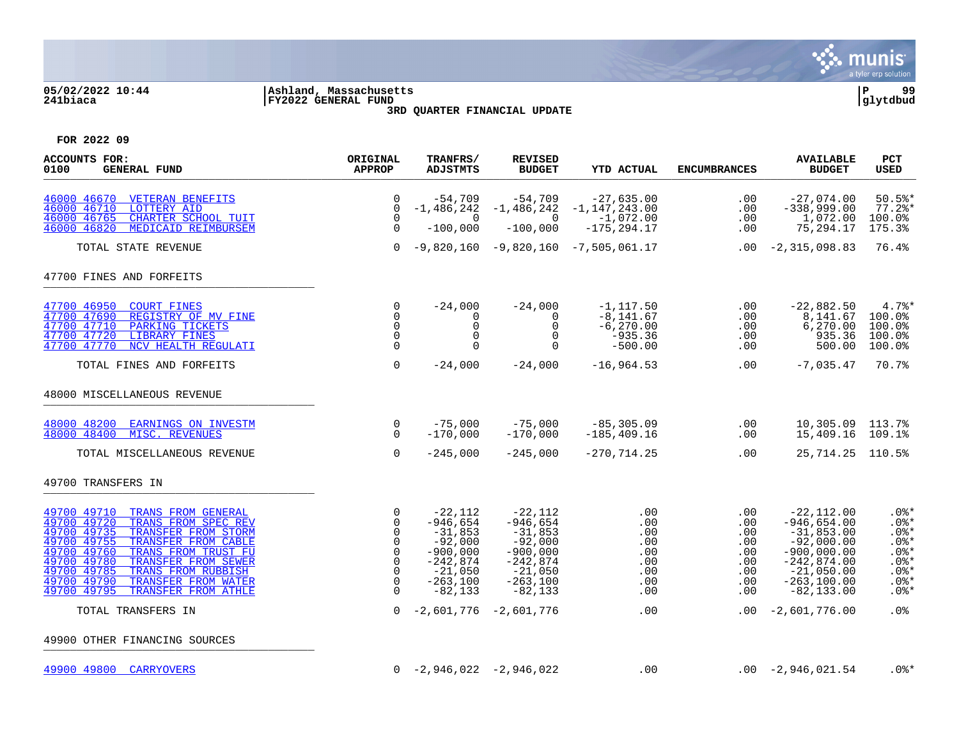

## **05/02/2022 10:44 |Ashland, Massachusetts |P 99 241biaca |FY2022 GENERAL FUND |glytdbud 3RD QUARTER FINANCIAL UPDATE**



| <b>ACCOUNTS FOR:</b><br>0100<br><b>GENERAL FUND</b>                                                                                                                                                                                                                                                                                              | ORIGINAL<br><b>APPROP</b>                                                                                              | TRANFRS/<br><b>ADJSTMTS</b>                                                                                            | <b>REVISED</b><br><b>BUDGET</b>                                                                                       | <b>YTD ACTUAL</b>                                                      | <b>ENCUMBRANCES</b>                                         | <b>AVAILABLE</b><br><b>BUDGET</b>                                                                                                                  | <b>PCT</b><br><b>USED</b>                                                                       |
|--------------------------------------------------------------------------------------------------------------------------------------------------------------------------------------------------------------------------------------------------------------------------------------------------------------------------------------------------|------------------------------------------------------------------------------------------------------------------------|------------------------------------------------------------------------------------------------------------------------|-----------------------------------------------------------------------------------------------------------------------|------------------------------------------------------------------------|-------------------------------------------------------------|----------------------------------------------------------------------------------------------------------------------------------------------------|-------------------------------------------------------------------------------------------------|
| 46000 46670<br><b>VETERAN BENEFITS</b><br>46000 46710<br><b>LOTTERY AID</b><br>46000 46765<br>CHARTER SCHOOL TUIT<br>46000 46820<br>MEDICAID REIMBURSEM                                                                                                                                                                                          | $\Omega$<br>$\Omega$<br>$\Omega$<br>$\mathbf 0$                                                                        | $-54,709$<br>$-1,486,242$<br>$\Omega$<br>$-100,000$                                                                    | -54,709<br>$-1,486,242$<br>$\Omega$<br>$-100,000$                                                                     | $-27,635.00$<br>$-1,147,243.00$<br>$-1,072.00$<br>$-175, 294.17$       | .00<br>.00<br>.00<br>.00                                    | $-27,074.00$<br>$-338,999.00$<br>1,072.00<br>75,294.17                                                                                             | $50.5$ *<br>$77.2$ *<br>100.0%<br>175.3%                                                        |
| TOTAL STATE REVENUE                                                                                                                                                                                                                                                                                                                              | $\Omega$                                                                                                               |                                                                                                                        |                                                                                                                       | $-9,820,160 -9,820,160 -7,505,061.17$                                  |                                                             | $.00 -2,315,098.83$                                                                                                                                | 76.4%                                                                                           |
| 47700 FINES AND FORFEITS                                                                                                                                                                                                                                                                                                                         |                                                                                                                        |                                                                                                                        |                                                                                                                       |                                                                        |                                                             |                                                                                                                                                    |                                                                                                 |
| 47700 46950<br><b>COURT FINES</b><br>47700 47690<br>REGISTRY OF MV FINE<br>47700 47710<br>PARKING TICKETS<br>47700 47720<br><b>LIBRARY FINES</b><br>47700 47770<br>NCV HEALTH REGULATI                                                                                                                                                           | 0<br>$\mathbf 0$<br>$\mathbf 0$<br>$\Omega$<br>$\Omega$                                                                | $-24.000$<br>0<br>0<br>$\Omega$                                                                                        | $-24,000$<br>0<br>$\mathbf 0$<br>$\Omega$<br>$\Omega$                                                                 | $-1, 117.50$<br>$-8, 141.67$<br>$-6, 270.00$<br>$-935.36$<br>$-500.00$ | $.00 \,$<br>.00<br>.00<br>.00<br>.00                        | $-22,882.50$<br>8,141.67<br>6, 270.00<br>935.36<br>500.00                                                                                          | 4.7%<br>100.0%<br>100.0%<br>100.0%<br>100.0%                                                    |
| TOTAL FINES AND FORFEITS                                                                                                                                                                                                                                                                                                                         | $\mathbf 0$                                                                                                            | $-24,000$                                                                                                              | $-24,000$                                                                                                             | $-16,964.53$                                                           | .00                                                         | $-7,035.47$                                                                                                                                        | 70.7%                                                                                           |
| 48000 MISCELLANEOUS REVENUE                                                                                                                                                                                                                                                                                                                      |                                                                                                                        |                                                                                                                        |                                                                                                                       |                                                                        |                                                             |                                                                                                                                                    |                                                                                                 |
| 48000 48200 EARNINGS ON INVESTM<br>48000 48400<br>MISC. REVENUES                                                                                                                                                                                                                                                                                 | $\mathsf{O}$<br>$\Omega$                                                                                               | $-75,000$<br>$-170,000$                                                                                                | $-75,000$<br>$-170,000$                                                                                               | $-85, 305.09$<br>$-185, 409.16$                                        | .00<br>.00                                                  | 10,305.09 113.7%<br>15,409.16 109.1%                                                                                                               |                                                                                                 |
| TOTAL MISCELLANEOUS REVENUE                                                                                                                                                                                                                                                                                                                      | $\Omega$                                                                                                               | $-245,000$                                                                                                             | $-245,000$                                                                                                            | $-270, 714.25$                                                         | .00                                                         | 25, 714. 25 110. 5%                                                                                                                                |                                                                                                 |
| 49700 TRANSFERS IN                                                                                                                                                                                                                                                                                                                               |                                                                                                                        |                                                                                                                        |                                                                                                                       |                                                                        |                                                             |                                                                                                                                                    |                                                                                                 |
| 49700 49710<br>TRANS FROM GENERAL<br>49700 49720<br>TRANS FROM SPEC REV<br>49700 49735<br>TRANSFER FROM STORM<br>49700 49755<br>TRANSFER FROM CABLE<br>49700 49760<br>TRANS FROM TRUST FU<br>49700 49780<br>TRANSFER FROM SEWER<br>49700 49785<br>TRANS FROM RUBBISH<br>49700 49790<br>TRANSFER FROM WATER<br>49700 49795<br>TRANSFER FROM ATHLE | 0<br>$\mathbf 0$<br>$\mathbf 0$<br>$\mathbf 0$<br>$\mathbf 0$<br>$\mathbf 0$<br>$\mathbf 0$<br>$\mathbf 0$<br>$\Omega$ | $-22,112$<br>$-946,654$<br>$-31,853$<br>$-92,000$<br>$-900,000$<br>$-242,874$<br>$-21,050$<br>$-263,100$<br>$-82, 133$ | $-22,112$<br>$-946,654$<br>$-31,853$<br>$-92,000$<br>$-900,000$<br>$-242,874$<br>$-21,050$<br>$-263,100$<br>$-82,133$ | .00<br>.00<br>.00<br>.00<br>.00<br>.00<br>.00<br>.00<br>.00            | .00<br>.00<br>.00<br>.00<br>.00<br>.00<br>.00<br>.00<br>.00 | $-22,112.00$<br>$-946,654.00$<br>$-31,853.00$<br>$-92,000.00$<br>$-900,000.00$<br>$-242,874.00$<br>$-21,050.00$<br>$-263, 100.00$<br>$-82, 133.00$ | $.0$ %*<br>$.0$ %*<br>$.0$ %*<br>$.0$ %*<br>$.0$ %*<br>$.0$ %*<br>$.0$ %*<br>$.0$ %*<br>$.0$ %* |
| TOTAL TRANSFERS IN                                                                                                                                                                                                                                                                                                                               | $\Omega$                                                                                                               | $-2,601,776$                                                                                                           | $-2,601,776$                                                                                                          | .00                                                                    | .00                                                         | $-2,601,776.00$                                                                                                                                    | .0%                                                                                             |
| 49900 OTHER FINANCING SOURCES                                                                                                                                                                                                                                                                                                                    |                                                                                                                        |                                                                                                                        |                                                                                                                       |                                                                        |                                                             |                                                                                                                                                    |                                                                                                 |
| 49900 49800 CARRYOVERS                                                                                                                                                                                                                                                                                                                           |                                                                                                                        | $0 -2,946,022 -2,946,022$                                                                                              |                                                                                                                       | .00                                                                    |                                                             | $.00 -2,946,021.54$                                                                                                                                | $.0$ % $*$                                                                                      |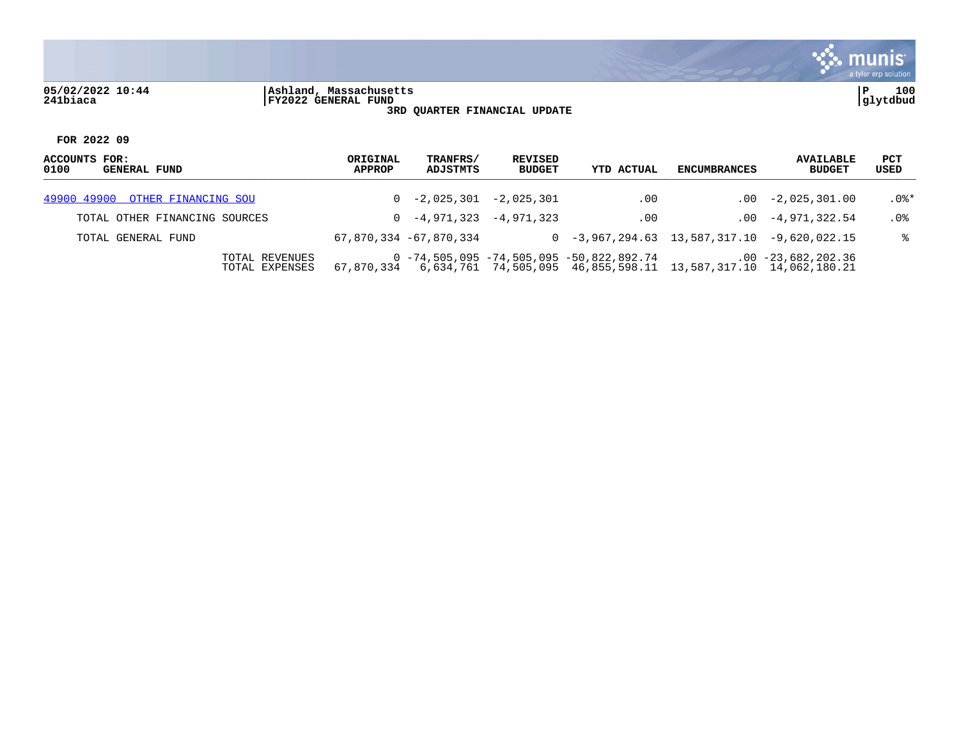

## **05/02/2022 10:44 |Ashland, Massachusetts |P 100 241biaca |FY2022 GENERAL FUND |glytdbud 3RD QUARTER FINANCIAL UPDATE**



| ACCOUNTS FOR:<br>0100<br><b>GENERAL FUND</b> | ORIGINAL<br>APPROP | TRANFRS/<br>ADJSTMTS      | REVISED<br><b>BUDGET</b> | YTD ACTUAL                                                                                                                 | <b>ENCUMBRANCES</b> | <b>AVAILABLE</b><br><b>BUDGET</b> | PCT<br>USED |
|----------------------------------------------|--------------------|---------------------------|--------------------------|----------------------------------------------------------------------------------------------------------------------------|---------------------|-----------------------------------|-------------|
| 49900 49900 OTHER FINANCING SOU              |                    | $0 -2,025,301 -2,025,301$ |                          | $.00 \,$                                                                                                                   |                     | $.00 -2.025.301.00$               | $.0$ %*     |
| TOTAL OTHER FINANCING SOURCES                |                    | $0 -4,971,323 -4,971,323$ |                          | $.00 \,$                                                                                                                   |                     | $.00 -4.971.322.54$               | $.0\%$      |
| TOTAL GENERAL FUND                           |                    | 67,870,334 -67,870,334    |                          | $0 -3,967,294.63$ 13,587,317.10 -9,620,022.15                                                                              |                     |                                   | °≈          |
| TOTAL REVENUES<br>TOTAL EXPENSES             | 67.870.334         |                           |                          | $0 - 74, 505, 095 - 74, 505, 095 - 50, 822, 892, 74$<br>6,634,761  74,505,095  46,855,598.11  13,587,317.10  14,062,180.21 |                     | $.00 - 23,682,202.36$             |             |